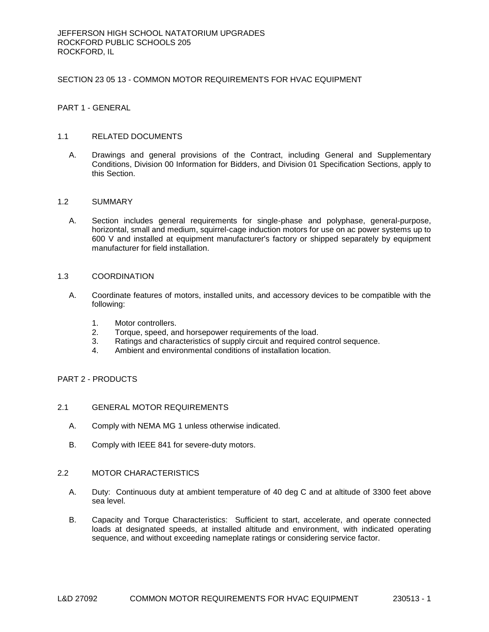## SECTION 23 05 13 - COMMON MOTOR REQUIREMENTS FOR HVAC EQUIPMENT

PART 1 - GENERAL

## 1.1 RELATED DOCUMENTS

A. Drawings and general provisions of the Contract, including General and Supplementary Conditions, Division 00 Information for Bidders, and Division 01 Specification Sections, apply to this Section.

## 1.2 SUMMARY

A. Section includes general requirements for single-phase and polyphase, general-purpose, horizontal, small and medium, squirrel-cage induction motors for use on ac power systems up to 600 V and installed at equipment manufacturer's factory or shipped separately by equipment manufacturer for field installation.

# 1.3 COORDINATION

- A. Coordinate features of motors, installed units, and accessory devices to be compatible with the following:
	- 1. Motor controllers.
	- 2. Torque, speed, and horsepower requirements of the load.
	- 3. Ratings and characteristics of supply circuit and required control sequence.
	- 4. Ambient and environmental conditions of installation location.

# PART 2 - PRODUCTS

## 2.1 GENERAL MOTOR REQUIREMENTS

- A. Comply with NEMA MG 1 unless otherwise indicated.
- B. Comply with IEEE 841 for severe-duty motors.

#### 2.2 MOTOR CHARACTERISTICS

- A. Duty: Continuous duty at ambient temperature of 40 deg C and at altitude of 3300 feet above sea level.
- B. Capacity and Torque Characteristics: Sufficient to start, accelerate, and operate connected loads at designated speeds, at installed altitude and environment, with indicated operating sequence, and without exceeding nameplate ratings or considering service factor.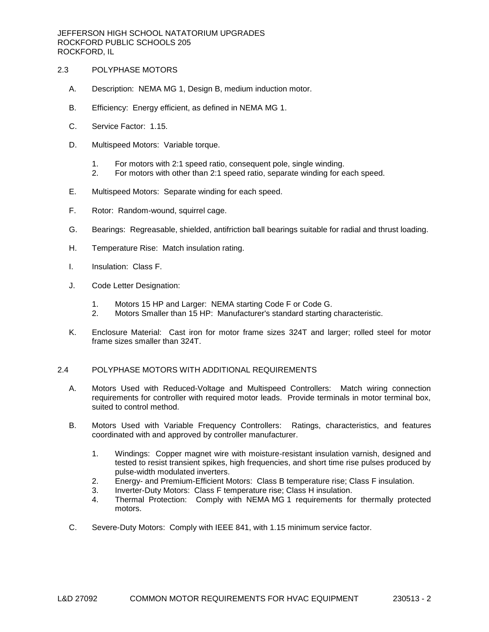## 2.3 POLYPHASE MOTORS

- A. Description: NEMA MG 1, Design B, medium induction motor.
- B. Efficiency: Energy efficient, as defined in NEMA MG 1.
- C. Service Factor: 1.15.
- D. Multispeed Motors: Variable torque.
	- 1. For motors with 2:1 speed ratio, consequent pole, single winding.
	- 2. For motors with other than 2:1 speed ratio, separate winding for each speed.
- E. Multispeed Motors: Separate winding for each speed.
- F. Rotor: Random-wound, squirrel cage.
- G. Bearings: Regreasable, shielded, antifriction ball bearings suitable for radial and thrust loading.
- H. Temperature Rise: Match insulation rating.
- I. Insulation: Class F.
- J. Code Letter Designation:
	- 1. Motors 15 HP and Larger: NEMA starting Code F or Code G.
	- 2. Motors Smaller than 15 HP: Manufacturer's standard starting characteristic.
- K. Enclosure Material: Cast iron for motor frame sizes 324T and larger; rolled steel for motor frame sizes smaller than 324T.

## 2.4 POLYPHASE MOTORS WITH ADDITIONAL REQUIREMENTS

- A. Motors Used with Reduced-Voltage and Multispeed Controllers: Match wiring connection requirements for controller with required motor leads. Provide terminals in motor terminal box, suited to control method.
- B. Motors Used with Variable Frequency Controllers: Ratings, characteristics, and features coordinated with and approved by controller manufacturer.
	- 1. Windings: Copper magnet wire with moisture-resistant insulation varnish, designed and tested to resist transient spikes, high frequencies, and short time rise pulses produced by pulse-width modulated inverters.
	- 2. Energy- and Premium-Efficient Motors: Class B temperature rise; Class F insulation.
	- 3. Inverter-Duty Motors: Class F temperature rise; Class H insulation.
	- 4. Thermal Protection: Comply with NEMA MG 1 requirements for thermally protected motors.
- C. Severe-Duty Motors: Comply with IEEE 841, with 1.15 minimum service factor.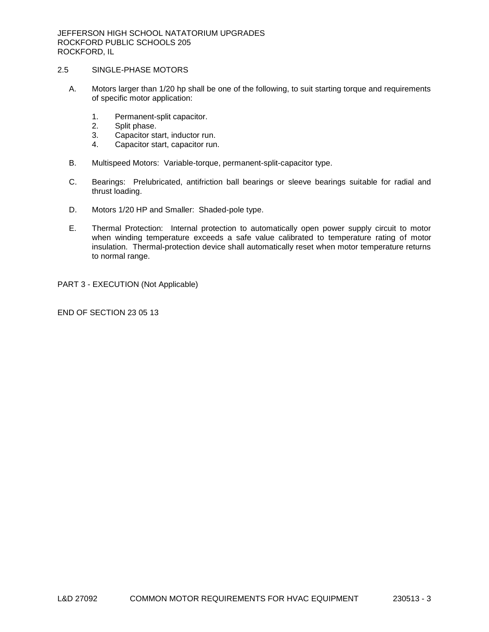## 2.5 SINGLE-PHASE MOTORS

- A. Motors larger than 1/20 hp shall be one of the following, to suit starting torque and requirements of specific motor application:
	- 1. Permanent-split capacitor.
	- 2. Split phase.
	- 3. Capacitor start, inductor run.
	- 4. Capacitor start, capacitor run.
- B. Multispeed Motors: Variable-torque, permanent-split-capacitor type.
- C. Bearings: Prelubricated, antifriction ball bearings or sleeve bearings suitable for radial and thrust loading.
- D. Motors 1/20 HP and Smaller: Shaded-pole type.
- E. Thermal Protection: Internal protection to automatically open power supply circuit to motor when winding temperature exceeds a safe value calibrated to temperature rating of motor insulation. Thermal-protection device shall automatically reset when motor temperature returns to normal range.

PART 3 - EXECUTION (Not Applicable)

END OF SECTION 23 05 13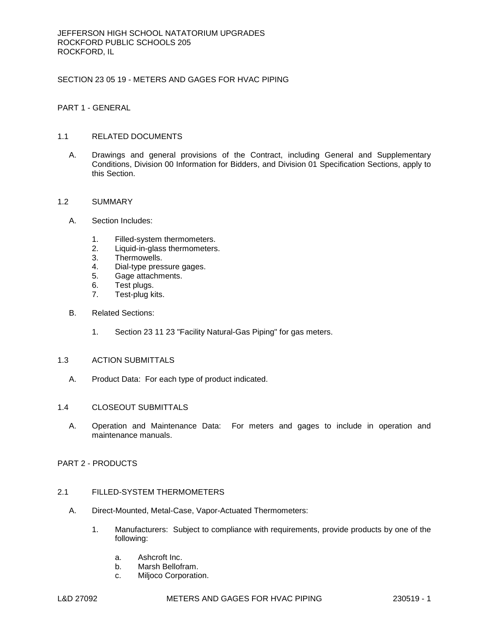# SECTION 23 05 19 - METERS AND GAGES FOR HVAC PIPING

PART 1 - GENERAL

# 1.1 RELATED DOCUMENTS

A. Drawings and general provisions of the Contract, including General and Supplementary Conditions, Division 00 Information for Bidders, and Division 01 Specification Sections, apply to this Section.

## 1.2 SUMMARY

- A. Section Includes:
	- 1. Filled-system thermometers.
	- 2. Liquid-in-glass thermometers.
	- 3. Thermowells.
	- 4. Dial-type pressure gages.
	- 5. Gage attachments.
	- 6. Test plugs.
	- 7. Test-plug kits.
- B. Related Sections:
	- 1. Section 23 11 23 "Facility Natural-Gas Piping" for gas meters.

# 1.3 ACTION SUBMITTALS

A. Product Data: For each type of product indicated.

#### 1.4 CLOSEOUT SUBMITTALS

A. Operation and Maintenance Data: For meters and gages to include in operation and maintenance manuals.

## PART 2 - PRODUCTS

# 2.1 FILLED-SYSTEM THERMOMETERS

- A. Direct-Mounted, Metal-Case, Vapor-Actuated Thermometers:
	- 1. Manufacturers: Subject to compliance with requirements, provide products by one of the following:
		- a. [Ashcroft Inc.](http://www.specagent.com/LookUp/?uid=123456811699&mf=04&src=wd)
		- b. [Marsh Bellofram.](http://www.specagent.com/LookUp/?uid=123456811700&mf=04&src=wd)
		- c. [Miljoco Corporation.](http://www.specagent.com/LookUp/?uid=123456811701&mf=04&src=wd)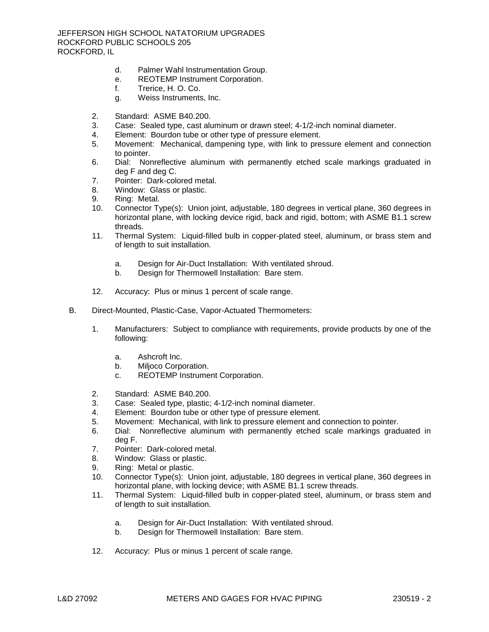- d. [Palmer Wahl Instrumentation Group.](http://www.specagent.com/LookUp/?uid=123456811702&mf=04&src=wd)
- e. [REOTEMP Instrument Corporation.](http://www.specagent.com/LookUp/?uid=123456811703&mf=04&src=wd)
- f. [Trerice, H. O. Co.](http://www.specagent.com/LookUp/?uid=123456811704&mf=04&src=wd)
- g. [Weiss Instruments, Inc.](http://www.specagent.com/LookUp/?uid=123456811705&mf=04&src=wd)
- 2. Standard: ASME B40.200.
- 3. Case: Sealed type, cast aluminum or drawn steel; 4-1/2-inch nominal diameter.
- 4. Element: Bourdon tube or other type of pressure element.
- 5. Movement: Mechanical, dampening type, with link to pressure element and connection to pointer.
- 6. Dial: Nonreflective aluminum with permanently etched scale markings graduated in deg F and deg C.
- 7. Pointer: Dark-colored metal.
- 8. Window: Glass or plastic.
- 9. Ring: Metal.
- 10. Connector Type(s): Union joint, adjustable, 180 degrees in vertical plane, 360 degrees in horizontal plane, with locking device rigid, back and rigid, bottom; with ASME B1.1 screw threads.
- 11. Thermal System: Liquid-filled bulb in copper-plated steel, aluminum, or brass stem and of length to suit installation.
	- a. Design for Air-Duct Installation: With ventilated shroud.
	- b. Design for Thermowell Installation: Bare stem.
- 12. Accuracy: Plus or minus 1 percent of scale range.
- B. Direct-Mounted, Plastic-Case, Vapor-Actuated Thermometers:
	- 1. Manufacturers: Subject to compliance with requirements, provide products by one of the following:
		- a. [Ashcroft Inc.](http://www.specagent.com/LookUp/?uid=123456811706&mf=04&src=wd)
		- b. [Miljoco Corporation.](http://www.specagent.com/LookUp/?uid=123456811707&mf=04&src=wd)
		- c. [REOTEMP Instrument Corporation.](http://www.specagent.com/LookUp/?uid=123456811708&mf=04&src=wd)
	- 2. Standard: ASME B40.200.
	- 3. Case: Sealed type, plastic; 4-1/2-inch nominal diameter.
	- 4. Element: Bourdon tube or other type of pressure element.
	- 5. Movement: Mechanical, with link to pressure element and connection to pointer.
	- 6. Dial: Nonreflective aluminum with permanently etched scale markings graduated in deg F.
	- 7. Pointer: Dark-colored metal.
	- 8. Window: Glass or plastic.
	- 9. Ring: Metal or plastic.
	- 10. Connector Type(s): Union joint, adjustable, 180 degrees in vertical plane, 360 degrees in horizontal plane, with locking device; with ASME B1.1 screw threads.
	- 11. Thermal System: Liquid-filled bulb in copper-plated steel, aluminum, or brass stem and of length to suit installation.
		- a. Design for Air-Duct Installation: With ventilated shroud.
		- b. Design for Thermowell Installation: Bare stem.
	- 12. Accuracy: Plus or minus 1 percent of scale range.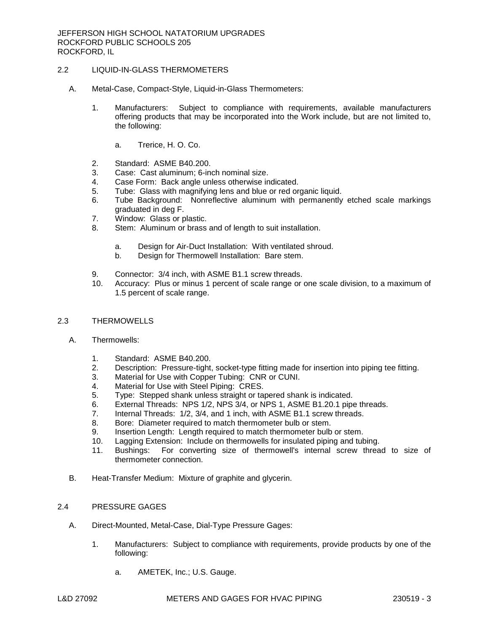# 2.2 LIQUID-IN-GLASS THERMOMETERS

- A. Metal-Case, Compact-Style, Liquid-in-Glass Thermometers:
	- 1. Manufacturers: Subject to compliance with requirements, available manufacturers offering products that may be incorporated into the Work include, but are not limited to, the following:
		- a. [Trerice, H. O. Co.](http://www.specagent.com/LookUp/?uid=123456811721&mf=04&src=wd)
	- 2. Standard: ASME B40.200.
	- 3. Case: Cast aluminum; 6-inch nominal size.
	- 4. Case Form: Back angle unless otherwise indicated.
	- 5. Tube: Glass with magnifying lens and blue or red organic liquid.
	- 6. Tube Background: Nonreflective aluminum with permanently etched scale markings graduated in deg F.
	- 7. Window: Glass or plastic.
	- 8. Stem: Aluminum or brass and of length to suit installation.
		- a. Design for Air-Duct Installation: With ventilated shroud.
		- b. Design for Thermowell Installation: Bare stem.
	- 9. Connector: 3/4 inch, with ASME B1.1 screw threads.
	- 10. Accuracy: Plus or minus 1 percent of scale range or one scale division, to a maximum of 1.5 percent of scale range.
- 2.3 THERMOWELLS
	- A. Thermowells:
		- 1. Standard: ASME B40.200.
		- 2. Description: Pressure-tight, socket-type fitting made for insertion into piping tee fitting.
		- 3. Material for Use with Copper Tubing: CNR or CUNI.
		- 4. Material for Use with Steel Piping: CRES.
		- 5. Type: Stepped shank unless straight or tapered shank is indicated.
		- 6. External Threads: NPS 1/2, NPS 3/4, or NPS 1, ASME B1.20.1 pipe threads.
		- 7. Internal Threads: 1/2, 3/4, and 1 inch, with ASME B1.1 screw threads.
		- 8. Bore: Diameter required to match thermometer bulb or stem.
		- 9. Insertion Length: Length required to match thermometer bulb or stem.
		- 10. Lagging Extension: Include on thermowells for insulated piping and tubing.
		- 11. Bushings: For converting size of thermowell's internal screw thread to size of thermometer connection.
	- B. Heat-Transfer Medium: Mixture of graphite and glycerin.

# 2.4 PRESSURE GAGES

- A. Direct-Mounted, Metal-Case, Dial-Type Pressure Gages:
	- 1. Manufacturers: Subject to compliance with requirements, provide products by one of the following:
		- a. [AMETEK, Inc.; U.S. Gauge.](http://www.specagent.com/LookUp/?uid=123456824707&mf=04&src=wd)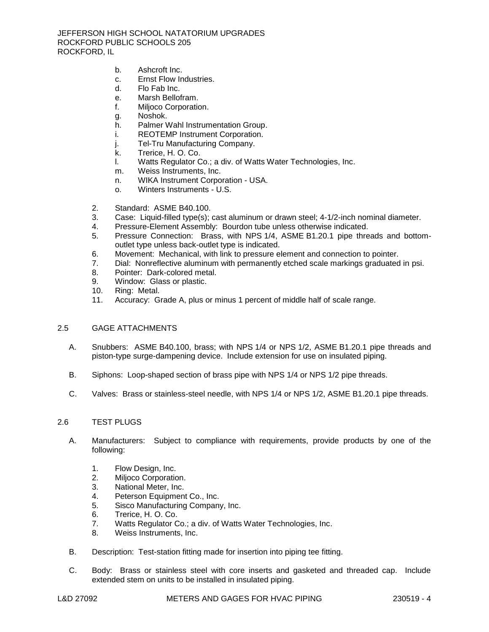- b. [Ashcroft Inc.](http://www.specagent.com/LookUp/?uid=123456811750&mf=04&src=wd)
- c. [Ernst Flow Industries.](http://www.specagent.com/LookUp/?uid=123456811751&mf=04&src=wd)
- d. Flo [Fab Inc.](http://www.specagent.com/LookUp/?uid=123456811752&mf=04&src=wd)
- e. [Marsh Bellofram.](http://www.specagent.com/LookUp/?uid=123456811753&mf=04&src=wd)
- f. [Miljoco Corporation.](http://www.specagent.com/LookUp/?uid=123456811754&mf=04&src=wd)
- g. [Noshok.](http://www.specagent.com/LookUp/?uid=123456811755&mf=04&src=wd)
- h. [Palmer Wahl Instrumentation Group.](http://www.specagent.com/LookUp/?uid=123456811756&mf=04&src=wd)
- i. [REOTEMP Instrument Corporation.](http://www.specagent.com/LookUp/?uid=123456811757&mf=04&src=wd)
- j. [Tel-Tru Manufacturing Company.](http://www.specagent.com/LookUp/?uid=123456811758&mf=04&src=wd)
- k. [Trerice, H. O. Co.](http://www.specagent.com/LookUp/?uid=123456811759&mf=04&src=wd)
- l. [Watts Regulator Co.; a div. of Watts Water Technologies, Inc.](http://www.specagent.com/LookUp/?uid=123456824708&mf=04&src=wd)
- m. [Weiss Instruments, Inc.](http://www.specagent.com/LookUp/?uid=123456811760&mf=04&src=wd)
- n. [WIKA Instrument Corporation -](http://www.specagent.com/LookUp/?uid=123456811761&mf=04&src=wd) USA.
- o. [Winters Instruments -](http://www.specagent.com/LookUp/?uid=123456811762&mf=04&src=wd) U.S.
- 2. Standard: ASME B40.100.
- 3. Case: Liquid-filled type(s); cast aluminum or drawn steel; 4-1/2-inch nominal diameter.
- 4. Pressure-Element Assembly: Bourdon tube unless otherwise indicated.
- 5. Pressure Connection: Brass, with NPS 1/4, ASME B1.20.1 pipe threads and bottomoutlet type unless back-outlet type is indicated.
- 6. Movement: Mechanical, with link to pressure element and connection to pointer.
- 7. Dial: Nonreflective aluminum with permanently etched scale markings graduated in psi.
- 8. Pointer: Dark-colored metal.
- 9. Window: Glass or plastic.
- 10. Ring: Metal.
- 11. Accuracy: Grade A, plus or minus 1 percent of middle half of scale range.

## 2.5 GAGE ATTACHMENTS

- A. Snubbers: ASME B40.100, brass; with NPS 1/4 or NPS 1/2, ASME B1.20.1 pipe threads and piston-type surge-dampening device. Include extension for use on insulated piping.
- B. Siphons: Loop-shaped section of brass pipe with NPS 1/4 or NPS 1/2 pipe threads.
- C. Valves: Brass or stainless-steel needle, with NPS 1/4 or NPS 1/2, ASME B1.20.1 pipe threads.

## 2.6 TEST PLUGS

- A. Manufacturers: Subject to compliance with requirements, provide products by one of the following:
	- 1. [Flow Design, Inc.](http://www.specagent.com/LookUp/?uid=123456811798&mf=04&src=wd)
	- 2. [Miljoco Corporation.](http://www.specagent.com/LookUp/?uid=123456811799&mf=04&src=wd)
	- 3. [National Meter, Inc.](http://www.specagent.com/LookUp/?uid=123456811800&mf=04&src=wd)
	- 4. [Peterson Equipment Co., Inc.](http://www.specagent.com/LookUp/?uid=123456811801&mf=04&src=wd)
	- 5. [Sisco Manufacturing Company, Inc.](http://www.specagent.com/LookUp/?uid=123456811802&mf=04&src=wd)
	- 6. [Trerice, H. O. Co.](http://www.specagent.com/LookUp/?uid=123456811803&mf=04&src=wd)
	- 7. [Watts Regulator Co.; a div. of Watts Water Technologies, Inc.](http://www.specagent.com/LookUp/?uid=123456824713&mf=04&src=wd)
	- 8. [Weiss Instruments, Inc.](http://www.specagent.com/LookUp/?uid=123456811804&mf=04&src=wd)
- B. Description: Test-station fitting made for insertion into piping tee fitting.
- C. Body: Brass or stainless steel with core inserts and gasketed and threaded cap. Include extended stem on units to be installed in insulated piping.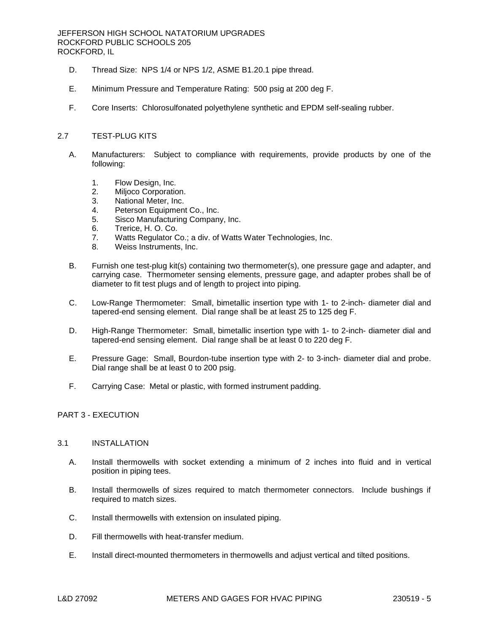## JEFFERSON HIGH SCHOOL NATATORIUM UPGRADES ROCKFORD PUBLIC SCHOOLS 205 ROCKFORD, IL

- D. Thread Size: NPS 1/4 or NPS 1/2, ASME B1.20.1 pipe thread.
- E. Minimum Pressure and Temperature Rating: 500 psig at 200 deg F.
- F. Core Inserts: Chlorosulfonated polyethylene synthetic and EPDM self-sealing rubber.

## 2.7 TEST-PLUG KITS

- A. Manufacturers: Subject to compliance with requirements, provide products by one of the following:
	- 1. [Flow Design, Inc.](http://www.specagent.com/LookUp/?uid=123456811805&mf=04&src=wd)
	- 2. [Miljoco Corporation.](http://www.specagent.com/LookUp/?uid=123456811806&mf=04&src=wd)
	- 3. [National Meter, Inc.](http://www.specagent.com/LookUp/?uid=123456811807&mf=04&src=wd)
	- 4. [Peterson Equipment Co., Inc.](http://www.specagent.com/LookUp/?uid=123456811808&mf=04&src=wd)
	- 5. [Sisco Manufacturing Company, Inc.](http://www.specagent.com/LookUp/?uid=123456811809&mf=04&src=wd)
	- 6. [Trerice, H. O. Co.](http://www.specagent.com/LookUp/?uid=123456811810&mf=04&src=wd)
	- 7. [Watts Regulator Co.; a div. of Watts Water Technologies, Inc.](http://www.specagent.com/LookUp/?uid=123456824714&mf=04&src=wd)
	- 8. [Weiss Instruments, Inc.](http://www.specagent.com/LookUp/?uid=123456811811&mf=04&src=wd)
- B. Furnish one test-plug kit(s) containing two thermometer(s), one pressure gage and adapter, and carrying case. Thermometer sensing elements, pressure gage, and adapter probes shall be of diameter to fit test plugs and of length to project into piping.
- C. Low-Range Thermometer: Small, bimetallic insertion type with 1- to 2-inch- diameter dial and tapered-end sensing element. Dial range shall be at least 25 to 125 deg F.
- D. High-Range Thermometer: Small, bimetallic insertion type with 1- to 2-inch- diameter dial and tapered-end sensing element. Dial range shall be at least 0 to 220 deg F.
- E. Pressure Gage: Small, Bourdon-tube insertion type with 2- to 3-inch- diameter dial and probe. Dial range shall be at least 0 to 200 psig.
- F. Carrying Case: Metal or plastic, with formed instrument padding.

## PART 3 - EXECUTION

#### 3.1 INSTALLATION

- A. Install thermowells with socket extending a minimum of 2 inches into fluid and in vertical position in piping tees.
- B. Install thermowells of sizes required to match thermometer connectors. Include bushings if required to match sizes.
- C. Install thermowells with extension on insulated piping.
- D. Fill thermowells with heat-transfer medium.
- E. Install direct-mounted thermometers in thermowells and adjust vertical and tilted positions.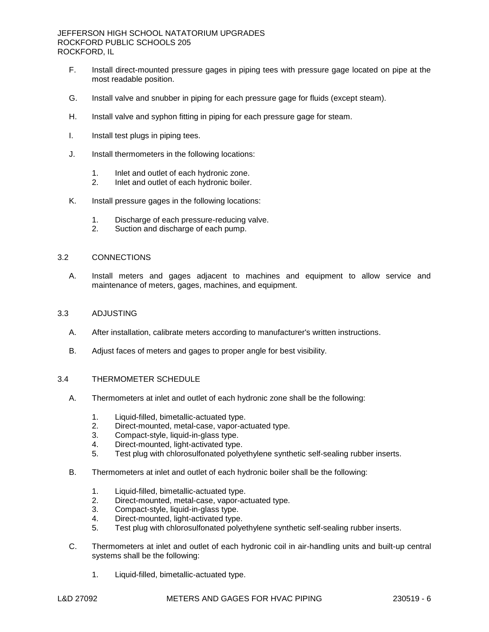- F. Install direct-mounted pressure gages in piping tees with pressure gage located on pipe at the most readable position.
- G. Install valve and snubber in piping for each pressure gage for fluids (except steam).
- H. Install valve and syphon fitting in piping for each pressure gage for steam.
- I. Install test plugs in piping tees.
- J. Install thermometers in the following locations:
	- 1. Inlet and outlet of each hydronic zone.
	- 2. Inlet and outlet of each hydronic boiler.
- K. Install pressure gages in the following locations:
	- 1. Discharge of each pressure-reducing valve.<br>2. Suction and discharge of each pump.
	- Suction and discharge of each pump.

# 3.2 CONNECTIONS

A. Install meters and gages adjacent to machines and equipment to allow service and maintenance of meters, gages, machines, and equipment.

#### 3.3 ADJUSTING

- A. After installation, calibrate meters according to manufacturer's written instructions.
- B. Adjust faces of meters and gages to proper angle for best visibility.

#### 3.4 THERMOMETER SCHEDULE

- A. Thermometers at inlet and outlet of each hydronic zone shall be the following:
	- 1. Liquid-filled, bimetallic-actuated type.
	- 2. Direct-mounted, metal-case, vapor-actuated type.
	- 3. Compact-style, liquid-in-glass type.
	- 4. Direct-mounted, light-activated type.
	- 5. Test plug with chlorosulfonated polyethylene synthetic self-sealing rubber inserts.
- B. Thermometers at inlet and outlet of each hydronic boiler shall be the following:
	- 1. Liquid-filled, bimetallic-actuated type.
	- 2. Direct-mounted, metal-case, vapor-actuated type.
	- 3. Compact-style, liquid-in-glass type.
	- 4. Direct-mounted, light-activated type.
	- 5. Test plug with chlorosulfonated polyethylene synthetic self-sealing rubber inserts.
- C. Thermometers at inlet and outlet of each hydronic coil in air-handling units and built-up central systems shall be the following:
	- 1. Liquid-filled, bimetallic-actuated type.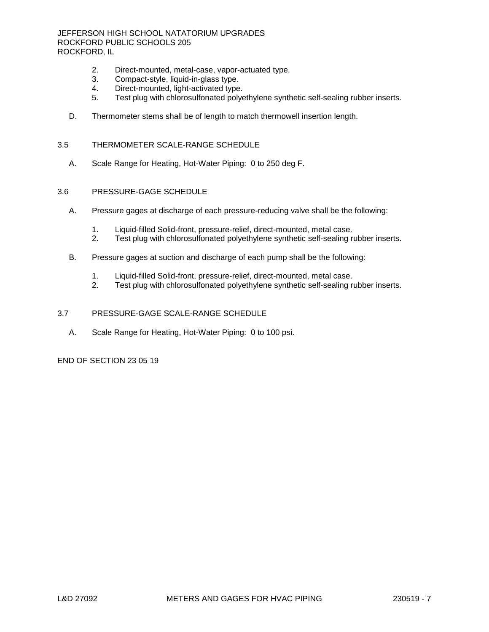JEFFERSON HIGH SCHOOL NATATORIUM UPGRADES ROCKFORD PUBLIC SCHOOLS 205 ROCKFORD, IL

- 2. Direct-mounted, metal-case, vapor-actuated type.<br>3. Compact-style. liquid-in-glass type.
- Compact-style, liquid-in-glass type.
- 4. Direct-mounted, light-activated type.
- 5. Test plug with chlorosulfonated polyethylene synthetic self-sealing rubber inserts.
- D. Thermometer stems shall be of length to match thermowell insertion length.

## 3.5 THERMOMETER SCALE-RANGE SCHEDULE

A. Scale Range for Heating, Hot-Water Piping: 0 to 250 deg F.

#### 3.6 PRESSURE-GAGE SCHEDULE

- A. Pressure gages at discharge of each pressure-reducing valve shall be the following:
	- 1. Liquid-filled Solid-front, pressure-relief, direct-mounted, metal case.
	- 2. Test plug with chlorosulfonated polyethylene synthetic self-sealing rubber inserts.
- B. Pressure gages at suction and discharge of each pump shall be the following:
	- 1. Liquid-filled Solid-front, pressure-relief, direct-mounted, metal case.<br>2. Test plug with chlorosulfonated polyethylene synthetic self-sealing ri
	- Test plug with chlorosulfonated polyethylene synthetic self-sealing rubber inserts.

## 3.7 PRESSURE-GAGE SCALE-RANGE SCHEDULE

A. Scale Range for Heating, Hot-Water Piping: 0 to 100 psi.

END OF SECTION 23 05 19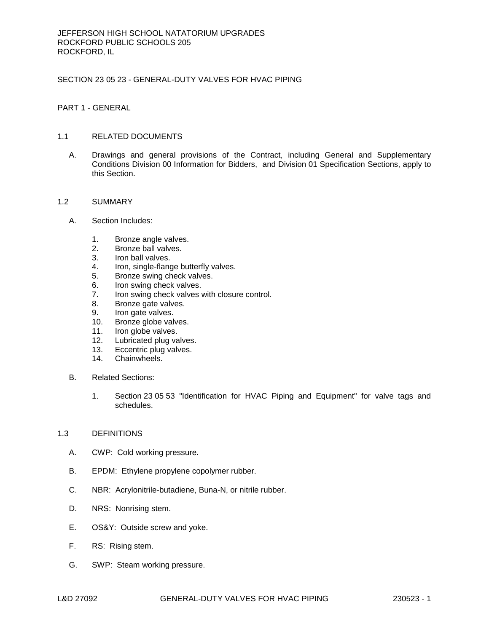# SECTION 23 05 23 - GENERAL-DUTY VALVES FOR HVAC PIPING

PART 1 - GENERAL

## 1.1 RELATED DOCUMENTS

A. Drawings and general provisions of the Contract, including General and Supplementary Conditions Division 00 Information for Bidders, and Division 01 Specification Sections, apply to this Section.

## 1.2 SUMMARY

- A. Section Includes:
	- 1. Bronze angle valves.
	- 2. Bronze ball valves.
	- 3. Iron ball valves.<br>4. Iron. single-fland
	- Iron, single-flange butterfly valves.
	- 5. Bronze swing check valves.
	- 6. Iron swing check valves.
	- 7. Iron swing check valves with closure control.
	- 8. Bronze gate valves.<br>9. Iron gate valves.
	- Iron gate valves.
	- 10. Bronze globe valves.
	- 11. Iron globe valves.
	- 12. Lubricated plug valves.
	- 13. Eccentric plug valves.
	- 14. Chainwheels.
- B. Related Sections:
	- 1. Section 23 05 53 "Identification for HVAC Piping and Equipment" for valve tags and schedules.

## 1.3 DEFINITIONS

- A. CWP: Cold working pressure.
- B. EPDM: Ethylene propylene copolymer rubber.
- C. NBR: Acrylonitrile-butadiene, Buna-N, or nitrile rubber.
- D. NRS: Nonrising stem.
- E. OS&Y: Outside screw and yoke.
- F. RS: Rising stem.
- G. SWP: Steam working pressure.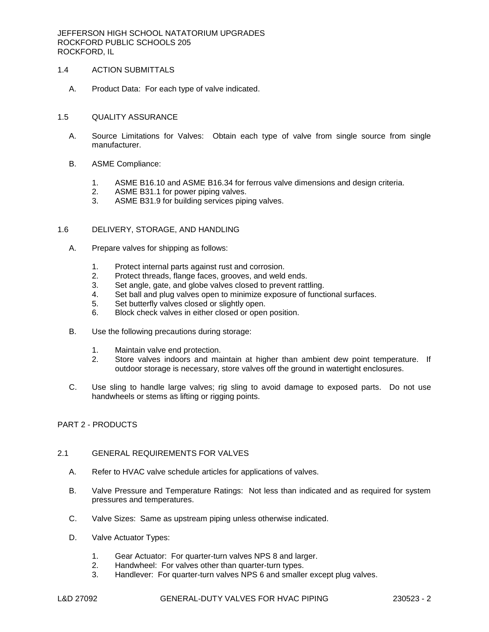JEFFERSON HIGH SCHOOL NATATORIUM UPGRADES ROCKFORD PUBLIC SCHOOLS 205 ROCKFORD, IL

## 1.4 ACTION SUBMITTALS

A. Product Data: For each type of valve indicated.

#### 1.5 QUALITY ASSURANCE

- A. Source Limitations for Valves: Obtain each type of valve from single source from single manufacturer.
- B. ASME Compliance:
	- 1. ASME B16.10 and ASME B16.34 for ferrous valve dimensions and design criteria.
	- 2. ASME B31.1 for power piping valves.
	- 3. ASME B31.9 for building services piping valves.

#### 1.6 DELIVERY, STORAGE, AND HANDLING

- A. Prepare valves for shipping as follows:
	- 1. Protect internal parts against rust and corrosion.
	- 2. Protect threads, flange faces, grooves, and weld ends.
	- 3. Set angle, gate, and globe valves closed to prevent rattling.
	- 4. Set ball and plug valves open to minimize exposure of functional surfaces.
	- 5. Set butterfly valves closed or slightly open.
	- 6. Block check valves in either closed or open position.
- B. Use the following precautions during storage:
	- 1. Maintain valve end protection.
	- 2. Store valves indoors and maintain at higher than ambient dew point temperature. If outdoor storage is necessary, store valves off the ground in watertight enclosures.
- C. Use sling to handle large valves; rig sling to avoid damage to exposed parts. Do not use handwheels or stems as lifting or rigging points.

## PART 2 - PRODUCTS

## 2.1 GENERAL REQUIREMENTS FOR VALVES

- A. Refer to HVAC valve schedule articles for applications of valves.
- B. Valve Pressure and Temperature Ratings: Not less than indicated and as required for system pressures and temperatures.
- C. Valve Sizes: Same as upstream piping unless otherwise indicated.
- D. Valve Actuator Types:
	- 1. Gear Actuator: For quarter-turn valves NPS 8 and larger.
	- 2. Handwheel: For valves other than quarter-turn types.
	- 3. Handlever: For quarter-turn valves NPS 6 and smaller except plug valves.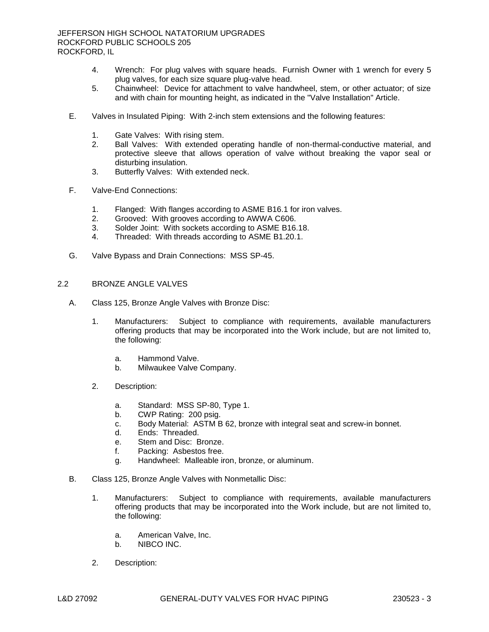- 4. Wrench: For plug valves with square heads. Furnish Owner with 1 wrench for every 5 plug valves, for each size square plug-valve head.
- 5. Chainwheel: Device for attachment to valve handwheel, stem, or other actuator; of size and with chain for mounting height, as indicated in the "Valve Installation" Article.
- E. Valves in Insulated Piping: With 2-inch stem extensions and the following features:
	- 1. Gate Valves: With rising stem.
	- 2. Ball Valves: With extended operating handle of non-thermal-conductive material, and protective sleeve that allows operation of valve without breaking the vapor seal or disturbing insulation.
	- 3. Butterfly Valves: With extended neck.
- F. Valve-End Connections:
	- 1. Flanged: With flanges according to ASME B16.1 for iron valves.
	- 2. Grooved: With grooves according to AWWA C606.
	- 3. Solder Joint: With sockets according to ASME B16.18.
	- 4. Threaded: With threads according to ASME B1.20.1.
- G. Valve Bypass and Drain Connections: MSS SP-45.

#### 2.2 BRONZE ANGLE VALVES

- A. Class 125, Bronze Angle Valves with Bronze Disc:
	- 1. [Manufacturers:](http://www.specagent.com/LookUp/?ulid=6004&mf=04&src=wd) Subject to compliance with requirements, available manufacturers offering products that may be incorporated into the Work include, but are not limited to, the following:
		- a. [Hammond Valve.](http://www.specagent.com/LookUp/?uid=123456828857&mf=04&src=wd)
		- b. [Milwaukee Valve Company.](http://www.specagent.com/LookUp/?uid=123456828858&mf=04&src=wd)
	- 2. Description:
		- a. Standard: MSS SP-80, Type 1.
		- b. CWP Rating: 200 psig.
		- c. Body Material: ASTM B 62, bronze with integral seat and screw-in bonnet.
		- d. Ends: Threaded.
		- e. Stem and Disc: Bronze.
		- f. Packing: Asbestos free.
		- g. Handwheel: Malleable iron, bronze, or aluminum.
- B. Class 125, Bronze Angle Valves with Nonmetallic Disc:
	- 1. [Manufacturers:](http://www.specagent.com/LookUp/?ulid=6005&mf=04&src=wd) Subject to compliance with requirements, available manufacturers offering products that may be incorporated into the Work include, but are not limited to, the following:
		- a. [American Valve, Inc.](http://www.specagent.com/LookUp/?uid=123456828859&mf=04&src=wd)
		- b. [NIBCO INC.](http://www.specagent.com/LookUp/?uid=123456828860&mf=04&src=wd)
	- 2. Description: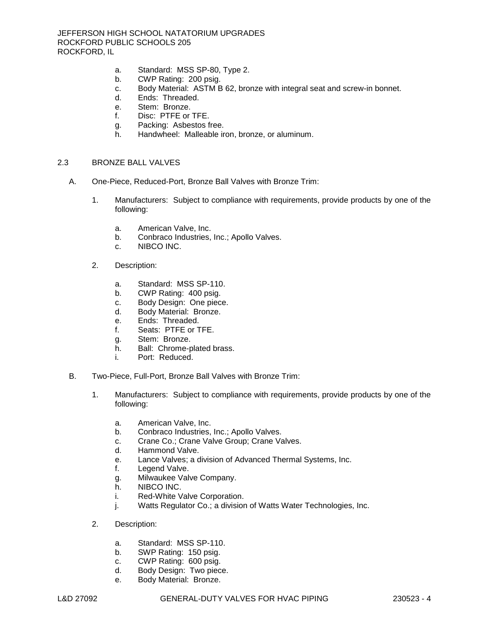- a. Standard: MSS SP-80, Type 2.
- b. CWP Rating: 200 psig.
- c. Body Material: ASTM B 62, bronze with integral seat and screw-in bonnet.
- d. Ends: Threaded.
- e. Stem: Bronze.
- f. Disc: PTFE or TFE.
- g. Packing: Asbestos free.
- h. Handwheel: Malleable iron, bronze, or aluminum.

#### 2.3 BRONZE BALL VALVES

- A. One-Piece, Reduced-Port, Bronze Ball Valves with Bronze Trim:
	- 1. [Manufacturers:](http://www.specagent.com/LookUp/?ulid=6015&mf=04&src=wd) Subject to compliance with requirements, provide products by one of the following:
		- a. [American Valve, Inc.](http://www.specagent.com/LookUp/?uid=123456828909&mf=04&src=wd)
		- b. [Conbraco Industries, Inc.](http://www.specagent.com/LookUp/?uid=123456828910&mf=04&src=wd); Apollo Valves.
		- c. [NIBCO INC.](http://www.specagent.com/LookUp/?uid=123456828911&mf=04&src=wd)
	- 2. Description:
		- a. Standard: MSS SP-110.
		- b. CWP Rating: 400 psig.
		- c. Body Design: One piece.
		- d. Body Material: Bronze.
		- e. Ends: Threaded.
		- f. Seats: PTFE or TFE.
		- g. Stem: Bronze.
		- h. Ball: Chrome-plated brass.
		- i. Port: Reduced.
- B. Two-Piece, Full-Port, Bronze Ball Valves with Bronze Trim:
	- 1. [Manufacturers:](http://www.specagent.com/LookUp/?ulid=6017&mf=04&src=wd) Subject to compliance with requirements, provide products by one of the following:
		- a. [American Valve, Inc.](http://www.specagent.com/LookUp/?uid=123456828914&mf=04&src=wd)
		- b. [Conbraco Industries, Inc.](http://www.specagent.com/LookUp/?uid=123456828915&mf=04&src=wd); Apollo Valves.
		- c. [Crane Co.](http://www.specagent.com/LookUp/?uid=123456828916&mf=04&src=wd); Crane Valve Group; Crane Valves.
		- d. [Hammond Valve.](http://www.specagent.com/LookUp/?uid=123456828917&mf=04&src=wd)
		- e. [Lance Valves;](http://www.specagent.com/LookUp/?uid=123456828918&mf=04&src=wd) a division of Advanced Thermal Systems, Inc.
		- f. [Legend Valve.](http://www.specagent.com/LookUp/?uid=123456828919&mf=04&src=wd)
		- g. [Milwaukee Valve Company.](http://www.specagent.com/LookUp/?uid=123456828920&mf=04&src=wd)
		- h. [NIBCO INC.](http://www.specagent.com/LookUp/?uid=123456828921&mf=04&src=wd)
		- i. [Red-White Valve Corporation.](http://www.specagent.com/LookUp/?uid=123456828922&mf=04&src=wd)
		- j. [Watts Regulator Co.](http://www.specagent.com/LookUp/?uid=123456828923&mf=04&src=wd); a division of Watts Water Technologies, Inc.
	- 2. Description:
		- a. Standard: MSS SP-110.
		- b. SWP Rating: 150 psig.
		- c. CWP Rating: 600 psig.
		- d. Body Design: Two piece.
		- e. Body Material: Bronze.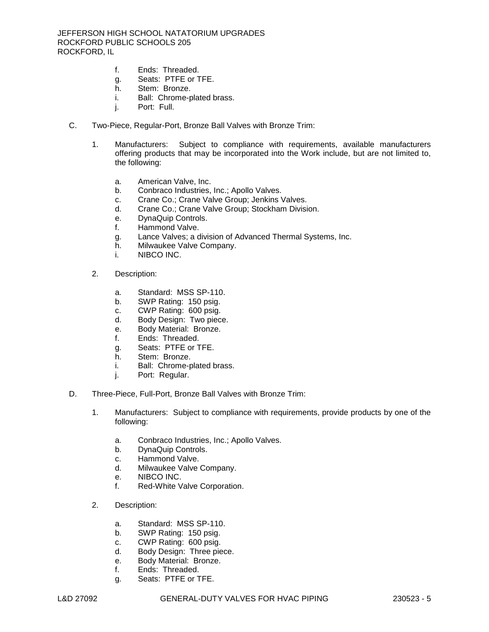- f. Ends: Threaded.
- g. Seats: PTFE or TFE.
- h. Stem: Bronze.
- i. Ball: Chrome-plated brass.
- j. Port: Full.
- C. Two-Piece, Regular-Port, Bronze Ball Valves with Bronze Trim:
	- 1. [Manufacturers:](http://www.specagent.com/LookUp/?ulid=6019&mf=04&src=wd) Subject to compliance with requirements, available manufacturers offering products that may be incorporated into the Work include, but are not limited to, the following:
		- a. [American Valve, Inc.](http://www.specagent.com/LookUp/?uid=123456828931&mf=04&src=wd)
		- b. [Conbraco Industries, Inc.](http://www.specagent.com/LookUp/?uid=123456828932&mf=04&src=wd); Apollo Valves.
		- c. [Crane Co.](http://www.specagent.com/LookUp/?uid=123456828933&mf=04&src=wd); Crane Valve Group; Jenkins Valves.
		- d. [Crane Co.](http://www.specagent.com/LookUp/?uid=123456828934&mf=04&src=wd); Crane Valve Group; Stockham Division.
		- e. [DynaQuip Controls.](http://www.specagent.com/LookUp/?uid=123456828935&mf=04&src=wd)
		- f. [Hammond Valve.](http://www.specagent.com/LookUp/?uid=123456828936&mf=04&src=wd)
		- g. [Lance Valves;](http://www.specagent.com/LookUp/?uid=123456828937&mf=04&src=wd) a division of Advanced Thermal Systems, Inc.
		- h. [Milwaukee Valve Company.](http://www.specagent.com/LookUp/?uid=123456828938&mf=04&src=wd)
		- i. [NIBCO INC.](http://www.specagent.com/LookUp/?uid=123456828939&mf=04&src=wd)
	- 2. Description:
		- a. Standard: MSS SP-110.
		- b. SWP Rating: 150 psig.
		- c. CWP Rating: 600 psig.
		- d. Body Design: Two piece.
		- e. Body Material: Bronze.
		- f. Ends: Threaded.
		- g. Seats: PTFE or TFE.
		- h. Stem: Bronze.
		- i. Ball: Chrome-plated brass.
		- j. Port: Regular.
- D. Three-Piece, Full-Port, Bronze Ball Valves with Bronze Trim:
	- 1. [Manufacturers:](http://www.specagent.com/LookUp/?ulid=6021&mf=04&src=wd) Subject to compliance with requirements, provide products by one of the following:
		- a. [Conbraco Industries, Inc.](http://www.specagent.com/LookUp/?uid=123456828944&mf=04&src=wd); Apollo Valves.
		- b. [DynaQuip Controls.](http://www.specagent.com/LookUp/?uid=123456828945&mf=04&src=wd)
		- c. [Hammond Valve.](http://www.specagent.com/LookUp/?uid=123456828946&mf=04&src=wd)
		- d. [Milwaukee Valve Company.](http://www.specagent.com/LookUp/?uid=123456828947&mf=04&src=wd)
		- e. [NIBCO INC.](http://www.specagent.com/LookUp/?uid=123456828948&mf=04&src=wd)
		- f. [Red-White Valve Corporation.](http://www.specagent.com/LookUp/?uid=123456828949&mf=04&src=wd)
	- 2. Description:
		- a. Standard: MSS SP-110.
		- b. SWP Rating: 150 psig.
		- c. CWP Rating: 600 psig.
		- d. Body Design: Three piece.
		- e. Body Material: Bronze.
		- f. Ends: Threaded.
		- g. Seats: PTFE or TFE.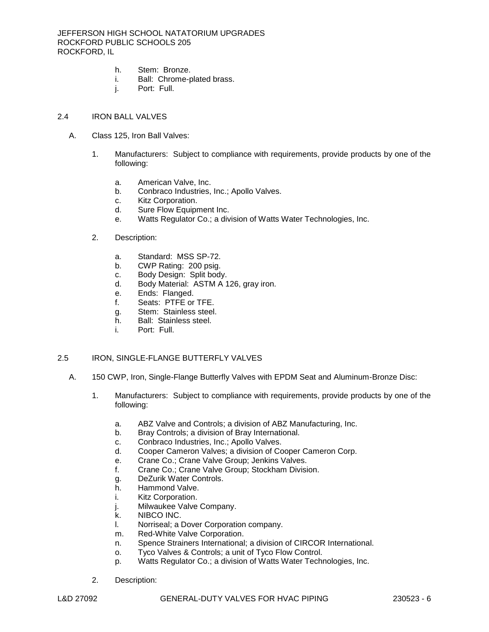- h. Stem: Bronze.
- i. Ball: Chrome-plated brass.
- j. Port: Full.
- 2.4 IRON BALL VALVES
	- A. Class 125, Iron Ball Valves:
		- 1. [Manufacturers:](http://www.specagent.com/LookUp/?ulid=6023&mf=04&src=wd) Subject to compliance with requirements, provide products by one of the following:
			- a. [American Valve, Inc.](http://www.specagent.com/LookUp/?uid=123456828954&mf=04&src=wd)
			- b. [Conbraco Industries, Inc.](http://www.specagent.com/LookUp/?uid=123456828955&mf=04&src=wd); Apollo Valves.
			- c. [Kitz Corporation.](http://www.specagent.com/LookUp/?uid=123456828956&mf=04&src=wd)
			- d. [Sure Flow Equipment Inc.](http://www.specagent.com/LookUp/?uid=123456828957&mf=04&src=wd)
			- e. [Watts Regulator Co.](http://www.specagent.com/LookUp/?uid=123456828958&mf=04&src=wd); a division of Watts Water Technologies, Inc.
		- 2. Description:
			- a. Standard: MSS SP-72.
			- b. CWP Rating: 200 psig.
			- c. Body Design: Split body.
			- d. Body Material: ASTM A 126, gray iron.
			- e. Ends: Flanged.
			- f. Seats: PTFE or TFE.
			- g. Stem: Stainless steel.
			- h. Ball: Stainless steel.
			- i. Port: Full.

# 2.5 IRON, SINGLE-FLANGE BUTTERFLY VALVES

- A. 150 CWP, Iron, Single-Flange Butterfly Valves with EPDM Seat and Aluminum-Bronze Disc:
	- 1. [Manufacturers:](http://www.specagent.com/LookUp/?ulid=6024&mf=04&src=wd) Subject to compliance with requirements, provide products by one of the following:
		- a. [ABZ Valve and Controls;](http://www.specagent.com/LookUp/?uid=123456828959&mf=04&src=wd) a division of ABZ Manufacturing, Inc.
		- b. [Bray Controls;](http://www.specagent.com/LookUp/?uid=123456828960&mf=04&src=wd) a division of Bray International.
		- c. [Conbraco Industries, Inc.](http://www.specagent.com/LookUp/?uid=123456828961&mf=04&src=wd); Apollo Valves.
		- d. [Cooper Cameron Valves;](http://www.specagent.com/LookUp/?uid=123456828962&mf=04&src=wd) a division of Cooper Cameron Corp.
		- e. [Crane Co.](http://www.specagent.com/LookUp/?uid=123456828963&mf=04&src=wd); Crane Valve Group; Jenkins Valves.
		- f. [Crane Co.](http://www.specagent.com/LookUp/?uid=123456828964&mf=04&src=wd); Crane Valve Group; Stockham Division.
		- g. [DeZurik Water Controls.](http://www.specagent.com/LookUp/?uid=123456828965&mf=04&src=wd)
		- h. [Hammond Valve.](http://www.specagent.com/LookUp/?uid=123456828966&mf=04&src=wd)
		- i. [Kitz Corporation.](http://www.specagent.com/LookUp/?uid=123456828967&mf=04&src=wd)
		- j. [Milwaukee Valve Company.](http://www.specagent.com/LookUp/?uid=123456828968&mf=04&src=wd)
		- k. [NIBCO INC.](http://www.specagent.com/LookUp/?uid=123456828969&mf=04&src=wd)
		- l. [Norriseal;](http://www.specagent.com/LookUp/?uid=123456828970&mf=04&src=wd) a Dover Corporation company.
		- m. [Red-White Valve Corporation.](http://www.specagent.com/LookUp/?uid=123456828971&mf=04&src=wd)
		- n. [Spence Strainers International;](http://www.specagent.com/LookUp/?uid=123456828972&mf=04&src=wd) a division of CIRCOR International.
		- o. [Tyco Valves & Controls;](http://www.specagent.com/LookUp/?uid=123456828973&mf=04&src=wd) a unit of Tyco Flow Control.
		- p. [Watts Regulator Co.](http://www.specagent.com/LookUp/?uid=123456828974&mf=04&src=wd); a division of Watts Water Technologies, Inc.
	- 2. Description: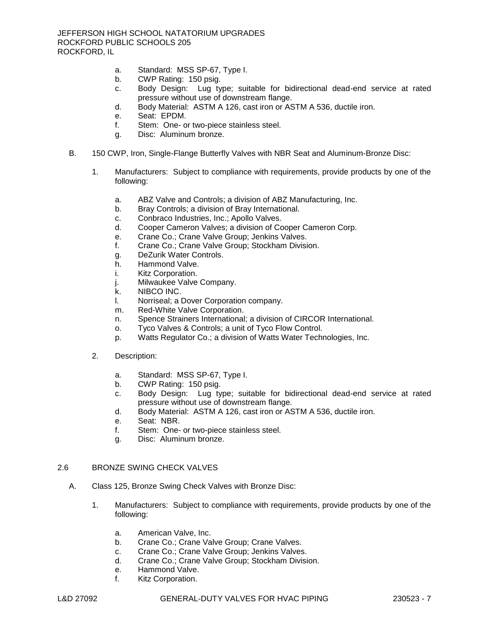- a. Standard: MSS SP-67, Type I.
- b. CWP Rating: 150 psig.
- c. Body Design: Lug type; suitable for bidirectional dead-end service at rated pressure without use of downstream flange.
- d. Body Material: ASTM A 126, cast iron or ASTM A 536, ductile iron.
- e. Seat: EPDM.
- f. Stem: One- or two-piece stainless steel.
- g. Disc: Aluminum bronze.
- B. 150 CWP, Iron, Single-Flange Butterfly Valves with NBR Seat and Aluminum-Bronze Disc:
	- 1. [Manufacturers:](http://www.specagent.com/LookUp/?ulid=6025&mf=04&src=wd) Subject to compliance with requirements, provide products by one of the following:
		- a. [ABZ Valve and Controls;](http://www.specagent.com/LookUp/?uid=123456828975&mf=04&src=wd) a division of ABZ Manufacturing, Inc.
		- b. [Bray Controls;](http://www.specagent.com/LookUp/?uid=123456828976&mf=04&src=wd) a division of Bray International.
		- c. [Conbraco Industries, Inc.](http://www.specagent.com/LookUp/?uid=123456828977&mf=04&src=wd); Apollo Valves.
		- d. [Cooper Cameron Valves;](http://www.specagent.com/LookUp/?uid=123456828978&mf=04&src=wd) a division of Cooper Cameron Corp.
		- e. [Crane Co.](http://www.specagent.com/LookUp/?uid=123456828979&mf=04&src=wd); Crane Valve Group; Jenkins Valves.
		- f. [Crane Co.](http://www.specagent.com/LookUp/?uid=123456828980&mf=04&src=wd); Crane Valve Group; Stockham Division.
		- g. [DeZurik Water Controls.](http://www.specagent.com/LookUp/?uid=123456828981&mf=04&src=wd)
		- h. [Hammond Valve.](http://www.specagent.com/LookUp/?uid=123456828982&mf=04&src=wd)
		- i. [Kitz Corporation.](http://www.specagent.com/LookUp/?uid=123456828983&mf=04&src=wd)
		- j. [Milwaukee Valve Company.](http://www.specagent.com/LookUp/?uid=123456828984&mf=04&src=wd)
		- k. [NIBCO INC.](http://www.specagent.com/LookUp/?uid=123456828985&mf=04&src=wd)
		- l. [Norriseal;](http://www.specagent.com/LookUp/?uid=123456828986&mf=04&src=wd) a Dover Corporation company.
		- m. [Red-White Valve Corporation.](http://www.specagent.com/LookUp/?uid=123456828987&mf=04&src=wd)
		- n. [Spence Strainers International;](http://www.specagent.com/LookUp/?uid=123456828988&mf=04&src=wd) a division of CIRCOR International.
		- o. [Tyco Valves & Controls;](http://www.specagent.com/LookUp/?uid=123456828989&mf=04&src=wd) a unit of Tyco Flow Control.
		- p. [Watts Regulator Co.](http://www.specagent.com/LookUp/?uid=123456828990&mf=04&src=wd); a division of Watts Water Technologies, Inc.
	- 2. Description:
		- a. Standard: MSS SP-67, Type I.
		- b. CWP Rating: 150 psig.
		- c. Body Design: Lug type; suitable for bidirectional dead-end service at rated pressure without use of downstream flange.
		- d. Body Material: ASTM A 126, cast iron or ASTM A 536, ductile iron.
		- e. Seat: NBR.
		- f. Stem: One- or two-piece stainless steel.
		- g. Disc: Aluminum bronze.

## 2.6 BRONZE SWING CHECK VALVES

- A. Class 125, Bronze Swing Check Valves with Bronze Disc:
	- 1. [Manufacturers:](http://www.specagent.com/LookUp/?ulid=6042&mf=04&src=wd) Subject to compliance with requirements, provide products by one of the following:
		- a. [American Valve, Inc.](http://www.specagent.com/LookUp/?uid=123456829214&mf=04&src=wd)
		- b. [Crane Co.](http://www.specagent.com/LookUp/?uid=123456829215&mf=04&src=wd); Crane Valve Group; Crane Valves.
		- c. [Crane Co.](http://www.specagent.com/LookUp/?uid=123456829216&mf=04&src=wd); Crane Valve Group; Jenkins Valves.
		- d. [Crane Co.](http://www.specagent.com/LookUp/?uid=123456829217&mf=04&src=wd); Crane Valve Group; Stockham Division.
		- e. [Hammond Valve.](http://www.specagent.com/LookUp/?uid=123456829218&mf=04&src=wd)
		- f. [Kitz Corporation.](http://www.specagent.com/LookUp/?uid=123456829219&mf=04&src=wd)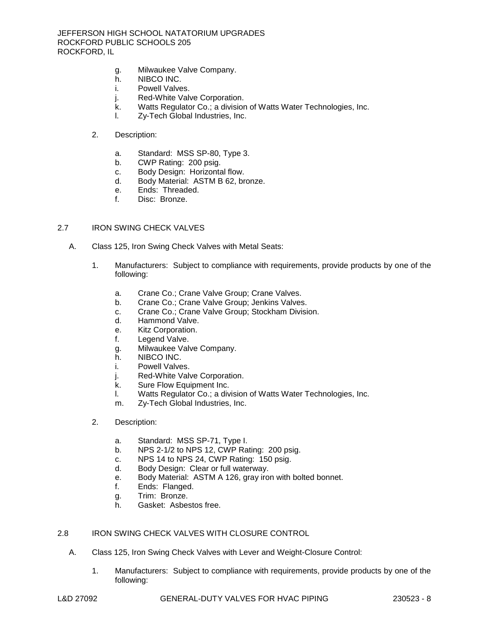- g. [Milwaukee Valve Company.](http://www.specagent.com/LookUp/?uid=123456829220&mf=04&src=wd)
- h. [NIBCO INC.](http://www.specagent.com/LookUp/?uid=123456829221&mf=04&src=wd)
- i. [Powell Valves.](http://www.specagent.com/LookUp/?uid=123456829222&mf=04&src=wd)
- j. [Red-White Valve Corporation.](http://www.specagent.com/LookUp/?uid=123456829223&mf=04&src=wd)
- k. [Watts Regulator Co.](http://www.specagent.com/LookUp/?uid=123456829224&mf=04&src=wd); a division of Watts Water Technologies, Inc.
- l. [Zy-Tech Global Industries, Inc.](http://www.specagent.com/LookUp/?uid=123456829225&mf=04&src=wd)
- 2. Description:
	- a. Standard: MSS SP-80, Type 3.
	- b. CWP Rating: 200 psig.
	- c. Body Design: Horizontal flow.
	- d. Body Material: ASTM B 62, bronze.
	- e. Ends: Threaded.
	- f. Disc: Bronze.

#### 2.7 IRON SWING CHECK VALVES

- A. Class 125, Iron Swing Check Valves with Metal Seats:
	- 1. [Manufacturers:](http://www.specagent.com/LookUp/?ulid=6046&mf=04&src=wd) Subject to compliance with requirements, provide products by one of the following:
		- a. [Crane Co.](http://www.specagent.com/LookUp/?uid=123456829250&mf=04&src=wd); Crane Valve Group; Crane Valves.
		- b. [Crane Co.](http://www.specagent.com/LookUp/?uid=123456829251&mf=04&src=wd); Crane Valve Group; Jenkins Valves.
		- c. [Crane Co.](http://www.specagent.com/LookUp/?uid=123456829252&mf=04&src=wd); Crane Valve Group; Stockham Division.
		- d. [Hammond Valve.](http://www.specagent.com/LookUp/?uid=123456829253&mf=04&src=wd)
		- e. [Kitz Corporation.](http://www.specagent.com/LookUp/?uid=123456829254&mf=04&src=wd)
		- f. [Legend Valve.](http://www.specagent.com/LookUp/?uid=123456829255&mf=04&src=wd)
		- g. [Milwaukee Valve Company.](http://www.specagent.com/LookUp/?uid=123456829256&mf=04&src=wd)
		- h. [NIBCO INC.](http://www.specagent.com/LookUp/?uid=123456829257&mf=04&src=wd)
		- i. [Powell Valves.](http://www.specagent.com/LookUp/?uid=123456829258&mf=04&src=wd)
		- j. [Red-White Valve Corporation.](http://www.specagent.com/LookUp/?uid=123456829259&mf=04&src=wd)
		- k. [Sure Flow Equipment Inc.](http://www.specagent.com/LookUp/?uid=123456829260&mf=04&src=wd)
		- l. [Watts Regulator Co.](http://www.specagent.com/LookUp/?uid=123456829261&mf=04&src=wd); a division of Watts Water Technologies, Inc.
		- m. [Zy-Tech Global Industries, Inc.](http://www.specagent.com/LookUp/?uid=123456829262&mf=04&src=wd)

## 2. Description:

- a. Standard: MSS SP-71, Type I.
- b. NPS 2-1/2 to NPS 12, CWP Rating: 200 psig.
- c. NPS 14 to NPS 24, CWP Rating: 150 psig.
- d. Body Design: Clear or full waterway.
- e. Body Material: ASTM A 126, gray iron with bolted bonnet.
- f. Ends: Flanged.
- g. Trim: Bronze.
- h. Gasket: Asbestos free.

## 2.8 IRON SWING CHECK VALVES WITH CLOSURE CONTROL

- A. Class 125, Iron Swing Check Valves with Lever and Weight-Closure Control:
	- 1. [Manufacturers:](http://www.specagent.com/LookUp/?ulid=6050&mf=04&src=wd) Subject to compliance with requirements, provide products by one of the following: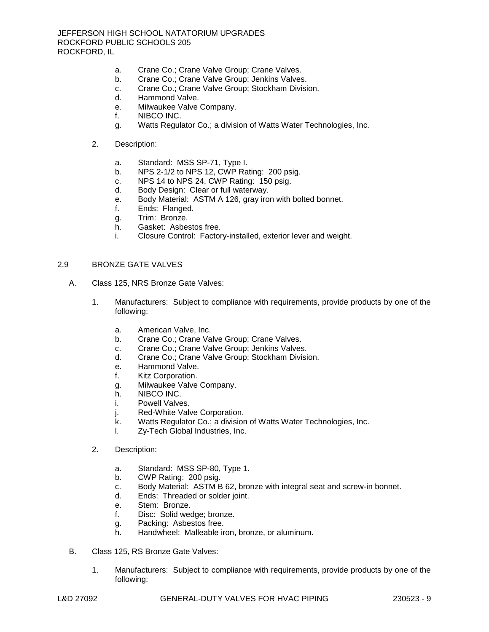- a. [Crane Co.](http://www.specagent.com/LookUp/?uid=123456829273&mf=04&src=wd); Crane Valve Group; Crane Valves.
- b. [Crane Co.](http://www.specagent.com/LookUp/?uid=123456829274&mf=04&src=wd); Crane Valve Group; Jenkins Valves.
- c. [Crane Co.](http://www.specagent.com/LookUp/?uid=123456829275&mf=04&src=wd); Crane Valve Group; Stockham Division.
- d. [Hammond Valve.](http://www.specagent.com/LookUp/?uid=123456829276&mf=04&src=wd)
- e. [Milwaukee Valve Company.](http://www.specagent.com/LookUp/?uid=123456829277&mf=04&src=wd)
- f. [NIBCO INC.](http://www.specagent.com/LookUp/?uid=123456829278&mf=04&src=wd)
- g. [Watts Regulator Co.](http://www.specagent.com/LookUp/?uid=123456829279&mf=04&src=wd); a division of Watts Water Technologies, Inc.
- 2. Description:
	- a. Standard: MSS SP-71, Type I.
	- b. NPS 2-1/2 to NPS 12, CWP Rating: 200 psig.
	- c. NPS 14 to NPS 24, CWP Rating: 150 psig.
	- d. Body Design: Clear or full waterway.
	- e. Body Material: ASTM A 126, gray iron with bolted bonnet.
	- f. Ends: Flanged.
	- g. Trim: Bronze.
	- h. Gasket: Asbestos free.
	- i. Closure Control: Factory-installed, exterior lever and weight.

## 2.9 BRONZE GATE VALVES

- A. Class 125, NRS Bronze Gate Valves:
	- 1. [Manufacturers:](http://www.specagent.com/LookUp/?ulid=6078&mf=04&src=wd) Subject to compliance with requirements, provide products by one of the following:
		- a. [American Valve, Inc.](http://www.specagent.com/LookUp/?uid=123456829428&mf=04&src=wd)
		- b. [Crane Co.](http://www.specagent.com/LookUp/?uid=123456829429&mf=04&src=wd); Crane Valve Group; Crane Valves.
		- c. [Crane Co.](http://www.specagent.com/LookUp/?uid=123456829430&mf=04&src=wd); Crane Valve Group; Jenkins Valves.
		- d. [Crane Co.](http://www.specagent.com/LookUp/?uid=123456829431&mf=04&src=wd); Crane Valve Group; Stockham Division.
		- e. [Hammond Valve.](http://www.specagent.com/LookUp/?uid=123456829432&mf=04&src=wd)
		- f. [Kitz Corporation.](http://www.specagent.com/LookUp/?uid=123456829433&mf=04&src=wd)
		- g. [Milwaukee Valve Company.](http://www.specagent.com/LookUp/?uid=123456829434&mf=04&src=wd)
		- h. [NIBCO INC.](http://www.specagent.com/LookUp/?uid=123456829435&mf=04&src=wd)
		- i. [Powell Valves.](http://www.specagent.com/LookUp/?uid=123456829436&mf=04&src=wd)
		- j. [Red-White Valve Corporation.](http://www.specagent.com/LookUp/?uid=123456829437&mf=04&src=wd)
		- k. [Watts Regulator Co.](http://www.specagent.com/LookUp/?uid=123456829438&mf=04&src=wd); a division of Watts Water Technologies, Inc.
		- l. [Zy-Tech Global Industries, Inc.](http://www.specagent.com/LookUp/?uid=123456829439&mf=04&src=wd)
	- 2. Description:
		- a. Standard: MSS SP-80, Type 1.
		- b. CWP Rating: 200 psig.
		- c. Body Material: ASTM B 62, bronze with integral seat and screw-in bonnet.
		- d. Ends: Threaded or solder joint.
		- e. Stem: Bronze.
		- f. Disc: Solid wedge; bronze.
		- g. Packing: Asbestos free.
		- h. Handwheel: Malleable iron, bronze, or aluminum.
- B. Class 125, RS Bronze Gate Valves:
	- 1. [Manufacturers:](http://www.specagent.com/LookUp/?ulid=6079&mf=04&src=wd) Subject to compliance with requirements, provide products by one of the following: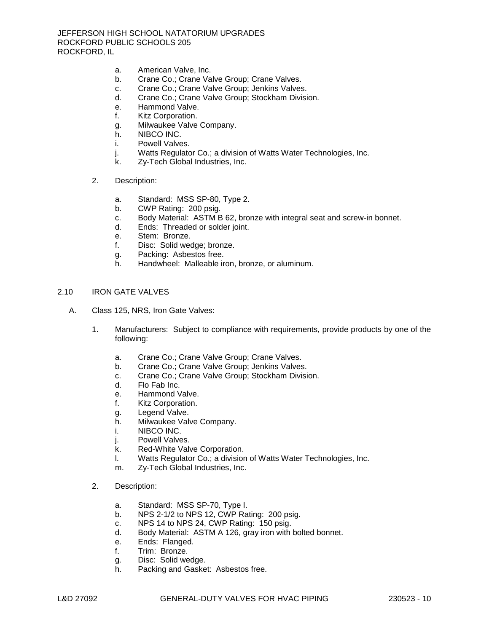- a. [American Valve, Inc.](http://www.specagent.com/LookUp/?uid=123456829440&mf=04&src=wd)
- b. [Crane Co.](http://www.specagent.com/LookUp/?uid=123456829441&mf=04&src=wd); Crane Valve Group; Crane Valves.
- c. [Crane Co.](http://www.specagent.com/LookUp/?uid=123456829442&mf=04&src=wd); Crane Valve Group; Jenkins Valves.
- d. [Crane Co.](http://www.specagent.com/LookUp/?uid=123456829443&mf=04&src=wd); Crane Valve Group; Stockham Division.
- e. [Hammond Valve.](http://www.specagent.com/LookUp/?uid=123456829444&mf=04&src=wd)
- f. [Kitz Corporation.](http://www.specagent.com/LookUp/?uid=123456829445&mf=04&src=wd)
- g. [Milwaukee Valve Company.](http://www.specagent.com/LookUp/?uid=123456829446&mf=04&src=wd)
- h. [NIBCO INC.](http://www.specagent.com/LookUp/?uid=123456829447&mf=04&src=wd)
- i. [Powell Valves.](http://www.specagent.com/LookUp/?uid=123456829448&mf=04&src=wd)
- j. [Watts Regulator Co.](http://www.specagent.com/LookUp/?uid=123456829449&mf=04&src=wd); a division of Watts Water Technologies, Inc.
- k. [Zy-Tech Global Industries, Inc.](http://www.specagent.com/LookUp/?uid=123456829450&mf=04&src=wd)
- 2. Description:
	- a. Standard: MSS SP-80, Type 2.
	- b. CWP Rating: 200 psig.
	- c. Body Material: ASTM B 62, bronze with integral seat and screw-in bonnet.
	- d. Ends: Threaded or solder joint.
	- e. Stem: Bronze.
	- f. Disc: Solid wedge; bronze.
	- g. Packing: Asbestos free.
	- h. Handwheel: Malleable iron, bronze, or aluminum.

#### 2.10 IRON GATE VALVES

- A. Class 125, NRS, Iron Gate Valves:
	- 1. [Manufacturers:](http://www.specagent.com/LookUp/?ulid=6082&mf=04&src=wd) Subject to compliance with requirements, provide products by one of the following:
		- a. [Crane Co.](http://www.specagent.com/LookUp/?uid=123456829470&mf=04&src=wd); Crane Valve Group; Crane Valves.
		- b. [Crane Co.](http://www.specagent.com/LookUp/?uid=123456829471&mf=04&src=wd); Crane Valve Group; Jenkins Valves.
		- c. [Crane Co.](http://www.specagent.com/LookUp/?uid=123456829472&mf=04&src=wd); Crane Valve Group; Stockham Division.
		- d. [Flo Fab Inc.](http://www.specagent.com/LookUp/?uid=123456829473&mf=04&src=wd)
		- e. [Hammond Valve.](http://www.specagent.com/LookUp/?uid=123456829474&mf=04&src=wd)
		- f. [Kitz Corporation.](http://www.specagent.com/LookUp/?uid=123456829475&mf=04&src=wd)
		- g. [Legend Valve.](http://www.specagent.com/LookUp/?uid=123456829476&mf=04&src=wd)
		- h. [Milwaukee Valve Company.](http://www.specagent.com/LookUp/?uid=123456829477&mf=04&src=wd)
		- i. [NIBCO INC.](http://www.specagent.com/LookUp/?uid=123456829478&mf=04&src=wd)
		- j. [Powell Valves.](http://www.specagent.com/LookUp/?uid=123456829479&mf=04&src=wd)
		- k. [Red-White Valve Corporation.](http://www.specagent.com/LookUp/?uid=123456829480&mf=04&src=wd)
		- l. [Watts Regulator Co.](http://www.specagent.com/LookUp/?uid=123456829481&mf=04&src=wd); a division of Watts Water Technologies, Inc.
		- m. [Zy-Tech Global Industries, Inc.](http://www.specagent.com/LookUp/?uid=123456829482&mf=04&src=wd)
	- 2. Description:
		- a. Standard: MSS SP-70, Type I.
		- b. NPS 2-1/2 to NPS 12, CWP Rating: 200 psig.
		- c. NPS 14 to NPS 24, CWP Rating: 150 psig.
		- d. Body Material: ASTM A 126, gray iron with bolted bonnet.
		- e. Ends: Flanged.
		- f. Trim: Bronze.
		- g. Disc: Solid wedge.
		- h. Packing and Gasket: Asbestos free.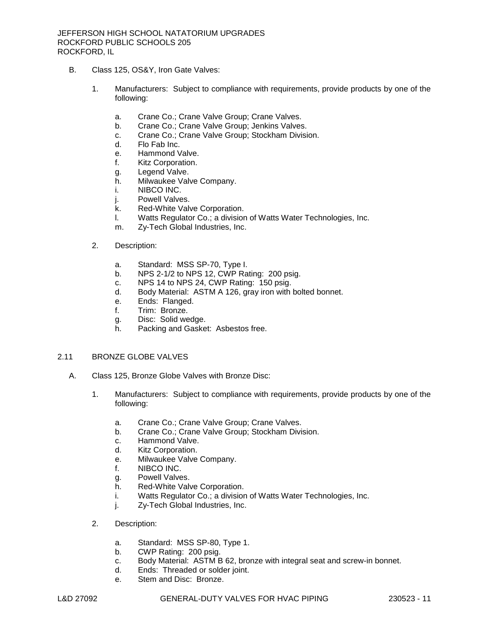- B. Class 125, OS&Y, Iron Gate Valves:
	- 1. [Manufacturers:](http://www.specagent.com/LookUp/?ulid=6083&mf=04&src=wd) Subject to compliance with requirements, provide products by one of the following:
		- a. [Crane Co.](http://www.specagent.com/LookUp/?uid=123456829483&mf=04&src=wd); Crane Valve Group; Crane Valves.
		- b. [Crane Co.](http://www.specagent.com/LookUp/?uid=123456829484&mf=04&src=wd); Crane Valve Group; Jenkins Valves.
		- c. [Crane Co.](http://www.specagent.com/LookUp/?uid=123456829485&mf=04&src=wd); Crane Valve Group; Stockham Division.
		- d. [Flo Fab Inc.](http://www.specagent.com/LookUp/?uid=123456829486&mf=04&src=wd)
		- e. [Hammond Valve.](http://www.specagent.com/LookUp/?uid=123456829487&mf=04&src=wd)
		- f. [Kitz Corporation.](http://www.specagent.com/LookUp/?uid=123456829488&mf=04&src=wd)
		- g. [Legend Valve.](http://www.specagent.com/LookUp/?uid=123456829489&mf=04&src=wd)
		- h. [Milwaukee Valve Company.](http://www.specagent.com/LookUp/?uid=123456829490&mf=04&src=wd)
		- i. [NIBCO INC.](http://www.specagent.com/LookUp/?uid=123456829491&mf=04&src=wd)
		- j. Powell [Valves.](http://www.specagent.com/LookUp/?uid=123456829492&mf=04&src=wd)
		- k. [Red-White Valve Corporation.](http://www.specagent.com/LookUp/?uid=123456829493&mf=04&src=wd)
		- l. [Watts Regulator Co.](http://www.specagent.com/LookUp/?uid=123456829494&mf=04&src=wd); a division of Watts Water Technologies, Inc.
		- m. [Zy-Tech Global Industries, Inc.](http://www.specagent.com/LookUp/?uid=123456829495&mf=04&src=wd)
	- 2. Description:
		- a. Standard: MSS SP-70, Type I.
		- b. NPS 2-1/2 to NPS 12, CWP Rating: 200 psig.
		- c. NPS 14 to NPS 24, CWP Rating: 150 psig.
		- d. Body Material: ASTM A 126, gray iron with bolted bonnet.
		- e. Ends: Flanged.
		- f. Trim: Bronze.
		- g. Disc: Solid wedge.
		- h. Packing and Gasket: Asbestos free.

## 2.11 BRONZE GLOBE VALVES

- A. Class 125, Bronze Globe Valves with Bronze Disc:
	- 1. [Manufacturers:](http://www.specagent.com/LookUp/?ulid=6086&mf=04&src=wd) Subject to compliance with requirements, provide products by one of the following:
		- a. [Crane Co.](http://www.specagent.com/LookUp/?uid=123456829506&mf=04&src=wd); Crane Valve Group; Crane Valves.
		- b. [Crane Co.](http://www.specagent.com/LookUp/?uid=123456829507&mf=04&src=wd); Crane Valve Group; Stockham Division.
		- c. [Hammond Valve.](http://www.specagent.com/LookUp/?uid=123456829508&mf=04&src=wd)
		- d. [Kitz Corporation.](http://www.specagent.com/LookUp/?uid=123456829509&mf=04&src=wd)
		- e. [Milwaukee Valve Company.](http://www.specagent.com/LookUp/?uid=123456829510&mf=04&src=wd)
		- f. [NIBCO INC.](http://www.specagent.com/LookUp/?uid=123456829511&mf=04&src=wd)
		- g. [Powell Valves.](http://www.specagent.com/LookUp/?uid=123456829512&mf=04&src=wd)
		- h. [Red-White Valve Corporation.](http://www.specagent.com/LookUp/?uid=123456829513&mf=04&src=wd)
		- i. [Watts Regulator Co.](http://www.specagent.com/LookUp/?uid=123456829514&mf=04&src=wd); a division of Watts Water Technologies, Inc.
		- j. [Zy-Tech Global Industries, Inc.](http://www.specagent.com/LookUp/?uid=123456829515&mf=04&src=wd)
	- 2. Description:
		- a. Standard: MSS SP-80, Type 1.
		- b. CWP Rating: 200 psig.
		- c. Body Material: ASTM B 62, bronze with integral seat and screw-in bonnet.
		- d. Ends: Threaded or solder joint.
		- e. Stem and Disc: Bronze.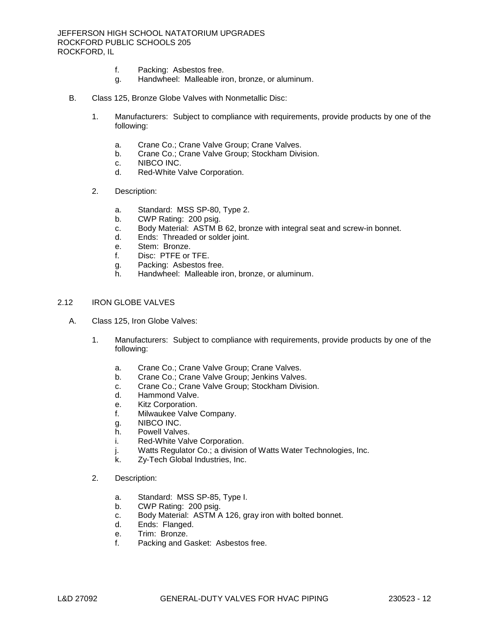- f. Packing: Asbestos free.
- g. Handwheel: Malleable iron, bronze, or aluminum.
- B. Class 125, Bronze Globe Valves with Nonmetallic Disc:
	- 1. [Manufacturers:](http://www.specagent.com/LookUp/?ulid=6087&mf=04&src=wd) Subject to compliance with requirements, provide products by one of the following:
		- a. [Crane Co.](http://www.specagent.com/LookUp/?uid=123456829516&mf=04&src=wd); Crane Valve Group; Crane Valves.
		- b. [Crane Co.](http://www.specagent.com/LookUp/?uid=123456829517&mf=04&src=wd); Crane Valve Group; Stockham Division.
		- c. [NIBCO INC.](http://www.specagent.com/LookUp/?uid=123456829518&mf=04&src=wd)
		- d. [Red-White Valve Corporation.](http://www.specagent.com/LookUp/?uid=123456829519&mf=04&src=wd)
	- 2. Description:
		- a. Standard: MSS SP-80, Type 2.
		- b. CWP Rating: 200 psig.
		- c. Body Material: ASTM B 62, bronze with integral seat and screw-in bonnet.
		- d. Ends: Threaded or solder joint.
		- e. Stem: Bronze.
		- f. Disc: PTFE or TFE.
		- g. Packing: Asbestos free.
		- h. Handwheel: Malleable iron, bronze, or aluminum.

## 2.12 IRON GLOBE VALVES

- A. Class 125, Iron Globe Valves:
	- 1. [Manufacturers:](http://www.specagent.com/LookUp/?ulid=6089&mf=04&src=wd) Subject to compliance with requirements, provide products by one of the following:
		- a. [Crane Co.](http://www.specagent.com/LookUp/?uid=123456829529&mf=04&src=wd); Crane Valve Group; Crane Valves.
		- b. [Crane Co.](http://www.specagent.com/LookUp/?uid=123456829530&mf=04&src=wd); Crane Valve Group; Jenkins Valves.
		- c. [Crane Co.](http://www.specagent.com/LookUp/?uid=123456829531&mf=04&src=wd); Crane Valve Group; Stockham Division.
		- d. [Hammond Valve.](http://www.specagent.com/LookUp/?uid=123456829532&mf=04&src=wd)
		- e. [Kitz Corporation.](http://www.specagent.com/LookUp/?uid=123456829533&mf=04&src=wd)
		- f. [Milwaukee Valve Company.](http://www.specagent.com/LookUp/?uid=123456829534&mf=04&src=wd)
		- g. [NIBCO INC.](http://www.specagent.com/LookUp/?uid=123456829535&mf=04&src=wd)
		- h. [Powell Valves.](http://www.specagent.com/LookUp/?uid=123456829536&mf=04&src=wd)
		- i. [Red-White Valve Corporation.](http://www.specagent.com/LookUp/?uid=123456829537&mf=04&src=wd)
		- j. [Watts Regulator Co.](http://www.specagent.com/LookUp/?uid=123456829538&mf=04&src=wd); a division of Watts Water Technologies, Inc.
		- k. [Zy-Tech Global Industries, Inc.](http://www.specagent.com/LookUp/?uid=123456829539&mf=04&src=wd)
	- 2. Description:
		- a. Standard: MSS SP-85, Type I.
		- b. CWP Rating: 200 psig.
		- c. Body Material: ASTM A 126, gray iron with bolted bonnet.
		- d. Ends: Flanged.
		- e. Trim: Bronze.
		- f. Packing and Gasket: Asbestos free.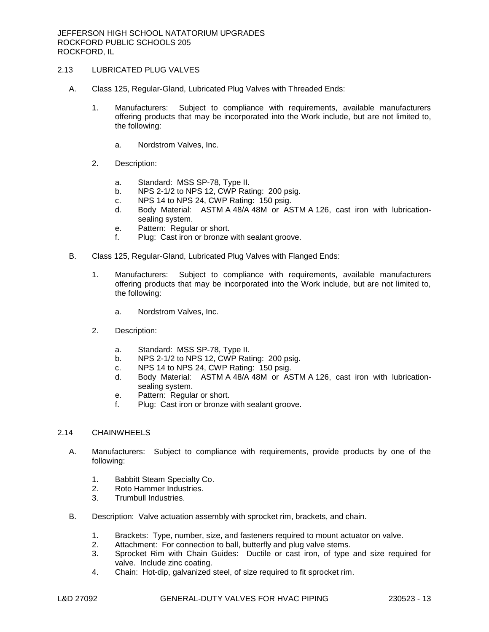# 2.13 LUBRICATED PLUG VALVES

- A. Class 125, Regular-Gland, Lubricated Plug Valves with Threaded Ends:
	- 1. [Manufacturers:](http://www.specagent.com/LookUp/?ulid=6091&mf=04&src=wd) Subject to compliance with requirements, available manufacturers offering products that may be incorporated into the Work include, but are not limited to, the following:
		- a. [Nordstrom Valves, Inc.](http://www.specagent.com/LookUp/?uid=123456829547&mf=04&src=wd)
	- 2. Description:
		- a. Standard: MSS SP-78, Type II.
		- b. NPS 2-1/2 to NPS 12, CWP Rating: 200 psig.
		- c. NPS 14 to NPS 24, CWP Rating: 150 psig.
		- d. Body Material: ASTM A 48/A 48M or ASTM A 126, cast iron with lubricationsealing system.
		- e. Pattern: Regular or short.
		- f. Plug: Cast iron or bronze with sealant groove.
- B. Class 125, Regular-Gland, Lubricated Plug Valves with Flanged Ends:
	- 1. [Manufacturers:](http://www.specagent.com/LookUp/?ulid=6092&mf=04&src=wd) Subject to compliance with requirements, available manufacturers offering products that may be incorporated into the Work include, but are not limited to, the following:
		- a. [Nordstrom Valves, Inc.](http://www.specagent.com/LookUp/?uid=123456829548&mf=04&src=wd)
	- 2. Description:
		- a. Standard: MSS SP-78, Type II.
		- b. NPS 2-1/2 to NPS 12, CWP Rating: 200 psig.
		- c. NPS 14 to NPS 24, CWP Rating: 150 psig.
		- d. Body Material: ASTM A 48/A 48M or ASTM A 126, cast iron with lubricationsealing system.
		- e. Pattern: Regular or short.
		- f. Plug: Cast iron or bronze with sealant groove.

## 2.14 CHAINWHEELS

- A. [Manufacturers:](http://www.specagent.com/LookUp/?ulid=6100&mf=04&src=wd) Subject to compliance with requirements, provide products by one of the following:
	- 1. [Babbitt Steam Specialty Co.](http://www.specagent.com/LookUp/?uid=123456829570&mf=04&src=wd)
	- 2. [Roto Hammer Industries.](http://www.specagent.com/LookUp/?uid=123456829571&mf=04&src=wd)
	- 3. [Trumbull Industries.](http://www.specagent.com/LookUp/?uid=123456829572&mf=04&src=wd)
- B. Description: Valve actuation assembly with sprocket rim, brackets, and chain.
	- 1. Brackets: Type, number, size, and fasteners required to mount actuator on valve.
	- 2. Attachment: For connection to ball, butterfly and plug valve stems.
	- 3. Sprocket Rim with Chain Guides: Ductile or cast iron, of type and size required for valve. Include zinc coating.
	- 4. Chain: Hot-dip, galvanized steel, of size required to fit sprocket rim.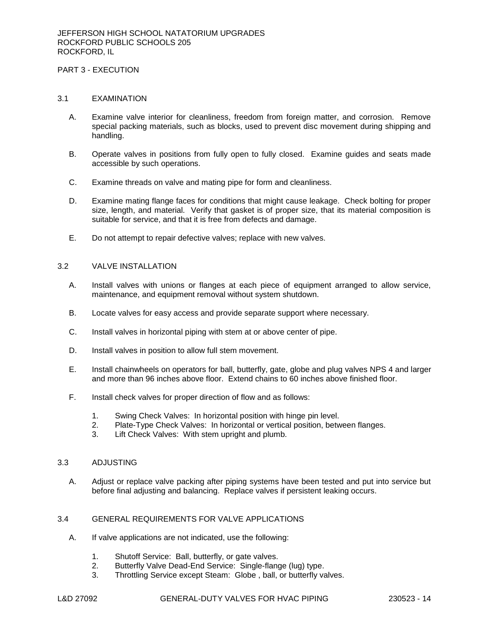# PART 3 - EXECUTION

#### 3.1 EXAMINATION

- A. Examine valve interior for cleanliness, freedom from foreign matter, and corrosion. Remove special packing materials, such as blocks, used to prevent disc movement during shipping and handling.
- B. Operate valves in positions from fully open to fully closed. Examine guides and seats made accessible by such operations.
- C. Examine threads on valve and mating pipe for form and cleanliness.
- D. Examine mating flange faces for conditions that might cause leakage. Check bolting for proper size, length, and material. Verify that gasket is of proper size, that its material composition is suitable for service, and that it is free from defects and damage.
- E. Do not attempt to repair defective valves; replace with new valves.

#### 3.2 VALVE INSTALLATION

- A. Install valves with unions or flanges at each piece of equipment arranged to allow service, maintenance, and equipment removal without system shutdown.
- B. Locate valves for easy access and provide separate support where necessary.
- C. Install valves in horizontal piping with stem at or above center of pipe.
- D. Install valves in position to allow full stem movement.
- E. Install chainwheels on operators for ball, butterfly, gate, globe and plug valves NPS 4 and larger and more than 96 inches above floor. Extend chains to 60 inches above finished floor.
- F. Install check valves for proper direction of flow and as follows:
	- 1. Swing Check Valves: In horizontal position with hinge pin level.
	- 2. Plate-Type Check Valves: In horizontal or vertical position, between flanges.
	- 3. Lift Check Valves: With stem upright and plumb.

## 3.3 ADJUSTING

A. Adjust or replace valve packing after piping systems have been tested and put into service but before final adjusting and balancing. Replace valves if persistent leaking occurs.

# 3.4 GENERAL REQUIREMENTS FOR VALVE APPLICATIONS

- A. If valve applications are not indicated, use the following:
	- 1. Shutoff Service: Ball, butterfly, or gate valves.
	- 2. Butterfly Valve Dead-End Service: Single-flange (lug) type.
	- 3. Throttling Service except Steam: Globe , ball, or butterfly valves.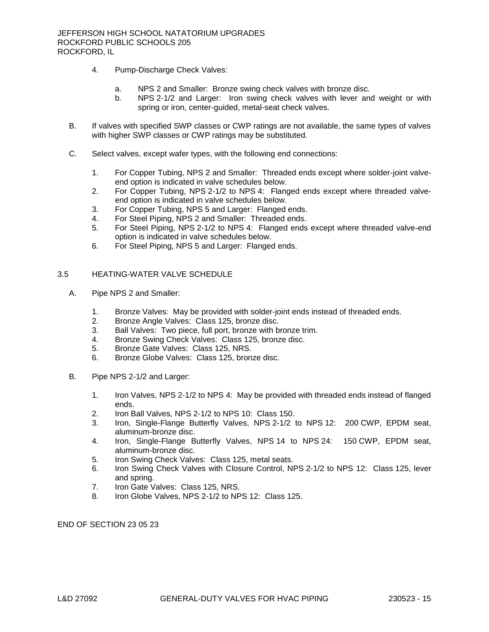- 4. Pump-Discharge Check Valves:
	- a. NPS 2 and Smaller: Bronze swing check valves with bronze disc.
	- b. NPS 2-1/2 and Larger: Iron swing check valves with lever and weight or with spring or iron, center-guided, metal-seat check valves.
- B. If valves with specified SWP classes or CWP ratings are not available, the same types of valves with higher SWP classes or CWP ratings may be substituted.
- C. Select valves, except wafer types, with the following end connections:
	- 1. For Copper Tubing, NPS 2 and Smaller: Threaded ends except where solder-joint valveend option is indicated in valve schedules below.
	- 2. For Copper Tubing, NPS 2-1/2 to NPS 4: Flanged ends except where threaded valveend option is indicated in valve schedules below.
	- 3. For Copper Tubing, NPS 5 and Larger: Flanged ends.
	- 4. For Steel Piping, NPS 2 and Smaller: Threaded ends.
	- 5. For Steel Piping, NPS 2-1/2 to NPS 4: Flanged ends except where threaded valve-end option is indicated in valve schedules below.
	- 6. For Steel Piping, NPS 5 and Larger: Flanged ends.

#### 3.5 HEATING-WATER VALVE SCHEDULE

- A. Pipe NPS 2 and Smaller:
	- 1. Bronze Valves: May be provided with solder-joint ends instead of threaded ends.
	- 2. Bronze Angle Valves: Class 125, bronze disc.
	- 3. Ball Valves: Two piece, full port, bronze with bronze trim.
	- 4. Bronze Swing Check Valves: Class 125, bronze disc.
	- 5. Bronze Gate Valves: Class 125, NRS.
	- 6. Bronze Globe Valves: Class 125, bronze disc.
- B. Pipe NPS 2-1/2 and Larger:
	- 1. Iron Valves, NPS 2-1/2 to NPS 4: May be provided with threaded ends instead of flanged ends.
	- 2. Iron Ball Valves, NPS 2-1/2 to NPS 10: Class 150.
	- 3. Iron, Single-Flange Butterfly Valves, NPS 2-1/2 to NPS 12: 200 CWP, EPDM seat, aluminum-bronze disc.
	- 4. Iron, Single-Flange Butterfly Valves, NPS 14 to NPS 24: 150 CWP, EPDM seat, aluminum-bronze disc.
	- 5. Iron Swing Check Valves: Class 125, metal seats.
	- 6. Iron Swing Check Valves with Closure Control, NPS 2-1/2 to NPS 12: Class 125, lever and spring.
	- 7. Iron Gate Valves: Class 125, NRS.
	- 8. Iron Globe Valves, NPS 2-1/2 to NPS 12: Class 125.

END OF SECTION 23 05 23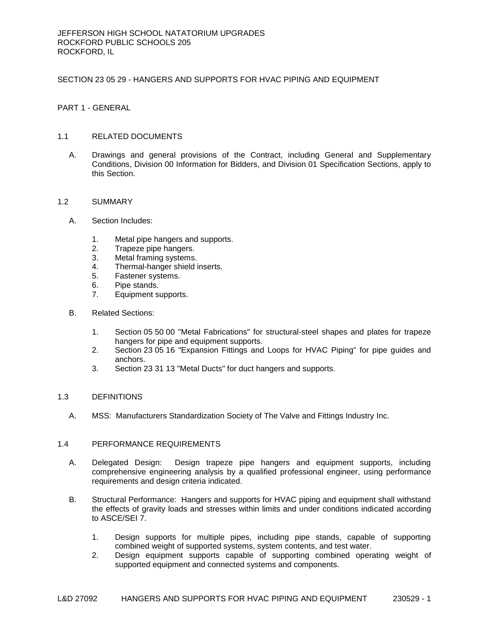## SECTION 23 05 29 - HANGERS AND SUPPORTS FOR HVAC PIPING AND EQUIPMENT

PART 1 - GENERAL

# 1.1 RELATED DOCUMENTS

A. Drawings and general provisions of the Contract, including General and Supplementary Conditions, Division 00 Information for Bidders, and Division 01 Specification Sections, apply to this Section.

## 1.2 SUMMARY

- A. Section Includes:
	- 1. Metal pipe hangers and supports.
	- 2. Trapeze pipe hangers.
	- 3. Metal framing systems.
	- 4. Thermal-hanger shield inserts.
	- 5. Fastener systems.
	- 6. Pipe stands.
	- 7. Equipment supports.
- B. Related Sections:
	- 1. Section 05 50 00 "Metal Fabrications" for structural-steel shapes and plates for trapeze hangers for pipe and equipment supports.
	- 2. Section 23 05 16 "Expansion Fittings and Loops for HVAC Piping" for pipe guides and anchors.
	- 3. Section 23 31 13 "Metal Ducts" for duct hangers and supports.

## 1.3 DEFINITIONS

A. MSS: Manufacturers Standardization Society of The Valve and Fittings Industry Inc.

# 1.4 PERFORMANCE REQUIREMENTS

- A. Delegated Design: Design trapeze pipe hangers and equipment supports, including comprehensive engineering analysis by a qualified professional engineer, using performance requirements and design criteria indicated.
- B. Structural Performance: Hangers and supports for HVAC piping and equipment shall withstand the effects of gravity loads and stresses within limits and under conditions indicated according to ASCE/SEI 7.
	- 1. Design supports for multiple pipes, including pipe stands, capable of supporting combined weight of supported systems, system contents, and test water.
	- 2. Design equipment supports capable of supporting combined operating weight of supported equipment and connected systems and components.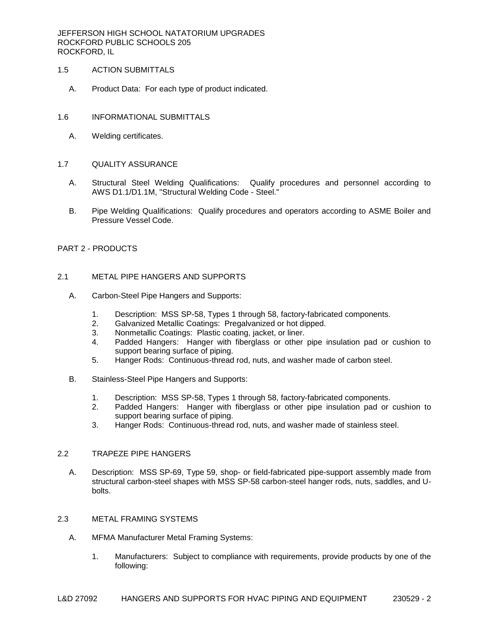JEFFERSON HIGH SCHOOL NATATORIUM UPGRADES ROCKFORD PUBLIC SCHOOLS 205 ROCKFORD, IL

## 1.5 ACTION SUBMITTALS

- A. Product Data: For each type of product indicated.
- 1.6 INFORMATIONAL SUBMITTALS
	- A. Welding certificates.

## 1.7 QUALITY ASSURANCE

- A. Structural Steel Welding Qualifications: Qualify procedures and personnel according to AWS D1.1/D1.1M, "Structural Welding Code - Steel."
- B. Pipe Welding Qualifications: Qualify procedures and operators according to ASME Boiler and Pressure Vessel Code.

# PART 2 - PRODUCTS

# 2.1 METAL PIPE HANGERS AND SUPPORTS

- A. Carbon-Steel Pipe Hangers and Supports:
	- 1. Description: MSS SP-58, Types 1 through 58, factory-fabricated components.
	- 2. Galvanized Metallic Coatings: Pregalvanized or hot dipped.
	- 3. Nonmetallic Coatings: Plastic coating, jacket, or liner.
	- 4. Padded Hangers: Hanger with fiberglass or other pipe insulation pad or cushion to support bearing surface of piping.
	- 5. Hanger Rods: Continuous-thread rod, nuts, and washer made of carbon steel.
- B. Stainless-Steel Pipe Hangers and Supports:
	- 1. Description: MSS SP-58, Types 1 through 58, factory-fabricated components.
	- 2. Padded Hangers: Hanger with fiberglass or other pipe insulation pad or cushion to support bearing surface of piping.
	- 3. Hanger Rods: Continuous-thread rod, nuts, and washer made of stainless steel.

# 2.2 TRAPEZE PIPE HANGERS

A. Description: MSS SP-69, Type 59, shop- or field-fabricated pipe-support assembly made from structural carbon-steel shapes with MSS SP-58 carbon-steel hanger rods, nuts, saddles, and Ubolts.

# 2.3 METAL FRAMING SYSTEMS

- A. MFMA Manufacturer Metal Framing Systems:
	- 1. Manufacturers: Subject to compliance with requirements, provide products by one of the following: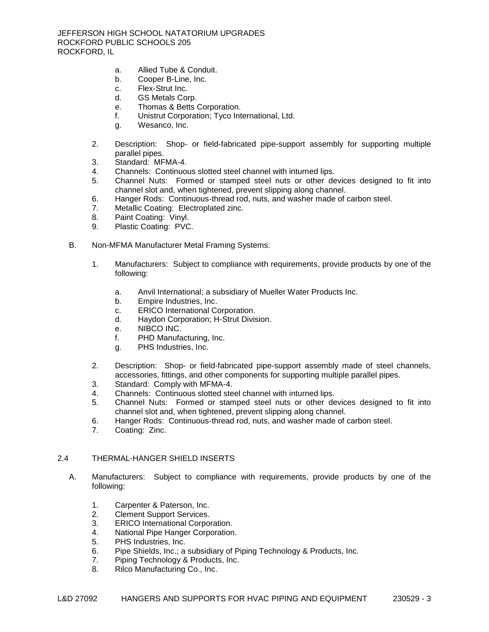- a. [Allied Tube & Conduit.](http://www.specagent.com/LookUp/?uid=123456830443&mf=04&src=wd)
- b. [Cooper B-Line, Inc.](http://www.specagent.com/LookUp/?uid=123456830444&mf=04&src=wd)
- c. [Flex-Strut Inc.](http://www.specagent.com/LookUp/?uid=123456830445&mf=04&src=wd)
- d. [GS Metals Corp.](http://www.specagent.com/LookUp/?uid=123456830446&mf=04&src=wd)
- e. [Thomas & Betts Corporation.](http://www.specagent.com/LookUp/?uid=123456830447&mf=04&src=wd)
- f. [Unistrut Corporation;](http://www.specagent.com/LookUp/?uid=123456830448&mf=04&src=wd) Tyco International, Ltd.
- g. [Wesanco, Inc.](http://www.specagent.com/LookUp/?uid=123456830449&mf=04&src=wd)
- 2. Description: Shop- or field-fabricated pipe-support assembly for supporting multiple parallel pipes.
- 3. Standard: MFMA-4.
- 4. Channels: Continuous slotted steel channel with inturned lips.
- 5. Channel Nuts: Formed or stamped steel nuts or other devices designed to fit into channel slot and, when tightened, prevent slipping along channel.
- 6. Hanger Rods: Continuous-thread rod, nuts, and washer made of carbon steel.
- 7. Metallic Coating: Electroplated zinc.
- 8. Paint Coating: Vinyl.
- 9. Plastic Coating: PVC.
- B. Non-MFMA Manufacturer Metal Framing Systems:
	- 1. Manufacturers: Subject to compliance with requirements, provide products by one of the following:
		- a. [Anvil International;](http://www.specagent.com/LookUp/?uid=123456830450&mf=04&src=wd) a subsidiary of Mueller Water Products Inc.
		- b. [Empire Industries, Inc.](http://www.specagent.com/LookUp/?uid=123456830451&mf=04&src=wd)
		- c. [ERICO International Corporation.](http://www.specagent.com/LookUp/?uid=123456830452&mf=04&src=wd)
		- d. [Haydon Corporation;](http://www.specagent.com/LookUp/?uid=123456830453&mf=04&src=wd) H-Strut Division.
		- e. [NIBCO INC.](http://www.specagent.com/LookUp/?uid=123456830454&mf=04&src=wd)
		- f. [PHD Manufacturing, Inc.](http://www.specagent.com/LookUp/?uid=123456830455&mf=04&src=wd)
		- g. [PHS Industries, Inc.](http://www.specagent.com/LookUp/?uid=123456830456&mf=04&src=wd)
	- 2. Description: Shop- or field-fabricated pipe-support assembly made of steel channels, accessories, fittings, and other components for supporting multiple parallel pipes.
	- 3. Standard: Comply with MFMA-4.
	- 4. Channels: Continuous slotted steel channel with inturned lips.
	- 5. Channel Nuts: Formed or stamped steel nuts or other devices designed to fit into channel slot and, when tightened, prevent slipping along channel.
	- 6. Hanger Rods: Continuous-thread rod, nuts, and washer made of carbon steel.
	- 7. Coating: Zinc.

# 2.4 THERMAL-HANGER SHIELD INSERTS

- A. Manufacturers: Subject to compliance with requirements, provide products by one of the following:
	- 1. [Carpenter & Paterson, Inc.](http://www.specagent.com/LookUp/?uid=123456830461&mf=04&src=wd)
	- 2. [Clement Support Services.](http://www.specagent.com/LookUp/?uid=123456830462&mf=04&src=wd)
	- 3. [ERICO International Corporation.](http://www.specagent.com/LookUp/?uid=123456830463&mf=04&src=wd)
	- 4. [National Pipe Hanger Corporation.](http://www.specagent.com/LookUp/?uid=123456830464&mf=04&src=wd)
	- 5. [PHS Industries, Inc.](http://www.specagent.com/LookUp/?uid=123456830465&mf=04&src=wd)
	- 6. [Pipe Shields, Inc.](http://www.specagent.com/LookUp/?uid=123456830466&mf=04&src=wd); a subsidiary of Piping Technology & Products, Inc.
	- 7. [Piping Technology & Products, Inc.](http://www.specagent.com/LookUp/?uid=123456830467&mf=04&src=wd)
	- 8. [Rilco Manufacturing Co., Inc.](http://www.specagent.com/LookUp/?uid=123456830468&mf=04&src=wd)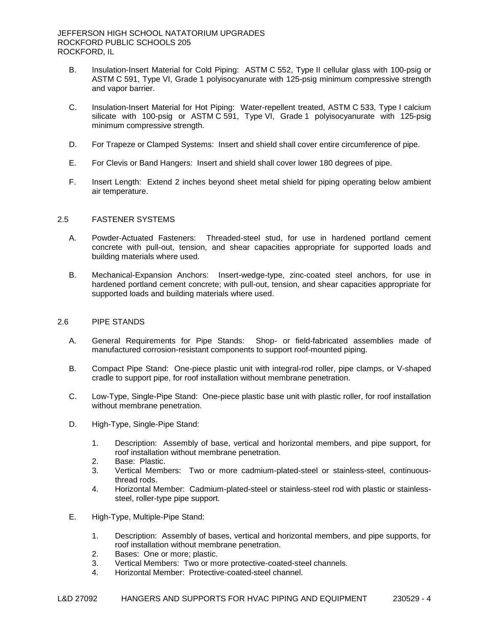- B. Insulation-Insert Material for Cold Piping: ASTM C 552, Type II cellular glass with 100-psig or ASTM C 591, Type VI, Grade 1 polyisocyanurate with 125-psig minimum compressive strength and vapor barrier.
- C. Insulation-Insert Material for Hot Piping: Water-repellent treated, ASTM C 533, Type I calcium silicate with 100-psig or ASTM C 591, Type VI, Grade 1 polyisocyanurate with 125-psig minimum compressive strength.
- D. For Trapeze or Clamped Systems: Insert and shield shall cover entire circumference of pipe.
- E. For Clevis or Band Hangers: Insert and shield shall cover lower 180 degrees of pipe.
- F. Insert Length: Extend 2 inches beyond sheet metal shield for piping operating below ambient air temperature.

# 2.5 FASTENER SYSTEMS

- A. Powder-Actuated Fasteners: Threaded-steel stud, for use in hardened portland cement concrete with pull-out, tension, and shear capacities appropriate for supported loads and building materials where used.
- B. Mechanical-Expansion Anchors: Insert-wedge-type, zinc-coated steel anchors, for use in hardened portland cement concrete; with pull-out, tension, and shear capacities appropriate for supported loads and building materials where used.

## 2.6 PIPE STANDS

- A. General Requirements for Pipe Stands: Shop- or field-fabricated assemblies made of manufactured corrosion-resistant components to support roof-mounted piping.
- B. Compact Pipe Stand: One-piece plastic unit with integral-rod roller, pipe clamps, or V-shaped cradle to support pipe, for roof installation without membrane penetration.
- C. Low-Type, Single-Pipe Stand: One-piece plastic base unit with plastic roller, for roof installation without membrane penetration.
- D. High-Type, Single-Pipe Stand:
	- 1. Description: Assembly of base, vertical and horizontal members, and pipe support, for roof installation without membrane penetration.
	- 2. Base: Plastic.
	- 3. Vertical Members: Two or more cadmium-plated-steel or stainless-steel, continuousthread rods.
	- 4. Horizontal Member: Cadmium-plated-steel or stainless-steel rod with plastic or stainlesssteel, roller-type pipe support.
- E. High-Type, Multiple-Pipe Stand:
	- 1. Description: Assembly of bases, vertical and horizontal members, and pipe supports, for roof installation without membrane penetration.
	- 2. Bases: One or more; plastic.
	- 3. Vertical Members: Two or more protective-coated-steel channels.
	- 4. Horizontal Member: Protective-coated-steel channel.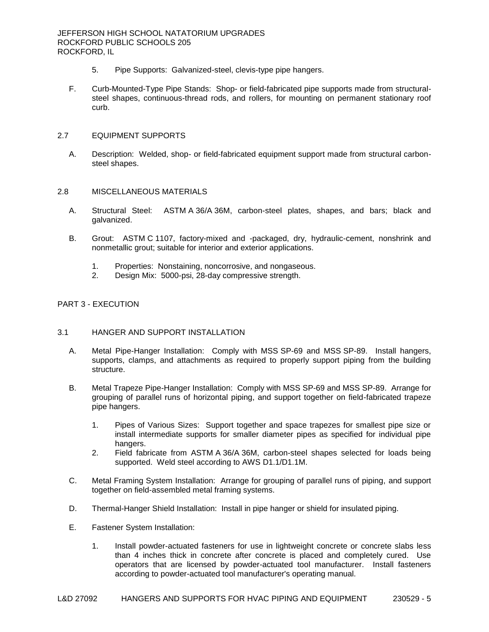- 5. Pipe Supports: Galvanized-steel, clevis-type pipe hangers.
- F. Curb-Mounted-Type Pipe Stands: Shop- or field-fabricated pipe supports made from structuralsteel shapes, continuous-thread rods, and rollers, for mounting on permanent stationary roof curb.

## 2.7 EQUIPMENT SUPPORTS

A. Description: Welded, shop- or field-fabricated equipment support made from structural carbonsteel shapes.

# 2.8 MISCELLANEOUS MATERIALS

- A. Structural Steel: ASTM A 36/A 36M, carbon-steel plates, shapes, and bars; black and galvanized.
- B. Grout: ASTM C 1107, factory-mixed and -packaged, dry, hydraulic-cement, nonshrink and nonmetallic grout; suitable for interior and exterior applications.
	- 1. Properties: Nonstaining, noncorrosive, and nongaseous.
	- 2. Design Mix: 5000-psi, 28-day compressive strength.

# PART 3 - EXECUTION

## 3.1 HANGER AND SUPPORT INSTALLATION

- A. Metal Pipe-Hanger Installation: Comply with MSS SP-69 and MSS SP-89. Install hangers, supports, clamps, and attachments as required to properly support piping from the building structure.
- B. Metal Trapeze Pipe-Hanger Installation: Comply with MSS SP-69 and MSS SP-89. Arrange for grouping of parallel runs of horizontal piping, and support together on field-fabricated trapeze pipe hangers.
	- 1. Pipes of Various Sizes: Support together and space trapezes for smallest pipe size or install intermediate supports for smaller diameter pipes as specified for individual pipe hangers.
	- 2. Field fabricate from ASTM A 36/A 36M, carbon-steel shapes selected for loads being supported. Weld steel according to AWS D1.1/D1.1M.
- C. Metal Framing System Installation: Arrange for grouping of parallel runs of piping, and support together on field-assembled metal framing systems.
- D. Thermal-Hanger Shield Installation: Install in pipe hanger or shield for insulated piping.
- E. Fastener System Installation:
	- 1. Install powder-actuated fasteners for use in lightweight concrete or concrete slabs less than 4 inches thick in concrete after concrete is placed and completely cured. Use operators that are licensed by powder-actuated tool manufacturer. Install fasteners according to powder-actuated tool manufacturer's operating manual.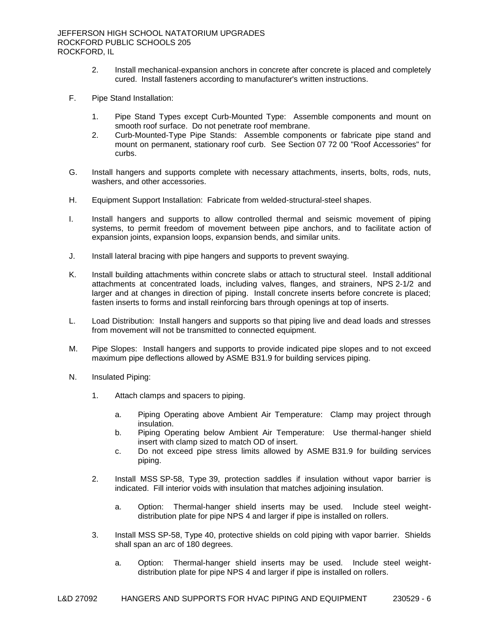- 2. Install mechanical-expansion anchors in concrete after concrete is placed and completely cured. Install fasteners according to manufacturer's written instructions.
- F. Pipe Stand Installation:
	- 1. Pipe Stand Types except Curb-Mounted Type: Assemble components and mount on smooth roof surface. Do not penetrate roof membrane.
	- 2. Curb-Mounted-Type Pipe Stands: Assemble components or fabricate pipe stand and mount on permanent, stationary roof curb. See Section 07 72 00 "Roof Accessories" for curbs.
- G. Install hangers and supports complete with necessary attachments, inserts, bolts, rods, nuts, washers, and other accessories.
- H. Equipment Support Installation: Fabricate from welded-structural-steel shapes.
- I. Install hangers and supports to allow controlled thermal and seismic movement of piping systems, to permit freedom of movement between pipe anchors, and to facilitate action of expansion joints, expansion loops, expansion bends, and similar units.
- J. Install lateral bracing with pipe hangers and supports to prevent swaying.
- K. Install building attachments within concrete slabs or attach to structural steel. Install additional attachments at concentrated loads, including valves, flanges, and strainers, NPS 2-1/2 and larger and at changes in direction of piping. Install concrete inserts before concrete is placed; fasten inserts to forms and install reinforcing bars through openings at top of inserts.
- L. Load Distribution: Install hangers and supports so that piping live and dead loads and stresses from movement will not be transmitted to connected equipment.
- M. Pipe Slopes: Install hangers and supports to provide indicated pipe slopes and to not exceed maximum pipe deflections allowed by ASME B31.9 for building services piping.
- N. Insulated Piping:
	- 1. Attach clamps and spacers to piping.
		- a. Piping Operating above Ambient Air Temperature: Clamp may project through insulation.
		- b. Piping Operating below Ambient Air Temperature: Use thermal-hanger shield insert with clamp sized to match OD of insert.
		- c. Do not exceed pipe stress limits allowed by ASME B31.9 for building services piping.
	- 2. Install MSS SP-58, Type 39, protection saddles if insulation without vapor barrier is indicated. Fill interior voids with insulation that matches adjoining insulation.
		- a. Option: Thermal-hanger shield inserts may be used. Include steel weightdistribution plate for pipe NPS 4 and larger if pipe is installed on rollers.
	- 3. Install MSS SP-58, Type 40, protective shields on cold piping with vapor barrier. Shields shall span an arc of 180 degrees.
		- a. Option: Thermal-hanger shield inserts may be used. Include steel weightdistribution plate for pipe NPS 4 and larger if pipe is installed on rollers.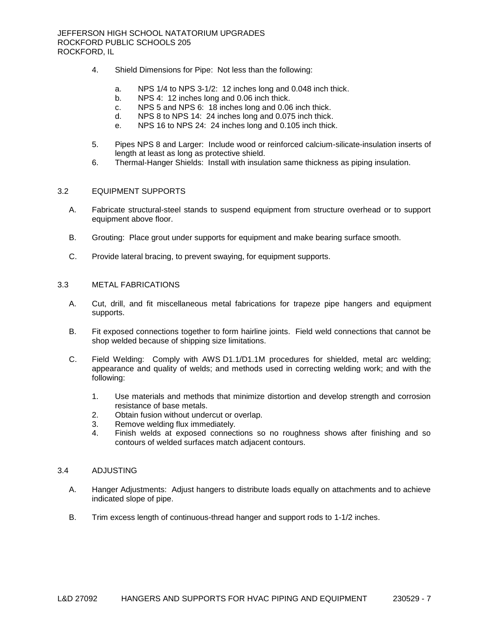- 4. Shield Dimensions for Pipe: Not less than the following:
	- a. NPS 1/4 to NPS 3-1/2: 12 inches long and 0.048 inch thick.
	- b. NPS 4: 12 inches long and 0.06 inch thick.
	- c. NPS 5 and NPS 6: 18 inches long and 0.06 inch thick.
	- d. NPS 8 to NPS 14: 24 inches long and 0.075 inch thick.
	- e. NPS 16 to NPS 24: 24 inches long and 0.105 inch thick.
- 5. Pipes NPS 8 and Larger: Include wood or reinforced calcium-silicate-insulation inserts of length at least as long as protective shield.
- 6. Thermal-Hanger Shields: Install with insulation same thickness as piping insulation.

## 3.2 EQUIPMENT SUPPORTS

- A. Fabricate structural-steel stands to suspend equipment from structure overhead or to support equipment above floor.
- B. Grouting: Place grout under supports for equipment and make bearing surface smooth.
- C. Provide lateral bracing, to prevent swaying, for equipment supports.

# 3.3 METAL FABRICATIONS

- A. Cut, drill, and fit miscellaneous metal fabrications for trapeze pipe hangers and equipment supports.
- B. Fit exposed connections together to form hairline joints. Field weld connections that cannot be shop welded because of shipping size limitations.
- C. Field Welding: Comply with AWS D1.1/D1.1M procedures for shielded, metal arc welding; appearance and quality of welds; and methods used in correcting welding work; and with the following:
	- 1. Use materials and methods that minimize distortion and develop strength and corrosion resistance of base metals.
	- 2. Obtain fusion without undercut or overlap.
	- 3. Remove welding flux immediately.
	- 4. Finish welds at exposed connections so no roughness shows after finishing and so contours of welded surfaces match adjacent contours.

## 3.4 ADJUSTING

- A. Hanger Adjustments: Adjust hangers to distribute loads equally on attachments and to achieve indicated slope of pipe.
- B. Trim excess length of continuous-thread hanger and support rods to 1-1/2 inches.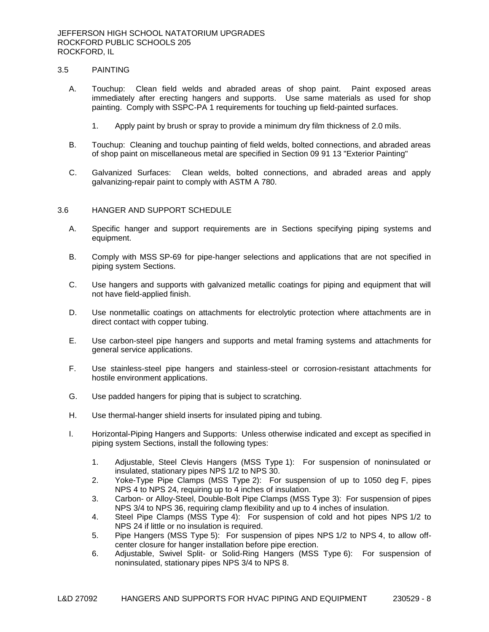# 3.5 PAINTING

- A. Touchup: Clean field welds and abraded areas of shop paint. Paint exposed areas immediately after erecting hangers and supports. Use same materials as used for shop painting. Comply with SSPC-PA 1 requirements for touching up field-painted surfaces.
	- 1. Apply paint by brush or spray to provide a minimum dry film thickness of 2.0 mils.
- B. Touchup: Cleaning and touchup painting of field welds, bolted connections, and abraded areas of shop paint on miscellaneous metal are specified in Section 09 91 13 "Exterior Painting"
- C. Galvanized Surfaces: Clean welds, bolted connections, and abraded areas and apply galvanizing-repair paint to comply with ASTM A 780.

### 3.6 HANGER AND SUPPORT SCHEDULE

- A. Specific hanger and support requirements are in Sections specifying piping systems and equipment.
- B. Comply with MSS SP-69 for pipe-hanger selections and applications that are not specified in piping system Sections.
- C. Use hangers and supports with galvanized metallic coatings for piping and equipment that will not have field-applied finish.
- D. Use nonmetallic coatings on attachments for electrolytic protection where attachments are in direct contact with copper tubing.
- E. Use carbon-steel pipe hangers and supports and metal framing systems and attachments for general service applications.
- F. Use stainless-steel pipe hangers and stainless-steel or corrosion-resistant attachments for hostile environment applications.
- G. Use padded hangers for piping that is subject to scratching.
- H. Use thermal-hanger shield inserts for insulated piping and tubing.
- I. Horizontal-Piping Hangers and Supports: Unless otherwise indicated and except as specified in piping system Sections, install the following types:
	- 1. Adjustable, Steel Clevis Hangers (MSS Type 1): For suspension of noninsulated or insulated, stationary pipes NPS 1/2 to NPS 30.
	- 2. Yoke-Type Pipe Clamps (MSS Type 2): For suspension of up to 1050 deg F, pipes NPS 4 to NPS 24, requiring up to 4 inches of insulation.
	- 3. Carbon- or Alloy-Steel, Double-Bolt Pipe Clamps (MSS Type 3): For suspension of pipes NPS 3/4 to NPS 36, requiring clamp flexibility and up to 4 inches of insulation.
	- 4. Steel Pipe Clamps (MSS Type 4): For suspension of cold and hot pipes NPS 1/2 to NPS 24 if little or no insulation is required.
	- 5. Pipe Hangers (MSS Type 5): For suspension of pipes NPS 1/2 to NPS 4, to allow offcenter closure for hanger installation before pipe erection.
	- 6. Adjustable, Swivel Split- or Solid-Ring Hangers (MSS Type 6): For suspension of noninsulated, stationary pipes NPS 3/4 to NPS 8.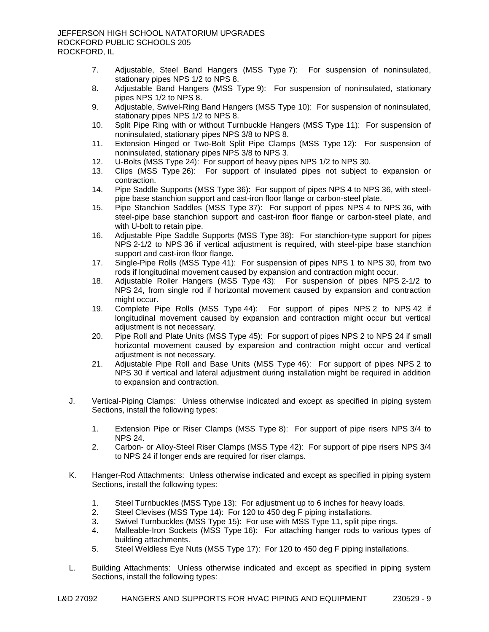- 7. Adjustable, Steel Band Hangers (MSS Type 7): For suspension of noninsulated, stationary pipes NPS 1/2 to NPS 8.
- 8. Adjustable Band Hangers (MSS Type 9): For suspension of noninsulated, stationary pipes NPS 1/2 to NPS 8.
- 9. Adjustable, Swivel-Ring Band Hangers (MSS Type 10): For suspension of noninsulated, stationary pipes NPS 1/2 to NPS 8.
- 10. Split Pipe Ring with or without Turnbuckle Hangers (MSS Type 11): For suspension of noninsulated, stationary pipes NPS 3/8 to NPS 8.
- 11. Extension Hinged or Two-Bolt Split Pipe Clamps (MSS Type 12): For suspension of noninsulated, stationary pipes NPS 3/8 to NPS 3.
- 12. U-Bolts (MSS Type 24): For support of heavy pipes NPS 1/2 to NPS 30.
- 13. Clips (MSS Type 26): For support of insulated pipes not subject to expansion or contraction.
- 14. Pipe Saddle Supports (MSS Type 36): For support of pipes NPS 4 to NPS 36, with steelpipe base stanchion support and cast-iron floor flange or carbon-steel plate.
- 15. Pipe Stanchion Saddles (MSS Type 37): For support of pipes NPS 4 to NPS 36, with steel-pipe base stanchion support and cast-iron floor flange or carbon-steel plate, and with U-bolt to retain pipe.
- 16. Adjustable Pipe Saddle Supports (MSS Type 38): For stanchion-type support for pipes NPS 2-1/2 to NPS 36 if vertical adjustment is required, with steel-pipe base stanchion support and cast-iron floor flange.
- 17. Single-Pipe Rolls (MSS Type 41): For suspension of pipes NPS 1 to NPS 30, from two rods if longitudinal movement caused by expansion and contraction might occur.
- 18. Adjustable Roller Hangers (MSS Type 43): For suspension of pipes NPS 2-1/2 to NPS 24, from single rod if horizontal movement caused by expansion and contraction might occur.
- 19. Complete Pipe Rolls (MSS Type 44): For support of pipes NPS 2 to NPS 42 if longitudinal movement caused by expansion and contraction might occur but vertical adiustment is not necessary.
- 20. Pipe Roll and Plate Units (MSS Type 45): For support of pipes NPS 2 to NPS 24 if small horizontal movement caused by expansion and contraction might occur and vertical adjustment is not necessary.
- 21. Adjustable Pipe Roll and Base Units (MSS Type 46): For support of pipes NPS 2 to NPS 30 if vertical and lateral adjustment during installation might be required in addition to expansion and contraction.
- J. Vertical-Piping Clamps: Unless otherwise indicated and except as specified in piping system Sections, install the following types:
	- 1. Extension Pipe or Riser Clamps (MSS Type 8): For support of pipe risers NPS 3/4 to NPS 24.
	- 2. Carbon- or Alloy-Steel Riser Clamps (MSS Type 42): For support of pipe risers NPS 3/4 to NPS 24 if longer ends are required for riser clamps.
- K. Hanger-Rod Attachments: Unless otherwise indicated and except as specified in piping system Sections, install the following types:
	- 1. Steel Turnbuckles (MSS Type 13): For adjustment up to 6 inches for heavy loads.
	- 2. Steel Clevises (MSS Type 14): For 120 to 450 deg F piping installations.
	- 3. Swivel Turnbuckles (MSS Type 15): For use with MSS Type 11, split pipe rings.
	- 4. Malleable-Iron Sockets (MSS Type 16): For attaching hanger rods to various types of building attachments.
	- 5. Steel Weldless Eye Nuts (MSS Type 17): For 120 to 450 deg F piping installations.
- L. Building Attachments: Unless otherwise indicated and except as specified in piping system Sections, install the following types: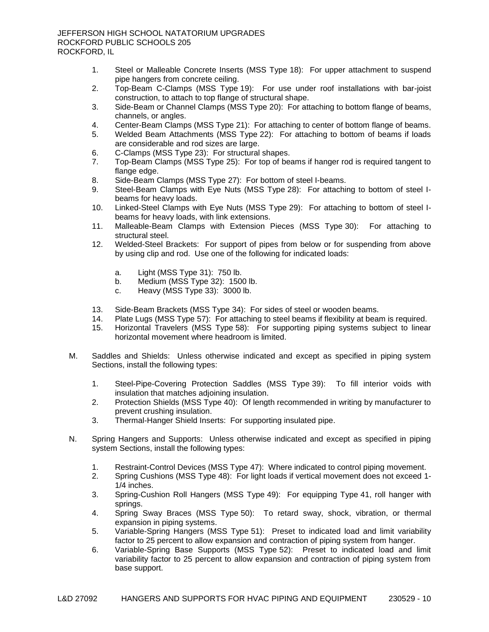- 1. Steel or Malleable Concrete Inserts (MSS Type 18): For upper attachment to suspend pipe hangers from concrete ceiling.
- 2. Top-Beam C-Clamps (MSS Type 19): For use under roof installations with bar-joist construction, to attach to top flange of structural shape.
- 3. Side-Beam or Channel Clamps (MSS Type 20): For attaching to bottom flange of beams, channels, or angles.
- 4. Center-Beam Clamps (MSS Type 21): For attaching to center of bottom flange of beams.
- 5. Welded Beam Attachments (MSS Type 22): For attaching to bottom of beams if loads are considerable and rod sizes are large.
- 6. C-Clamps (MSS Type 23): For structural shapes.
- 7. Top-Beam Clamps (MSS Type 25): For top of beams if hanger rod is required tangent to flange edge.
- 8. Side-Beam Clamps (MSS Type 27): For bottom of steel I-beams.
- 9. Steel-Beam Clamps with Eye Nuts (MSS Type 28): For attaching to bottom of steel Ibeams for heavy loads.
- 10. Linked-Steel Clamps with Eye Nuts (MSS Type 29): For attaching to bottom of steel Ibeams for heavy loads, with link extensions.
- 11. Malleable-Beam Clamps with Extension Pieces (MSS Type 30): For attaching to structural steel.
- 12. Welded-Steel Brackets: For support of pipes from below or for suspending from above by using clip and rod. Use one of the following for indicated loads:
	- a. Light (MSS Type 31): 750 lb.
	- b. Medium (MSS Type 32): 1500 lb.
	- c. Heavy (MSS Type 33): 3000 lb.
- 13. Side-Beam Brackets (MSS Type 34): For sides of steel or wooden beams.
- 14. Plate Lugs (MSS Type 57): For attaching to steel beams if flexibility at beam is required.
- 15. Horizontal Travelers (MSS Type 58): For supporting piping systems subject to linear horizontal movement where headroom is limited.
- M. Saddles and Shields: Unless otherwise indicated and except as specified in piping system Sections, install the following types:
	- 1. Steel-Pipe-Covering Protection Saddles (MSS Type 39): To fill interior voids with insulation that matches adjoining insulation.
	- 2. Protection Shields (MSS Type 40): Of length recommended in writing by manufacturer to prevent crushing insulation.
	- 3. Thermal-Hanger Shield Inserts: For supporting insulated pipe.
- N. Spring Hangers and Supports: Unless otherwise indicated and except as specified in piping system Sections, install the following types:
	- 1. Restraint-Control Devices (MSS Type 47): Where indicated to control piping movement.
	- 2. Spring Cushions (MSS Type 48): For light loads if vertical movement does not exceed 1- 1/4 inches.
	- 3. Spring-Cushion Roll Hangers (MSS Type 49): For equipping Type 41, roll hanger with springs.
	- 4. Spring Sway Braces (MSS Type 50): To retard sway, shock, vibration, or thermal expansion in piping systems.
	- 5. Variable-Spring Hangers (MSS Type 51): Preset to indicated load and limit variability factor to 25 percent to allow expansion and contraction of piping system from hanger.
	- 6. Variable-Spring Base Supports (MSS Type 52): Preset to indicated load and limit variability factor to 25 percent to allow expansion and contraction of piping system from base support.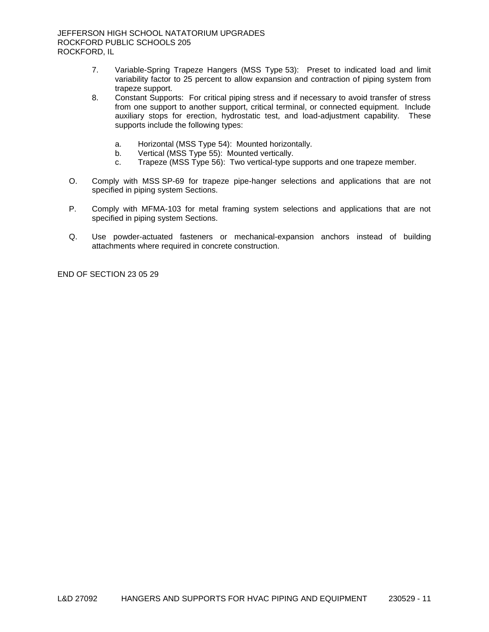- 7. Variable-Spring Trapeze Hangers (MSS Type 53): Preset to indicated load and limit variability factor to 25 percent to allow expansion and contraction of piping system from trapeze support.
- 8. Constant Supports: For critical piping stress and if necessary to avoid transfer of stress from one support to another support, critical terminal, or connected equipment. Include auxiliary stops for erection, hydrostatic test, and load-adjustment capability. These supports include the following types:
	- a. Horizontal (MSS Type 54): Mounted horizontally.
	- b. Vertical (MSS Type 55): Mounted vertically.
	- c. Trapeze (MSS Type 56): Two vertical-type supports and one trapeze member.
- O. Comply with MSS SP-69 for trapeze pipe-hanger selections and applications that are not specified in piping system Sections.
- P. Comply with MFMA-103 for metal framing system selections and applications that are not specified in piping system Sections.
- Q. Use powder-actuated fasteners or mechanical-expansion anchors instead of building attachments where required in concrete construction.

END OF SECTION 23 05 29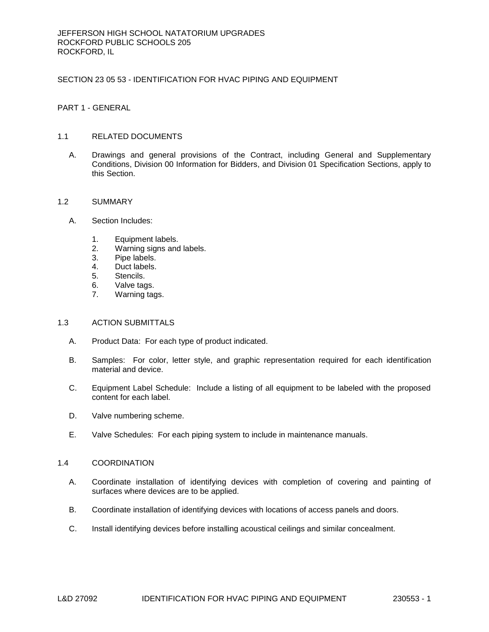## SECTION 23 05 53 - IDENTIFICATION FOR HVAC PIPING AND EQUIPMENT

PART 1 - GENERAL

## 1.1 RELATED DOCUMENTS

A. Drawings and general provisions of the Contract, including General and Supplementary Conditions, Division 00 Information for Bidders, and Division 01 Specification Sections, apply to this Section.

## 1.2 SUMMARY

- A. Section Includes:
	- 1. Equipment labels.
	- 2. Warning signs and labels.
	- 3. Pipe labels.
	- 4. Duct labels.
	- 5. Stencils.
	- 6. Valve tags.
	- 7. Warning tags.

## 1.3 ACTION SUBMITTALS

- A. Product Data: For each type of product indicated.
- B. Samples: For color, letter style, and graphic representation required for each identification material and device.
- C. Equipment Label Schedule: Include a listing of all equipment to be labeled with the proposed content for each label.
- D. Valve numbering scheme.
- E. Valve Schedules: For each piping system to include in maintenance manuals.

## 1.4 COORDINATION

- A. Coordinate installation of identifying devices with completion of covering and painting of surfaces where devices are to be applied.
- B. Coordinate installation of identifying devices with locations of access panels and doors.
- C. Install identifying devices before installing acoustical ceilings and similar concealment.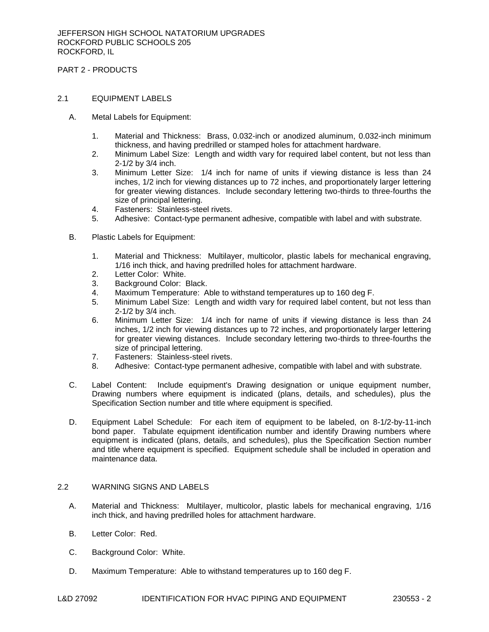PART 2 - PRODUCTS

# 2.1 EQUIPMENT LABELS

- A. Metal Labels for Equipment:
	- 1. Material and Thickness: Brass, 0.032-inch or anodized aluminum, 0.032-inch minimum thickness, and having predrilled or stamped holes for attachment hardware.
	- 2. Minimum Label Size: Length and width vary for required label content, but not less than 2-1/2 by 3/4 inch.
	- 3. Minimum Letter Size: 1/4 inch for name of units if viewing distance is less than 24 inches, 1/2 inch for viewing distances up to 72 inches, and proportionately larger lettering for greater viewing distances. Include secondary lettering two-thirds to three-fourths the size of principal lettering.
	- 4. Fasteners: Stainless-steel rivets.
	- 5. Adhesive: Contact-type permanent adhesive, compatible with label and with substrate.
- B. Plastic Labels for Equipment:
	- 1. Material and Thickness: Multilayer, multicolor, plastic labels for mechanical engraving, 1/16 inch thick, and having predrilled holes for attachment hardware.
	- 2. Letter Color: White.
	- 3. Background Color: Black.
	- 4. Maximum Temperature: Able to withstand temperatures up to 160 deg F.
	- 5. Minimum Label Size: Length and width vary for required label content, but not less than 2-1/2 by 3/4 inch.
	- 6. Minimum Letter Size: 1/4 inch for name of units if viewing distance is less than 24 inches, 1/2 inch for viewing distances up to 72 inches, and proportionately larger lettering for greater viewing distances. Include secondary lettering two-thirds to three-fourths the size of principal lettering.
	- 7. Fasteners: Stainless-steel rivets.
	- 8. Adhesive: Contact-type permanent adhesive, compatible with label and with substrate.
- C. Label Content: Include equipment's Drawing designation or unique equipment number, Drawing numbers where equipment is indicated (plans, details, and schedules), plus the Specification Section number and title where equipment is specified.
- D. Equipment Label Schedule: For each item of equipment to be labeled, on 8-1/2-by-11-inch bond paper. Tabulate equipment identification number and identify Drawing numbers where equipment is indicated (plans, details, and schedules), plus the Specification Section number and title where equipment is specified. Equipment schedule shall be included in operation and maintenance data.

## 2.2 WARNING SIGNS AND LABELS

- A. Material and Thickness: Multilayer, multicolor, plastic labels for mechanical engraving, 1/16 inch thick, and having predrilled holes for attachment hardware.
- B. Letter Color: Red.
- C. Background Color: White.
- D. Maximum Temperature: Able to withstand temperatures up to 160 deg F.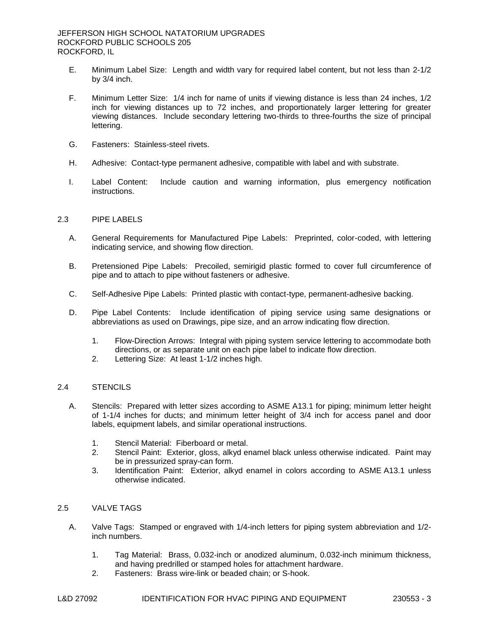- E. Minimum Label Size: Length and width vary for required label content, but not less than 2-1/2 by 3/4 inch.
- F. Minimum Letter Size: 1/4 inch for name of units if viewing distance is less than 24 inches, 1/2 inch for viewing distances up to 72 inches, and proportionately larger lettering for greater viewing distances. Include secondary lettering two-thirds to three-fourths the size of principal lettering.
- G. Fasteners: Stainless-steel rivets.
- H. Adhesive: Contact-type permanent adhesive, compatible with label and with substrate.
- I. Label Content: Include caution and warning information, plus emergency notification instructions.

## 2.3 PIPE LABELS

- A. General Requirements for Manufactured Pipe Labels: Preprinted, color-coded, with lettering indicating service, and showing flow direction.
- B. Pretensioned Pipe Labels: Precoiled, semirigid plastic formed to cover full circumference of pipe and to attach to pipe without fasteners or adhesive.
- C. Self-Adhesive Pipe Labels: Printed plastic with contact-type, permanent-adhesive backing.
- D. Pipe Label Contents: Include identification of piping service using same designations or abbreviations as used on Drawings, pipe size, and an arrow indicating flow direction.
	- 1. Flow-Direction Arrows: Integral with piping system service lettering to accommodate both directions, or as separate unit on each pipe label to indicate flow direction.
	- 2. Lettering Size: At least 1-1/2 inches high.

## 2.4 STENCILS

- A. Stencils: Prepared with letter sizes according to ASME A13.1 for piping; minimum letter height of 1-1/4 inches for ducts; and minimum letter height of 3/4 inch for access panel and door labels, equipment labels, and similar operational instructions.
	- 1. Stencil Material: Fiberboard or metal.
	- 2. Stencil Paint: Exterior, gloss, alkyd enamel black unless otherwise indicated. Paint may be in pressurized spray-can form.
	- 3. Identification Paint: Exterior, alkyd enamel in colors according to ASME A13.1 unless otherwise indicated.

#### 2.5 VALVE TAGS

- A. Valve Tags: Stamped or engraved with 1/4-inch letters for piping system abbreviation and 1/2 inch numbers.
	- 1. Tag Material: Brass, 0.032-inch or anodized aluminum, 0.032-inch minimum thickness, and having predrilled or stamped holes for attachment hardware.
	- 2. Fasteners: Brass wire-link or beaded chain; or S-hook.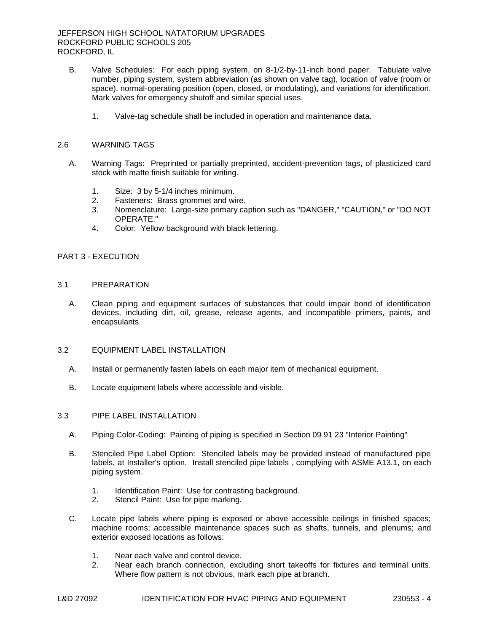- B. Valve Schedules: For each piping system, on 8-1/2-by-11-inch bond paper. Tabulate valve number, piping system, system abbreviation (as shown on valve tag), location of valve (room or space), normal-operating position (open, closed, or modulating), and variations for identification. Mark valves for emergency shutoff and similar special uses.
	- 1. Valve-tag schedule shall be included in operation and maintenance data.

### 2.6 WARNING TAGS

- A. Warning Tags: Preprinted or partially preprinted, accident-prevention tags, of plasticized card stock with matte finish suitable for writing.
	- 1. Size: 3 by 5-1/4 inches minimum.
	- 2. Fasteners: Brass grommet and wire.
	- 3. Nomenclature: Large-size primary caption such as "DANGER," "CAUTION," or "DO NOT OPERATE."
	- 4. Color: Yellow background with black lettering.

## PART 3 - EXECUTION

### 3.1 PREPARATION

A. Clean piping and equipment surfaces of substances that could impair bond of identification devices, including dirt, oil, grease, release agents, and incompatible primers, paints, and encapsulants.

#### 3.2 EQUIPMENT LABEL INSTALLATION

- A. Install or permanently fasten labels on each major item of mechanical equipment.
- B. Locate equipment labels where accessible and visible.

#### 3.3 PIPE LABEL INSTALLATION

- A. Piping Color-Coding: Painting of piping is specified in Section 09 91 23 "Interior Painting"
- B. Stenciled Pipe Label Option: Stenciled labels may be provided instead of manufactured pipe labels, at Installer's option. Install stenciled pipe labels , complying with ASME A13.1, on each piping system.
	- 1. Identification Paint: Use for contrasting background.
	- 2. Stencil Paint: Use for pipe marking.
- C. Locate pipe labels where piping is exposed or above accessible ceilings in finished spaces; machine rooms; accessible maintenance spaces such as shafts, tunnels, and plenums; and exterior exposed locations as follows:
	- 1. Near each valve and control device.
	- 2. Near each branch connection, excluding short takeoffs for fixtures and terminal units. Where flow pattern is not obvious, mark each pipe at branch.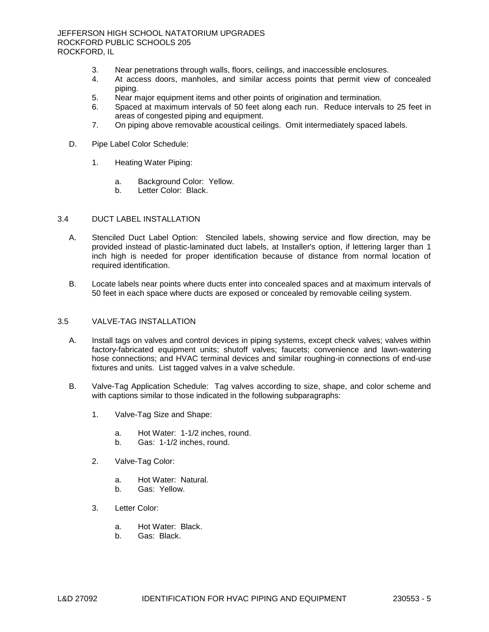- 3. Near penetrations through walls, floors, ceilings, and inaccessible enclosures.
- 4. At access doors, manholes, and similar access points that permit view of concealed piping.
- 5. Near major equipment items and other points of origination and termination.
- 6. Spaced at maximum intervals of 50 feet along each run. Reduce intervals to 25 feet in areas of congested piping and equipment.
- 7. On piping above removable acoustical ceilings. Omit intermediately spaced labels.
- D. Pipe Label Color Schedule:
	- 1. Heating Water Piping:
		- a. Background Color: Yellow.
		- b. Letter Color: Black.

# 3.4 DUCT LABEL INSTALLATION

- A. Stenciled Duct Label Option: Stenciled labels, showing service and flow direction, may be provided instead of plastic-laminated duct labels, at Installer's option, if lettering larger than 1 inch high is needed for proper identification because of distance from normal location of required identification.
- B. Locate labels near points where ducts enter into concealed spaces and at maximum intervals of 50 feet in each space where ducts are exposed or concealed by removable ceiling system.

## 3.5 VALVE-TAG INSTALLATION

- A. Install tags on valves and control devices in piping systems, except check valves; valves within factory-fabricated equipment units; shutoff valves; faucets; convenience and lawn-watering hose connections; and HVAC terminal devices and similar roughing-in connections of end-use fixtures and units. List tagged valves in a valve schedule.
- B. Valve-Tag Application Schedule: Tag valves according to size, shape, and color scheme and with captions similar to those indicated in the following subparagraphs:
	- 1. Valve-Tag Size and Shape:
		- a. Hot Water: 1-1/2 inches, round.
		- b. Gas: 1-1/2 inches, round.
	- 2. Valve-Tag Color:
		- a. Hot Water: Natural.
		- b. Gas: Yellow.
	- 3. Letter Color:
		- a. Hot Water: Black.
		- b. Gas: Black.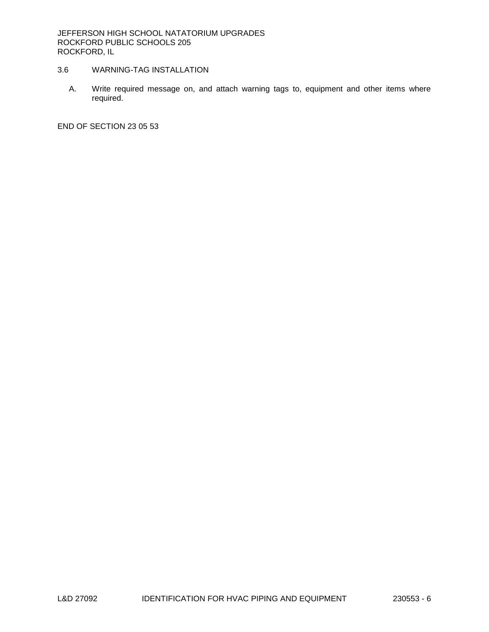# 3.6 WARNING-TAG INSTALLATION

A. Write required message on, and attach warning tags to, equipment and other items where required.

END OF SECTION 23 05 53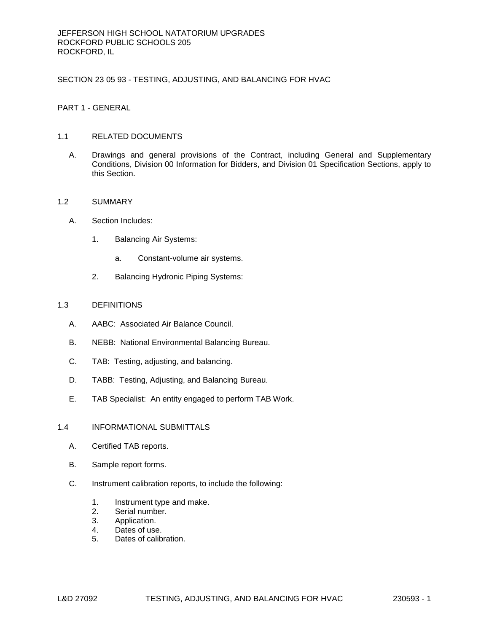SECTION 23 05 93 - TESTING, ADJUSTING, AND BALANCING FOR HVAC

PART 1 - GENERAL

# 1.1 RELATED DOCUMENTS

A. Drawings and general provisions of the Contract, including General and Supplementary Conditions, Division 00 Information for Bidders, and Division 01 Specification Sections, apply to this Section.

## 1.2 SUMMARY

- A. Section Includes:
	- 1. Balancing Air Systems:
		- a. Constant-volume air systems.
	- 2. Balancing Hydronic Piping Systems:

## 1.3 DEFINITIONS

- A. AABC: Associated Air Balance Council.
- B. NEBB: National Environmental Balancing Bureau.
- C. TAB: Testing, adjusting, and balancing.
- D. TABB: Testing, Adjusting, and Balancing Bureau.
- E. TAB Specialist: An entity engaged to perform TAB Work.

## 1.4 INFORMATIONAL SUBMITTALS

- A. Certified TAB reports.
- B. Sample report forms.
- C. Instrument calibration reports, to include the following:
	- 1. Instrument type and make.
	- 2. Serial number.
	- 3. Application.
	- 4. Dates of use.
	- 5. Dates of calibration.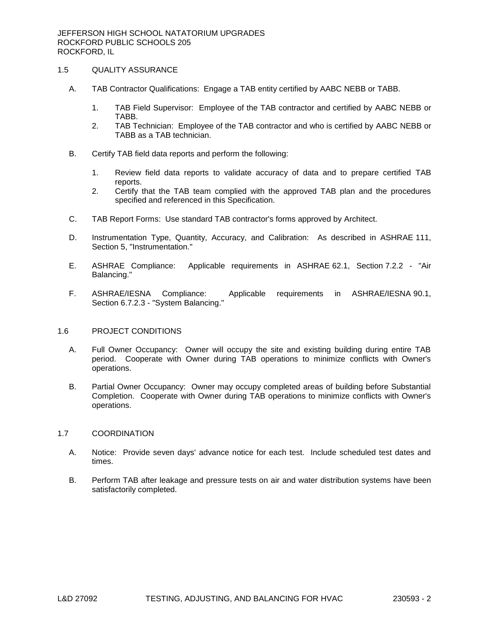## 1.5 QUALITY ASSURANCE

- A. TAB Contractor Qualifications: Engage a TAB entity certified by AABC NEBB or TABB.
	- 1. TAB Field Supervisor: Employee of the TAB contractor and certified by AABC NEBB or TABB.
	- 2. TAB Technician: Employee of the TAB contractor and who is certified by AABC NEBB or TABB as a TAB technician.
- B. Certify TAB field data reports and perform the following:
	- 1. Review field data reports to validate accuracy of data and to prepare certified TAB reports.
	- 2. Certify that the TAB team complied with the approved TAB plan and the procedures specified and referenced in this Specification.
- C. TAB Report Forms: Use standard TAB contractor's forms approved by Architect.
- D. Instrumentation Type, Quantity, Accuracy, and Calibration: As described in ASHRAE 111, Section 5, "Instrumentation."
- E. ASHRAE Compliance: Applicable requirements in ASHRAE 62.1, Section 7.2.2 "Air Balancing."
- F. ASHRAE/IESNA Compliance: Applicable requirements in ASHRAE/IESNA 90.1, Section 6.7.2.3 - "System Balancing."

## 1.6 PROJECT CONDITIONS

- A. Full Owner Occupancy: Owner will occupy the site and existing building during entire TAB period. Cooperate with Owner during TAB operations to minimize conflicts with Owner's operations.
- B. Partial Owner Occupancy: Owner may occupy completed areas of building before Substantial Completion. Cooperate with Owner during TAB operations to minimize conflicts with Owner's operations.

#### 1.7 COORDINATION

- A. Notice: Provide seven days' advance notice for each test. Include scheduled test dates and times.
- B. Perform TAB after leakage and pressure tests on air and water distribution systems have been satisfactorily completed.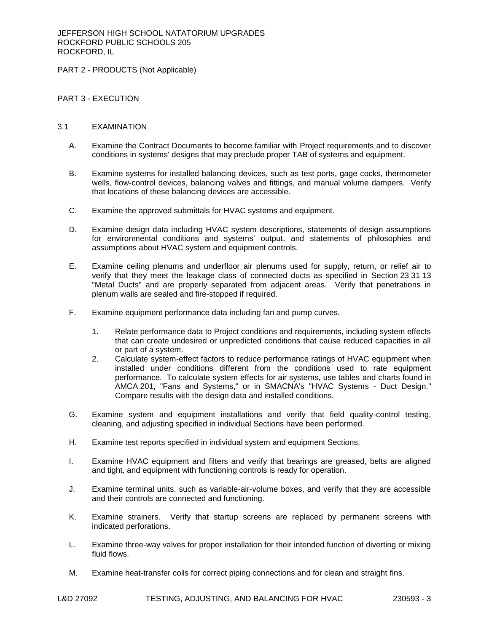PART 2 - PRODUCTS (Not Applicable)

# PART 3 - EXECUTION

## 3.1 EXAMINATION

- A. Examine the Contract Documents to become familiar with Project requirements and to discover conditions in systems' designs that may preclude proper TAB of systems and equipment.
- B. Examine systems for installed balancing devices, such as test ports, gage cocks, thermometer wells, flow-control devices, balancing valves and fittings, and manual volume dampers. Verify that locations of these balancing devices are accessible.
- C. Examine the approved submittals for HVAC systems and equipment.
- D. Examine design data including HVAC system descriptions, statements of design assumptions for environmental conditions and systems' output, and statements of philosophies and assumptions about HVAC system and equipment controls.
- E. Examine ceiling plenums and underfloor air plenums used for supply, return, or relief air to verify that they meet the leakage class of connected ducts as specified in Section 23 31 13 "Metal Ducts" and are properly separated from adjacent areas. Verify that penetrations in plenum walls are sealed and fire-stopped if required.
- F. Examine equipment performance data including fan and pump curves.
	- 1. Relate performance data to Project conditions and requirements, including system effects that can create undesired or unpredicted conditions that cause reduced capacities in all or part of a system.
	- 2. Calculate system-effect factors to reduce performance ratings of HVAC equipment when installed under conditions different from the conditions used to rate equipment performance. To calculate system effects for air systems, use tables and charts found in AMCA 201, "Fans and Systems," or in SMACNA's "HVAC Systems - Duct Design." Compare results with the design data and installed conditions.
- G. Examine system and equipment installations and verify that field quality-control testing, cleaning, and adjusting specified in individual Sections have been performed.
- H. Examine test reports specified in individual system and equipment Sections.
- I. Examine HVAC equipment and filters and verify that bearings are greased, belts are aligned and tight, and equipment with functioning controls is ready for operation.
- J. Examine terminal units, such as variable-air-volume boxes, and verify that they are accessible and their controls are connected and functioning.
- K. Examine strainers. Verify that startup screens are replaced by permanent screens with indicated perforations.
- L. Examine three-way valves for proper installation for their intended function of diverting or mixing fluid flows.
- M. Examine heat-transfer coils for correct piping connections and for clean and straight fins.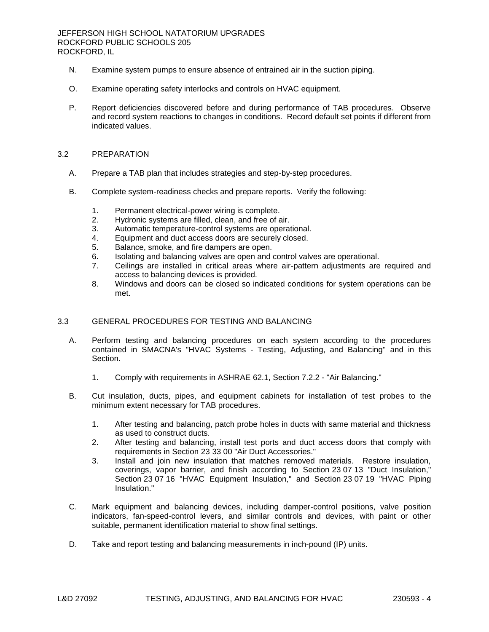- N. Examine system pumps to ensure absence of entrained air in the suction piping.
- O. Examine operating safety interlocks and controls on HVAC equipment.
- P. Report deficiencies discovered before and during performance of TAB procedures. Observe and record system reactions to changes in conditions. Record default set points if different from indicated values.

### 3.2 PREPARATION

- A. Prepare a TAB plan that includes strategies and step-by-step procedures.
- B. Complete system-readiness checks and prepare reports. Verify the following:
	- 1. Permanent electrical-power wiring is complete.
	- 2. Hydronic systems are filled, clean, and free of air.
	- 3. Automatic temperature-control systems are operational.
	- 4. Equipment and duct access doors are securely closed.
	- 5. Balance, smoke, and fire dampers are open.
	- 6. Isolating and balancing valves are open and control valves are operational.
	- 7. Ceilings are installed in critical areas where air-pattern adjustments are required and access to balancing devices is provided.
	- 8. Windows and doors can be closed so indicated conditions for system operations can be met.

## 3.3 GENERAL PROCEDURES FOR TESTING AND BALANCING

- A. Perform testing and balancing procedures on each system according to the procedures contained in SMACNA's "HVAC Systems - Testing, Adjusting, and Balancing" and in this Section.
	- 1. Comply with requirements in ASHRAE 62.1, Section 7.2.2 "Air Balancing."
- B. Cut insulation, ducts, pipes, and equipment cabinets for installation of test probes to the minimum extent necessary for TAB procedures.
	- 1. After testing and balancing, patch probe holes in ducts with same material and thickness as used to construct ducts.
	- 2. After testing and balancing, install test ports and duct access doors that comply with requirements in Section 23 33 00 "Air Duct Accessories."
	- 3. Install and join new insulation that matches removed materials. Restore insulation, coverings, vapor barrier, and finish according to Section 23 07 13 "Duct Insulation," Section 23 07 16 "HVAC Equipment Insulation," and Section 23 07 19 "HVAC Piping Insulation."
- C. Mark equipment and balancing devices, including damper-control positions, valve position indicators, fan-speed-control levers, and similar controls and devices, with paint or other suitable, permanent identification material to show final settings.
- D. Take and report testing and balancing measurements in inch-pound (IP) units.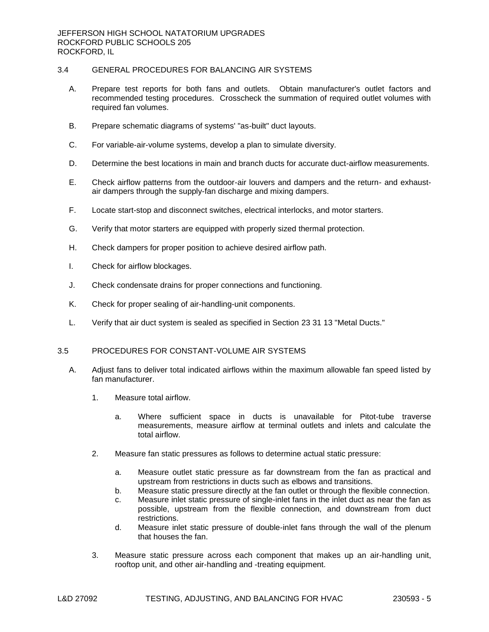# 3.4 GENERAL PROCEDURES FOR BALANCING AIR SYSTEMS

- A. Prepare test reports for both fans and outlets. Obtain manufacturer's outlet factors and recommended testing procedures. Crosscheck the summation of required outlet volumes with required fan volumes.
- B. Prepare schematic diagrams of systems' "as-built" duct layouts.
- C. For variable-air-volume systems, develop a plan to simulate diversity.
- D. Determine the best locations in main and branch ducts for accurate duct-airflow measurements.
- E. Check airflow patterns from the outdoor-air louvers and dampers and the return- and exhaustair dampers through the supply-fan discharge and mixing dampers.
- F. Locate start-stop and disconnect switches, electrical interlocks, and motor starters.
- G. Verify that motor starters are equipped with properly sized thermal protection.
- H. Check dampers for proper position to achieve desired airflow path.
- I. Check for airflow blockages.
- J. Check condensate drains for proper connections and functioning.
- K. Check for proper sealing of air-handling-unit components.
- L. Verify that air duct system is sealed as specified in Section 23 31 13 "Metal Ducts."

# 3.5 PROCEDURES FOR CONSTANT-VOLUME AIR SYSTEMS

- A. Adjust fans to deliver total indicated airflows within the maximum allowable fan speed listed by fan manufacturer.
	- 1. Measure total airflow.
		- a. Where sufficient space in ducts is unavailable for Pitot-tube traverse measurements, measure airflow at terminal outlets and inlets and calculate the total airflow.
	- 2. Measure fan static pressures as follows to determine actual static pressure:
		- a. Measure outlet static pressure as far downstream from the fan as practical and upstream from restrictions in ducts such as elbows and transitions.
		- b. Measure static pressure directly at the fan outlet or through the flexible connection.
		- c. Measure inlet static pressure of single-inlet fans in the inlet duct as near the fan as possible, upstream from the flexible connection, and downstream from duct restrictions.
		- d. Measure inlet static pressure of double-inlet fans through the wall of the plenum that houses the fan.
	- 3. Measure static pressure across each component that makes up an air-handling unit, rooftop unit, and other air-handling and -treating equipment.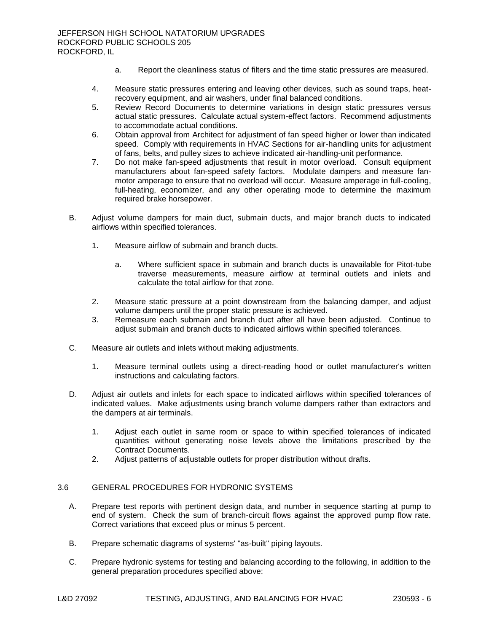- a. Report the cleanliness status of filters and the time static pressures are measured.
- 4. Measure static pressures entering and leaving other devices, such as sound traps, heatrecovery equipment, and air washers, under final balanced conditions.
- 5. Review Record Documents to determine variations in design static pressures versus actual static pressures. Calculate actual system-effect factors. Recommend adjustments to accommodate actual conditions.
- 6. Obtain approval from Architect for adjustment of fan speed higher or lower than indicated speed. Comply with requirements in HVAC Sections for air-handling units for adjustment of fans, belts, and pulley sizes to achieve indicated air-handling-unit performance.
- 7. Do not make fan-speed adjustments that result in motor overload. Consult equipment manufacturers about fan-speed safety factors. Modulate dampers and measure fanmotor amperage to ensure that no overload will occur. Measure amperage in full-cooling, full-heating, economizer, and any other operating mode to determine the maximum required brake horsepower.
- B. Adjust volume dampers for main duct, submain ducts, and major branch ducts to indicated airflows within specified tolerances.
	- 1. Measure airflow of submain and branch ducts.
		- a. Where sufficient space in submain and branch ducts is unavailable for Pitot-tube traverse measurements, measure airflow at terminal outlets and inlets and calculate the total airflow for that zone.
	- 2. Measure static pressure at a point downstream from the balancing damper, and adjust volume dampers until the proper static pressure is achieved.
	- 3. Remeasure each submain and branch duct after all have been adjusted. Continue to adjust submain and branch ducts to indicated airflows within specified tolerances.
- C. Measure air outlets and inlets without making adjustments.
	- 1. Measure terminal outlets using a direct-reading hood or outlet manufacturer's written instructions and calculating factors.
- D. Adjust air outlets and inlets for each space to indicated airflows within specified tolerances of indicated values. Make adjustments using branch volume dampers rather than extractors and the dampers at air terminals.
	- 1. Adjust each outlet in same room or space to within specified tolerances of indicated quantities without generating noise levels above the limitations prescribed by the Contract Documents.
	- 2. Adjust patterns of adjustable outlets for proper distribution without drafts.

# 3.6 GENERAL PROCEDURES FOR HYDRONIC SYSTEMS

- A. Prepare test reports with pertinent design data, and number in sequence starting at pump to end of system. Check the sum of branch-circuit flows against the approved pump flow rate. Correct variations that exceed plus or minus 5 percent.
- B. Prepare schematic diagrams of systems' "as-built" piping layouts.
- C. Prepare hydronic systems for testing and balancing according to the following, in addition to the general preparation procedures specified above: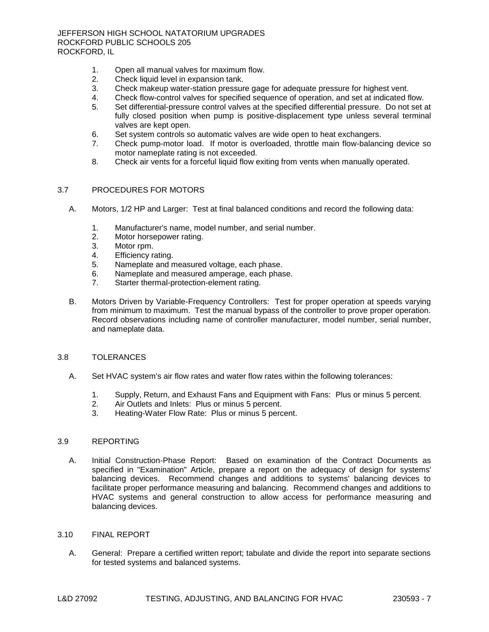- 1. Open all manual valves for maximum flow.<br>2. Check liquid level in expansion tank.
- 2. Check liquid level in expansion tank.
- 3. Check makeup water-station pressure gage for adequate pressure for highest vent.
- 4. Check flow-control valves for specified sequence of operation, and set at indicated flow.
- 5. Set differential-pressure control valves at the specified differential pressure. Do not set at fully closed position when pump is positive-displacement type unless several terminal valves are kept open.
- 6. Set system controls so automatic valves are wide open to heat exchangers.
- 7. Check pump-motor load. If motor is overloaded, throttle main flow-balancing device so motor nameplate rating is not exceeded.
- 8. Check air vents for a forceful liquid flow exiting from vents when manually operated.

## 3.7 PROCEDURES FOR MOTORS

- A. Motors, 1/2 HP and Larger: Test at final balanced conditions and record the following data:
	- 1. Manufacturer's name, model number, and serial number.
	- 2. Motor horsepower rating.
	- 3. Motor rpm.
	- 4. Efficiency rating.
	- 5. Nameplate and measured voltage, each phase.
	- 6. Nameplate and measured amperage, each phase.
	- 7. Starter thermal-protection-element rating.
- B. Motors Driven by Variable-Frequency Controllers: Test for proper operation at speeds varying from minimum to maximum. Test the manual bypass of the controller to prove proper operation. Record observations including name of controller manufacturer, model number, serial number, and nameplate data.

## 3.8 TOLERANCES

- A. Set HVAC system's air flow rates and water flow rates within the following tolerances:
	- 1. Supply, Return, and Exhaust Fans and Equipment with Fans: Plus or minus 5 percent.
	- 2. Air Outlets and Inlets: Plus or minus 5 percent.
	- 3. Heating-Water Flow Rate: Plus or minus 5 percent.

## 3.9 REPORTING

A. Initial Construction-Phase Report: Based on examination of the Contract Documents as specified in "Examination" Article, prepare a report on the adequacy of design for systems' balancing devices. Recommend changes and additions to systems' balancing devices to facilitate proper performance measuring and balancing. Recommend changes and additions to HVAC systems and general construction to allow access for performance measuring and balancing devices.

#### 3.10 FINAL REPORT

A. General: Prepare a certified written report; tabulate and divide the report into separate sections for tested systems and balanced systems.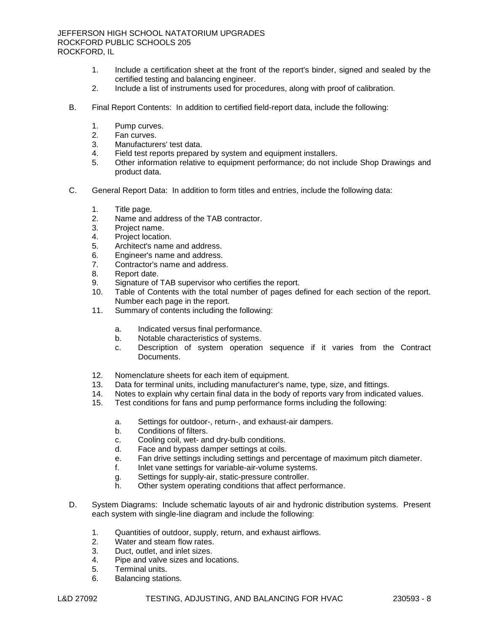- 1. Include a certification sheet at the front of the report's binder, signed and sealed by the certified testing and balancing engineer.
- 2. Include a list of instruments used for procedures, along with proof of calibration.
- B. Final Report Contents: In addition to certified field-report data, include the following:
	- 1. Pump curves.
	- 2. Fan curves.
	- 3. Manufacturers' test data.
	- 4. Field test reports prepared by system and equipment installers.
	- 5. Other information relative to equipment performance; do not include Shop Drawings and product data.
- C. General Report Data: In addition to form titles and entries, include the following data:
	- 1. Title page.
	- 2. Name and address of the TAB contractor.
	- 3. Project name.
	- 4. Project location.
	- 5. Architect's name and address.
	- 6. Engineer's name and address.
	- 7. Contractor's name and address.
	- 8. Report date.
	- 9. Signature of TAB supervisor who certifies the report.
	- 10. Table of Contents with the total number of pages defined for each section of the report. Number each page in the report.
	- 11. Summary of contents including the following:
		- a. Indicated versus final performance.
		- b. Notable characteristics of systems.
		- c. Description of system operation sequence if it varies from the Contract Documents.
	- 12. Nomenclature sheets for each item of equipment.<br>13. Data for terminal units, including manufacturer's n
	- Data for terminal units, including manufacturer's name, type, size, and fittings.
	- 14. Notes to explain why certain final data in the body of reports vary from indicated values.
	- 15. Test conditions for fans and pump performance forms including the following:
		- a. Settings for outdoor-, return-, and exhaust-air dampers.
		- b. Conditions of filters.
		- c. Cooling coil, wet- and dry-bulb conditions.
		- d. Face and bypass damper settings at coils.
		- e. Fan drive settings including settings and percentage of maximum pitch diameter.
		- f. Inlet vane settings for variable-air-volume systems.
		- g. Settings for supply-air, static-pressure controller.
		- h. Other system operating conditions that affect performance.
- D. System Diagrams: Include schematic layouts of air and hydronic distribution systems. Present each system with single-line diagram and include the following:
	- 1. Quantities of outdoor, supply, return, and exhaust airflows.
	- 2. Water and steam flow rates.
	- 3. Duct, outlet, and inlet sizes.
	- 4. Pipe and valve sizes and locations.
	- 5. Terminal units.
	- 6. Balancing stations.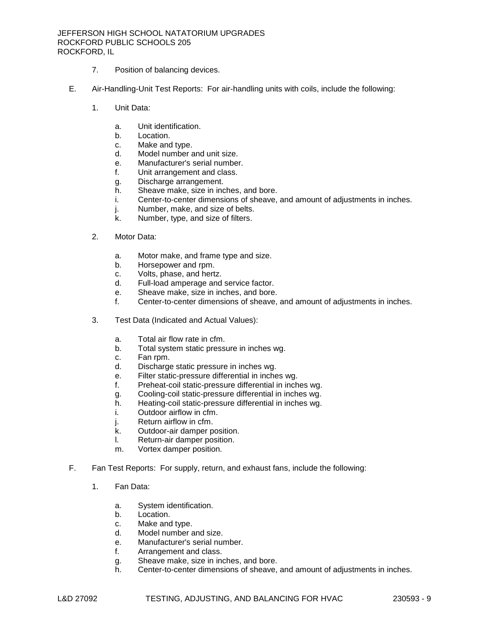## JEFFERSON HIGH SCHOOL NATATORIUM UPGRADES ROCKFORD PUBLIC SCHOOLS 205 ROCKFORD, IL

- 7. Position of balancing devices.
- E. Air-Handling-Unit Test Reports: For air-handling units with coils, include the following:
	- 1. Unit Data:
		- a. Unit identification.
		- b. Location.
		- c. Make and type.
		- d. Model number and unit size.
		- e. Manufacturer's serial number.
		- f. Unit arrangement and class.
		- g. Discharge arrangement.
		- h. Sheave make, size in inches, and bore.
		- i. Center-to-center dimensions of sheave, and amount of adjustments in inches.
		- j. Number, make, and size of belts.
		- k. Number, type, and size of filters.
	- 2. Motor Data:
		- a. Motor make, and frame type and size.
		- b. Horsepower and rpm.
		- c. Volts, phase, and hertz.
		- d. Full-load amperage and service factor.
		- e. Sheave make, size in inches, and bore.
		- f. Center-to-center dimensions of sheave, and amount of adjustments in inches.
	- 3. Test Data (Indicated and Actual Values):
		- a. Total air flow rate in cfm.
		- b. Total system static pressure in inches wg.
		- c. Fan rpm.
		- d. Discharge static pressure in inches wg.
		- e. Filter static-pressure differential in inches wg.
		- f. Preheat-coil static-pressure differential in inches wg.
		- g. Cooling-coil static-pressure differential in inches wg.
		- h. Heating-coil static-pressure differential in inches wg.
		- i. Outdoor airflow in cfm.
		- j. Return airflow in cfm.
		- k. Outdoor-air damper position.
		- l. Return-air damper position.
		- m. Vortex damper position.
- F. Fan Test Reports: For supply, return, and exhaust fans, include the following:
	- 1. Fan Data:
		- a. System identification.
		- b. Location.
		- c. Make and type.
		- d. Model number and size.
		- e. Manufacturer's serial number.
		- f. Arrangement and class.
		- g. Sheave make, size in inches, and bore.
		- h. Center-to-center dimensions of sheave, and amount of adjustments in inches.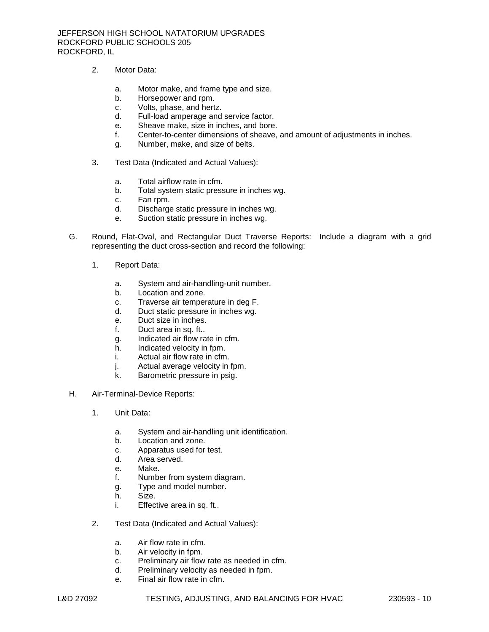- 2. Motor Data:
	- a. Motor make, and frame type and size.
	- b. Horsepower and rpm.
	- c. Volts, phase, and hertz.
	- d. Full-load amperage and service factor.
	- e. Sheave make, size in inches, and bore.
	- f. Center-to-center dimensions of sheave, and amount of adjustments in inches.
	- g. Number, make, and size of belts.
- 3. Test Data (Indicated and Actual Values):
	- a. Total airflow rate in cfm.
	- b. Total system static pressure in inches wg.
	- c. Fan rpm.
	- d. Discharge static pressure in inches wg.
	- e. Suction static pressure in inches wg.
- G. Round, Flat-Oval, and Rectangular Duct Traverse Reports: Include a diagram with a grid representing the duct cross-section and record the following:
	- 1. Report Data:
		- a. System and air-handling-unit number.
		- b. Location and zone.
		- c. Traverse air temperature in deg F.
		- d. Duct static pressure in inches wg.
		- e. Duct size in inches.
		- f. Duct area in sq. ft..
		- g. Indicated air flow rate in cfm.
		- h. Indicated velocity in fpm.
		- i. Actual air flow rate in cfm.
		- j. Actual average velocity in fpm.
		- k. Barometric pressure in psig.
- H. Air-Terminal-Device Reports:
	- 1. Unit Data:
		- a. System and air-handling unit identification.
		- b. Location and zone.
		- c. Apparatus used for test.
		- d. Area served.
		- e. Make.
		- f. Number from system diagram.
		- g. Type and model number.
		- h. Size.
		- i. Effective area in sq. ft..
	- 2. Test Data (Indicated and Actual Values):
		- a. Air flow rate in cfm.
		- b. Air velocity in fpm.
		- c. Preliminary air flow rate as needed in cfm.
		- d. Preliminary velocity as needed in fpm.
		- e. Final air flow rate in cfm.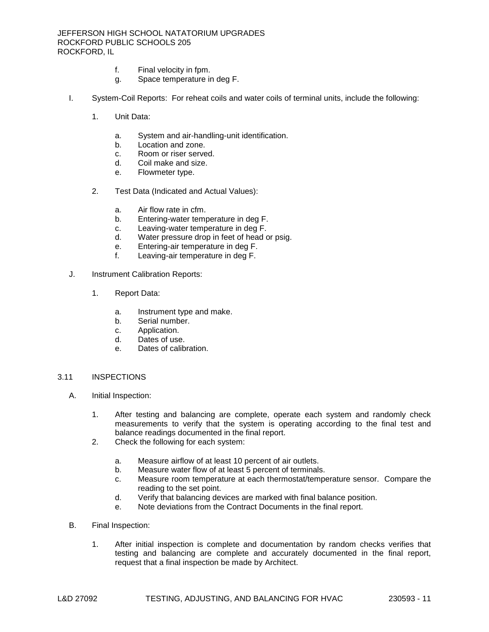- f. Final velocity in fpm.
- g. Space temperature in deg F.
- I. System-Coil Reports: For reheat coils and water coils of terminal units, include the following:
	- 1. Unit Data:
		- a. System and air-handling-unit identification.
		- b. Location and zone.
		- c. Room or riser served.
		- d. Coil make and size.
		- e. Flowmeter type.
	- 2. Test Data (Indicated and Actual Values):
		- a. Air flow rate in cfm.
		- b. Entering-water temperature in deg F.
		- c. Leaving-water temperature in deg F.
		- d. Water pressure drop in feet of head or psig.
		- e. Entering-air temperature in deg F.
		- f. Leaving-air temperature in deg F.
- J. Instrument Calibration Reports:
	- 1. Report Data:
		- a. Instrument type and make.
		- b. Serial number.
		- c. Application.
		- d. Dates of use.
		- e. Dates of calibration.

## 3.11 INSPECTIONS

- A. Initial Inspection:
	- 1. After testing and balancing are complete, operate each system and randomly check measurements to verify that the system is operating according to the final test and balance readings documented in the final report.
	- 2. Check the following for each system:
		- a. Measure airflow of at least 10 percent of air outlets.
		- b. Measure water flow of at least 5 percent of terminals.
		- c. Measure room temperature at each thermostat/temperature sensor. Compare the reading to the set point.
		- d. Verify that balancing devices are marked with final balance position.
		- e. Note deviations from the Contract Documents in the final report.
- B. Final Inspection:
	- 1. After initial inspection is complete and documentation by random checks verifies that testing and balancing are complete and accurately documented in the final report, request that a final inspection be made by Architect.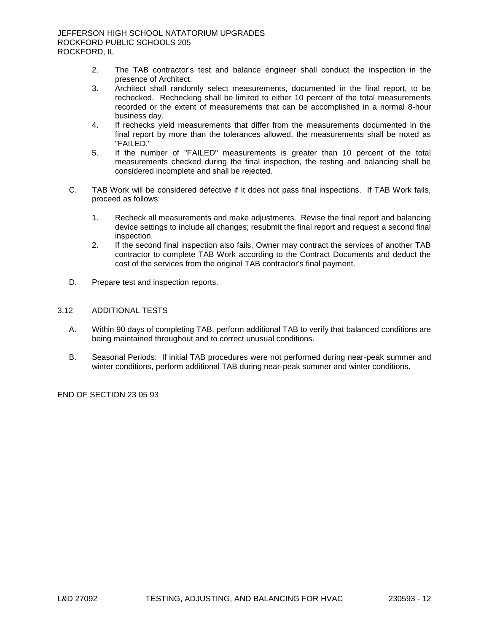- 2. The TAB contractor's test and balance engineer shall conduct the inspection in the presence of Architect.
- 3. Architect shall randomly select measurements, documented in the final report, to be rechecked. Rechecking shall be limited to either 10 percent of the total measurements recorded or the extent of measurements that can be accomplished in a normal 8-hour business day.
- 4. If rechecks yield measurements that differ from the measurements documented in the final report by more than the tolerances allowed, the measurements shall be noted as "FAILED."
- 5. If the number of "FAILED" measurements is greater than 10 percent of the total measurements checked during the final inspection, the testing and balancing shall be considered incomplete and shall be rejected.
- C. TAB Work will be considered defective if it does not pass final inspections. If TAB Work fails, proceed as follows:
	- 1. Recheck all measurements and make adjustments. Revise the final report and balancing device settings to include all changes; resubmit the final report and request a second final inspection.
	- 2. If the second final inspection also fails, Owner may contract the services of another TAB contractor to complete TAB Work according to the Contract Documents and deduct the cost of the services from the original TAB contractor's final payment.
- D. Prepare test and inspection reports.

## 3.12 ADDITIONAL TESTS

- A. Within 90 days of completing TAB, perform additional TAB to verify that balanced conditions are being maintained throughout and to correct unusual conditions.
- B. Seasonal Periods: If initial TAB procedures were not performed during near-peak summer and winter conditions, perform additional TAB during near-peak summer and winter conditions.

END OF SECTION 23 05 93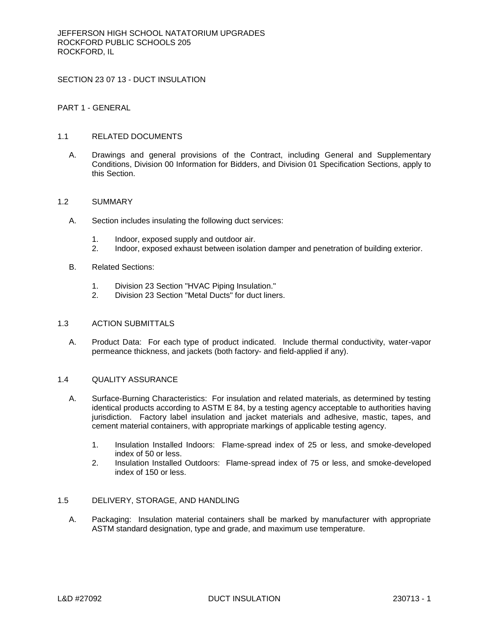SECTION 23 07 13 - DUCT INSULATION

PART 1 - GENERAL

## 1.1 RELATED DOCUMENTS

A. Drawings and general provisions of the Contract, including General and Supplementary Conditions, Division 00 Information for Bidders, and Division 01 Specification Sections, apply to this Section.

### 1.2 SUMMARY

- A. Section includes insulating the following duct services:
	- 1. Indoor, exposed supply and outdoor air.
	- 2. Indoor, exposed exhaust between isolation damper and penetration of building exterior.
- B. Related Sections:
	- 1. Division 23 Section "HVAC Piping Insulation."
	- 2. Division 23 Section "Metal Ducts" for duct liners.

## 1.3 ACTION SUBMITTALS

A. Product Data: For each type of product indicated. Include thermal conductivity, water-vapor permeance thickness, and jackets (both factory- and field-applied if any).

## 1.4 QUALITY ASSURANCE

- A. Surface-Burning Characteristics: For insulation and related materials, as determined by testing identical products according to ASTM E 84, by a testing agency acceptable to authorities having jurisdiction. Factory label insulation and jacket materials and adhesive, mastic, tapes, and cement material containers, with appropriate markings of applicable testing agency.
	- 1. Insulation Installed Indoors: Flame-spread index of 25 or less, and smoke-developed index of 50 or less.
	- 2. Insulation Installed Outdoors: Flame-spread index of 75 or less, and smoke-developed index of 150 or less.

# 1.5 DELIVERY, STORAGE, AND HANDLING

A. Packaging: Insulation material containers shall be marked by manufacturer with appropriate ASTM standard designation, type and grade, and maximum use temperature.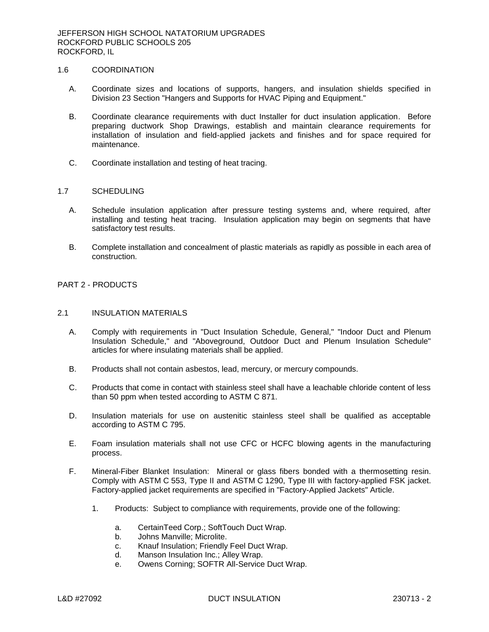## 1.6 COORDINATION

- A. Coordinate sizes and locations of supports, hangers, and insulation shields specified in Division 23 Section "Hangers and Supports for HVAC Piping and Equipment."
- B. Coordinate clearance requirements with duct Installer for duct insulation application. Before preparing ductwork Shop Drawings, establish and maintain clearance requirements for installation of insulation and field-applied jackets and finishes and for space required for maintenance.
- C. Coordinate installation and testing of heat tracing.

## 1.7 SCHEDULING

- A. Schedule insulation application after pressure testing systems and, where required, after installing and testing heat tracing. Insulation application may begin on segments that have satisfactory test results.
- B. Complete installation and concealment of plastic materials as rapidly as possible in each area of construction.

# PART 2 - PRODUCTS

## 2.1 INSULATION MATERIALS

- A. Comply with requirements in "Duct Insulation Schedule, General," "Indoor Duct and Plenum Insulation Schedule," and "Aboveground, Outdoor Duct and Plenum Insulation Schedule" articles for where insulating materials shall be applied.
- B. Products shall not contain asbestos, lead, mercury, or mercury compounds.
- C. Products that come in contact with stainless steel shall have a leachable chloride content of less than 50 ppm when tested according to ASTM C 871.
- D. Insulation materials for use on austenitic stainless steel shall be qualified as acceptable according to ASTM C 795.
- E. Foam insulation materials shall not use CFC or HCFC blowing agents in the manufacturing process.
- F. Mineral-Fiber Blanket Insulation: Mineral or glass fibers bonded with a thermosetting resin. Comply with ASTM C 553, Type II and ASTM C 1290, Type III with factory-applied FSK jacket. Factory-applied jacket requirements are specified in "Factory-Applied Jackets" Article.
	- 1. Products: Subject to compliance with requirements, provide one of the following:
		- a. CertainTeed Corp.; SoftTouch Duct Wrap.
		- b. Johns Manville; Microlite.
		- c. Knauf Insulation; Friendly Feel Duct Wrap.
		- d. Manson Insulation Inc.; Alley Wrap.
		- e. Owens Corning; SOFTR All-Service Duct Wrap.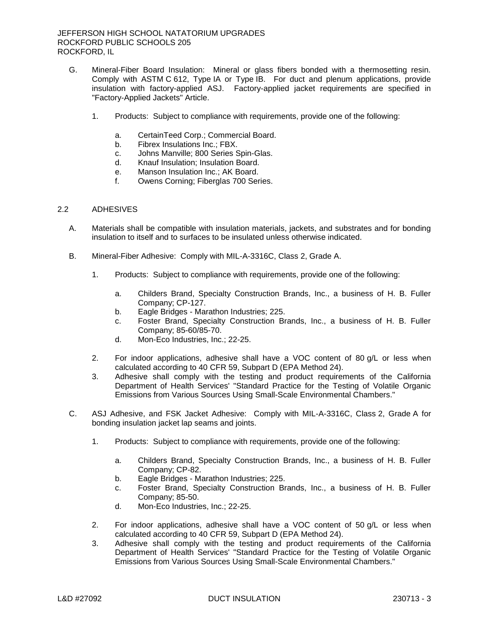- G. Mineral-Fiber Board Insulation: Mineral or glass fibers bonded with a thermosetting resin. Comply with ASTM C 612, Type IA or Type IB. For duct and plenum applications, provide insulation with factory-applied ASJ. Factory-applied jacket requirements are specified in "Factory-Applied Jackets" Article.
	- 1. Products: Subject to compliance with requirements, provide one of the following:
		- a. CertainTeed Corp.; Commercial Board.
		- b. Fibrex Insulations Inc.; FBX.
		- c. Johns Manville; 800 Series Spin-Glas.
		- d. Knauf Insulation; Insulation Board.
		- e. Manson Insulation Inc.; AK Board.
		- f. Owens Corning; Fiberglas 700 Series.

### 2.2 ADHESIVES

- A. Materials shall be compatible with insulation materials, jackets, and substrates and for bonding insulation to itself and to surfaces to be insulated unless otherwise indicated.
- B. Mineral-Fiber Adhesive: Comply with MIL-A-3316C, Class 2, Grade A.
	- 1. Products: Subject to compliance with requirements, provide one of the following:
		- a. Childers Brand, Specialty Construction Brands, Inc., a business of H. B. Fuller Company; CP-127.
		- b. Eagle Bridges Marathon Industries; 225.
		- c. Foster Brand, Specialty Construction Brands, Inc., a business of H. B. Fuller Company; 85-60/85-70.
		- d. Mon-Eco Industries, Inc.; 22-25.
	- 2. For indoor applications, adhesive shall have a VOC content of 80 g/L or less when calculated according to 40 CFR 59, Subpart D (EPA Method 24).
	- 3. Adhesive shall comply with the testing and product requirements of the California Department of Health Services' "Standard Practice for the Testing of Volatile Organic Emissions from Various Sources Using Small-Scale Environmental Chambers."
- C. ASJ Adhesive, and FSK Jacket Adhesive: Comply with MIL-A-3316C, Class 2, Grade A for bonding insulation jacket lap seams and joints.
	- 1. Products: Subject to compliance with requirements, provide one of the following:
		- a. Childers Brand, Specialty Construction Brands, Inc., a business of H. B. Fuller Company; CP-82.
		- b. Eagle Bridges Marathon Industries; 225.
		- c. Foster Brand, Specialty Construction Brands, Inc., a business of H. B. Fuller Company; 85-50.
		- d. Mon-Eco Industries, Inc.; 22-25.
	- 2. For indoor applications, adhesive shall have a VOC content of 50 g/L or less when calculated according to 40 CFR 59, Subpart D (EPA Method 24).
	- 3. Adhesive shall comply with the testing and product requirements of the California Department of Health Services' "Standard Practice for the Testing of Volatile Organic Emissions from Various Sources Using Small-Scale Environmental Chambers."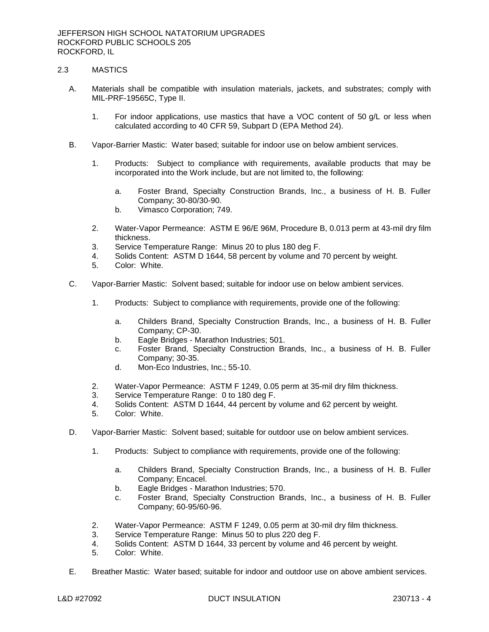# 2.3 MASTICS

- A. Materials shall be compatible with insulation materials, jackets, and substrates; comply with MIL-PRF-19565C, Type II.
	- 1. For indoor applications, use mastics that have a VOC content of 50 g/L or less when calculated according to 40 CFR 59, Subpart D (EPA Method 24).
- B. Vapor-Barrier Mastic: Water based; suitable for indoor use on below ambient services.
	- 1. Products: Subject to compliance with requirements, available products that may be incorporated into the Work include, but are not limited to, the following:
		- a. Foster Brand, Specialty Construction Brands, Inc., a business of H. B. Fuller Company; 30-80/30-90.
		- b. Vimasco Corporation; 749.
	- 2. Water-Vapor Permeance: ASTM E 96/E 96M, Procedure B, 0.013 perm at 43-mil dry film thickness.
	- 3. Service Temperature Range: Minus 20 to plus 180 deg F.
	- 4. Solids Content: ASTM D 1644, 58 percent by volume and 70 percent by weight.
	- 5. Color: White.
- C. Vapor-Barrier Mastic: Solvent based; suitable for indoor use on below ambient services.
	- 1. Products: Subject to compliance with requirements, provide one of the following:
		- a. Childers Brand, Specialty Construction Brands, Inc., a business of H. B. Fuller Company; CP-30.
		- b. Eagle Bridges Marathon Industries; 501.
		- c. Foster Brand, Specialty Construction Brands, Inc., a business of H. B. Fuller Company; 30-35.
		- d. Mon-Eco Industries, Inc.; 55-10.
	- 2. Water-Vapor Permeance: ASTM F 1249, 0.05 perm at 35-mil dry film thickness.
	- 3. Service Temperature Range: 0 to 180 deg F.
	- 4. Solids Content: ASTM D 1644, 44 percent by volume and 62 percent by weight.
	- 5. Color: White.
- D. Vapor-Barrier Mastic: Solvent based; suitable for outdoor use on below ambient services.
	- 1. Products: Subject to compliance with requirements, provide one of the following:
		- a. Childers Brand, Specialty Construction Brands, Inc., a business of H. B. Fuller Company; Encacel.
		- b. Eagle Bridges Marathon Industries; 570.
		- c. Foster Brand, Specialty Construction Brands, Inc., a business of H. B. Fuller Company; 60-95/60-96.
	- 2. Water-Vapor Permeance: ASTM F 1249, 0.05 perm at 30-mil dry film thickness.
	- 3. Service Temperature Range: Minus 50 to plus 220 deg F.
	- 4. Solids Content: ASTM D 1644, 33 percent by volume and 46 percent by weight.
	- 5. Color: White.
- E. Breather Mastic: Water based; suitable for indoor and outdoor use on above ambient services.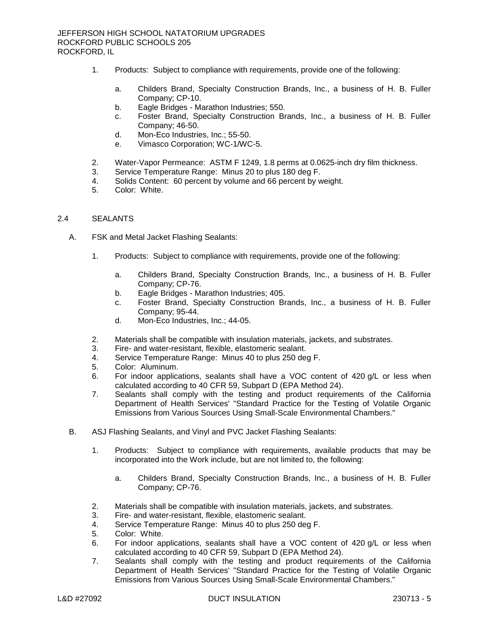- 1. Products: Subject to compliance with requirements, provide one of the following:
	- a. Childers Brand, Specialty Construction Brands, Inc., a business of H. B. Fuller Company; CP-10.
	- b. Eagle Bridges Marathon Industries; 550.
	- c. Foster Brand, Specialty Construction Brands, Inc., a business of H. B. Fuller Company; 46-50.
	- d. Mon-Eco Industries, Inc.; 55-50.
	- e. Vimasco Corporation; WC-1/WC-5.
- 2. Water-Vapor Permeance: ASTM F 1249, 1.8 perms at 0.0625-inch dry film thickness.
- 3. Service Temperature Range: Minus 20 to plus 180 deg F.
- 4. Solids Content: 60 percent by volume and 66 percent by weight.
- 5. Color: White.

### 2.4 SEALANTS

- A. FSK and Metal Jacket Flashing Sealants:
	- 1. Products: Subject to compliance with requirements, provide one of the following:
		- a. Childers Brand, Specialty Construction Brands, Inc., a business of H. B. Fuller Company; CP-76.
		- b. Eagle Bridges Marathon Industries; 405.
		- c. Foster Brand, Specialty Construction Brands, Inc., a business of H. B. Fuller Company; 95-44.
		- d. Mon-Eco Industries, Inc.; 44-05.
	- 2. Materials shall be compatible with insulation materials, jackets, and substrates.
	- 3. Fire- and water-resistant, flexible, elastomeric sealant.
	- 4. Service Temperature Range: Minus 40 to plus 250 deg F.
	- 5. Color: Aluminum.
	- 6. For indoor applications, sealants shall have a VOC content of 420 g/L or less when calculated according to 40 CFR 59, Subpart D (EPA Method 24).
	- 7. Sealants shall comply with the testing and product requirements of the California Department of Health Services' "Standard Practice for the Testing of Volatile Organic Emissions from Various Sources Using Small-Scale Environmental Chambers."
- B. ASJ Flashing Sealants, and Vinyl and PVC Jacket Flashing Sealants:
	- 1. Products: Subject to compliance with requirements, available products that may be incorporated into the Work include, but are not limited to, the following:
		- a. Childers Brand, Specialty Construction Brands, Inc., a business of H. B. Fuller Company; CP-76.
	- 2. Materials shall be compatible with insulation materials, jackets, and substrates.
	- 3. Fire- and water-resistant, flexible, elastomeric sealant.
	- 4. Service Temperature Range: Minus 40 to plus 250 deg F.
	- 5. Color: White.
	- 6. For indoor applications, sealants shall have a VOC content of 420 g/L or less when calculated according to 40 CFR 59, Subpart D (EPA Method 24).
	- 7. Sealants shall comply with the testing and product requirements of the California Department of Health Services' "Standard Practice for the Testing of Volatile Organic Emissions from Various Sources Using Small-Scale Environmental Chambers."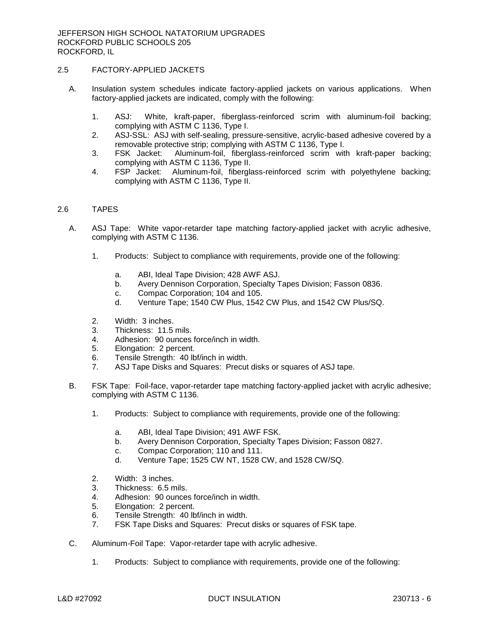# 2.5 FACTORY-APPLIED JACKETS

- A. Insulation system schedules indicate factory-applied jackets on various applications. When factory-applied jackets are indicated, comply with the following:
	- 1. ASJ: White, kraft-paper, fiberglass-reinforced scrim with aluminum-foil backing; complying with ASTM C 1136, Type I.
	- 2. ASJ-SSL: ASJ with self-sealing, pressure-sensitive, acrylic-based adhesive covered by a removable protective strip; complying with ASTM C 1136, Type I.
	- 3. FSK Jacket: Aluminum-foil, fiberglass-reinforced scrim with kraft-paper backing; complying with ASTM C 1136, Type II.
	- 4. FSP Jacket: Aluminum-foil, fiberglass-reinforced scrim with polyethylene backing; complying with ASTM C 1136, Type II.

### 2.6 TAPES

- A. ASJ Tape: White vapor-retarder tape matching factory-applied jacket with acrylic adhesive, complying with ASTM C 1136.
	- 1. Products: Subject to compliance with requirements, provide one of the following:
		- a. ABI, Ideal Tape Division; 428 AWF ASJ.
		- b. Avery Dennison Corporation, Specialty Tapes Division; Fasson 0836.
		- c. Compac Corporation; 104 and 105.
		- d. Venture Tape; 1540 CW Plus, 1542 CW Plus, and 1542 CW Plus/SQ.
	- 2. Width: 3 inches.
	- 3. Thickness: 11.5 mils.
	- 4. Adhesion: 90 ounces force/inch in width.
	- 5. Elongation: 2 percent.
	- 6. Tensile Strength: 40 lbf/inch in width.
	- 7. ASJ Tape Disks and Squares: Precut disks or squares of ASJ tape.
- B. FSK Tape: Foil-face, vapor-retarder tape matching factory-applied jacket with acrylic adhesive; complying with ASTM C 1136.
	- 1. Products: Subject to compliance with requirements, provide one of the following:
		- a. ABI, Ideal Tape Division; 491 AWF FSK.
		- b. Avery Dennison Corporation, Specialty Tapes Division; Fasson 0827.
		- c. Compac Corporation; 110 and 111.
		- d. Venture Tape; 1525 CW NT, 1528 CW, and 1528 CW/SQ.
	- 2. Width: 3 inches.
	- 3. Thickness: 6.5 mils.
	- 4. Adhesion: 90 ounces force/inch in width.
	- 5. Elongation: 2 percent.
	- 6. Tensile Strength: 40 lbf/inch in width.
	- 7. FSK Tape Disks and Squares: Precut disks or squares of FSK tape.
- C. Aluminum-Foil Tape: Vapor-retarder tape with acrylic adhesive.
	- 1. Products: Subject to compliance with requirements, provide one of the following: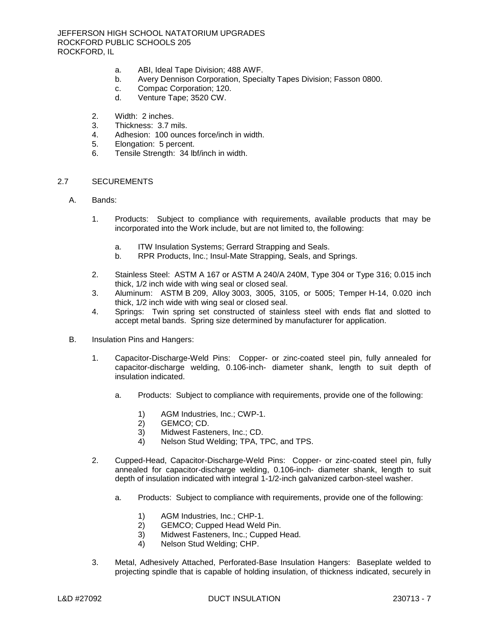- a. ABI, Ideal Tape Division; 488 AWF.
- b. Avery Dennison Corporation, Specialty Tapes Division; Fasson 0800.
- c. Compac Corporation; 120.
- d. Venture Tape; 3520 CW.
- 2. Width: 2 inches.
- 3. Thickness: 3.7 mils.
- 4. Adhesion: 100 ounces force/inch in width.
- 5. Elongation: 5 percent.
- 6. Tensile Strength: 34 lbf/inch in width.

### 2.7 SECUREMENTS

- A. Bands:
	- 1. Products: Subject to compliance with requirements, available products that may be incorporated into the Work include, but are not limited to, the following:
		- a. ITW Insulation Systems; Gerrard Strapping and Seals.
		- b. RPR Products, Inc.; Insul-Mate Strapping, Seals, and Springs.
	- 2. Stainless Steel: ASTM A 167 or ASTM A 240/A 240M, Type 304 or Type 316; 0.015 inch thick, 1/2 inch wide with wing seal or closed seal.
	- 3. Aluminum: ASTM B 209, Alloy 3003, 3005, 3105, or 5005; Temper H-14, 0.020 inch thick, 1/2 inch wide with wing seal or closed seal.
	- 4. Springs: Twin spring set constructed of stainless steel with ends flat and slotted to accept metal bands. Spring size determined by manufacturer for application.
- B. Insulation Pins and Hangers:
	- 1. Capacitor-Discharge-Weld Pins: Copper- or zinc-coated steel pin, fully annealed for capacitor-discharge welding, 0.106-inch- diameter shank, length to suit depth of insulation indicated.
		- a. Products: Subject to compliance with requirements, provide one of the following:
			- 1) AGM Industries, Inc.; CWP-1.
			- 2) GEMCO; CD.
			- 3) Midwest Fasteners, Inc.; CD.
			- 4) Nelson Stud Welding; TPA, TPC, and TPS.
	- 2. Cupped-Head, Capacitor-Discharge-Weld Pins: Copper- or zinc-coated steel pin, fully annealed for capacitor-discharge welding, 0.106-inch- diameter shank, length to suit depth of insulation indicated with integral 1-1/2-inch galvanized carbon-steel washer.
		- a. Products: Subject to compliance with requirements, provide one of the following:
			- 1) AGM Industries, Inc.; CHP-1.
			- 2) GEMCO; Cupped Head Weld Pin.
			- 3) Midwest Fasteners, Inc.; Cupped Head.
			- 4) Nelson Stud Welding; CHP.
	- 3. Metal, Adhesively Attached, Perforated-Base Insulation Hangers: Baseplate welded to projecting spindle that is capable of holding insulation, of thickness indicated, securely in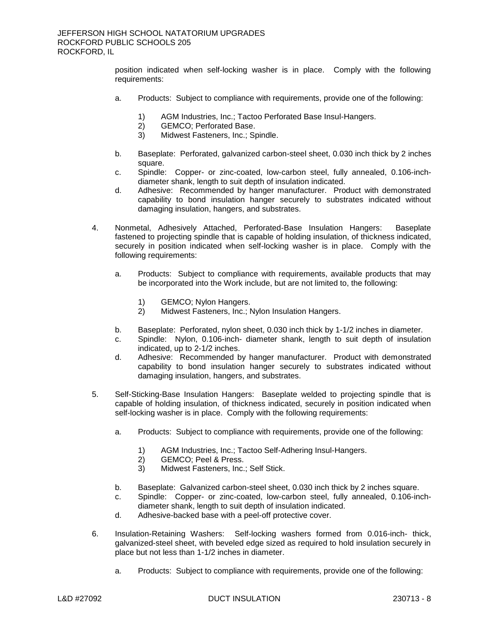position indicated when self-locking washer is in place. Comply with the following requirements:

- a. Products: Subject to compliance with requirements, provide one of the following:
	- 1) AGM Industries, Inc.; Tactoo Perforated Base Insul-Hangers.
	- 2) GEMCO; Perforated Base.
	- 3) Midwest Fasteners, Inc.; Spindle.
- b. Baseplate: Perforated, galvanized carbon-steel sheet, 0.030 inch thick by 2 inches square.
- c. Spindle: Copper- or zinc-coated, low-carbon steel, fully annealed, 0.106-inchdiameter shank, length to suit depth of insulation indicated.
- d. Adhesive: Recommended by hanger manufacturer. Product with demonstrated capability to bond insulation hanger securely to substrates indicated without damaging insulation, hangers, and substrates.
- 4. Nonmetal, Adhesively Attached, Perforated-Base Insulation Hangers: Baseplate fastened to projecting spindle that is capable of holding insulation, of thickness indicated, securely in position indicated when self-locking washer is in place. Comply with the following requirements:
	- a. Products: Subject to compliance with requirements, available products that may be incorporated into the Work include, but are not limited to, the following:
		- 1) GEMCO; Nylon Hangers.
		- 2) Midwest Fasteners, Inc.; Nylon Insulation Hangers.
	- b. Baseplate: Perforated, nylon sheet, 0.030 inch thick by 1-1/2 inches in diameter.
	- c. Spindle: Nylon, 0.106-inch- diameter shank, length to suit depth of insulation indicated, up to 2-1/2 inches.
	- d. Adhesive: Recommended by hanger manufacturer. Product with demonstrated capability to bond insulation hanger securely to substrates indicated without damaging insulation, hangers, and substrates.
- 5. Self-Sticking-Base Insulation Hangers: Baseplate welded to projecting spindle that is capable of holding insulation, of thickness indicated, securely in position indicated when self-locking washer is in place. Comply with the following requirements:
	- a. Products: Subject to compliance with requirements, provide one of the following:
		- 1) AGM Industries, Inc.; Tactoo Self-Adhering Insul-Hangers.
		- 2) GEMCO; Peel & Press.
		- 3) Midwest Fasteners, Inc.; Self Stick.
	- b. Baseplate: Galvanized carbon-steel sheet, 0.030 inch thick by 2 inches square.
	- c. Spindle: Copper- or zinc-coated, low-carbon steel, fully annealed, 0.106-inchdiameter shank, length to suit depth of insulation indicated.
	- d. Adhesive-backed base with a peel-off protective cover.
- 6. Insulation-Retaining Washers: Self-locking washers formed from 0.016-inch- thick, galvanized-steel sheet, with beveled edge sized as required to hold insulation securely in place but not less than 1-1/2 inches in diameter.
	- a. Products: Subject to compliance with requirements, provide one of the following: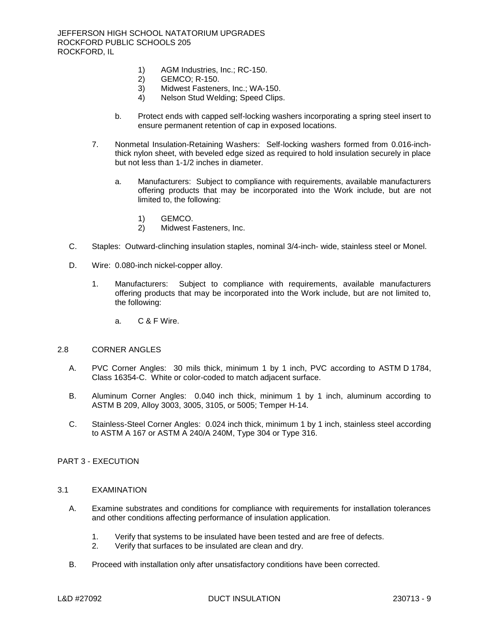- 1) AGM Industries, Inc.; RC-150.<br>2) GEMCO; R-150.
- 2) GEMCO; R-150.
- 3) Midwest Fasteners, Inc.; WA-150.
- 4) Nelson Stud Welding; Speed Clips.
- b. Protect ends with capped self-locking washers incorporating a spring steel insert to ensure permanent retention of cap in exposed locations.
- 7. Nonmetal Insulation-Retaining Washers: Self-locking washers formed from 0.016-inchthick nylon sheet, with beveled edge sized as required to hold insulation securely in place but not less than 1-1/2 inches in diameter.
	- a. Manufacturers: Subject to compliance with requirements, available manufacturers offering products that may be incorporated into the Work include, but are not limited to, the following:
		- 1) GEMCO.
		- 2) Midwest Fasteners, Inc.
- C. Staples: Outward-clinching insulation staples, nominal 3/4-inch- wide, stainless steel or Monel.
- D. Wire: 0.080-inch nickel-copper alloy.
	- 1. Manufacturers: Subject to compliance with requirements, available manufacturers offering products that may be incorporated into the Work include, but are not limited to, the following:
		- a. C & F Wire.

#### 2.8 CORNER ANGLES

- A. PVC Corner Angles: 30 mils thick, minimum 1 by 1 inch, PVC according to ASTM D 1784, Class 16354-C. White or color-coded to match adjacent surface.
- B. Aluminum Corner Angles: 0.040 inch thick, minimum 1 by 1 inch, aluminum according to ASTM B 209, Alloy 3003, 3005, 3105, or 5005; Temper H-14.
- C. Stainless-Steel Corner Angles: 0.024 inch thick, minimum 1 by 1 inch, stainless steel according to ASTM A 167 or ASTM A 240/A 240M, Type 304 or Type 316.

# PART 3 - EXECUTION

#### 3.1 EXAMINATION

- A. Examine substrates and conditions for compliance with requirements for installation tolerances and other conditions affecting performance of insulation application.
	- 1. Verify that systems to be insulated have been tested and are free of defects.
	- 2. Verify that surfaces to be insulated are clean and dry.
- B. Proceed with installation only after unsatisfactory conditions have been corrected.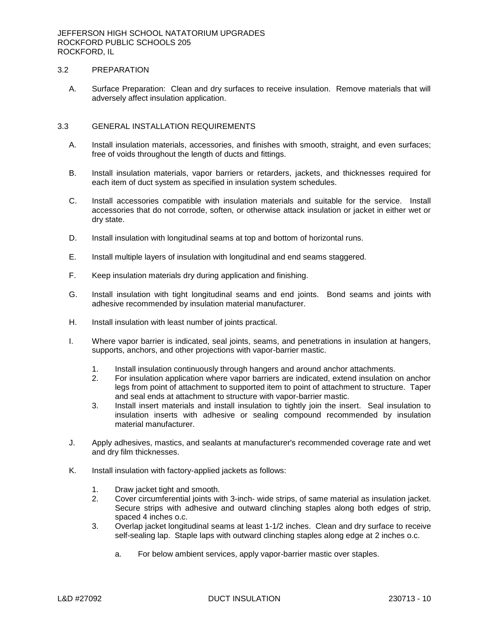## 3.2 PREPARATION

A. Surface Preparation: Clean and dry surfaces to receive insulation. Remove materials that will adversely affect insulation application.

### 3.3 GENERAL INSTALLATION REQUIREMENTS

- A. Install insulation materials, accessories, and finishes with smooth, straight, and even surfaces; free of voids throughout the length of ducts and fittings.
- B. Install insulation materials, vapor barriers or retarders, jackets, and thicknesses required for each item of duct system as specified in insulation system schedules.
- C. Install accessories compatible with insulation materials and suitable for the service. Install accessories that do not corrode, soften, or otherwise attack insulation or jacket in either wet or dry state.
- D. Install insulation with longitudinal seams at top and bottom of horizontal runs.
- E. Install multiple layers of insulation with longitudinal and end seams staggered.
- F. Keep insulation materials dry during application and finishing.
- G. Install insulation with tight longitudinal seams and end joints. Bond seams and joints with adhesive recommended by insulation material manufacturer.
- H. Install insulation with least number of joints practical.
- I. Where vapor barrier is indicated, seal joints, seams, and penetrations in insulation at hangers, supports, anchors, and other projections with vapor-barrier mastic.
	- 1. Install insulation continuously through hangers and around anchor attachments.
	- 2. For insulation application where vapor barriers are indicated, extend insulation on anchor legs from point of attachment to supported item to point of attachment to structure. Taper and seal ends at attachment to structure with vapor-barrier mastic.
	- 3. Install insert materials and install insulation to tightly join the insert. Seal insulation to insulation inserts with adhesive or sealing compound recommended by insulation material manufacturer.
- J. Apply adhesives, mastics, and sealants at manufacturer's recommended coverage rate and wet and dry film thicknesses.
- K. Install insulation with factory-applied jackets as follows:
	- 1. Draw jacket tight and smooth.
	- 2. Cover circumferential joints with 3-inch- wide strips, of same material as insulation jacket. Secure strips with adhesive and outward clinching staples along both edges of strip, spaced 4 inches o.c.
	- 3. Overlap jacket longitudinal seams at least 1-1/2 inches. Clean and dry surface to receive self-sealing lap. Staple laps with outward clinching staples along edge at 2 inches o.c.
		- a. For below ambient services, apply vapor-barrier mastic over staples.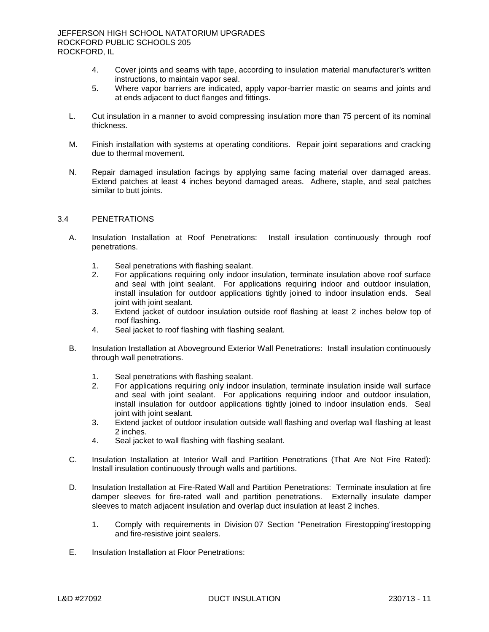- 4. Cover joints and seams with tape, according to insulation material manufacturer's written instructions, to maintain vapor seal.
- 5. Where vapor barriers are indicated, apply vapor-barrier mastic on seams and joints and at ends adjacent to duct flanges and fittings.
- L. Cut insulation in a manner to avoid compressing insulation more than 75 percent of its nominal thickness.
- M. Finish installation with systems at operating conditions. Repair joint separations and cracking due to thermal movement.
- N. Repair damaged insulation facings by applying same facing material over damaged areas. Extend patches at least 4 inches beyond damaged areas. Adhere, staple, and seal patches similar to butt joints.

## 3.4 PENETRATIONS

- A. Insulation Installation at Roof Penetrations: Install insulation continuously through roof penetrations.
	- 1. Seal penetrations with flashing sealant.
	- 2. For applications requiring only indoor insulation, terminate insulation above roof surface and seal with joint sealant. For applications requiring indoor and outdoor insulation, install insulation for outdoor applications tightly joined to indoor insulation ends. Seal joint with joint sealant.
	- 3. Extend jacket of outdoor insulation outside roof flashing at least 2 inches below top of roof flashing.
	- 4. Seal jacket to roof flashing with flashing sealant.
- B. Insulation Installation at Aboveground Exterior Wall Penetrations: Install insulation continuously through wall penetrations.
	- 1. Seal penetrations with flashing sealant.
	- 2. For applications requiring only indoor insulation, terminate insulation inside wall surface and seal with joint sealant. For applications requiring indoor and outdoor insulation, install insulation for outdoor applications tightly joined to indoor insulation ends. Seal joint with joint sealant.
	- 3. Extend jacket of outdoor insulation outside wall flashing and overlap wall flashing at least 2 inches.
	- 4. Seal jacket to wall flashing with flashing sealant.
- C. Insulation Installation at Interior Wall and Partition Penetrations (That Are Not Fire Rated): Install insulation continuously through walls and partitions.
- D. Insulation Installation at Fire-Rated Wall and Partition Penetrations: Terminate insulation at fire damper sleeves for fire-rated wall and partition penetrations. Externally insulate damper sleeves to match adjacent insulation and overlap duct insulation at least 2 inches.
	- 1. Comply with requirements in Division 07 Section "Penetration Firestopping"irestopping and fire-resistive joint sealers.
- E. Insulation Installation at Floor Penetrations: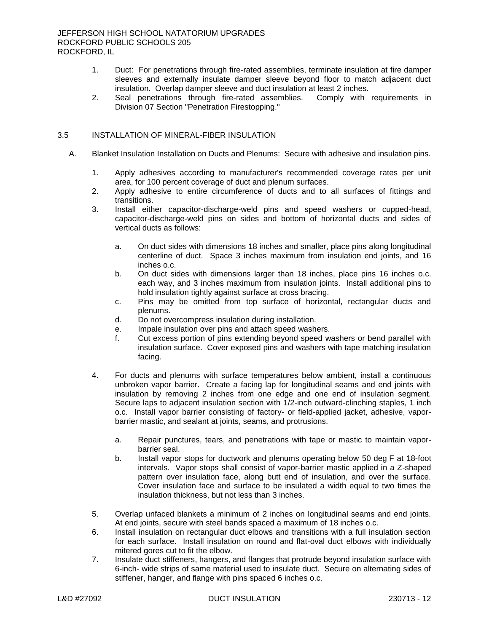- 1. Duct: For penetrations through fire-rated assemblies, terminate insulation at fire damper sleeves and externally insulate damper sleeve beyond floor to match adjacent duct insulation. Overlap damper sleeve and duct insulation at least 2 inches.<br>Seal penetrations through fire-rated assemblies. Comply with requirements in
- 2. Seal penetrations through fire-rated assemblies. Division 07 Section "Penetration Firestopping."

## 3.5 INSTALLATION OF MINERAL-FIBER INSULATION

- A. Blanket Insulation Installation on Ducts and Plenums: Secure with adhesive and insulation pins.
	- 1. Apply adhesives according to manufacturer's recommended coverage rates per unit area, for 100 percent coverage of duct and plenum surfaces.
	- 2. Apply adhesive to entire circumference of ducts and to all surfaces of fittings and transitions.
	- 3. Install either capacitor-discharge-weld pins and speed washers or cupped-head, capacitor-discharge-weld pins on sides and bottom of horizontal ducts and sides of vertical ducts as follows:
		- a. On duct sides with dimensions 18 inches and smaller, place pins along longitudinal centerline of duct. Space 3 inches maximum from insulation end joints, and 16 inches o.c.
		- b. On duct sides with dimensions larger than 18 inches, place pins 16 inches o.c. each way, and 3 inches maximum from insulation joints. Install additional pins to hold insulation tightly against surface at cross bracing.
		- c. Pins may be omitted from top surface of horizontal, rectangular ducts and plenums.
		- d. Do not overcompress insulation during installation.
		- e. Impale insulation over pins and attach speed washers.
		- f. Cut excess portion of pins extending beyond speed washers or bend parallel with insulation surface. Cover exposed pins and washers with tape matching insulation facing.
	- 4. For ducts and plenums with surface temperatures below ambient, install a continuous unbroken vapor barrier. Create a facing lap for longitudinal seams and end joints with insulation by removing 2 inches from one edge and one end of insulation segment. Secure laps to adjacent insulation section with 1/2-inch outward-clinching staples, 1 inch o.c. Install vapor barrier consisting of factory- or field-applied jacket, adhesive, vaporbarrier mastic, and sealant at joints, seams, and protrusions.
		- a. Repair punctures, tears, and penetrations with tape or mastic to maintain vaporbarrier seal.
		- b. Install vapor stops for ductwork and plenums operating below 50 deg F at 18-foot intervals. Vapor stops shall consist of vapor-barrier mastic applied in a Z-shaped pattern over insulation face, along butt end of insulation, and over the surface. Cover insulation face and surface to be insulated a width equal to two times the insulation thickness, but not less than 3 inches.
	- 5. Overlap unfaced blankets a minimum of 2 inches on longitudinal seams and end joints. At end joints, secure with steel bands spaced a maximum of 18 inches o.c.
	- 6. Install insulation on rectangular duct elbows and transitions with a full insulation section for each surface. Install insulation on round and flat-oval duct elbows with individually mitered gores cut to fit the elbow.
	- 7. Insulate duct stiffeners, hangers, and flanges that protrude beyond insulation surface with 6-inch- wide strips of same material used to insulate duct. Secure on alternating sides of stiffener, hanger, and flange with pins spaced 6 inches o.c.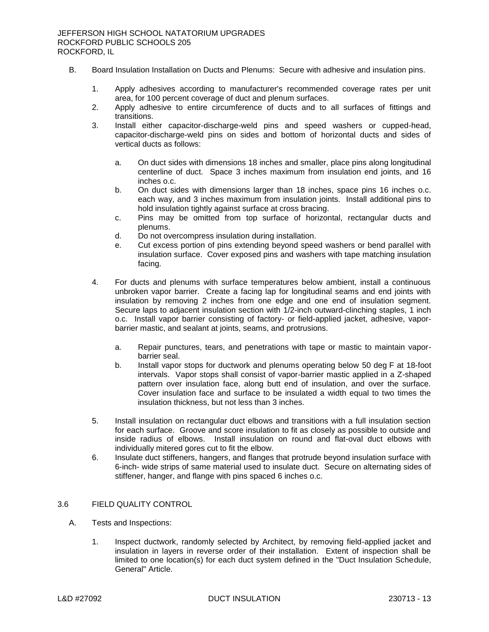- B. Board Insulation Installation on Ducts and Plenums: Secure with adhesive and insulation pins.
	- 1. Apply adhesives according to manufacturer's recommended coverage rates per unit area, for 100 percent coverage of duct and plenum surfaces.
	- 2. Apply adhesive to entire circumference of ducts and to all surfaces of fittings and transitions.
	- 3. Install either capacitor-discharge-weld pins and speed washers or cupped-head, capacitor-discharge-weld pins on sides and bottom of horizontal ducts and sides of vertical ducts as follows:
		- a. On duct sides with dimensions 18 inches and smaller, place pins along longitudinal centerline of duct. Space 3 inches maximum from insulation end joints, and 16 inches o.c.
		- b. On duct sides with dimensions larger than 18 inches, space pins 16 inches o.c. each way, and 3 inches maximum from insulation joints. Install additional pins to hold insulation tightly against surface at cross bracing.
		- c. Pins may be omitted from top surface of horizontal, rectangular ducts and plenums.
		- d. Do not overcompress insulation during installation.
		- e. Cut excess portion of pins extending beyond speed washers or bend parallel with insulation surface. Cover exposed pins and washers with tape matching insulation facing.
	- 4. For ducts and plenums with surface temperatures below ambient, install a continuous unbroken vapor barrier. Create a facing lap for longitudinal seams and end joints with insulation by removing 2 inches from one edge and one end of insulation segment. Secure laps to adjacent insulation section with 1/2-inch outward-clinching staples, 1 inch o.c. Install vapor barrier consisting of factory- or field-applied jacket, adhesive, vaporbarrier mastic, and sealant at joints, seams, and protrusions.
		- a. Repair punctures, tears, and penetrations with tape or mastic to maintain vaporbarrier seal.
		- b. Install vapor stops for ductwork and plenums operating below 50 deg F at 18-foot intervals. Vapor stops shall consist of vapor-barrier mastic applied in a Z-shaped pattern over insulation face, along butt end of insulation, and over the surface. Cover insulation face and surface to be insulated a width equal to two times the insulation thickness, but not less than 3 inches.
	- 5. Install insulation on rectangular duct elbows and transitions with a full insulation section for each surface. Groove and score insulation to fit as closely as possible to outside and inside radius of elbows. Install insulation on round and flat-oval duct elbows with individually mitered gores cut to fit the elbow.
	- 6. Insulate duct stiffeners, hangers, and flanges that protrude beyond insulation surface with 6-inch- wide strips of same material used to insulate duct. Secure on alternating sides of stiffener, hanger, and flange with pins spaced 6 inches o.c.

## 3.6 FIELD QUALITY CONTROL

- A. Tests and Inspections:
	- 1. Inspect ductwork, randomly selected by Architect, by removing field-applied jacket and insulation in layers in reverse order of their installation. Extent of inspection shall be limited to one location(s) for each duct system defined in the "Duct Insulation Schedule, General" Article.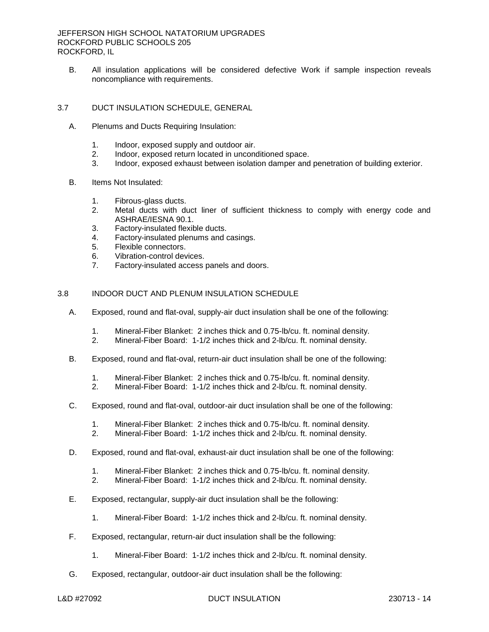B. All insulation applications will be considered defective Work if sample inspection reveals noncompliance with requirements.

# 3.7 DUCT INSULATION SCHEDULE, GENERAL

- A. Plenums and Ducts Requiring Insulation:
	- 1. Indoor, exposed supply and outdoor air.
	- 2. Indoor, exposed return located in unconditioned space.
	- 3. Indoor, exposed exhaust between isolation damper and penetration of building exterior.
- B. Items Not Insulated:
	- 1. Fibrous-glass ducts.
	- 2. Metal ducts with duct liner of sufficient thickness to comply with energy code and ASHRAE/IESNA 90.1.
	- 3. Factory-insulated flexible ducts.
	- 4. Factory-insulated plenums and casings.
	- 5. Flexible connectors.
	- 6. Vibration-control devices.
	- 7. Factory-insulated access panels and doors.

## 3.8 INDOOR DUCT AND PLENUM INSULATION SCHEDULE

- A. Exposed, round and flat-oval, supply-air duct insulation shall be one of the following:
	- 1. Mineral-Fiber Blanket: 2 inches thick and 0.75-lb/cu. ft. nominal density.
	- 2. Mineral-Fiber Board: 1-1/2 inches thick and 2-lb/cu. ft. nominal density.
- B. Exposed, round and flat-oval, return-air duct insulation shall be one of the following:
	- 1. Mineral-Fiber Blanket: 2 inches thick and 0.75-lb/cu. ft. nominal density.
	- 2. Mineral-Fiber Board: 1-1/2 inches thick and 2-lb/cu. ft. nominal density.
- C. Exposed, round and flat-oval, outdoor-air duct insulation shall be one of the following:
	- 1. Mineral-Fiber Blanket: 2 inches thick and 0.75-lb/cu. ft. nominal density.
	- 2. Mineral-Fiber Board: 1-1/2 inches thick and 2-lb/cu. ft. nominal density.
- D. Exposed, round and flat-oval, exhaust-air duct insulation shall be one of the following:
	- 1. Mineral-Fiber Blanket: 2 inches thick and 0.75-lb/cu. ft. nominal density.
	- 2. Mineral-Fiber Board: 1-1/2 inches thick and 2-lb/cu. ft. nominal density.
- E. Exposed, rectangular, supply-air duct insulation shall be the following:
	- 1. Mineral-Fiber Board: 1-1/2 inches thick and 2-lb/cu. ft. nominal density.
- F. Exposed, rectangular, return-air duct insulation shall be the following:
	- 1. Mineral-Fiber Board: 1-1/2 inches thick and 2-lb/cu. ft. nominal density.
- G. Exposed, rectangular, outdoor-air duct insulation shall be the following: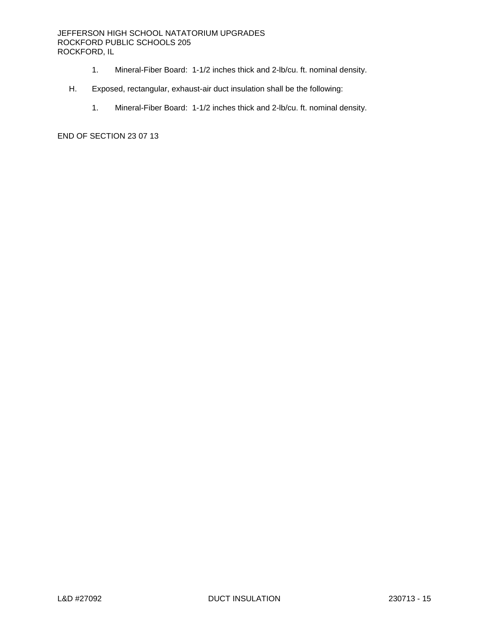# JEFFERSON HIGH SCHOOL NATATORIUM UPGRADES ROCKFORD PUBLIC SCHOOLS 205 ROCKFORD, IL

- 1. Mineral-Fiber Board: 1-1/2 inches thick and 2-lb/cu. ft. nominal density.
- H. Exposed, rectangular, exhaust-air duct insulation shall be the following:
	- 1. Mineral-Fiber Board: 1-1/2 inches thick and 2-lb/cu. ft. nominal density.

END OF SECTION 23 07 13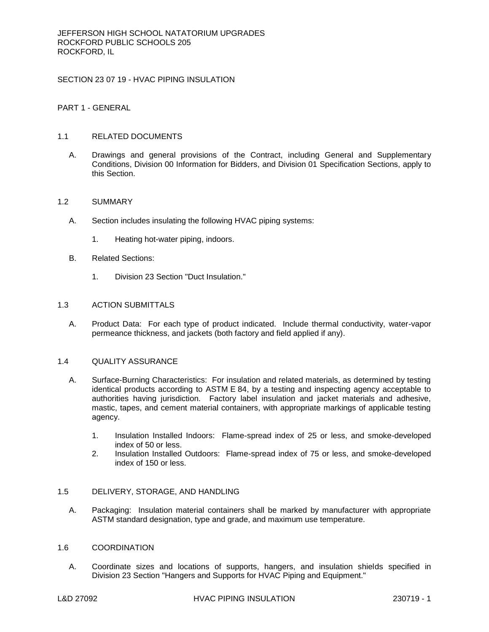SECTION 23 07 19 - HVAC PIPING INSULATION

PART 1 - GENERAL

## 1.1 RELATED DOCUMENTS

A. Drawings and general provisions of the Contract, including General and Supplementary Conditions, Division 00 Information for Bidders, and Division 01 Specification Sections, apply to this Section.

### 1.2 SUMMARY

- A. Section includes insulating the following HVAC piping systems:
	- 1. Heating hot-water piping, indoors.
- B. Related Sections:
	- 1. Division 23 Section "Duct Insulation."

## 1.3 ACTION SUBMITTALS

A. Product Data: For each type of product indicated. Include thermal conductivity, water-vapor permeance thickness, and jackets (both factory and field applied if any).

### 1.4 QUALITY ASSURANCE

- A. Surface-Burning Characteristics: For insulation and related materials, as determined by testing identical products according to ASTM E 84, by a testing and inspecting agency acceptable to authorities having jurisdiction. Factory label insulation and jacket materials and adhesive, mastic, tapes, and cement material containers, with appropriate markings of applicable testing agency.
	- 1. Insulation Installed Indoors: Flame-spread index of 25 or less, and smoke-developed index of 50 or less.
	- 2. Insulation Installed Outdoors: Flame-spread index of 75 or less, and smoke-developed index of 150 or less.

# 1.5 DELIVERY, STORAGE, AND HANDLING

A. Packaging: Insulation material containers shall be marked by manufacturer with appropriate ASTM standard designation, type and grade, and maximum use temperature.

#### 1.6 COORDINATION

A. Coordinate sizes and locations of supports, hangers, and insulation shields specified in Division 23 Section "Hangers and Supports for HVAC Piping and Equipment."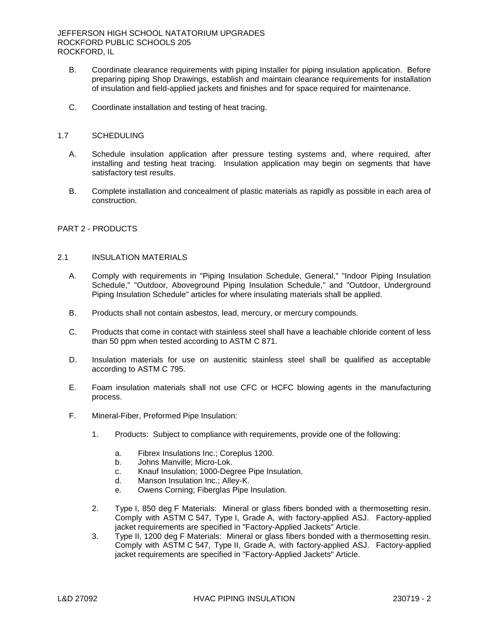- B. Coordinate clearance requirements with piping Installer for piping insulation application. Before preparing piping Shop Drawings, establish and maintain clearance requirements for installation of insulation and field-applied jackets and finishes and for space required for maintenance.
- C. Coordinate installation and testing of heat tracing.
- 1.7 SCHEDULING
	- A. Schedule insulation application after pressure testing systems and, where required, after installing and testing heat tracing. Insulation application may begin on segments that have satisfactory test results.
	- B. Complete installation and concealment of plastic materials as rapidly as possible in each area of construction.

# PART 2 - PRODUCTS

# 2.1 INSULATION MATERIALS

- A. Comply with requirements in "Piping Insulation Schedule, General," "Indoor Piping Insulation Schedule," "Outdoor, Aboveground Piping Insulation Schedule," and "Outdoor, Underground Piping Insulation Schedule" articles for where insulating materials shall be applied.
- B. Products shall not contain asbestos, lead, mercury, or mercury compounds.
- C. Products that come in contact with stainless steel shall have a leachable chloride content of less than 50 ppm when tested according to ASTM C 871.
- D. Insulation materials for use on austenitic stainless steel shall be qualified as acceptable according to ASTM C 795.
- E. Foam insulation materials shall not use CFC or HCFC blowing agents in the manufacturing process.
- F. Mineral-Fiber, Preformed Pipe Insulation:
	- 1. Products: Subject to compliance with requirements, provide one of the following:
		- a. Fibrex Insulations Inc.; Coreplus 1200.
		- b. Johns Manville; Micro-Lok.
		- c. Knauf Insulation; 1000-Degree Pipe Insulation.
		- d. Manson Insulation Inc.; Alley-K.
		- e. Owens Corning; Fiberglas Pipe Insulation.
	- 2. Type I, 850 deg F Materials: Mineral or glass fibers bonded with a thermosetting resin. Comply with ASTM C 547, Type I, Grade A, with factory-applied ASJ. Factory-applied jacket requirements are specified in "Factory-Applied Jackets" Article.
	- 3. Type II, 1200 deg F Materials: Mineral or glass fibers bonded with a thermosetting resin. Comply with ASTM C 547, Type II, Grade A, with factory-applied ASJ. Factory-applied jacket requirements are specified in "Factory-Applied Jackets" Article.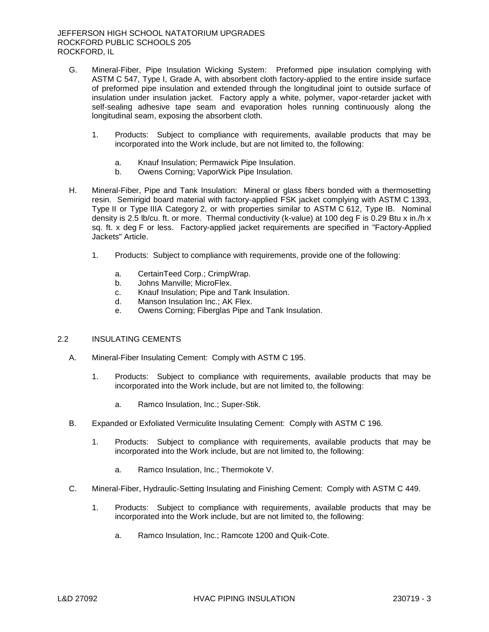- G. Mineral-Fiber, Pipe Insulation Wicking System: Preformed pipe insulation complying with ASTM C 547, Type I, Grade A, with absorbent cloth factory-applied to the entire inside surface of preformed pipe insulation and extended through the longitudinal joint to outside surface of insulation under insulation jacket. Factory apply a white, polymer, vapor-retarder jacket with self-sealing adhesive tape seam and evaporation holes running continuously along the longitudinal seam, exposing the absorbent cloth.
	- 1. Products: Subject to compliance with requirements, available products that may be incorporated into the Work include, but are not limited to, the following:
		- a. Knauf Insulation; Permawick Pipe Insulation.
		- b. Owens Corning; VaporWick Pipe Insulation.
- H. Mineral-Fiber, Pipe and Tank Insulation: Mineral or glass fibers bonded with a thermosetting resin. Semirigid board material with factory-applied FSK jacket complying with ASTM C 1393, Type II or Type IIIA Category 2, or with properties similar to ASTM C 612, Type IB. Nominal density is 2.5 lb/cu. ft. or more. Thermal conductivity (k-value) at 100 deg F is 0.29 Btu x in./h x sq. ft. x deg F or less. Factory-applied jacket requirements are specified in "Factory-Applied Jackets" Article.
	- 1. Products: Subject to compliance with requirements, provide one of the following:
		- a. CertainTeed Corp.; CrimpWrap.
		- b. Johns Manville; MicroFlex.
		- c. Knauf Insulation; Pipe and Tank Insulation.
		- d. Manson Insulation Inc.; AK Flex.
		- e. Owens Corning; Fiberglas Pipe and Tank Insulation.

#### 2.2 INSULATING CEMENTS

- A. Mineral-Fiber Insulating Cement: Comply with ASTM C 195.
	- 1. Products: Subject to compliance with requirements, available products that may be incorporated into the Work include, but are not limited to, the following:
		- a. Ramco Insulation, Inc.; Super-Stik.
- B. Expanded or Exfoliated Vermiculite Insulating Cement: Comply with ASTM C 196.
	- 1. Products: Subject to compliance with requirements, available products that may be incorporated into the Work include, but are not limited to, the following:
		- a. Ramco Insulation, Inc.; Thermokote V.
- C. Mineral-Fiber, Hydraulic-Setting Insulating and Finishing Cement: Comply with ASTM C 449.
	- 1. Products: Subject to compliance with requirements, available products that may be incorporated into the Work include, but are not limited to, the following:
		- a. Ramco Insulation, Inc.; Ramcote 1200 and Quik-Cote.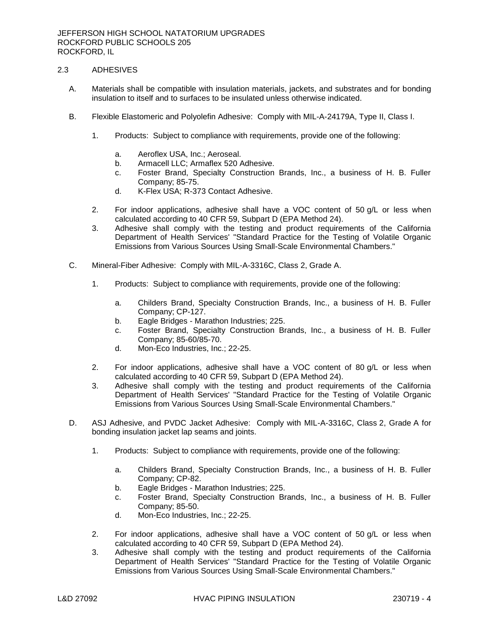# 2.3 ADHESIVES

- A. Materials shall be compatible with insulation materials, jackets, and substrates and for bonding insulation to itself and to surfaces to be insulated unless otherwise indicated.
- B. Flexible Elastomeric and Polyolefin Adhesive: Comply with MIL-A-24179A, Type II, Class I.
	- 1. Products: Subject to compliance with requirements, provide one of the following:
		- a. Aeroflex USA, Inc.; Aeroseal.
		- b. Armacell LLC; Armaflex 520 Adhesive.
		- c. Foster Brand, Specialty Construction Brands, Inc., a business of H. B. Fuller Company; 85-75.
		- d. K-Flex USA; R-373 Contact Adhesive.
	- 2. For indoor applications, adhesive shall have a VOC content of 50 g/L or less when calculated according to 40 CFR 59, Subpart D (EPA Method 24).
	- 3. Adhesive shall comply with the testing and product requirements of the California Department of Health Services' "Standard Practice for the Testing of Volatile Organic Emissions from Various Sources Using Small-Scale Environmental Chambers."
- C. Mineral-Fiber Adhesive: Comply with MIL-A-3316C, Class 2, Grade A.
	- 1. Products: Subject to compliance with requirements, provide one of the following:
		- a. Childers Brand, Specialty Construction Brands, Inc., a business of H. B. Fuller Company; CP-127.
		- b. Eagle Bridges Marathon Industries; 225.
		- c. Foster Brand, Specialty Construction Brands, Inc., a business of H. B. Fuller Company; 85-60/85-70.
		- d. Mon-Eco Industries, Inc.; 22-25.
	- 2. For indoor applications, adhesive shall have a VOC content of 80 g/L or less when calculated according to 40 CFR 59, Subpart D (EPA Method 24).
	- 3. Adhesive shall comply with the testing and product requirements of the California Department of Health Services' "Standard Practice for the Testing of Volatile Organic Emissions from Various Sources Using Small-Scale Environmental Chambers."
- D. ASJ Adhesive, and PVDC Jacket Adhesive: Comply with MIL-A-3316C, Class 2, Grade A for bonding insulation jacket lap seams and joints.
	- 1. Products: Subject to compliance with requirements, provide one of the following:
		- a. Childers Brand, Specialty Construction Brands, Inc., a business of H. B. Fuller Company; CP-82.
		- b. Eagle Bridges Marathon Industries; 225.
		- c. Foster Brand, Specialty Construction Brands, Inc., a business of H. B. Fuller Company; 85-50.
		- d. Mon-Eco Industries, Inc.; 22-25.
	- 2. For indoor applications, adhesive shall have a VOC content of 50 g/L or less when calculated according to 40 CFR 59, Subpart D (EPA Method 24).
	- 3. Adhesive shall comply with the testing and product requirements of the California Department of Health Services' "Standard Practice for the Testing of Volatile Organic Emissions from Various Sources Using Small-Scale Environmental Chambers."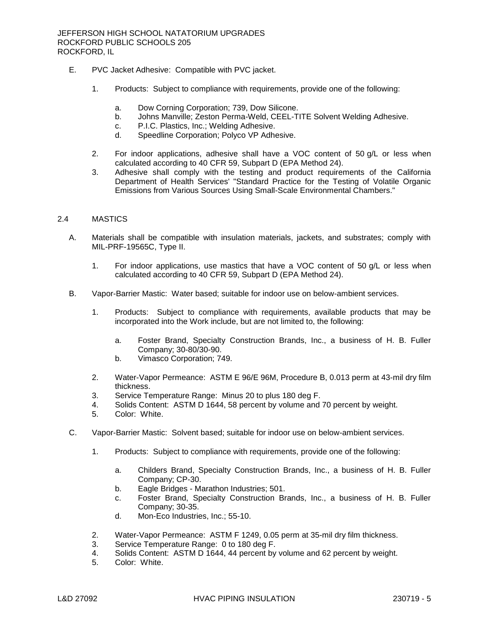- E. PVC Jacket Adhesive: Compatible with PVC jacket.
	- 1. Products: Subject to compliance with requirements, provide one of the following:
		- a. Dow Corning Corporation; 739, Dow Silicone.
		- b. Johns Manville; Zeston Perma-Weld, CEEL-TITE Solvent Welding Adhesive.
		- c. P.I.C. Plastics, Inc.; Welding Adhesive.
		- d. Speedline Corporation; Polyco VP Adhesive.
	- 2. For indoor applications, adhesive shall have a VOC content of 50 g/L or less when calculated according to 40 CFR 59, Subpart D (EPA Method 24).
	- 3. Adhesive shall comply with the testing and product requirements of the California Department of Health Services' "Standard Practice for the Testing of Volatile Organic Emissions from Various Sources Using Small-Scale Environmental Chambers."

### 2.4 MASTICS

- A. Materials shall be compatible with insulation materials, jackets, and substrates; comply with MIL-PRF-19565C, Type II.
	- 1. For indoor applications, use mastics that have a VOC content of 50 g/L or less when calculated according to 40 CFR 59, Subpart D (EPA Method 24).
- B. Vapor-Barrier Mastic: Water based; suitable for indoor use on below-ambient services.
	- 1. Products: Subject to compliance with requirements, available products that may be incorporated into the Work include, but are not limited to, the following:
		- a. Foster Brand, Specialty Construction Brands, Inc., a business of H. B. Fuller Company; 30-80/30-90.
		- b. Vimasco Corporation; 749.
	- 2. Water-Vapor Permeance: ASTM E 96/E 96M, Procedure B, 0.013 perm at 43-mil dry film thickness.
	- 3. Service Temperature Range: Minus 20 to plus 180 deg F.
	- 4. Solids Content: ASTM D 1644, 58 percent by volume and 70 percent by weight.
	- 5. Color: White.
- C. Vapor-Barrier Mastic: Solvent based; suitable for indoor use on below-ambient services.
	- 1. Products: Subject to compliance with requirements, provide one of the following:
		- a. Childers Brand, Specialty Construction Brands, Inc., a business of H. B. Fuller Company; CP-30.
		- b. Eagle Bridges Marathon Industries; 501.
		- c. Foster Brand, Specialty Construction Brands, Inc., a business of H. B. Fuller Company; 30-35.
		- d. Mon-Eco Industries, Inc.; 55-10.
	- 2. Water-Vapor Permeance: ASTM F 1249, 0.05 perm at 35-mil dry film thickness.
	- 3. Service Temperature Range: 0 to 180 deg F.
	- 4. Solids Content: ASTM D 1644, 44 percent by volume and 62 percent by weight.
	- 5. Color: White.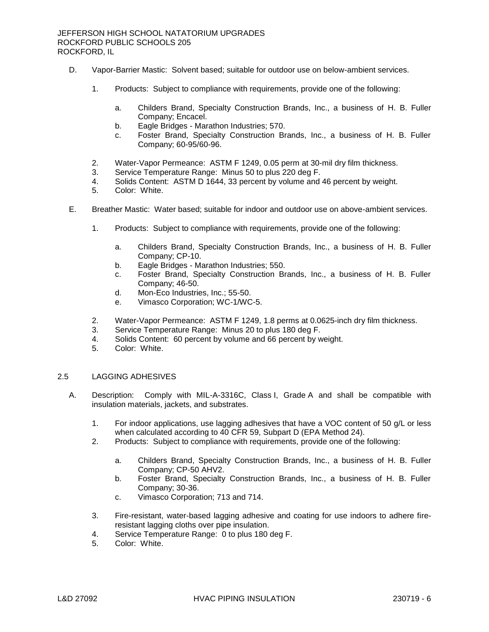- D. Vapor-Barrier Mastic: Solvent based; suitable for outdoor use on below-ambient services.
	- 1. Products: Subject to compliance with requirements, provide one of the following:
		- a. Childers Brand, Specialty Construction Brands, Inc., a business of H. B. Fuller Company; Encacel.
		- b. Eagle Bridges Marathon Industries; 570.
		- c. Foster Brand, Specialty Construction Brands, Inc., a business of H. B. Fuller Company; 60-95/60-96.
	- 2. Water-Vapor Permeance: ASTM F 1249, 0.05 perm at 30-mil dry film thickness.
	- 3. Service Temperature Range: Minus 50 to plus 220 deg F.
	- 4. Solids Content: ASTM D 1644, 33 percent by volume and 46 percent by weight.
	- 5. Color: White.
- E. Breather Mastic: Water based; suitable for indoor and outdoor use on above-ambient services.
	- 1. Products: Subject to compliance with requirements, provide one of the following:
		- a. Childers Brand, Specialty Construction Brands, Inc., a business of H. B. Fuller Company; CP-10.
		- b. Eagle Bridges Marathon Industries; 550.
		- c. Foster Brand, Specialty Construction Brands, Inc., a business of H. B. Fuller Company; 46-50.
		- d. Mon-Eco Industries, Inc.; 55-50.
		- e. Vimasco Corporation; WC-1/WC-5.
	- 2. Water-Vapor Permeance: ASTM F 1249, 1.8 perms at 0.0625-inch dry film thickness.
	- 3. Service Temperature Range: Minus 20 to plus 180 deg F.
	- 4. Solids Content: 60 percent by volume and 66 percent by weight.
	- 5. Color: White.

## 2.5 LAGGING ADHESIVES

- A. Description: Comply with MIL-A-3316C, Class I, Grade A and shall be compatible with insulation materials, jackets, and substrates.
	- 1. For indoor applications, use lagging adhesives that have a VOC content of 50 g/L or less when calculated according to 40 CFR 59, Subpart D (EPA Method 24).
	- 2. Products: Subject to compliance with requirements, provide one of the following:
		- a. Childers Brand, Specialty Construction Brands, Inc., a business of H. B. Fuller Company; CP-50 AHV2.
		- b. Foster Brand, Specialty Construction Brands, Inc., a business of H. B. Fuller Company; 30-36.
		- c. Vimasco Corporation; 713 and 714.
	- 3. Fire-resistant, water-based lagging adhesive and coating for use indoors to adhere fireresistant lagging cloths over pipe insulation.
	- 4. Service Temperature Range: 0 to plus 180 deg F.
	- 5. Color: White.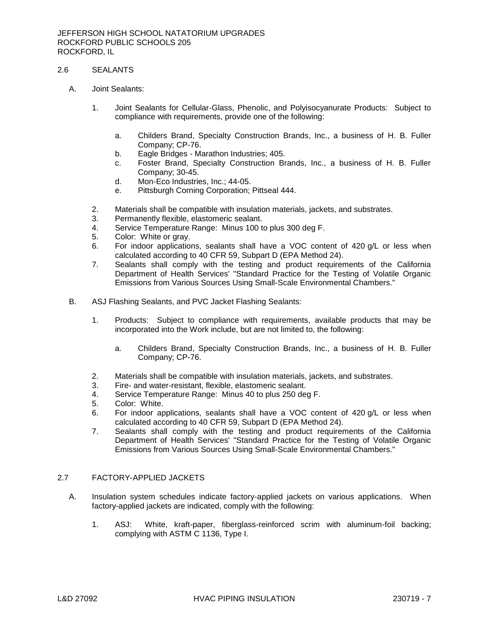# 2.6 SEALANTS

- A. Joint Sealants:
	- 1. Joint Sealants for Cellular-Glass, Phenolic, and Polyisocyanurate Products: Subject to compliance with requirements, provide one of the following:
		- a. Childers Brand, Specialty Construction Brands, Inc., a business of H. B. Fuller Company; CP-76.
		- b. Eagle Bridges Marathon Industries; 405.
		- c. Foster Brand, Specialty Construction Brands, Inc., a business of H. B. Fuller Company; 30-45.
		- d. Mon-Eco Industries, Inc.; 44-05.
		- e. Pittsburgh Corning Corporation; Pittseal 444.
	- 2. Materials shall be compatible with insulation materials, jackets, and substrates.
	- 3. Permanently flexible, elastomeric sealant.
	- 4. Service Temperature Range: Minus 100 to plus 300 deg F.
	- 5. Color: White or gray.
	- 6. For indoor applications, sealants shall have a VOC content of 420 g/L or less when calculated according to 40 CFR 59, Subpart D (EPA Method 24).
	- 7. Sealants shall comply with the testing and product requirements of the California Department of Health Services' "Standard Practice for the Testing of Volatile Organic Emissions from Various Sources Using Small-Scale Environmental Chambers."
- B. ASJ Flashing Sealants, and PVC Jacket Flashing Sealants:
	- 1. Products: Subject to compliance with requirements, available products that may be incorporated into the Work include, but are not limited to, the following:
		- a. Childers Brand, Specialty Construction Brands, Inc., a business of H. B. Fuller Company; CP-76.
	- 2. Materials shall be compatible with insulation materials, jackets, and substrates.
	- 3. Fire- and water-resistant, flexible, elastomeric sealant.
	- 4. Service Temperature Range: Minus 40 to plus 250 deg F.
	- 5. Color: White.
	- 6. For indoor applications, sealants shall have a VOC content of 420 g/L or less when calculated according to 40 CFR 59, Subpart D (EPA Method 24).
	- 7. Sealants shall comply with the testing and product requirements of the California Department of Health Services' "Standard Practice for the Testing of Volatile Organic Emissions from Various Sources Using Small-Scale Environmental Chambers."

## 2.7 FACTORY-APPLIED JACKETS

- A. Insulation system schedules indicate factory-applied jackets on various applications. When factory-applied jackets are indicated, comply with the following:
	- 1. ASJ: White, kraft-paper, fiberglass-reinforced scrim with aluminum-foil backing; complying with ASTM C 1136, Type I.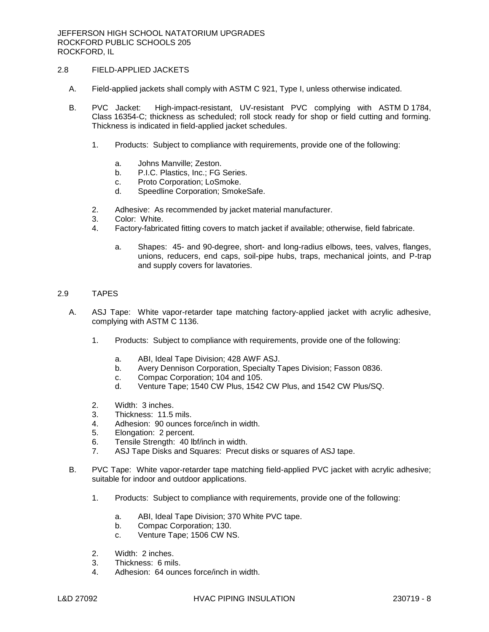# 2.8 FIELD-APPLIED JACKETS

- A. Field-applied jackets shall comply with ASTM C 921, Type I, unless otherwise indicated.
- B. PVC Jacket: High-impact-resistant, UV-resistant PVC complying with ASTM D 1784, Class 16354-C; thickness as scheduled; roll stock ready for shop or field cutting and forming. Thickness is indicated in field-applied jacket schedules.
	- 1. Products: Subject to compliance with requirements, provide one of the following:
		- a. Johns Manville; Zeston.
		- b. P.I.C. Plastics, Inc.; FG Series.
		- c. Proto Corporation; LoSmoke.
		- d. Speedline Corporation; SmokeSafe.
	- 2. Adhesive: As recommended by jacket material manufacturer.
	- 3. Color: White.
	- 4. Factory-fabricated fitting covers to match jacket if available; otherwise, field fabricate.
		- a. Shapes: 45- and 90-degree, short- and long-radius elbows, tees, valves, flanges, unions, reducers, end caps, soil-pipe hubs, traps, mechanical joints, and P-trap and supply covers for lavatories.

### 2.9 TAPES

- A. ASJ Tape: White vapor-retarder tape matching factory-applied jacket with acrylic adhesive, complying with ASTM C 1136.
	- 1. Products: Subject to compliance with requirements, provide one of the following:
		- a. ABI, Ideal Tape Division; 428 AWF ASJ.
		- b. Avery Dennison Corporation, Specialty Tapes Division; Fasson 0836.
		- c. Compac Corporation; 104 and 105.
		- d. Venture Tape; 1540 CW Plus, 1542 CW Plus, and 1542 CW Plus/SQ.
	- 2. Width: 3 inches.
	- 3. Thickness: 11.5 mils.
	- 4. Adhesion: 90 ounces force/inch in width.
	- 5. Elongation: 2 percent.
	- 6. Tensile Strength: 40 lbf/inch in width.
	- 7. ASJ Tape Disks and Squares: Precut disks or squares of ASJ tape.
- B. PVC Tape: White vapor-retarder tape matching field-applied PVC jacket with acrylic adhesive; suitable for indoor and outdoor applications.
	- 1. Products: Subject to compliance with requirements, provide one of the following:
		- a. ABI, Ideal Tape Division; 370 White PVC tape.
		- b. Compac Corporation; 130.
		- c. Venture Tape; 1506 CW NS.
	- 2. Width: 2 inches.
	- 3. Thickness: 6 mils.
	- 4. Adhesion: 64 ounces force/inch in width.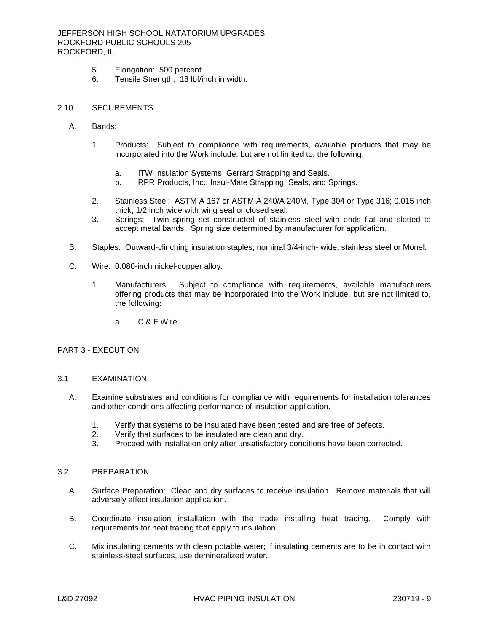### JEFFERSON HIGH SCHOOL NATATORIUM UPGRADES ROCKFORD PUBLIC SCHOOLS 205 ROCKFORD, IL

- 5. Elongation: 500 percent.<br>6. Tensile Strength: 18 lbf/ir
- 6. Tensile Strength: 18 lbf/inch in width.

#### 2.10 SECUREMENTS

- A. Bands:
	- 1. Products: Subject to compliance with requirements, available products that may be incorporated into the Work include, but are not limited to, the following:
		- a. ITW Insulation Systems; Gerrard Strapping and Seals.
		- b. RPR Products, Inc.; Insul-Mate Strapping, Seals, and Springs.
	- 2. Stainless Steel: ASTM A 167 or ASTM A 240/A 240M, Type 304 or Type 316; 0.015 inch thick, 1/2 inch wide with wing seal or closed seal.
	- 3. Springs: Twin spring set constructed of stainless steel with ends flat and slotted to accept metal bands. Spring size determined by manufacturer for application.
- B. Staples: Outward-clinching insulation staples, nominal 3/4-inch- wide, stainless steel or Monel.
- C. Wire: 0.080-inch nickel-copper alloy.
	- 1. Manufacturers: Subject to compliance with requirements, available manufacturers offering products that may be incorporated into the Work include, but are not limited to, the following:
		- a. C & F Wire.

#### PART 3 - EXECUTION

#### 3.1 EXAMINATION

- A. Examine substrates and conditions for compliance with requirements for installation tolerances and other conditions affecting performance of insulation application.
	- 1. Verify that systems to be insulated have been tested and are free of defects.
	- 2. Verify that surfaces to be insulated are clean and dry.
	- 3. Proceed with installation only after unsatisfactory conditions have been corrected.

#### 3.2 PREPARATION

- A. Surface Preparation: Clean and dry surfaces to receive insulation. Remove materials that will adversely affect insulation application.
- B. Coordinate insulation installation with the trade installing heat tracing. Comply with requirements for heat tracing that apply to insulation.
- C. Mix insulating cements with clean potable water; if insulating cements are to be in contact with stainless-steel surfaces, use demineralized water.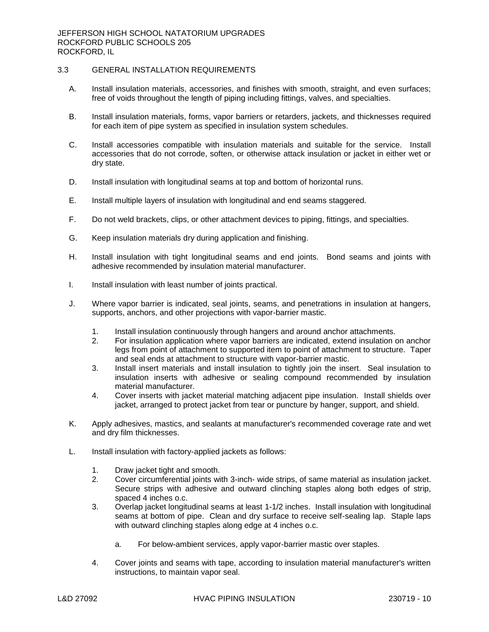# 3.3 GENERAL INSTALLATION REQUIREMENTS

- A. Install insulation materials, accessories, and finishes with smooth, straight, and even surfaces; free of voids throughout the length of piping including fittings, valves, and specialties.
- B. Install insulation materials, forms, vapor barriers or retarders, jackets, and thicknesses required for each item of pipe system as specified in insulation system schedules.
- C. Install accessories compatible with insulation materials and suitable for the service. Install accessories that do not corrode, soften, or otherwise attack insulation or jacket in either wet or dry state.
- D. Install insulation with longitudinal seams at top and bottom of horizontal runs.
- E. Install multiple layers of insulation with longitudinal and end seams staggered.
- F. Do not weld brackets, clips, or other attachment devices to piping, fittings, and specialties.
- G. Keep insulation materials dry during application and finishing.
- H. Install insulation with tight longitudinal seams and end joints. Bond seams and joints with adhesive recommended by insulation material manufacturer.
- I. Install insulation with least number of joints practical.
- J. Where vapor barrier is indicated, seal joints, seams, and penetrations in insulation at hangers, supports, anchors, and other projections with vapor-barrier mastic.
	- 1. Install insulation continuously through hangers and around anchor attachments.
	- 2. For insulation application where vapor barriers are indicated, extend insulation on anchor legs from point of attachment to supported item to point of attachment to structure. Taper and seal ends at attachment to structure with vapor-barrier mastic.
	- 3. Install insert materials and install insulation to tightly join the insert. Seal insulation to insulation inserts with adhesive or sealing compound recommended by insulation material manufacturer.
	- 4. Cover inserts with jacket material matching adjacent pipe insulation. Install shields over jacket, arranged to protect jacket from tear or puncture by hanger, support, and shield.
- K. Apply adhesives, mastics, and sealants at manufacturer's recommended coverage rate and wet and dry film thicknesses.
- L. Install insulation with factory-applied jackets as follows:
	- 1. Draw jacket tight and smooth.
	- 2. Cover circumferential joints with 3-inch- wide strips, of same material as insulation jacket. Secure strips with adhesive and outward clinching staples along both edges of strip, spaced 4 inches o.c.
	- 3. Overlap jacket longitudinal seams at least 1-1/2 inches. Install insulation with longitudinal seams at bottom of pipe. Clean and dry surface to receive self-sealing lap. Staple laps with outward clinching staples along edge at 4 inches o.c.
		- a. For below-ambient services, apply vapor-barrier mastic over staples.
	- 4. Cover joints and seams with tape, according to insulation material manufacturer's written instructions, to maintain vapor seal.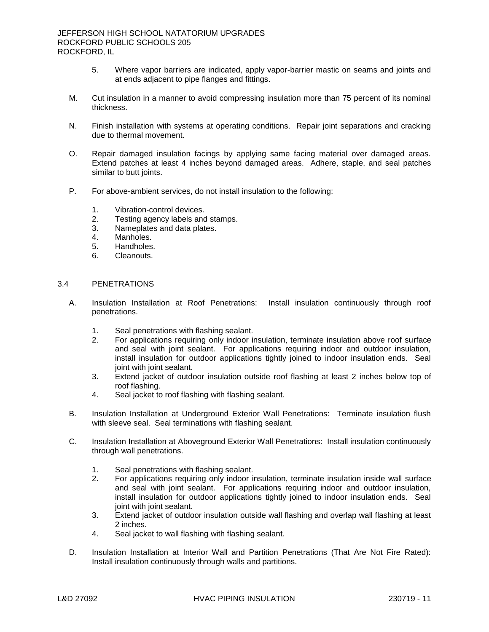- 5. Where vapor barriers are indicated, apply vapor-barrier mastic on seams and joints and at ends adjacent to pipe flanges and fittings.
- M. Cut insulation in a manner to avoid compressing insulation more than 75 percent of its nominal thickness.
- N. Finish installation with systems at operating conditions. Repair joint separations and cracking due to thermal movement.
- O. Repair damaged insulation facings by applying same facing material over damaged areas. Extend patches at least 4 inches beyond damaged areas. Adhere, staple, and seal patches similar to butt joints.
- P. For above-ambient services, do not install insulation to the following:
	- 1. Vibration-control devices.
	- 2. Testing agency labels and stamps.
	- 3. Nameplates and data plates.
	- 4. Manholes.
	- 5. Handholes.
	- 6. Cleanouts.

### 3.4 PENETRATIONS

- A. Insulation Installation at Roof Penetrations: Install insulation continuously through roof penetrations.
	- 1. Seal penetrations with flashing sealant.
	- 2. For applications requiring only indoor insulation, terminate insulation above roof surface and seal with joint sealant. For applications requiring indoor and outdoor insulation, install insulation for outdoor applications tightly joined to indoor insulation ends. Seal joint with joint sealant.
	- 3. Extend jacket of outdoor insulation outside roof flashing at least 2 inches below top of roof flashing.
	- 4. Seal jacket to roof flashing with flashing sealant.
- B. Insulation Installation at Underground Exterior Wall Penetrations: Terminate insulation flush with sleeve seal. Seal terminations with flashing sealant.
- C. Insulation Installation at Aboveground Exterior Wall Penetrations: Install insulation continuously through wall penetrations.
	- 1. Seal penetrations with flashing sealant.
	- 2. For applications requiring only indoor insulation, terminate insulation inside wall surface and seal with joint sealant. For applications requiring indoor and outdoor insulation, install insulation for outdoor applications tightly joined to indoor insulation ends. Seal joint with joint sealant.
	- 3. Extend jacket of outdoor insulation outside wall flashing and overlap wall flashing at least 2 inches.
	- 4. Seal jacket to wall flashing with flashing sealant.
- D. Insulation Installation at Interior Wall and Partition Penetrations (That Are Not Fire Rated): Install insulation continuously through walls and partitions.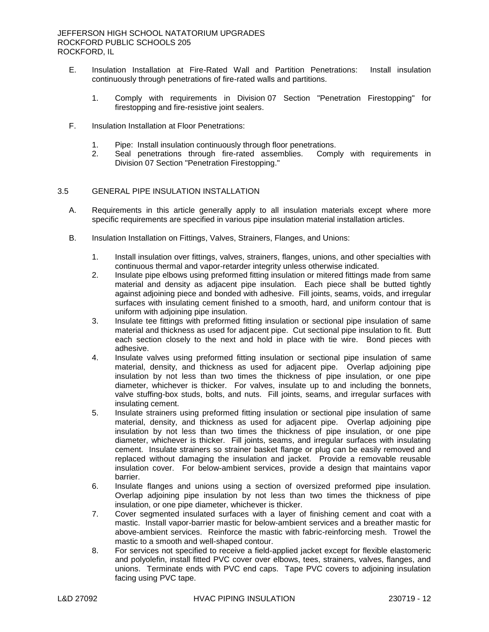- E. Insulation Installation at Fire-Rated Wall and Partition Penetrations: Install insulation continuously through penetrations of fire-rated walls and partitions.
	- 1. Comply with requirements in Division 07 Section "Penetration Firestopping" for firestopping and fire-resistive joint sealers.
- F. Insulation Installation at Floor Penetrations:
	- 1. Pipe: Install insulation continuously through floor penetrations.
	- 2. Seal penetrations through fire-rated assemblies. Comply with requirements in Division 07 Section "Penetration Firestopping."

## 3.5 GENERAL PIPE INSULATION INSTALLATION

- A. Requirements in this article generally apply to all insulation materials except where more specific requirements are specified in various pipe insulation material installation articles.
- B. Insulation Installation on Fittings, Valves, Strainers, Flanges, and Unions:
	- 1. Install insulation over fittings, valves, strainers, flanges, unions, and other specialties with continuous thermal and vapor-retarder integrity unless otherwise indicated.
	- 2. Insulate pipe elbows using preformed fitting insulation or mitered fittings made from same material and density as adjacent pipe insulation. Each piece shall be butted tightly against adjoining piece and bonded with adhesive. Fill joints, seams, voids, and irregular surfaces with insulating cement finished to a smooth, hard, and uniform contour that is uniform with adjoining pipe insulation.
	- 3. Insulate tee fittings with preformed fitting insulation or sectional pipe insulation of same material and thickness as used for adjacent pipe. Cut sectional pipe insulation to fit. Butt each section closely to the next and hold in place with tie wire. Bond pieces with adhesive.
	- 4. Insulate valves using preformed fitting insulation or sectional pipe insulation of same material, density, and thickness as used for adjacent pipe. Overlap adjoining pipe insulation by not less than two times the thickness of pipe insulation, or one pipe diameter, whichever is thicker. For valves, insulate up to and including the bonnets, valve stuffing-box studs, bolts, and nuts. Fill joints, seams, and irregular surfaces with insulating cement.
	- 5. Insulate strainers using preformed fitting insulation or sectional pipe insulation of same material, density, and thickness as used for adjacent pipe. Overlap adjoining pipe insulation by not less than two times the thickness of pipe insulation, or one pipe diameter, whichever is thicker. Fill joints, seams, and irregular surfaces with insulating cement. Insulate strainers so strainer basket flange or plug can be easily removed and replaced without damaging the insulation and jacket. Provide a removable reusable insulation cover. For below-ambient services, provide a design that maintains vapor barrier.
	- 6. Insulate flanges and unions using a section of oversized preformed pipe insulation. Overlap adjoining pipe insulation by not less than two times the thickness of pipe insulation, or one pipe diameter, whichever is thicker.
	- 7. Cover segmented insulated surfaces with a layer of finishing cement and coat with a mastic. Install vapor-barrier mastic for below-ambient services and a breather mastic for above-ambient services. Reinforce the mastic with fabric-reinforcing mesh. Trowel the mastic to a smooth and well-shaped contour.
	- 8. For services not specified to receive a field-applied jacket except for flexible elastomeric and polyolefin, install fitted PVC cover over elbows, tees, strainers, valves, flanges, and unions. Terminate ends with PVC end caps. Tape PVC covers to adjoining insulation facing using PVC tape.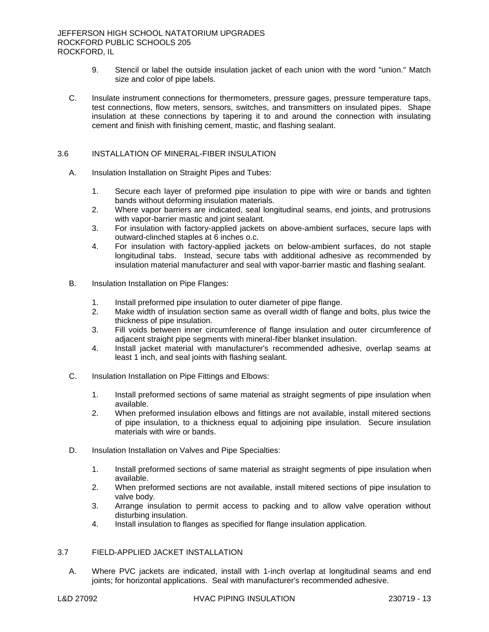- 9. Stencil or label the outside insulation jacket of each union with the word "union." Match size and color of pipe labels.
- C. Insulate instrument connections for thermometers, pressure gages, pressure temperature taps, test connections, flow meters, sensors, switches, and transmitters on insulated pipes. Shape insulation at these connections by tapering it to and around the connection with insulating cement and finish with finishing cement, mastic, and flashing sealant.

## 3.6 INSTALLATION OF MINERAL-FIBER INSULATION

- A. Insulation Installation on Straight Pipes and Tubes:
	- 1. Secure each layer of preformed pipe insulation to pipe with wire or bands and tighten bands without deforming insulation materials.
	- 2. Where vapor barriers are indicated, seal longitudinal seams, end joints, and protrusions with vapor-barrier mastic and joint sealant.
	- 3. For insulation with factory-applied jackets on above-ambient surfaces, secure laps with outward-clinched staples at 6 inches o.c.
	- 4. For insulation with factory-applied jackets on below-ambient surfaces, do not staple longitudinal tabs. Instead, secure tabs with additional adhesive as recommended by insulation material manufacturer and seal with vapor-barrier mastic and flashing sealant.
- B. Insulation Installation on Pipe Flanges:
	- 1. Install preformed pipe insulation to outer diameter of pipe flange.
	- 2. Make width of insulation section same as overall width of flange and bolts, plus twice the thickness of pipe insulation.
	- 3. Fill voids between inner circumference of flange insulation and outer circumference of adjacent straight pipe segments with mineral-fiber blanket insulation.
	- 4. Install jacket material with manufacturer's recommended adhesive, overlap seams at least 1 inch, and seal joints with flashing sealant.
- C. Insulation Installation on Pipe Fittings and Elbows:
	- 1. Install preformed sections of same material as straight segments of pipe insulation when available.
	- 2. When preformed insulation elbows and fittings are not available, install mitered sections of pipe insulation, to a thickness equal to adjoining pipe insulation. Secure insulation materials with wire or bands.
- D. Insulation Installation on Valves and Pipe Specialties:
	- 1. Install preformed sections of same material as straight segments of pipe insulation when available.
	- 2. When preformed sections are not available, install mitered sections of pipe insulation to valve body.
	- 3. Arrange insulation to permit access to packing and to allow valve operation without disturbing insulation.
	- 4. Install insulation to flanges as specified for flange insulation application.

# 3.7 FIELD-APPLIED JACKET INSTALLATION

A. Where PVC jackets are indicated, install with 1-inch overlap at longitudinal seams and end joints; for horizontal applications. Seal with manufacturer's recommended adhesive.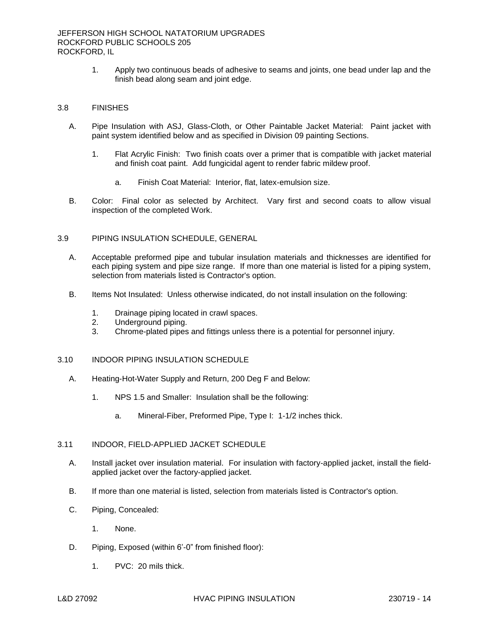1. Apply two continuous beads of adhesive to seams and joints, one bead under lap and the finish bead along seam and joint edge.

## 3.8 FINISHES

- A. Pipe Insulation with ASJ, Glass-Cloth, or Other Paintable Jacket Material: Paint jacket with paint system identified below and as specified in Division 09 painting Sections.
	- 1. Flat Acrylic Finish: Two finish coats over a primer that is compatible with jacket material and finish coat paint. Add fungicidal agent to render fabric mildew proof.
		- a. Finish Coat Material: Interior, flat, latex-emulsion size.
- B. Color: Final color as selected by Architect. Vary first and second coats to allow visual inspection of the completed Work.

### 3.9 PIPING INSULATION SCHEDULE, GENERAL

- A. Acceptable preformed pipe and tubular insulation materials and thicknesses are identified for each piping system and pipe size range. If more than one material is listed for a piping system, selection from materials listed is Contractor's option.
- B. Items Not Insulated: Unless otherwise indicated, do not install insulation on the following:
	- 1. Drainage piping located in crawl spaces.
	- 2. Underground piping.
	- 3. Chrome-plated pipes and fittings unless there is a potential for personnel injury.

## 3.10 INDOOR PIPING INSULATION SCHEDULE

- A. Heating-Hot-Water Supply and Return, 200 Deg F and Below:
	- 1. NPS 1.5 and Smaller: Insulation shall be the following:
		- a. Mineral-Fiber, Preformed Pipe, Type I: 1-1/2 inches thick.

### 3.11 INDOOR, FIELD-APPLIED JACKET SCHEDULE

- A. Install jacket over insulation material. For insulation with factory-applied jacket, install the fieldapplied jacket over the factory-applied jacket.
- B. If more than one material is listed, selection from materials listed is Contractor's option.
- C. Piping, Concealed:
	- 1. None.
- D. Piping, Exposed (within 6'-0" from finished floor):
	- 1. PVC: 20 mils thick.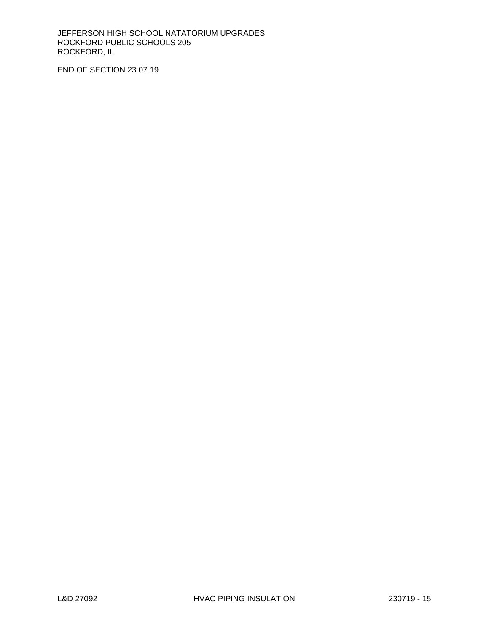JEFFERSON HIGH SCHOOL NATATORIUM UPGRADES ROCKFORD PUBLIC SCHOOLS 205 ROCKFORD, IL

END OF SECTION 23 07 19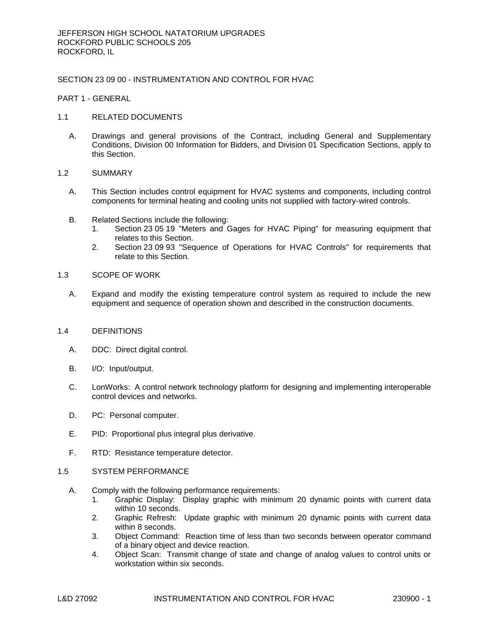# SECTION 23 09 00 - INSTRUMENTATION AND CONTROL FOR HVAC

PART 1 - GENERAL

### 1.1 RELATED DOCUMENTS

A. Drawings and general provisions of the Contract, including General and Supplementary Conditions, Division 00 Information for Bidders, and Division 01 Specification Sections, apply to this Section.

### 1.2 SUMMARY

- A. This Section includes control equipment for HVAC systems and components, including control components for terminal heating and cooling units not supplied with factory-wired controls.
- B. Related Sections include the following:
	- 1. Section 23 05 19 "Meters and Gages for HVAC Piping" for measuring equipment that relates to this Section.
	- 2. Section 23 09 93 "Sequence of Operations for HVAC Controls" for requirements that relate to this Section.

### 1.3 SCOPE OF WORK

A. Expand and modify the existing temperature control system as required to include the new equipment and sequence of operation shown and described in the construction documents.

#### 1.4 DEFINITIONS

- A. DDC: Direct digital control.
- B. I/O: Input/output.
- C. LonWorks: A control network technology platform for designing and implementing interoperable control devices and networks.
- D. PC: Personal computer.
- E. PID: Proportional plus integral plus derivative.
- F. RTD: Resistance temperature detector.

#### 1.5 SYSTEM PERFORMANCE

- A. Comply with the following performance requirements:
	- 1. Graphic Display: Display graphic with minimum 20 dynamic points with current data within 10 seconds.
	- 2. Graphic Refresh: Update graphic with minimum 20 dynamic points with current data within 8 seconds.
	- 3. Object Command: Reaction time of less than two seconds between operator command of a binary object and device reaction.
	- 4. Object Scan: Transmit change of state and change of analog values to control units or workstation within six seconds.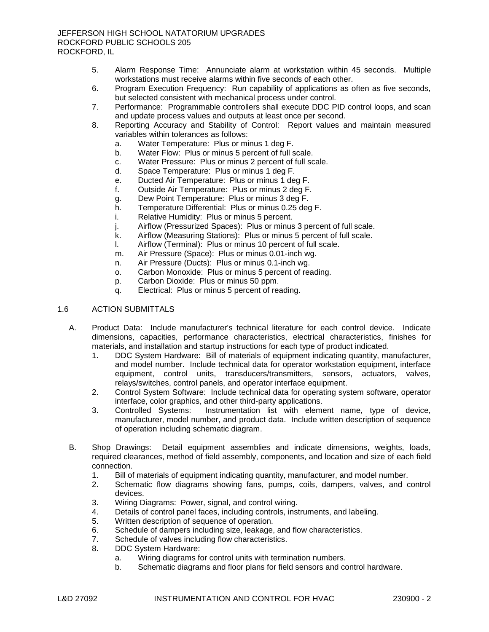- 5. Alarm Response Time: Annunciate alarm at workstation within 45 seconds. Multiple workstations must receive alarms within five seconds of each other.
- 6. Program Execution Frequency: Run capability of applications as often as five seconds, but selected consistent with mechanical process under control.
- 7. Performance: Programmable controllers shall execute DDC PID control loops, and scan and update process values and outputs at least once per second.
- 8. Reporting Accuracy and Stability of Control: Report values and maintain measured variables within tolerances as follows:
	- a. Water Temperature: Plus or minus 1 deg F.
	- b. Water Flow: Plus or minus 5 percent of full scale.
	- c. Water Pressure: Plus or minus 2 percent of full scale.
	- d. Space Temperature: Plus or minus 1 deg F.
	- e. Ducted Air Temperature: Plus or minus 1 deg F.
	- f. Outside Air Temperature: Plus or minus 2 deg F.
	- g. Dew Point Temperature: Plus or minus 3 deg F.
	- h. Temperature Differential: Plus or minus 0.25 deg F.
	- i. Relative Humidity: Plus or minus 5 percent.
	- j. Airflow (Pressurized Spaces): Plus or minus 3 percent of full scale.
	- k. Airflow (Measuring Stations): Plus or minus 5 percent of full scale.
	- l. Airflow (Terminal): Plus or minus 10 percent of full scale.
	- m. Air Pressure (Space): Plus or minus 0.01-inch wg.
	- n. Air Pressure (Ducts): Plus or minus 0.1-inch wg.
	- o. Carbon Monoxide: Plus or minus 5 percent of reading.
	- p. Carbon Dioxide: Plus or minus 50 ppm.
	- q. Electrical: Plus or minus 5 percent of reading.

# 1.6 ACTION SUBMITTALS

- A. Product Data: Include manufacturer's technical literature for each control device. Indicate dimensions, capacities, performance characteristics, electrical characteristics, finishes for materials, and installation and startup instructions for each type of product indicated.
	- 1. DDC System Hardware: Bill of materials of equipment indicating quantity, manufacturer, and model number. Include technical data for operator workstation equipment, interface equipment, control units, transducers/transmitters, sensors, actuators, valves, relays/switches, control panels, and operator interface equipment.
	- 2. Control System Software: Include technical data for operating system software, operator interface, color graphics, and other third-party applications.
	- 3. Controlled Systems: Instrumentation list with element name, type of device, manufacturer, model number, and product data. Include written description of sequence of operation including schematic diagram.
- B. Shop Drawings: Detail equipment assemblies and indicate dimensions, weights, loads, required clearances, method of field assembly, components, and location and size of each field connection.
	- 1. Bill of materials of equipment indicating quantity, manufacturer, and model number.
	- 2. Schematic flow diagrams showing fans, pumps, coils, dampers, valves, and control devices.
	- 3. Wiring Diagrams: Power, signal, and control wiring.
	- 4. Details of control panel faces, including controls, instruments, and labeling.
	- 5. Written description of sequence of operation.
	- 6. Schedule of dampers including size, leakage, and flow characteristics.
	- 7. Schedule of valves including flow characteristics.
	- 8. DDC System Hardware:
		- a. Wiring diagrams for control units with termination numbers.
		- b. Schematic diagrams and floor plans for field sensors and control hardware.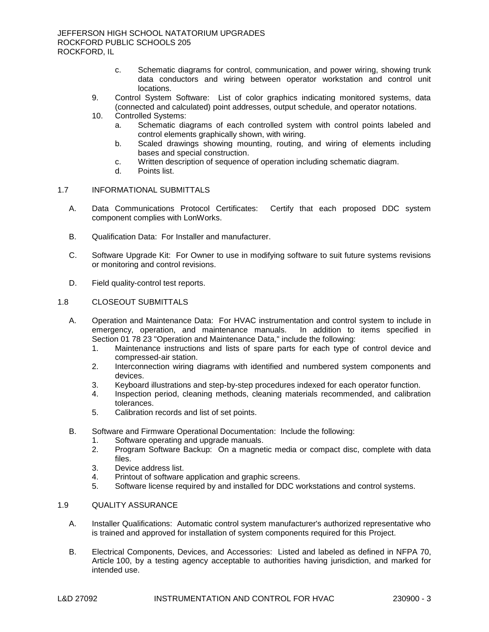- c. Schematic diagrams for control, communication, and power wiring, showing trunk data conductors and wiring between operator workstation and control unit locations.
- 9. Control System Software: List of color graphics indicating monitored systems, data (connected and calculated) point addresses, output schedule, and operator notations.
- 10. Controlled Systems:
	- a. Schematic diagrams of each controlled system with control points labeled and control elements graphically shown, with wiring.
	- b. Scaled drawings showing mounting, routing, and wiring of elements including bases and special construction.
	- c. Written description of sequence of operation including schematic diagram.
	- d. Points list.

# 1.7 INFORMATIONAL SUBMITTALS

- A. Data Communications Protocol Certificates: Certify that each proposed DDC system component complies with LonWorks.
- B. Qualification Data: For Installer and manufacturer.
- C. Software Upgrade Kit: For Owner to use in modifying software to suit future systems revisions or monitoring and control revisions.
- D. Field quality-control test reports.

### 1.8 CLOSEOUT SUBMITTALS

- A. Operation and Maintenance Data: For HVAC instrumentation and control system to include in emergency, operation, and maintenance manuals. In addition to items specified in emergency, operation, and maintenance manuals. Section 01 78 23 "Operation and Maintenance Data," include the following:
	- 1. Maintenance instructions and lists of spare parts for each type of control device and compressed-air station.
	- 2. Interconnection wiring diagrams with identified and numbered system components and devices.
	- 3. Keyboard illustrations and step-by-step procedures indexed for each operator function.
	- 4. Inspection period, cleaning methods, cleaning materials recommended, and calibration tolerances.
	- 5. Calibration records and list of set points.
- B. Software and Firmware Operational Documentation: Include the following:
	- 1. Software operating and upgrade manuals.
	- 2. Program Software Backup: On a magnetic media or compact disc, complete with data files.
	- 3. Device address list.
	- 4. Printout of software application and graphic screens.
	- 5. Software license required by and installed for DDC workstations and control systems.

# 1.9 QUALITY ASSURANCE

- A. Installer Qualifications: Automatic control system manufacturer's authorized representative who is trained and approved for installation of system components required for this Project.
- B. Electrical Components, Devices, and Accessories: Listed and labeled as defined in NFPA 70, Article 100, by a testing agency acceptable to authorities having jurisdiction, and marked for intended use.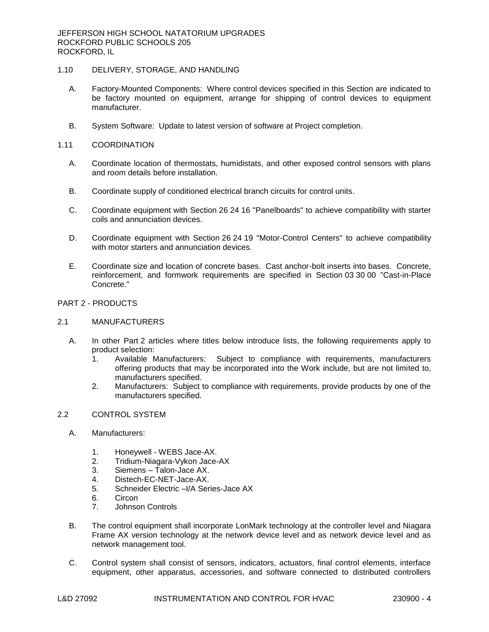# 1.10 DELIVERY, STORAGE, AND HANDLING

- A. Factory-Mounted Components: Where control devices specified in this Section are indicated to be factory mounted on equipment, arrange for shipping of control devices to equipment manufacturer.
- B. System Software: Update to latest version of software at Project completion.

### 1.11 COORDINATION

- A. Coordinate location of thermostats, humidistats, and other exposed control sensors with plans and room details before installation.
- B. Coordinate supply of conditioned electrical branch circuits for control units.
- C. Coordinate equipment with Section 26 24 16 "Panelboards" to achieve compatibility with starter coils and annunciation devices.
- D. Coordinate equipment with Section 26 24 19 "Motor-Control Centers" to achieve compatibility with motor starters and annunciation devices.
- E. Coordinate size and location of concrete bases. Cast anchor-bolt inserts into bases. Concrete, reinforcement, and formwork requirements are specified in Section 03 30 00 "Cast-in-Place Concrete."

# PART 2 - PRODUCTS

### 2.1 MANUFACTURERS

- A. In other Part 2 articles where titles below introduce lists, the following requirements apply to product selection:
	- 1. Available Manufacturers: Subject to compliance with requirements, manufacturers offering products that may be incorporated into the Work include, but are not limited to, manufacturers specified.
	- 2. Manufacturers: Subject to compliance with requirements, provide products by one of the manufacturers specified.

# 2.2 CONTROL SYSTEM

- A. [Manufacturers:](http://www.specagent.com/LookUp/?ulid=3262&mf=04&src=wd)
	- 1. [Honeywell -](http://www.specagent.com/LookUp/?uid=123456824776&mf=04&src=wd) WEBS Jace-AX.
	- 2. Tridium-Niagara-Vykon Jace-AX
	- 3. [Siemens –](http://www.specagent.com/LookUp/?uid=123456811862&mf=04&src=wd) Talon-Jace AX.
	- 4. Distech-EC-NET-Jace-AX.
	- 5. Schneider Electric –I/A Series-Jace AX
	- 6. Circon
	- 7. Johnson Controls
- B. The control equipment shall incorporate LonMark technology at the controller level and Niagara Frame AX version technology at the network device level and as network device level and as network management tool.
- C. Control system shall consist of sensors, indicators, actuators, final control elements, interface equipment, other apparatus, accessories, and software connected to distributed controllers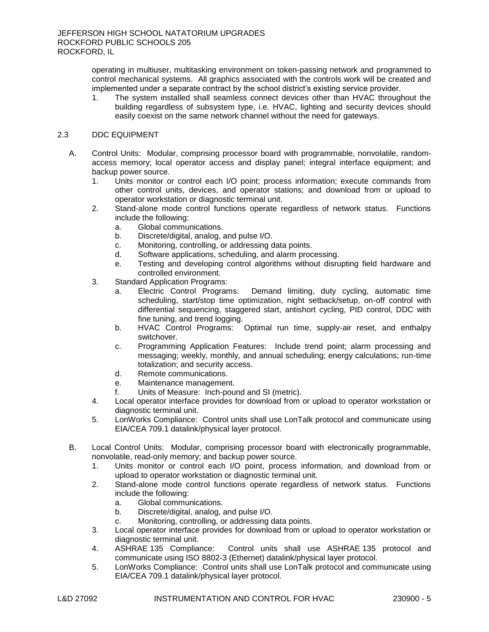operating in multiuser, multitasking environment on token-passing network and programmed to control mechanical systems. All graphics associated with the controls work will be created and implemented under a separate contract by the school district's existing service provider.

1. The system installed shall seamless connect devices other than HVAC throughout the building regardless of subsystem type, i.e. HVAC, lighting and security devices should easily coexist on the same network channel without the need for gateways.

# 2.3 DDC EQUIPMENT

- A. Control Units: Modular, comprising processor board with programmable, nonvolatile, randomaccess memory; local operator access and display panel; integral interface equipment; and backup power source.
	- 1. Units monitor or control each I/O point; process information; execute commands from other control units, devices, and operator stations; and download from or upload to operator workstation or diagnostic terminal unit.
	- 2. Stand-alone mode control functions operate regardless of network status. Functions include the following:
		- a. Global communications.
		- b. Discrete/digital, analog, and pulse I/O.
		- c. Monitoring, controlling, or addressing data points.
		- d. Software applications, scheduling, and alarm processing.
		- e. Testing and developing control algorithms without disrupting field hardware and controlled environment.
	- 3. Standard Application Programs:
		- a. Electric Control Programs: Demand limiting, duty cycling, automatic time scheduling, start/stop time optimization, night setback/setup, on-off control with differential sequencing, staggered start, antishort cycling, PID control, DDC with fine tuning, and trend logging.
		- b. HVAC Control Programs: Optimal run time, supply-air reset, and enthalpy switchover.
		- c. Programming Application Features: Include trend point; alarm processing and messaging; weekly, monthly, and annual scheduling; energy calculations; run-time totalization; and security access.
		- d. Remote communications.
		- e. Maintenance management.
		- f. Units of Measure: Inch-pound and SI (metric).
	- 4. Local operator interface provides for download from or upload to operator workstation or diagnostic terminal unit.
	- 5. LonWorks Compliance: Control units shall use LonTalk protocol and communicate using EIA/CEA 709.1 datalink/physical layer protocol.
- B. Local Control Units: Modular, comprising processor board with electronically programmable, nonvolatile, read-only memory; and backup power source.
	- 1. Units monitor or control each I/O point, process information, and download from or upload to operator workstation or diagnostic terminal unit.
	- 2. Stand-alone mode control functions operate regardless of network status. Functions include the following:
		- a. Global communications.
		- b. Discrete/digital, analog, and pulse I/O.
		- c. Monitoring, controlling, or addressing data points.
	- 3. Local operator interface provides for download from or upload to operator workstation or diagnostic terminal unit.<br>ASHRAE 135 Compliance:
	- 4. ASHRAE 135 Compliance: Control units shall use ASHRAE 135 protocol and communicate using ISO 8802-3 (Ethernet) datalink/physical layer protocol.
	- 5. LonWorks Compliance: Control units shall use LonTalk protocol and communicate using EIA/CEA 709.1 datalink/physical layer protocol.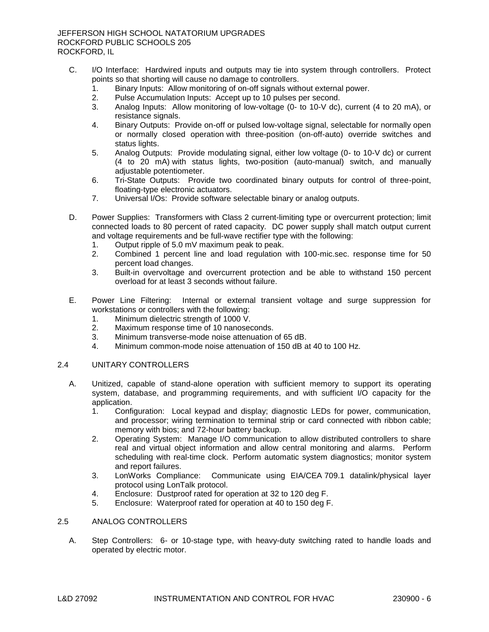- C. I/O Interface: Hardwired inputs and outputs may tie into system through controllers. Protect points so that shorting will cause no damage to controllers.
	- 1. Binary Inputs: Allow monitoring of on-off signals without external power.
	- 2. Pulse Accumulation Inputs: Accept up to 10 pulses per second.
	- 3. Analog Inputs: Allow monitoring of low-voltage (0- to 10-V dc), current (4 to 20 mA), or resistance signals.
	- 4. Binary Outputs: Provide on-off or pulsed low-voltage signal, selectable for normally open or normally closed operation with three-position (on-off-auto) override switches and status lights.
	- 5. Analog Outputs: Provide modulating signal, either low voltage (0- to 10-V dc) or current (4 to 20 mA) with status lights, two-position (auto-manual) switch, and manually adjustable potentiometer.
	- 6. Tri-State Outputs: Provide two coordinated binary outputs for control of three-point, floating-type electronic actuators.
	- 7. Universal I/Os: Provide software selectable binary or analog outputs.
- D. Power Supplies: Transformers with Class 2 current-limiting type or overcurrent protection; limit connected loads to 80 percent of rated capacity. DC power supply shall match output current and voltage requirements and be full-wave rectifier type with the following:
	- 1. Output ripple of 5.0 mV maximum peak to peak.
	- 2. Combined 1 percent line and load regulation with 100-mic.sec. response time for 50 percent load changes.
	- 3. Built-in overvoltage and overcurrent protection and be able to withstand 150 percent overload for at least 3 seconds without failure.
- E. Power Line Filtering: Internal or external transient voltage and surge suppression for workstations or controllers with the following:
	- 1. Minimum dielectric strength of 1000 V.
	- 2. Maximum response time of 10 nanoseconds.
	- 3. Minimum transverse-mode noise attenuation of 65 dB.
	- 4. Minimum common-mode noise attenuation of 150 dB at 40 to 100 Hz.

# 2.4 UNITARY CONTROLLERS

- A. Unitized, capable of stand-alone operation with sufficient memory to support its operating system, database, and programming requirements, and with sufficient I/O capacity for the application.
	- 1. Configuration: Local keypad and display; diagnostic LEDs for power, communication, and processor; wiring termination to terminal strip or card connected with ribbon cable; memory with bios; and 72-hour battery backup.
	- 2. Operating System: Manage I/O communication to allow distributed controllers to share real and virtual object information and allow central monitoring and alarms. Perform scheduling with real-time clock. Perform automatic system diagnostics; monitor system and report failures.
	- 3. LonWorks Compliance: Communicate using EIA/CEA 709.1 datalink/physical layer protocol using LonTalk protocol.
	- 4. Enclosure: Dustproof rated for operation at 32 to 120 deg F.
	- 5. Enclosure: Waterproof rated for operation at 40 to 150 deg F.

## 2.5 ANALOG CONTROLLERS

A. Step Controllers: 6- or 10-stage type, with heavy-duty switching rated to handle loads and operated by electric motor.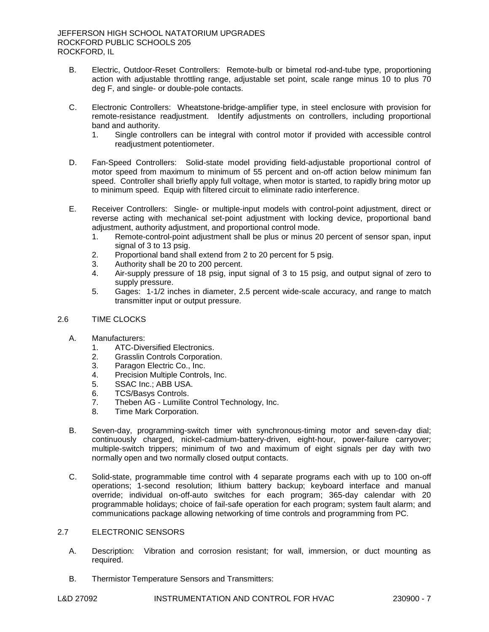- B. Electric, Outdoor-Reset Controllers: Remote-bulb or bimetal rod-and-tube type, proportioning action with adjustable throttling range, adjustable set point, scale range minus 10 to plus 70 deg F, and single- or double-pole contacts.
- C. Electronic Controllers: Wheatstone-bridge-amplifier type, in steel enclosure with provision for remote-resistance readjustment. Identify adjustments on controllers, including proportional band and authority.
	- 1. Single controllers can be integral with control motor if provided with accessible control readjustment potentiometer.
- D. Fan-Speed Controllers: Solid-state model providing field-adjustable proportional control of motor speed from maximum to minimum of 55 percent and on-off action below minimum fan speed. Controller shall briefly apply full voltage, when motor is started, to rapidly bring motor up to minimum speed. Equip with filtered circuit to eliminate radio interference.
- E. Receiver Controllers: Single- or multiple-input models with control-point adjustment, direct or reverse acting with mechanical set-point adjustment with locking device, proportional band adjustment, authority adjustment, and proportional control mode.
	- 1. Remote-control-point adjustment shall be plus or minus 20 percent of sensor span, input signal of 3 to 13 psig.
	- 2. Proportional band shall extend from 2 to 20 percent for 5 psig.
	- 3. Authority shall be 20 to 200 percent.
	- 4. Air-supply pressure of 18 psig, input signal of 3 to 15 psig, and output signal of zero to supply pressure.
	- 5. Gages: 1-1/2 inches in diameter, 2.5 percent wide-scale accuracy, and range to match transmitter input or output pressure.

# 2.6 TIME CLOCKS

- A. [Manufacturers:](http://www.specagent.com/LookUp/?ulid=3263&mf=04&src=wd)
	- 1. [ATC-Diversified Electronics.](http://www.specagent.com/LookUp/?uid=123456811873&mf=04&src=wd)
	- 2. [Grasslin Controls Corporation.](http://www.specagent.com/LookUp/?uid=123456811874&mf=04&src=wd)
	- 3. [Paragon Electric Co., Inc.](http://www.specagent.com/LookUp/?uid=123456811875&mf=04&src=wd)
	- 4. [Precision Multiple Controls, Inc.](http://www.specagent.com/LookUp/?uid=123456811876&mf=04&src=wd)
	- 5. [SSAC Inc.; ABB USA.](http://www.specagent.com/LookUp/?uid=123456825992&mf=04&src=wd)
	- 6. [TCS/Basys Controls.](http://www.specagent.com/LookUp/?uid=123456811877&mf=04&src=wd)
	- 7. Theben AG [Lumilite Control Technology, Inc.](http://www.specagent.com/LookUp/?uid=123456811879&mf=04&src=wd)
	- 8. [Time Mark Corporation.](http://www.specagent.com/LookUp/?uid=123456811878&mf=04&src=wd)
- B. Seven-day, programming-switch timer with synchronous-timing motor and seven-day dial; continuously charged, nickel-cadmium-battery-driven, eight-hour, power-failure carryover; multiple-switch trippers; minimum of two and maximum of eight signals per day with two normally open and two normally closed output contacts.
- C. Solid-state, programmable time control with 4 separate programs each with up to 100 on-off operations; 1-second resolution; lithium battery backup; keyboard interface and manual override; individual on-off-auto switches for each program; 365-day calendar with 20 programmable holidays; choice of fail-safe operation for each program; system fault alarm; and communications package allowing networking of time controls and programming from PC.

# 2.7 ELECTRONIC SENSORS

- A. Description: Vibration and corrosion resistant; for wall, immersion, or duct mounting as required.
- B. Thermistor Temperature Sensors and Transmitters: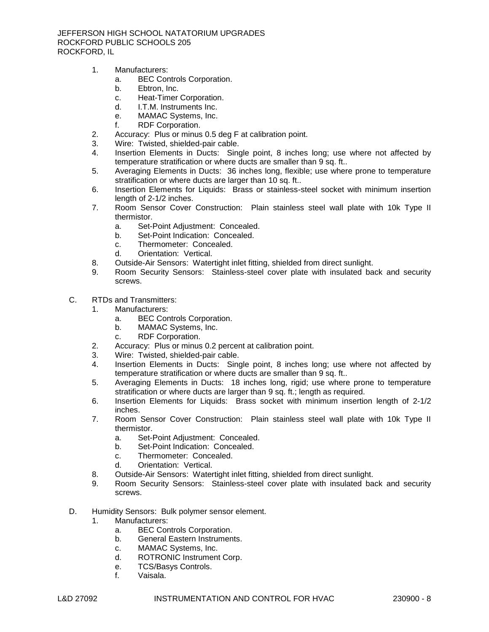JEFFERSON HIGH SCHOOL NATATORIUM UPGRADES ROCKFORD PUBLIC SCHOOLS 205 ROCKFORD, IL

- 1. [Manufacturers:](http://www.specagent.com/LookUp/?ulid=3264&mf=04&src=wd)
	- a. [BEC Controls Corporation.](http://www.specagent.com/LookUp/?uid=123456811880&mf=04&src=wd)
	- b. [Ebtron, Inc.](http://www.specagent.com/LookUp/?uid=123456811881&mf=04&src=wd)
	- c. [Heat-Timer Corporation.](http://www.specagent.com/LookUp/?uid=123456811882&mf=04&src=wd)
	- d. [I.T.M. Instruments Inc.](http://www.specagent.com/LookUp/?uid=123456811883&mf=04&src=wd)
	- e. [MAMAC Systems, Inc.](http://www.specagent.com/LookUp/?uid=123456811884&mf=04&src=wd)
	- f. [RDF Corporation.](http://www.specagent.com/LookUp/?uid=123456811885&mf=04&src=wd)
- 2. Accuracy: Plus or minus 0.5 deg F at calibration point.
- 3. Wire: Twisted, shielded-pair cable.
- 4. Insertion Elements in Ducts: Single point, 8 inches long; use where not affected by temperature stratification or where ducts are smaller than 9 sq. ft..
- 5. Averaging Elements in Ducts: 36 inches long, flexible; use where prone to temperature stratification or where ducts are larger than 10 sq. ft..
- 6. Insertion Elements for Liquids: Brass or stainless-steel socket with minimum insertion length of 2-1/2 inches.
- 7. Room Sensor Cover Construction: Plain stainless steel wall plate with 10k Type II thermistor.
	- a. Set-Point Adjustment: Concealed.
	- b. Set-Point Indication: Concealed.
	- c. Thermometer: Concealed.
	- d. Orientation: Vertical.
- 8. Outside-Air Sensors: Watertight inlet fitting, shielded from direct sunlight.
- 9. Room Security Sensors: Stainless-steel cover plate with insulated back and security screws.
- C. RTDs and Transmitters:
	- 1. [Manufacturers:](http://www.specagent.com/LookUp/?ulid=3265&mf=04&src=wd)
		- a. [BEC Controls Corporation.](http://www.specagent.com/LookUp/?uid=123456811886&mf=04&src=wd)
		- b. [MAMAC Systems, Inc.](http://www.specagent.com/LookUp/?uid=123456811887&mf=04&src=wd)
		- c. [RDF Corporation.](http://www.specagent.com/LookUp/?uid=123456811888&mf=04&src=wd)
	- 2. Accuracy: Plus or minus 0.2 percent at calibration point.
	- 3. Wire: Twisted, shielded-pair cable.
	- 4. Insertion Elements in Ducts: Single point, 8 inches long; use where not affected by temperature stratification or where ducts are smaller than 9 sq. ft..
	- 5. Averaging Elements in Ducts: 18 inches long, rigid; use where prone to temperature stratification or where ducts are larger than 9 sq. ft.; length as required.
	- 6. Insertion Elements for Liquids: Brass socket with minimum insertion length of 2-1/2 inches.
	- 7. Room Sensor Cover Construction: Plain stainless steel wall plate with 10k Type II thermistor.
		- a. Set-Point Adjustment: Concealed.
		- b. Set-Point Indication: Concealed.
		- c. Thermometer: Concealed.
		- d. Orientation: Vertical.
	- 8. Outside-Air Sensors: Watertight inlet fitting, shielded from direct sunlight.
	- 9. Room Security Sensors: Stainless-steel cover plate with insulated back and security screws.
- D. Humidity Sensors: Bulk polymer sensor element.
	- 1. [Manufacturers:](http://www.specagent.com/LookUp/?ulid=3266&mf=04&src=wd)
		- a. [BEC Controls Corporation.](http://www.specagent.com/LookUp/?uid=123456811889&mf=04&src=wd)
		- b. [General Eastern Instruments.](http://www.specagent.com/LookUp/?uid=123456811890&mf=04&src=wd)
		- c. [MAMAC Systems, Inc.](http://www.specagent.com/LookUp/?uid=123456811891&mf=04&src=wd)
		- d. [ROTRONIC Instrument Corp.](http://www.specagent.com/LookUp/?uid=123456811892&mf=04&src=wd)
		- e. [TCS/Basys Controls.](http://www.specagent.com/LookUp/?uid=123456811893&mf=04&src=wd)
		- f. [Vaisala.](http://www.specagent.com/LookUp/?uid=123456811894&mf=04&src=wd)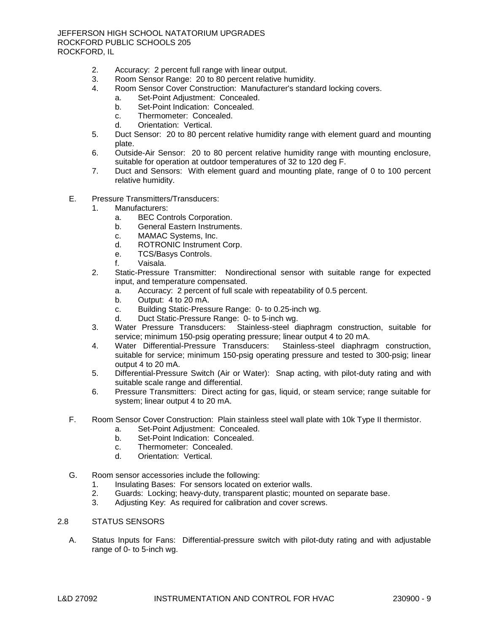- 2. Accuracy: 2 percent full range with linear output.
- 3. Room Sensor Range: 20 to 80 percent relative humidity.
- 4. Room Sensor Cover Construction: Manufacturer's standard locking covers.
	- a. Set-Point Adjustment: Concealed.
		- b. Set-Point Indication: Concealed.
		- c. Thermometer: Concealed.
		- d. Orientation: Vertical.
- 5. Duct Sensor: 20 to 80 percent relative humidity range with element guard and mounting plate.
- 6. Outside-Air Sensor: 20 to 80 percent relative humidity range with mounting enclosure, suitable for operation at outdoor temperatures of 32 to 120 deg F.
- 7. Duct and Sensors: With element guard and mounting plate, range of 0 to 100 percent relative humidity.
- E. Pressure Transmitters/Transducers:
	- 1. [Manufacturers:](http://www.specagent.com/LookUp/?ulid=3267&mf=04&src=wd)
		- a. [BEC Controls Corporation.](http://www.specagent.com/LookUp/?uid=123456811895&mf=04&src=wd)
		- b. [General Eastern Instruments.](http://www.specagent.com/LookUp/?uid=123456811896&mf=04&src=wd)
		- c. [MAMAC Systems, Inc.](http://www.specagent.com/LookUp/?uid=123456811897&mf=04&src=wd)
		- d. [ROTRONIC Instrument Corp.](http://www.specagent.com/LookUp/?uid=123456811898&mf=04&src=wd)
		- e. [TCS/Basys Controls.](http://www.specagent.com/LookUp/?uid=123456811899&mf=04&src=wd)
		- f. [Vaisala.](http://www.specagent.com/LookUp/?uid=123456811900&mf=04&src=wd)
	- 2. Static-Pressure Transmitter: Nondirectional sensor with suitable range for expected input, and temperature compensated.
		- a. Accuracy: 2 percent of full scale with repeatability of 0.5 percent.
		- b. Output: 4 to 20 mA.
		- c. Building Static-Pressure Range: 0- to 0.25-inch wg.
		- d. Duct Static-Pressure Range: 0- to 5-inch wg.
	- 3. Water Pressure Transducers: Stainless-steel diaphragm construction, suitable for service; minimum 150-psig operating pressure; linear output 4 to 20 mA.
	- 4. Water Differential-Pressure Transducers: Stainless-steel diaphragm construction, suitable for service; minimum 150-psig operating pressure and tested to 300-psig; linear output 4 to 20 mA.
	- 5. Differential-Pressure Switch (Air or Water): Snap acting, with pilot-duty rating and with suitable scale range and differential.
	- 6. Pressure Transmitters: Direct acting for gas, liquid, or steam service; range suitable for system; linear output 4 to 20 mA.
- F. Room Sensor Cover Construction: Plain stainless steel wall plate with 10k Type II thermistor.
	- a. Set-Point Adjustment: Concealed.
	- b. Set-Point Indication: Concealed.
	- c. Thermometer: Concealed.
	- d. Orientation: Vertical.
- G. Room sensor accessories include the following:
	- 1. Insulating Bases: For sensors located on exterior walls.
	- 2. Guards: Locking; heavy-duty, transparent plastic; mounted on separate base.
	- 3. Adjusting Key: As required for calibration and cover screws.

## 2.8 STATUS SENSORS

A. Status Inputs for Fans: Differential-pressure switch with pilot-duty rating and with adjustable range of 0- to 5-inch wg.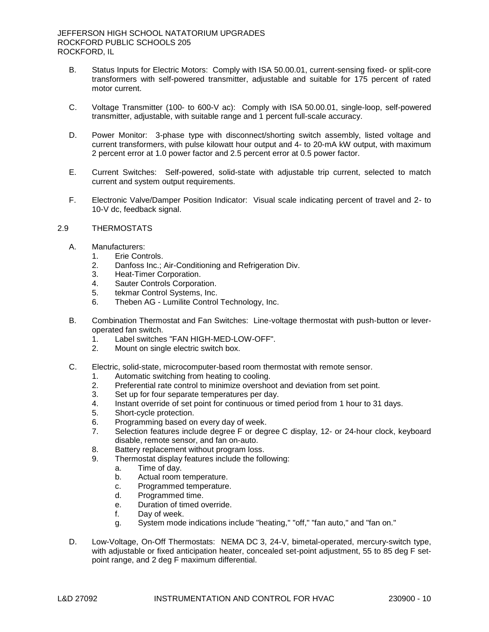- B. Status Inputs for Electric Motors: Comply with ISA 50.00.01, current-sensing fixed- or split-core transformers with self-powered transmitter, adjustable and suitable for 175 percent of rated motor current.
- C. Voltage Transmitter (100- to 600-V ac): Comply with ISA 50.00.01, single-loop, self-powered transmitter, adjustable, with suitable range and 1 percent full-scale accuracy.
- D. Power Monitor: 3-phase type with disconnect/shorting switch assembly, listed voltage and current transformers, with pulse kilowatt hour output and 4- to 20-mA kW output, with maximum 2 percent error at 1.0 power factor and 2.5 percent error at 0.5 power factor.
- E. Current Switches: Self-powered, solid-state with adjustable trip current, selected to match current and system output requirements.
- F. Electronic Valve/Damper Position Indicator: Visual scale indicating percent of travel and 2- to 10-V dc, feedback signal.

# 2.9 THERMOSTATS

- A. [Manufacturers:](http://www.specagent.com/LookUp/?ulid=3272&mf=04&src=wd)
	- 1. [Erie Controls.](http://www.specagent.com/LookUp/?uid=123456811922&mf=04&src=wd)
	- 2. [Danfoss Inc.; Air-Conditioning and Refrigeration Div.](http://www.specagent.com/LookUp/?uid=123456824797&mf=04&src=wd)
	- 3. [Heat-Timer Corporation.](http://www.specagent.com/LookUp/?uid=123456811923&mf=04&src=wd)
	- 4. [Sauter Controls Corporation.](http://www.specagent.com/LookUp/?uid=123456811924&mf=04&src=wd)
	- 5. [tekmar Control Systems, Inc.](http://www.specagent.com/LookUp/?uid=123456811925&mf=04&src=wd)
	- 6. Theben AG [Lumilite Control Technology, Inc.](http://www.specagent.com/LookUp/?uid=123456811926&mf=04&src=wd)
- B. Combination Thermostat and Fan Switches: Line-voltage thermostat with push-button or leveroperated fan switch.
	- 1. Label switches "FAN HIGH-MED-LOW-OFF".
	- 2. Mount on single electric switch box.
- C. Electric, solid-state, microcomputer-based room thermostat with remote sensor.
	- 1. Automatic switching from heating to cooling.
	- 2. Preferential rate control to minimize overshoot and deviation from set point.
	- 3. Set up for four separate temperatures per day.
	- 4. Instant override of set point for continuous or timed period from 1 hour to 31 days.
	- 5. Short-cycle protection.
	- 6. Programming based on every day of week.
	- 7. Selection features include degree F or degree C display, 12- or 24-hour clock, keyboard disable, remote sensor, and fan on-auto.
	- 8. Battery replacement without program loss.
	- 9. Thermostat display features include the following:
		- a. Time of day.
			- b. Actual room temperature.
			- c. Programmed temperature.
			- d. Programmed time.
			- e. Duration of timed override.
			- f. Day of week.
			- g. System mode indications include "heating," "off," "fan auto," and "fan on."
- D. Low-Voltage, On-Off Thermostats: NEMA DC 3, 24-V, bimetal-operated, mercury-switch type, with adjustable or fixed anticipation heater, concealed set-point adjustment, 55 to 85 deg F setpoint range, and 2 deg F maximum differential.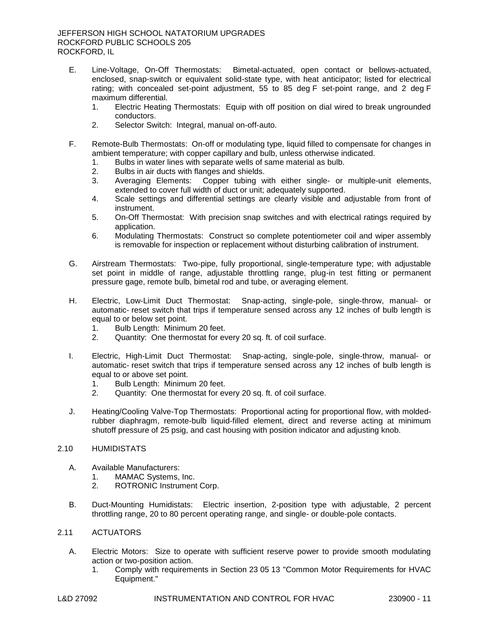# JEFFERSON HIGH SCHOOL NATATORIUM UPGRADES ROCKFORD PUBLIC SCHOOLS 205 ROCKFORD, IL

- E. Line-Voltage, On-Off Thermostats: Bimetal-actuated, open contact or bellows-actuated, enclosed, snap-switch or equivalent solid-state type, with heat anticipator; listed for electrical rating; with concealed set-point adjustment, 55 to 85 deg F set-point range, and 2 deg F maximum differential.
	- 1. Electric Heating Thermostats: Equip with off position on dial wired to break ungrounded conductors.
	- 2. Selector Switch: Integral, manual on-off-auto.
- F. Remote-Bulb Thermostats: On-off or modulating type, liquid filled to compensate for changes in ambient temperature; with copper capillary and bulb, unless otherwise indicated.
	- 1. Bulbs in water lines with separate wells of same material as bulb.
	- 2. Bulbs in air ducts with flanges and shields.<br>3. Averaging Elements: Copper tubing w
	- Averaging Elements: Copper tubing with either single- or multiple-unit elements, extended to cover full width of duct or unit; adequately supported.
	- 4. Scale settings and differential settings are clearly visible and adjustable from front of instrument.
	- 5. On-Off Thermostat: With precision snap switches and with electrical ratings required by application.
	- 6. Modulating Thermostats: Construct so complete potentiometer coil and wiper assembly is removable for inspection or replacement without disturbing calibration of instrument.
- G. Airstream Thermostats: Two-pipe, fully proportional, single-temperature type; with adjustable set point in middle of range, adjustable throttling range, plug-in test fitting or permanent pressure gage, remote bulb, bimetal rod and tube, or averaging element.
- H. Electric, Low-Limit Duct Thermostat: Snap-acting, single-pole, single-throw, manual- or automatic- reset switch that trips if temperature sensed across any 12 inches of bulb length is equal to or below set point.
	- 1. Bulb Length: Minimum 20 feet.
	- 2. Quantity: One thermostat for every 20 sq. ft. of coil surface.
- I. Electric, High-Limit Duct Thermostat: Snap-acting, single-pole, single-throw, manual- or automatic- reset switch that trips if temperature sensed across any 12 inches of bulb length is equal to or above set point.
	- 1. Bulb Length: Minimum 20 feet.
	- 2. Quantity: One thermostat for every 20 sq. ft. of coil surface.
- J. Heating/Cooling Valve-Top Thermostats: Proportional acting for proportional flow, with moldedrubber diaphragm, remote-bulb liquid-filled element, direct and reverse acting at minimum shutoff pressure of 25 psig, and cast housing with position indicator and adjusting knob.

## 2.10 HUMIDISTATS

- A. Available [Manufacturers:](http://www.specagent.com/LookUp/?ulid=3273&mf=04&src=wd)
	- 1. [MAMAC Systems, Inc.](http://www.specagent.com/LookUp/?uid=123456811927&mf=04&src=wd)
	- 2. [ROTRONIC Instrument Corp.](http://www.specagent.com/LookUp/?uid=123456811928&mf=04&src=wd)
- B. Duct-Mounting Humidistats: Electric insertion, 2-position type with adjustable, 2 percent throttling range, 20 to 80 percent operating range, and single- or double-pole contacts.

#### 2.11 ACTUATORS

- A. Electric Motors: Size to operate with sufficient reserve power to provide smooth modulating action or two-position action.
	- 1. Comply with requirements in Section 23 05 13 "Common Motor Requirements for HVAC Equipment."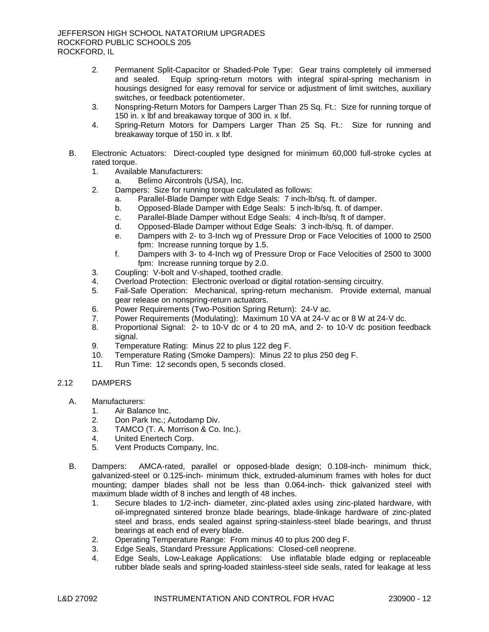- 2. Permanent Split-Capacitor or Shaded-Pole Type: Gear trains completely oil immersed and sealed. Equip spring-return motors with integral spiral-spring mechanism in housings designed for easy removal for service or adjustment of limit switches, auxiliary switches, or feedback potentiometer.
- 3. Nonspring-Return Motors for Dampers Larger Than 25 Sq. Ft.: Size for running torque of 150 in. x lbf and breakaway torque of 300 in. x lbf.
- 4. Spring-Return Motors for Dampers Larger Than 25 Sq. Ft.: Size for running and breakaway torque of 150 in. x lbf.
- B. Electronic Actuators: Direct-coupled type designed for minimum 60,000 full-stroke cycles at rated torque.
	- 1. Available [Manufacturers:](http://www.specagent.com/LookUp/?ulid=3274&mf=04&src=wd)
		- a. [Belimo Aircontrols \(USA\), Inc.](http://www.specagent.com/LookUp/?uid=123456811929&mf=04&src=wd)
	- 2. Dampers: Size for running torque calculated as follows:
		- a. Parallel-Blade Damper with Edge Seals: 7 inch-lb/sq. ft. of damper.
		- b. Opposed-Blade Damper with Edge Seals: 5 inch-lb/sq. ft. of damper.
		- c. Parallel-Blade Damper without Edge Seals: 4 inch-lb/sq. ft of damper.
		- d. Opposed-Blade Damper without Edge Seals: 3 inch-lb/sq. ft. of damper.
		- e. Dampers with 2- to 3-Inch wg of Pressure Drop or Face Velocities of 1000 to 2500 fpm: Increase running torque by 1.5.
		- f. Dampers with 3- to 4-Inch wg of Pressure Drop or Face Velocities of 2500 to 3000 fpm: Increase running torque by 2.0.
	- 3. Coupling: V-bolt and V-shaped, toothed cradle.<br>4. Overload Protection: Electronic overload or digit
	- Overload Protection: Electronic overload or digital rotation-sensing circuitry.
	- 5. Fail-Safe Operation: Mechanical, spring-return mechanism. Provide external, manual gear release on nonspring-return actuators.
	- 6. Power Requirements (Two-Position Spring Return): 24-V ac.
	- 7. Power Requirements (Modulating): Maximum 10 VA at 24-V ac or 8 W at 24-V dc.
	- 8. Proportional Signal: 2- to 10-V dc or 4 to 20 mA, and 2- to 10-V dc position feedback signal.
	- 9. Temperature Rating: Minus 22 to plus 122 deg F.
	- 10. Temperature Rating (Smoke Dampers): Minus 22 to plus 250 deg F.
	- 11. Run Time: 12 seconds open, 5 seconds closed.

# 2.12 DAMPERS

- A. [Manufacturers:](http://www.specagent.com/LookUp/?ulid=3276&mf=04&src=wd)
	- 1. [Air Balance Inc.](http://www.specagent.com/LookUp/?uid=123456811938&mf=04&src=wd)
	- 2. [Don Park Inc.; Autodamp Div.](http://www.specagent.com/LookUp/?uid=123456824805&mf=04&src=wd)
	- 3. [TAMCO \(T. A. Morrison & Co. Inc.\).](http://www.specagent.com/LookUp/?uid=123456811941&mf=04&src=wd)
	- 4. [United Enertech Corp.](http://www.specagent.com/LookUp/?uid=123456811939&mf=04&src=wd)
	- 5. [Vent Products Company, Inc.](http://www.specagent.com/LookUp/?uid=123456811940&mf=04&src=wd)
- B. Dampers: AMCA-rated, parallel or opposed-blade design; 0.108-inch- minimum thick, galvanized-steel or 0.125-inch- minimum thick, extruded-aluminum frames with holes for duct mounting; damper blades shall not be less than 0.064-inch- thick galvanized steel with maximum blade width of 8 inches and length of 48 inches.
	- 1. Secure blades to 1/2-inch- diameter, zinc-plated axles using zinc-plated hardware, with oil-impregnated sintered bronze blade bearings, blade-linkage hardware of zinc-plated steel and brass, ends sealed against spring-stainless-steel blade bearings, and thrust bearings at each end of every blade.
	- 2. Operating Temperature Range: From minus 40 to plus 200 deg F.
	- 3. Edge Seals, Standard Pressure Applications: Closed-cell neoprene.
	- 4. Edge Seals, Low-Leakage Applications: Use inflatable blade edging or replaceable rubber blade seals and spring-loaded stainless-steel side seals, rated for leakage at less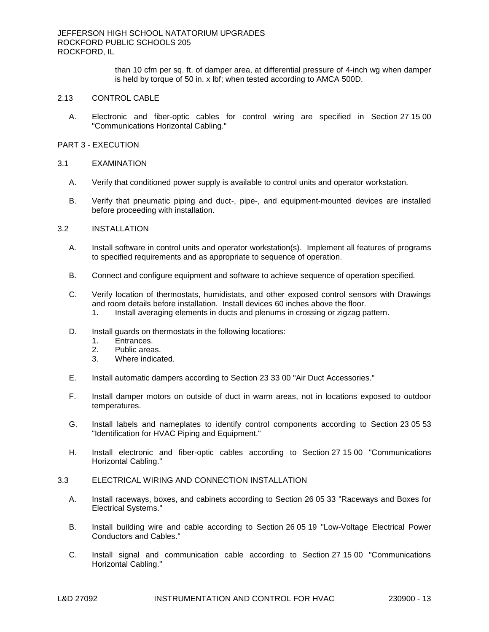than 10 cfm per sq. ft. of damper area, at differential pressure of 4-inch wg when damper is held by torque of 50 in. x lbf; when tested according to AMCA 500D.

# 2.13 CONTROL CABLE

A. Electronic and fiber-optic cables for control wiring are specified in Section 27 15 00 "Communications Horizontal Cabling."

### PART 3 - EXECUTION

### 3.1 EXAMINATION

- A. Verify that conditioned power supply is available to control units and operator workstation.
- B. Verify that pneumatic piping and duct-, pipe-, and equipment-mounted devices are installed before proceeding with installation.
- 3.2 INSTALLATION
	- A. Install software in control units and operator workstation(s). Implement all features of programs to specified requirements and as appropriate to sequence of operation.
	- B. Connect and configure equipment and software to achieve sequence of operation specified.
	- C. Verify location of thermostats, humidistats, and other exposed control sensors with Drawings and room details before installation. Install devices 60 inches above the floor.
		- 1. Install averaging elements in ducts and plenums in crossing or zigzag pattern.
	- D. Install guards on thermostats in the following locations:
		- 1. Entrances.
		- 2. Public areas.
		- 3. Where indicated.
	- E. Install automatic dampers according to Section 23 33 00 "Air Duct Accessories."
	- F. Install damper motors on outside of duct in warm areas, not in locations exposed to outdoor temperatures.
	- G. Install labels and nameplates to identify control components according to Section 23 05 53 "Identification for HVAC Piping and Equipment."
	- H. Install electronic and fiber-optic cables according to Section 27 15 00 "Communications Horizontal Cabling."

# 3.3 ELECTRICAL WIRING AND CONNECTION INSTALLATION

- A. Install raceways, boxes, and cabinets according to Section 26 05 33 "Raceways and Boxes for Electrical Systems."
- B. Install building wire and cable according to Section 26 05 19 "Low-Voltage Electrical Power Conductors and Cables."
- C. Install signal and communication cable according to Section 27 15 00 "Communications Horizontal Cabling."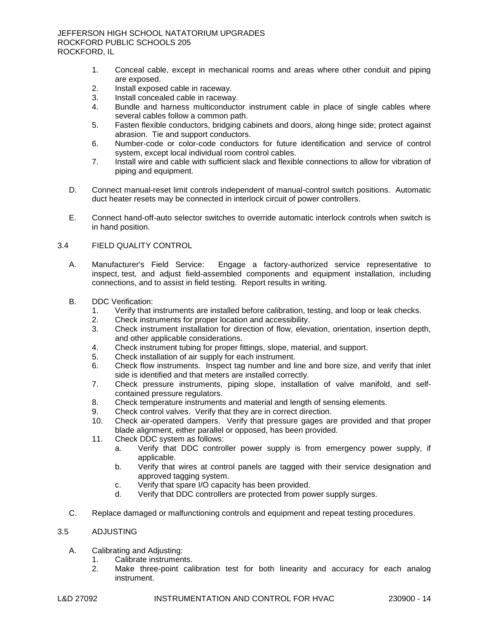- 1. Conceal cable, except in mechanical rooms and areas where other conduit and piping are exposed.
- 2. Install exposed cable in raceway.
- 3. Install concealed cable in raceway.
- 4. Bundle and harness multiconductor instrument cable in place of single cables where several cables follow a common path.
- 5. Fasten flexible conductors, bridging cabinets and doors, along hinge side; protect against abrasion. Tie and support conductors.
- 6. Number-code or color-code conductors for future identification and service of control system, except local individual room control cables.
- 7. Install wire and cable with sufficient slack and flexible connections to allow for vibration of piping and equipment.
- D. Connect manual-reset limit controls independent of manual-control switch positions. Automatic duct heater resets may be connected in interlock circuit of power controllers.
- E. Connect hand-off-auto selector switches to override automatic interlock controls when switch is in hand position.

# 3.4 FIELD QUALITY CONTROL

- A. Manufacturer's Field Service: Engage a factory-authorized service representative to inspect, test, and adjust field-assembled components and equipment installation, including connections, and to assist in field testing. Report results in writing.
- B. DDC Verification:
	- 1. Verify that instruments are installed before calibration, testing, and loop or leak checks.
	- 2. Check instruments for proper location and accessibility.
	- 3. Check instrument installation for direction of flow, elevation, orientation, insertion depth, and other applicable considerations.
	- 4. Check instrument tubing for proper fittings, slope, material, and support.
	- 5. Check installation of air supply for each instrument.
	- 6. Check flow instruments. Inspect tag number and line and bore size, and verify that inlet side is identified and that meters are installed correctly.
	- 7. Check pressure instruments, piping slope, installation of valve manifold, and selfcontained pressure regulators.
	- 8. Check temperature instruments and material and length of sensing elements.
	- 9. Check control valves. Verify that they are in correct direction.
	- 10. Check air-operated dampers. Verify that pressure gages are provided and that proper blade alignment, either parallel or opposed, has been provided.
	- 11. Check DDC system as follows:
		- a. Verify that DDC controller power supply is from emergency power supply, if applicable.
		- b. Verify that wires at control panels are tagged with their service designation and approved tagging system.
		- c. Verify that spare I/O capacity has been provided.
		- d. Verify that DDC controllers are protected from power supply surges.
- C. Replace damaged or malfunctioning controls and equipment and repeat testing procedures.

# 3.5 ADJUSTING

- A. Calibrating and Adjusting:
	- 1. Calibrate instruments.
	- 2. Make three-point calibration test for both linearity and accuracy for each analog instrument.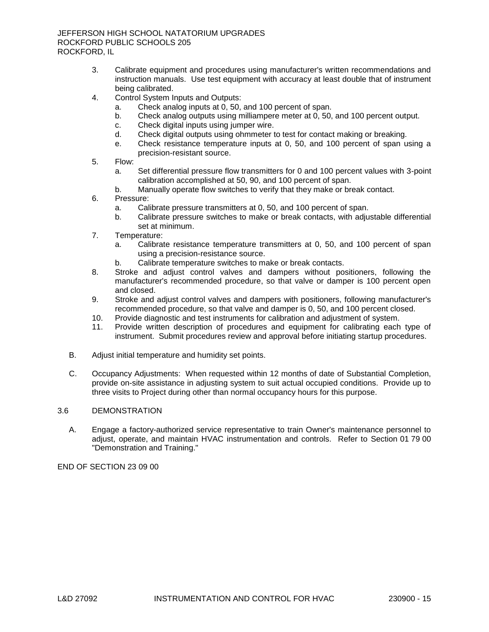- 3. Calibrate equipment and procedures using manufacturer's written recommendations and instruction manuals. Use test equipment with accuracy at least double that of instrument being calibrated.
- 4. Control System Inputs and Outputs:
	- a. Check analog inputs at 0, 50, and 100 percent of span.
	- b. Check analog outputs using milliampere meter at 0, 50, and 100 percent output.
	- c. Check digital inputs using jumper wire.
	- d. Check digital outputs using ohmmeter to test for contact making or breaking.
	- e. Check resistance temperature inputs at 0, 50, and 100 percent of span using a precision-resistant source.
- 5. Flow:
	- a. Set differential pressure flow transmitters for 0 and 100 percent values with 3-point calibration accomplished at 50, 90, and 100 percent of span.
	- b. Manually operate flow switches to verify that they make or break contact.
- 6. Pressure:
	- a. Calibrate pressure transmitters at 0, 50, and 100 percent of span.
	- b. Calibrate pressure switches to make or break contacts, with adjustable differential set at minimum.
- 7. Temperature:
	- a. Calibrate resistance temperature transmitters at 0, 50, and 100 percent of span using a precision-resistance source.
	- b. Calibrate temperature switches to make or break contacts.
- 8. Stroke and adjust control valves and dampers without positioners, following the manufacturer's recommended procedure, so that valve or damper is 100 percent open and closed.
- 9. Stroke and adjust control valves and dampers with positioners, following manufacturer's recommended procedure, so that valve and damper is 0, 50, and 100 percent closed.
- 10. Provide diagnostic and test instruments for calibration and adjustment of system.
- 11. Provide written description of procedures and equipment for calibrating each type of instrument. Submit procedures review and approval before initiating startup procedures.
- B. Adjust initial temperature and humidity set points.
- C. Occupancy Adjustments: When requested within 12 months of date of Substantial Completion, provide on-site assistance in adjusting system to suit actual occupied conditions. Provide up to three visits to Project during other than normal occupancy hours for this purpose.

# 3.6 DEMONSTRATION

A. Engage a factory-authorized service representative to train Owner's maintenance personnel to adjust, operate, and maintain HVAC instrumentation and controls. Refer to Section 01 79 00 "Demonstration and Training."

END OF SECTION 23 09 00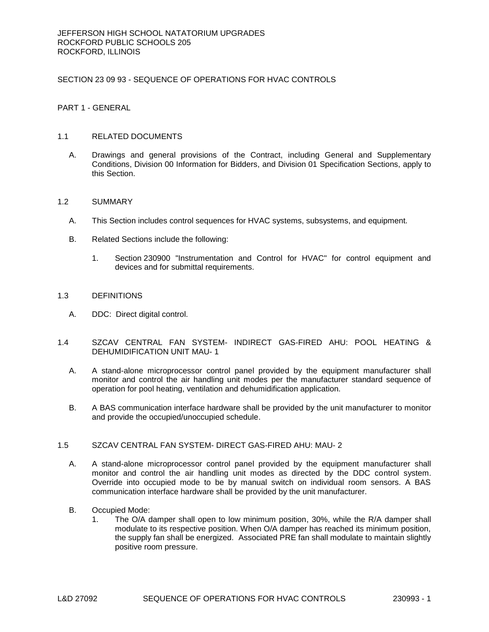# SECTION 23 09 93 - SEQUENCE OF OPERATIONS FOR HVAC CONTROLS

PART 1 - GENERAL

## 1.1 RELATED DOCUMENTS

A. Drawings and general provisions of the Contract, including General and Supplementary Conditions, Division 00 Information for Bidders, and Division 01 Specification Sections, apply to this Section.

### 1.2 SUMMARY

- A. This Section includes control sequences for HVAC systems, subsystems, and equipment.
- B. Related Sections include the following:
	- 1. Section 230900 "Instrumentation and Control for HVAC" for control equipment and devices and for submittal requirements.

### 1.3 DEFINITIONS

- A. DDC: Direct digital control.
- 1.4 SZCAV CENTRAL FAN SYSTEM- INDIRECT GAS-FIRED AHU: POOL HEATING & DEHUMIDIFICATION UNIT MAU- 1
	- A. A stand-alone microprocessor control panel provided by the equipment manufacturer shall monitor and control the air handling unit modes per the manufacturer standard sequence of operation for pool heating, ventilation and dehumidification application.
	- B. A BAS communication interface hardware shall be provided by the unit manufacturer to monitor and provide the occupied/unoccupied schedule.

# 1.5 SZCAV CENTRAL FAN SYSTEM- DIRECT GAS-FIRED AHU: MAU- 2

- A. A stand-alone microprocessor control panel provided by the equipment manufacturer shall monitor and control the air handling unit modes as directed by the DDC control system. Override into occupied mode to be by manual switch on individual room sensors. A BAS communication interface hardware shall be provided by the unit manufacturer.
- B. Occupied Mode:
	- 1. The O/A damper shall open to low minimum position, 30%, while the R/A damper shall modulate to its respective position. When O/A damper has reached its minimum position, the supply fan shall be energized. Associated PRE fan shall modulate to maintain slightly positive room pressure.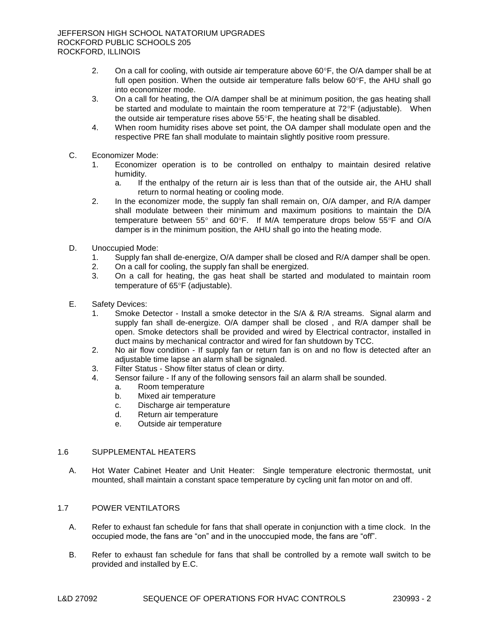- 2. On a call for cooling, with outside air temperature above  $60^{\circ}$ F, the O/A damper shall be at full open position. When the outside air temperature falls below  $60^{\circ}$ F, the AHU shall go into economizer mode.
- 3. On a call for heating, the O/A damper shall be at minimum position, the gas heating shall be started and modulate to maintain the room temperature at  $72^{\circ}F$  (adjustable). When the outside air temperature rises above  $55^{\circ}$ F, the heating shall be disabled.
- 4. When room humidity rises above set point, the OA damper shall modulate open and the respective PRE fan shall modulate to maintain slightly positive room pressure.
- C. Economizer Mode:
	- 1. Economizer operation is to be controlled on enthalpy to maintain desired relative humidity.
		- a. If the enthalpy of the return air is less than that of the outside air, the AHU shall return to normal heating or cooling mode.
	- 2. In the economizer mode, the supply fan shall remain on, O/A damper, and R/A damper shall modulate between their minimum and maximum positions to maintain the D/A temperature between  $55^{\circ}$  and  $60^{\circ}$ F. If M/A temperature drops below  $55^{\circ}$ F and O/A damper is in the minimum position, the AHU shall go into the heating mode.
- D. Unoccupied Mode:
	- 1. Supply fan shall de-energize, O/A damper shall be closed and R/A damper shall be open.
	- 2. On a call for cooling, the supply fan shall be energized.
	- 3. On a call for heating, the gas heat shall be started and modulated to maintain room temperature of 65°F (adjustable).
- E. Safety Devices:
	- 1. Smoke Detector Install a smoke detector in the S/A & R/A streams. Signal alarm and supply fan shall de-energize. O/A damper shall be closed , and R/A damper shall be open. Smoke detectors shall be provided and wired by Electrical contractor, installed in duct mains by mechanical contractor and wired for fan shutdown by TCC.
	- 2. No air flow condition If supply fan or return fan is on and no flow is detected after an adjustable time lapse an alarm shall be signaled.
	- 3. Filter Status Show filter status of clean or dirty.
	- 4. Sensor failure If any of the following sensors fail an alarm shall be sounded.
		- a. Room temperature
		- b. Mixed air temperature
		- c. Discharge air temperature
		- d. Return air temperature
		- e. Outside air temperature

# 1.6 SUPPLEMENTAL HEATERS

A. Hot Water Cabinet Heater and Unit Heater: Single temperature electronic thermostat, unit mounted, shall maintain a constant space temperature by cycling unit fan motor on and off.

## 1.7 POWER VENTILATORS

- A. Refer to exhaust fan schedule for fans that shall operate in conjunction with a time clock. In the occupied mode, the fans are "on" and in the unoccupied mode, the fans are "off".
- B. Refer to exhaust fan schedule for fans that shall be controlled by a remote wall switch to be provided and installed by E.C.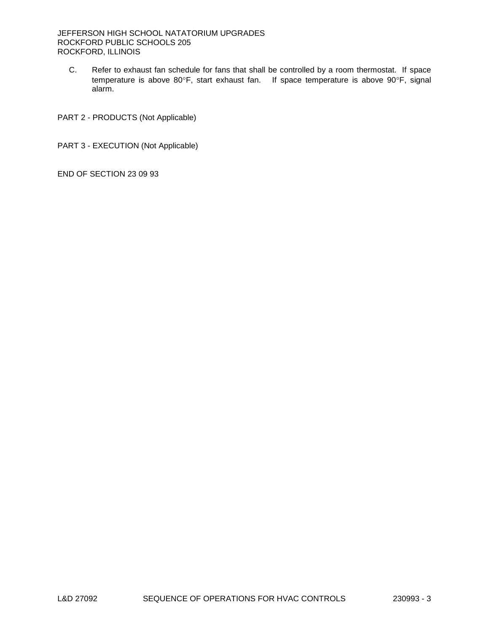C. Refer to exhaust fan schedule for fans that shall be controlled by a room thermostat. If space temperature is above 80°F, start exhaust fan. If space temperature is above 90°F, signal alarm.

PART 2 - PRODUCTS (Not Applicable)

PART 3 - EXECUTION (Not Applicable)

END OF SECTION 23 09 93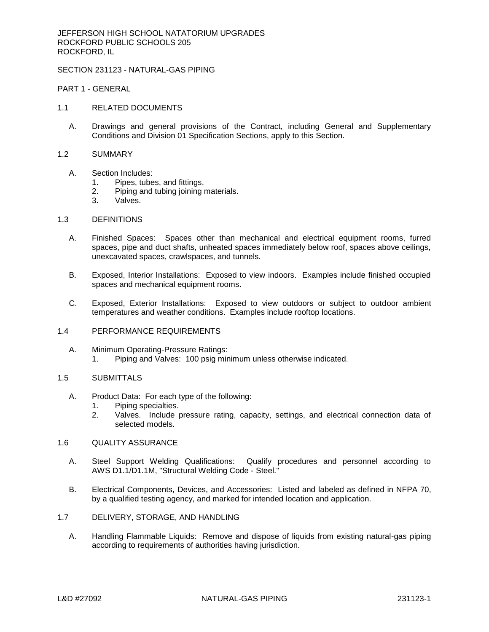# SECTION 231123 - NATURAL-GAS PIPING

PART 1 - GENERAL

- 1.1 RELATED DOCUMENTS
	- A. Drawings and general provisions of the Contract, including General and Supplementary Conditions and Division 01 Specification Sections, apply to this Section.
- 1.2 SUMMARY
	- A. Section Includes:
		- 1. Pipes, tubes, and fittings.
		- 2. Piping and tubing joining materials.
		- 3. Valves.

### 1.3 DEFINITIONS

- A. Finished Spaces: Spaces other than mechanical and electrical equipment rooms, furred spaces, pipe and duct shafts, unheated spaces immediately below roof, spaces above ceilings, unexcavated spaces, crawlspaces, and tunnels.
- B. Exposed, Interior Installations: Exposed to view indoors. Examples include finished occupied spaces and mechanical equipment rooms.
- C. Exposed, Exterior Installations: Exposed to view outdoors or subject to outdoor ambient temperatures and weather conditions. Examples include rooftop locations.

## 1.4 PERFORMANCE REQUIREMENTS

- A. Minimum Operating-Pressure Ratings:
	- 1. Piping and Valves: 100 psig minimum unless otherwise indicated.

### 1.5 SUBMITTALS

- A. Product Data: For each type of the following:
	- 1. Piping specialties.
	- 2. Valves. Include pressure rating, capacity, settings, and electrical connection data of selected models.

# 1.6 QUALITY ASSURANCE

- A. Steel Support Welding Qualifications: Qualify procedures and personnel according to AWS D1.1/D1.1M, "Structural Welding Code - Steel."
- B. Electrical Components, Devices, and Accessories: Listed and labeled as defined in NFPA 70, by a qualified testing agency, and marked for intended location and application.
- 1.7 DELIVERY, STORAGE, AND HANDLING
	- A. Handling Flammable Liquids: Remove and dispose of liquids from existing natural-gas piping according to requirements of authorities having jurisdiction.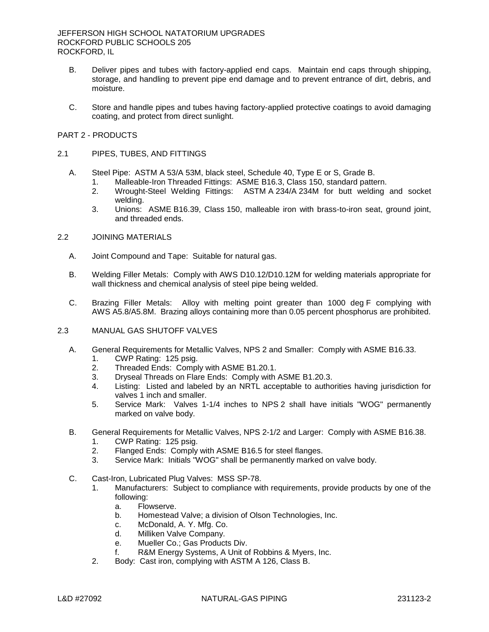- B. Deliver pipes and tubes with factory-applied end caps. Maintain end caps through shipping, storage, and handling to prevent pipe end damage and to prevent entrance of dirt, debris, and moisture.
- C. Store and handle pipes and tubes having factory-applied protective coatings to avoid damaging coating, and protect from direct sunlight.

### PART 2 - PRODUCTS

### 2.1 PIPES, TUBES, AND FITTINGS

- A. Steel Pipe: ASTM A 53/A 53M, black steel, Schedule 40, Type E or S, Grade B.
	- 1. Malleable-Iron Threaded Fittings: ASME B16.3, Class 150, standard pattern.
	- 2. Wrought-Steel Welding Fittings: ASTM A 234/A 234M for butt welding and socket welding.
	- 3. Unions: ASME B16.39, Class 150, malleable iron with brass-to-iron seat, ground joint, and threaded ends.

# 2.2 JOINING MATERIALS

- A. Joint Compound and Tape: Suitable for natural gas.
- B. Welding Filler Metals: Comply with AWS D10.12/D10.12M for welding materials appropriate for wall thickness and chemical analysis of steel pipe being welded.
- C. Brazing Filler Metals: Alloy with melting point greater than 1000 deg F complying with AWS A5.8/A5.8M. Brazing alloys containing more than 0.05 percent phosphorus are prohibited.

## 2.3 MANUAL GAS SHUTOFF VALVES

- A. General Requirements for Metallic Valves, NPS 2 and Smaller: Comply with ASME B16.33.
	- 1. CWP Rating: 125 psig.
	- 2. Threaded Ends: Comply with ASME B1.20.1.
	- 3. Dryseal Threads on Flare Ends: Comply with ASME B1.20.3.
	- 4. Listing: Listed and labeled by an NRTL acceptable to authorities having jurisdiction for valves 1 inch and smaller.
	- 5. Service Mark: Valves 1-1/4 inches to NPS 2 shall have initials "WOG" permanently marked on valve body.
- B. General Requirements for Metallic Valves, NPS 2-1/2 and Larger: Comply with ASME B16.38.
	- 1. CWP Rating: 125 psig.
	- 2. Flanged Ends: Comply with ASME B16.5 for steel flanges.
	- 3. Service Mark: Initials "WOG" shall be permanently marked on valve body.
- C. Cast-Iron, Lubricated Plug Valves: MSS SP-78.
	- 1. Manufacturers: Subject to compliance with requirements, provide products by one of the following:
		- a. Flowserve.
		- b. Homestead Valve; a division of Olson Technologies, Inc.
		- c. McDonald, A. Y. Mfg. Co.
		- d. Milliken Valve Company.
		- e. Mueller Co.; Gas Products Div.
		- f. R&M Energy Systems, A Unit of Robbins & Myers, Inc.
	- 2. Body: Cast iron, complying with ASTM A 126, Class B.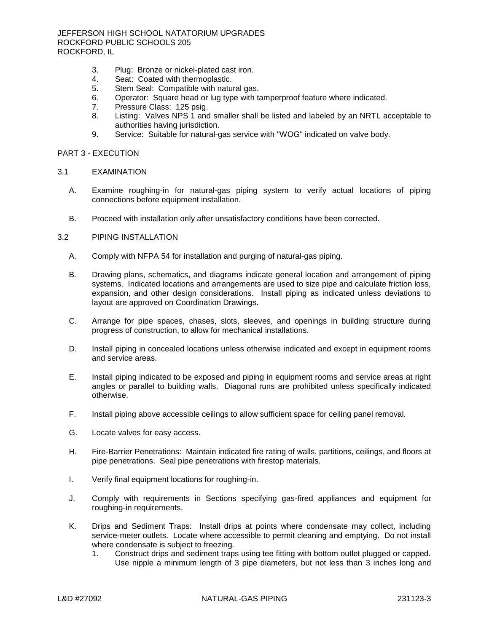- 3. Plug: Bronze or nickel-plated cast iron.
- 4. Seat: Coated with thermoplastic.
- 5. Stem Seal: Compatible with natural gas.
- 6. Operator: Square head or lug type with tamperproof feature where indicated.
- 7. Pressure Class: 125 psig.
- 8. Listing: Valves NPS 1 and smaller shall be listed and labeled by an NRTL acceptable to authorities having jurisdiction.
- 9. Service: Suitable for natural-gas service with "WOG" indicated on valve body.

### PART 3 - EXECUTION

#### 3.1 EXAMINATION

- A. Examine roughing-in for natural-gas piping system to verify actual locations of piping connections before equipment installation.
- B. Proceed with installation only after unsatisfactory conditions have been corrected.

# 3.2 PIPING INSTALLATION

- A. Comply with NFPA 54 for installation and purging of natural-gas piping.
- B. Drawing plans, schematics, and diagrams indicate general location and arrangement of piping systems. Indicated locations and arrangements are used to size pipe and calculate friction loss, expansion, and other design considerations. Install piping as indicated unless deviations to layout are approved on Coordination Drawings.
- C. Arrange for pipe spaces, chases, slots, sleeves, and openings in building structure during progress of construction, to allow for mechanical installations.
- D. Install piping in concealed locations unless otherwise indicated and except in equipment rooms and service areas.
- E. Install piping indicated to be exposed and piping in equipment rooms and service areas at right angles or parallel to building walls. Diagonal runs are prohibited unless specifically indicated otherwise.
- F. Install piping above accessible ceilings to allow sufficient space for ceiling panel removal.
- G. Locate valves for easy access.
- H. Fire-Barrier Penetrations: Maintain indicated fire rating of walls, partitions, ceilings, and floors at pipe penetrations. Seal pipe penetrations with firestop materials.
- I. Verify final equipment locations for roughing-in.
- J. Comply with requirements in Sections specifying gas-fired appliances and equipment for roughing-in requirements.
- K. Drips and Sediment Traps: Install drips at points where condensate may collect, including service-meter outlets. Locate where accessible to permit cleaning and emptying. Do not install where condensate is subject to freezing.
	- 1. Construct drips and sediment traps using tee fitting with bottom outlet plugged or capped. Use nipple a minimum length of 3 pipe diameters, but not less than 3 inches long and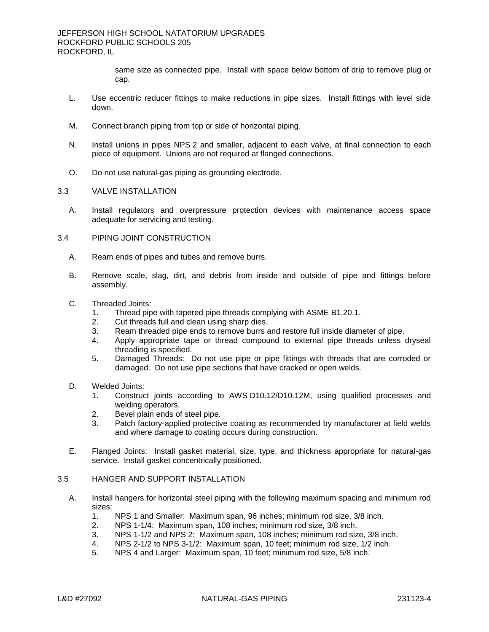same size as connected pipe. Install with space below bottom of drip to remove plug or cap.

- L. Use eccentric reducer fittings to make reductions in pipe sizes. Install fittings with level side down.
- M. Connect branch piping from top or side of horizontal piping.
- N. Install unions in pipes NPS 2 and smaller, adjacent to each valve, at final connection to each piece of equipment. Unions are not required at flanged connections.
- O. Do not use natural-gas piping as grounding electrode.
- 3.3 VALVE INSTALLATION
	- A. Install regulators and overpressure protection devices with maintenance access space adequate for servicing and testing.
- 3.4 PIPING JOINT CONSTRUCTION
	- A. Ream ends of pipes and tubes and remove burrs.
	- B. Remove scale, slag, dirt, and debris from inside and outside of pipe and fittings before assembly.
	- C. Threaded Joints:
		- 1. Thread pipe with tapered pipe threads complying with ASME B1.20.1.
		- 2. Cut threads full and clean using sharp dies.
		- 3. Ream threaded pipe ends to remove burrs and restore full inside diameter of pipe.
		- 4. Apply appropriate tape or thread compound to external pipe threads unless dryseal threading is specified.
		- 5. Damaged Threads: Do not use pipe or pipe fittings with threads that are corroded or damaged. Do not use pipe sections that have cracked or open welds.
	- D. Welded Joints:
		- 1. Construct joints according to AWS D10.12/D10.12M, using qualified processes and welding operators.
		- 2. Bevel plain ends of steel pipe.
		- 3. Patch factory-applied protective coating as recommended by manufacturer at field welds and where damage to coating occurs during construction.
	- E. Flanged Joints: Install gasket material, size, type, and thickness appropriate for natural-gas service. Install gasket concentrically positioned.

# 3.5 HANGER AND SUPPORT INSTALLATION

- A. Install hangers for horizontal steel piping with the following maximum spacing and minimum rod sizes:
	- 1. NPS 1 and Smaller: Maximum span, 96 inches; minimum rod size, 3/8 inch.
	- 2. NPS 1-1/4: Maximum span, 108 inches; minimum rod size, 3/8 inch.
	- 3. NPS 1-1/2 and NPS 2: Maximum span, 108 inches; minimum rod size, 3/8 inch.
	- 4. NPS 2-1/2 to NPS 3-1/2: Maximum span, 10 feet; minimum rod size, 1/2 inch.
	- 5. NPS 4 and Larger: Maximum span, 10 feet; minimum rod size, 5/8 inch.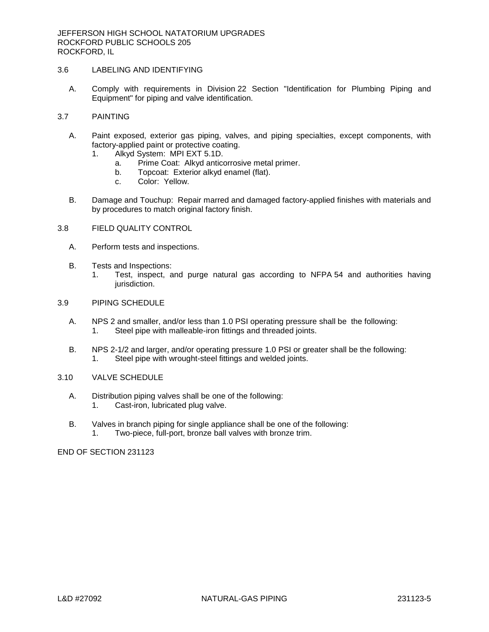# 3.6 LABELING AND IDENTIFYING

A. Comply with requirements in Division 22 Section "Identification for Plumbing Piping and Equipment" for piping and valve identification.

# 3.7 PAINTING

- A. Paint exposed, exterior gas piping, valves, and piping specialties, except components, with factory-applied paint or protective coating.
	- 1. Alkyd System: MPI EXT 5.1D.
		- a. Prime Coat: Alkyd anticorrosive metal primer.
		- b. Topcoat: Exterior alkyd enamel (flat).
		- c. Color: Yellow.
- B. Damage and Touchup: Repair marred and damaged factory-applied finishes with materials and by procedures to match original factory finish.

# 3.8 FIELD QUALITY CONTROL

- A. Perform tests and inspections.
- B. Tests and Inspections:
	- 1. Test, inspect, and purge natural gas according to NFPA 54 and authorities having jurisdiction.

# 3.9 PIPING SCHEDULE

- A. NPS 2 and smaller, and/or less than 1.0 PSI operating pressure shall be the following: 1. Steel pipe with malleable-iron fittings and threaded joints.
- B. NPS 2-1/2 and larger, and/or operating pressure 1.0 PSI or greater shall be the following: 1. Steel pipe with wrought-steel fittings and welded joints.

# 3.10 VALVE SCHEDULE

- A. Distribution piping valves shall be one of the following: 1. Cast-iron, lubricated plug valve.
- B. Valves in branch piping for single appliance shall be one of the following: 1. Two-piece, full-port, bronze ball valves with bronze trim.

END OF SECTION 231123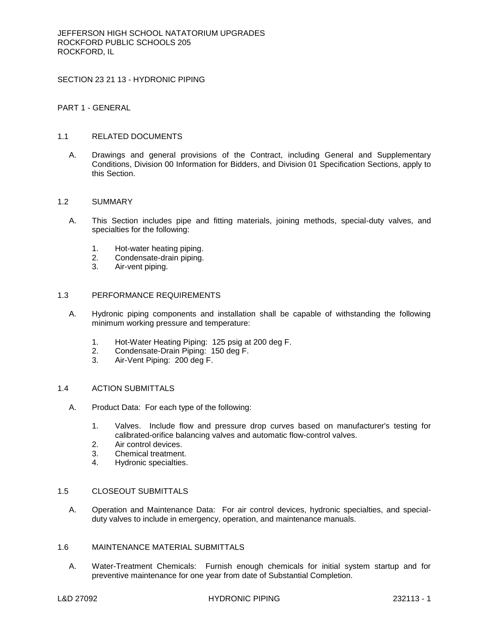SECTION 23 21 13 - HYDRONIC PIPING

## PART 1 - GENERAL

# 1.1 RELATED DOCUMENTS

A. Drawings and general provisions of the Contract, including General and Supplementary Conditions, Division 00 Information for Bidders, and Division 01 Specification Sections, apply to this Section.

## 1.2 SUMMARY

- A. This Section includes pipe and fitting materials, joining methods, special-duty valves, and specialties for the following:
	- 1. Hot-water heating piping.
	- 2. Condensate-drain piping.
	- 3. Air-vent piping.

#### 1.3 PERFORMANCE REQUIREMENTS

- A. Hydronic piping components and installation shall be capable of withstanding the following minimum working pressure and temperature:
	- 1. Hot-Water Heating Piping: 125 psig at 200 deg F.
	- 2. Condensate-Drain Piping: 150 deg F.
	- 3. Air-Vent Piping: 200 deg F.

#### 1.4 ACTION SUBMITTALS

- A. Product Data: For each type of the following:
	- 1. Valves. Include flow and pressure drop curves based on manufacturer's testing for calibrated-orifice balancing valves and automatic flow-control valves.
	- 2. Air control devices.
	- 3. Chemical treatment.
	- 4. Hydronic specialties.

### 1.5 CLOSEOUT SUBMITTALS

A. Operation and Maintenance Data: For air control devices, hydronic specialties, and specialduty valves to include in emergency, operation, and maintenance manuals.

#### 1.6 MAINTENANCE MATERIAL SUBMITTALS

A. Water-Treatment Chemicals: Furnish enough chemicals for initial system startup and for preventive maintenance for one year from date of Substantial Completion.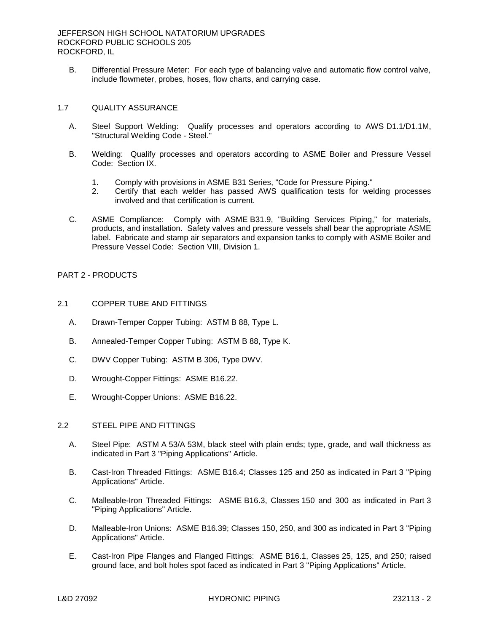B. Differential Pressure Meter: For each type of balancing valve and automatic flow control valve, include flowmeter, probes, hoses, flow charts, and carrying case.

### 1.7 QUALITY ASSURANCE

- A. Steel Support Welding: Qualify processes and operators according to AWS D1.1/D1.1M, "Structural Welding Code - Steel."
- B. Welding: Qualify processes and operators according to ASME Boiler and Pressure Vessel Code: Section IX.
	- 1. Comply with provisions in ASME B31 Series, "Code for Pressure Piping."
	- 2. Certify that each welder has passed AWS qualification tests for welding processes involved and that certification is current.
- C. ASME Compliance: Comply with ASME B31.9, "Building Services Piping," for materials, products, and installation. Safety valves and pressure vessels shall bear the appropriate ASME label. Fabricate and stamp air separators and expansion tanks to comply with ASME Boiler and Pressure Vessel Code: Section VIII, Division 1.

# PART 2 - PRODUCTS

- 2.1 COPPER TUBE AND FITTINGS
	- A. Drawn-Temper Copper Tubing: ASTM B 88, Type L.
	- B. Annealed-Temper Copper Tubing: ASTM B 88, Type K.
	- C. DWV Copper Tubing: ASTM B 306, Type DWV.
	- D. Wrought-Copper Fittings: ASME B16.22.
	- E. Wrought-Copper Unions: ASME B16.22.

# 2.2 STEEL PIPE AND FITTINGS

- A. Steel Pipe: ASTM A 53/A 53M, black steel with plain ends; type, grade, and wall thickness as indicated in Part 3 "Piping Applications" Article.
- B. Cast-Iron Threaded Fittings: ASME B16.4; Classes 125 and 250 as indicated in Part 3 "Piping Applications" Article.
- C. Malleable-Iron Threaded Fittings: ASME B16.3, Classes 150 and 300 as indicated in Part 3 "Piping Applications" Article.
- D. Malleable-Iron Unions: ASME B16.39; Classes 150, 250, and 300 as indicated in Part 3 "Piping Applications" Article.
- E. Cast-Iron Pipe Flanges and Flanged Fittings: ASME B16.1, Classes 25, 125, and 250; raised ground face, and bolt holes spot faced as indicated in Part 3 "Piping Applications" Article.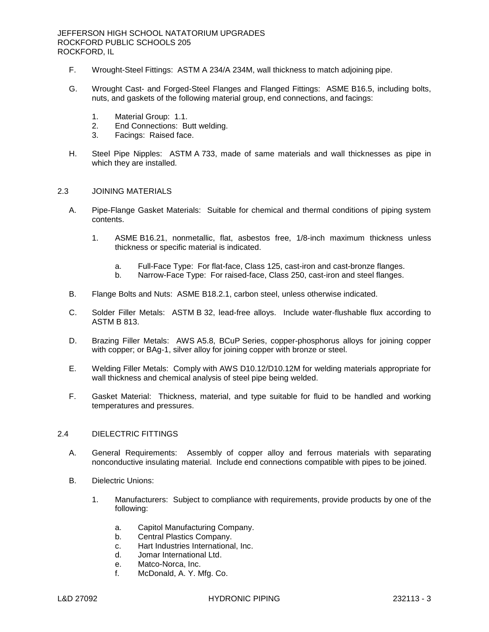- F. Wrought-Steel Fittings: ASTM A 234/A 234M, wall thickness to match adjoining pipe.
- G. Wrought Cast- and Forged-Steel Flanges and Flanged Fittings: ASME B16.5, including bolts, nuts, and gaskets of the following material group, end connections, and facings:
	- 1. Material Group: 1.1.
	- 2. End Connections: Butt welding.
	- 3. Facings: Raised face.
- H. Steel Pipe Nipples: ASTM A 733, made of same materials and wall thicknesses as pipe in which they are installed.

#### 2.3 JOINING MATERIALS

- A. Pipe-Flange Gasket Materials: Suitable for chemical and thermal conditions of piping system contents.
	- 1. ASME B16.21, nonmetallic, flat, asbestos free, 1/8-inch maximum thickness unless thickness or specific material is indicated.
		- a. Full-Face Type: For flat-face, Class 125, cast-iron and cast-bronze flanges.
		- b. Narrow-Face Type: For raised-face, Class 250, cast-iron and steel flanges.
- B. Flange Bolts and Nuts: ASME B18.2.1, carbon steel, unless otherwise indicated.
- C. Solder Filler Metals: ASTM B 32, lead-free alloys. Include water-flushable flux according to ASTM B 813.
- D. Brazing Filler Metals: AWS A5.8, BCuP Series, copper-phosphorus alloys for joining copper with copper; or BAg-1, silver alloy for joining copper with bronze or steel.
- E. Welding Filler Metals: Comply with AWS D10.12/D10.12M for welding materials appropriate for wall thickness and chemical analysis of steel pipe being welded.
- F. Gasket Material: Thickness, material, and type suitable for fluid to be handled and working temperatures and pressures.

#### 2.4 DIELECTRIC FITTINGS

- A. General Requirements: Assembly of copper alloy and ferrous materials with separating nonconductive insulating material. Include end connections compatible with pipes to be joined.
- B. Dielectric Unions:
	- 1. [Manufacturers:](http://www.specagent.com/LookUp/?ulid=3373&mf=04&src=wd) Subject to compliance with requirements, provide products by one of the following:
		- a. [Capitol Manufacturing Company.](http://www.specagent.com/LookUp/?uid=123456812308&mf=04&src=wd)
		- b. [Central Plastics Company.](http://www.specagent.com/LookUp/?uid=123456812309&mf=04&src=wd)
		- c. [Hart Industries International, Inc.](http://www.specagent.com/LookUp/?uid=123456812310&mf=04&src=wd)
		- d. [Jomar International Ltd.](http://www.specagent.com/LookUp/?uid=123456812311&mf=04&src=wd)
		- e. [Matco-Norca, Inc.](http://www.specagent.com/LookUp/?uid=123456812312&mf=04&src=wd)
		- f. [McDonald, A. Y. Mfg. Co.](http://www.specagent.com/LookUp/?uid=123456812313&mf=04&src=wd)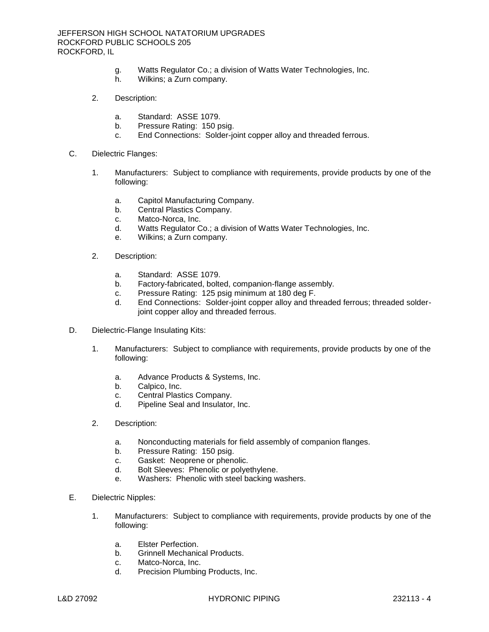- g. [Watts Regulator Co.; a division of Watts Water Technologies, Inc.](http://www.specagent.com/LookUp/?uid=123456823701&mf=04&src=wd)
- h. [Wilkins; a Zurn company.](http://www.specagent.com/LookUp/?uid=123456823703&mf=04&src=wd)
- 2. Description:
	- a. Standard: ASSE 1079.
	- b. Pressure Rating: 150 psig.
	- c. End Connections: Solder-joint copper alloy and threaded ferrous.
- C. Dielectric Flanges:
	- 1. [Manufacturers:](http://www.specagent.com/LookUp/?ulid=3374&mf=04&src=wd) Subject to compliance with requirements, provide products by one of the following:
		- a. [Capitol Manufacturing Company.](http://www.specagent.com/LookUp/?uid=123456812314&mf=04&src=wd)
		- b. [Central Plastics Company.](http://www.specagent.com/LookUp/?uid=123456812315&mf=04&src=wd)
		- c. [Matco-Norca, Inc.](http://www.specagent.com/LookUp/?uid=123456812316&mf=04&src=wd)
		- d. [Watts Regulator Co.; a division of Watts Water Technologies, Inc.](http://www.specagent.com/LookUp/?uid=123456823706&mf=04&src=wd)
		- e. [Wilkins; a Zurn company.](http://www.specagent.com/LookUp/?uid=123456823708&mf=04&src=wd)
	- 2. Description:
		- a. Standard: ASSE 1079.
		- b. Factory-fabricated, bolted, companion-flange assembly.
		- c. Pressure Rating: 125 psig minimum at 180 deg F.
		- d. End Connections: Solder-joint copper alloy and threaded ferrous; threaded solderjoint copper alloy and threaded ferrous.
- D. Dielectric-Flange Insulating Kits:
	- 1. [Manufacturers:](http://www.specagent.com/LookUp/?ulid=3375&mf=04&src=wd) Subject to compliance with requirements, provide products by one of the following:
		- a. [Advance Products & Systems, Inc.](http://www.specagent.com/LookUp/?uid=123456812317&mf=04&src=wd)
		- b. [Calpico, Inc.](http://www.specagent.com/LookUp/?uid=123456812318&mf=04&src=wd)
		- c. [Central Plastics Company.](http://www.specagent.com/LookUp/?uid=123456812319&mf=04&src=wd)
		- d. [Pipeline Seal and Insulator, Inc.](http://www.specagent.com/LookUp/?uid=123456812320&mf=04&src=wd)
	- 2. Description:
		- a. Nonconducting materials for field assembly of companion flanges.
		- b. Pressure Rating: 150 psig.
		- c. Gasket: Neoprene or phenolic.
		- d. Bolt Sleeves: Phenolic or polyethylene.
		- e. Washers: Phenolic with steel backing washers.
- E. Dielectric Nipples:
	- 1. [Manufacturers:](http://www.specagent.com/LookUp/?ulid=3376&mf=04&src=wd) Subject to compliance with requirements, provide products by one of the following:
		- a. [Elster Perfection.](http://www.specagent.com/LookUp/?uid=123456812321&mf=04&src=wd)
		- b. [Grinnell Mechanical Products.](http://www.specagent.com/LookUp/?uid=123456812322&mf=04&src=wd)
		- c. [Matco-Norca, Inc.](http://www.specagent.com/LookUp/?uid=123456812323&mf=04&src=wd)
		- d. [Precision Plumbing Products, Inc.](http://www.specagent.com/LookUp/?uid=123456812324&mf=04&src=wd)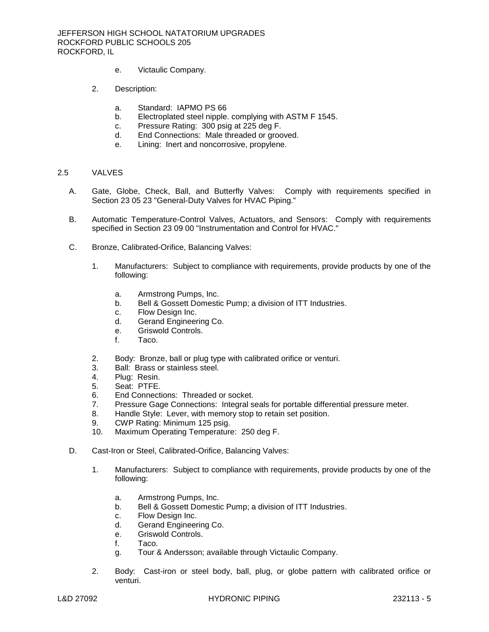- e. [Victaulic Company.](http://www.specagent.com/LookUp/?uid=123456812325&mf=04&src=wd)
- 2. Description:
	- a. Standard: IAPMO PS 66
	- b. Electroplated steel nipple. complying with ASTM F 1545.
	- c. Pressure Rating: 300 psig at 225 deg F.
	- d. End Connections: Male threaded or grooved.
	- e. Lining: Inert and noncorrosive, propylene.

### 2.5 VALVES

- A. Gate, Globe, Check, Ball, and Butterfly Valves: Comply with requirements specified in Section 23 05 23 "General-Duty Valves for HVAC Piping."
- B. Automatic Temperature-Control Valves, Actuators, and Sensors: Comply with requirements specified in Section 23 09 00 "Instrumentation and Control for HVAC."
- C. Bronze, Calibrated-Orifice, Balancing Valves:
	- 1. Manufacturers: Subject to compliance with requirements, provide products by one of the following:
		- a. [Armstrong Pumps, Inc.](http://www.specagent.com/LookUp/?uid=123456812364&mf=04&src=wd)
		- b. [Bell & Gossett Domestic Pump; a division of ITT Industries.](http://www.specagent.com/LookUp/?uid=123456823721&mf=04&src=wd)
		- c. [Flow Design Inc.](http://www.specagent.com/LookUp/?uid=123456812365&mf=04&src=wd)
		- d. [Gerand Engineering Co.](http://www.specagent.com/LookUp/?uid=123456812366&mf=04&src=wd)
		- e. [Griswold Controls.](http://www.specagent.com/LookUp/?uid=123456812367&mf=04&src=wd)
		- f. [Taco.](http://www.specagent.com/LookUp/?uid=123456812368&mf=04&src=wd)
	- 2. Body: Bronze, ball or plug type with calibrated orifice or venturi.
	- 3. Ball: Brass or stainless steel.
	- 4. Plug: Resin.
	- 5. Seat: PTFE.
	- 6. End Connections: Threaded or socket.
	- 7. Pressure Gage Connections: Integral seals for portable differential pressure meter.
	- 8. Handle Style: Lever, with memory stop to retain set position.
	- 9. CWP Rating: Minimum 125 psig.
	- 10. Maximum Operating Temperature: 250 deg F.
- D. Cast-Iron or Steel, Calibrated-Orifice, Balancing Valves:
	- 1. Manufacturers: Subject to compliance with requirements, provide products by one of the following:
		- a. [Armstrong Pumps, Inc.](http://www.specagent.com/LookUp/?uid=123456812369&mf=04&src=wd)
		- b. [Bell & Gossett Domestic Pump; a division of ITT Industries.](http://www.specagent.com/LookUp/?uid=123456823724&mf=04&src=wd)
		- c. [Flow Design Inc.](http://www.specagent.com/LookUp/?uid=123456812370&mf=04&src=wd)
		- d. [Gerand Engineering Co.](http://www.specagent.com/LookUp/?uid=123456812371&mf=04&src=wd)
		- e. [Griswold Controls.](http://www.specagent.com/LookUp/?uid=123456812372&mf=04&src=wd)
		- f. [Taco.](http://www.specagent.com/LookUp/?uid=123456812373&mf=04&src=wd)
		- g. [Tour & Andersson; available through Victaulic Company.](http://www.specagent.com/LookUp/?uid=123456823726&mf=04&src=wd)
	- 2. Body: Cast-iron or steel body, ball, plug, or globe pattern with calibrated orifice or venturi.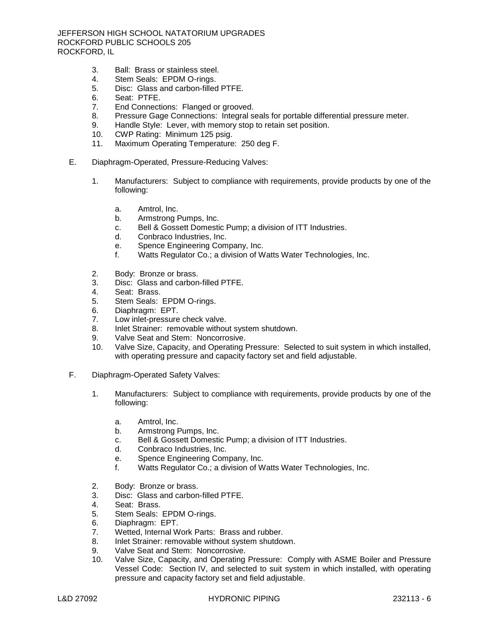JEFFERSON HIGH SCHOOL NATATORIUM UPGRADES ROCKFORD PUBLIC SCHOOLS 205 ROCKFORD, IL

- 3. Ball: Brass or stainless steel.
- 4. Stem Seals: EPDM O-rings.
- 5. Disc: Glass and carbon-filled PTFE.
- 6. Seat: PTFE.
- 7. End Connections: Flanged or grooved.
- 8. Pressure Gage Connections: Integral seals for portable differential pressure meter.
- 9. Handle Style: Lever, with memory stop to retain set position.<br>10. CWP Rating: Minimum 125 psig.
- CWP Rating: Minimum 125 psig.
- 11. Maximum Operating Temperature: 250 deg F.
- E. Diaphragm-Operated, Pressure-Reducing Valves:
	- 1. Manufacturers: Subject to compliance with requirements, provide products by one of the following:
		- a. [Amtrol, Inc.](http://www.specagent.com/LookUp/?uid=123456812374&mf=04&src=wd)
		- b. [Armstrong Pumps, Inc.](http://www.specagent.com/LookUp/?uid=123456812375&mf=04&src=wd)
		- c. [Bell & Gossett Domestic Pump; a division of ITT Industries.](http://www.specagent.com/LookUp/?uid=123456823729&mf=04&src=wd)
		- d. [Conbraco Industries, Inc.](http://www.specagent.com/LookUp/?uid=123456812376&mf=04&src=wd)
		- e. [Spence Engineering Company, Inc.](http://www.specagent.com/LookUp/?uid=123456812377&mf=04&src=wd)
		- f. [Watts Regulator Co.; a division of Watts Water Technologies, Inc.](http://www.specagent.com/LookUp/?uid=123456823732&mf=04&src=wd)
	- 2. Body: Bronze or brass.
	- 3. Disc: Glass and carbon-filled PTFE.
	- 4. Seat: Brass.
	- 5. Stem Seals: EPDM O-rings.
	- 6. Diaphragm: EPT.
	- 7. Low inlet-pressure check valve.
	- 8. Inlet Strainer: removable without system shutdown.
	- 9. Valve Seat and Stem: Noncorrosive.
	- 10. Valve Size, Capacity, and Operating Pressure: Selected to suit system in which installed, with operating pressure and capacity factory set and field adjustable.
- F. Diaphragm-Operated Safety Valves:
	- 1. Manufacturers: Subject to compliance with requirements, provide products by one of the following:
		- a. [Amtrol, Inc.](http://www.specagent.com/LookUp/?uid=123456812378&mf=04&src=wd)
		- b. [Armstrong Pumps, Inc.](http://www.specagent.com/LookUp/?uid=123456812379&mf=04&src=wd)
		- c. [Bell & Gossett Domestic Pump; a division of ITT Industries.](http://www.specagent.com/LookUp/?uid=123456823736&mf=04&src=wd)
		- d. [Conbraco Industries, Inc.](http://www.specagent.com/LookUp/?uid=123456812380&mf=04&src=wd)
		- e. [Spence Engineering Company, Inc.](http://www.specagent.com/LookUp/?uid=123456812381&mf=04&src=wd)
		- f. [Watts Regulator Co.; a division of Watts Water Technologies, Inc.](http://www.specagent.com/LookUp/?uid=123456823738&mf=04&src=wd)
	- 2. Body: Bronze or brass.
	- 3. Disc: Glass and carbon-filled PTFE.
	- 4. Seat: Brass.
	- 5. Stem Seals: EPDM O-rings.
	- 6. Diaphragm: EPT.
	- 7. Wetted, Internal Work Parts: Brass and rubber.
	- 8. Inlet Strainer: removable without system shutdown.
	- 9. Valve Seat and Stem: Noncorrosive.
	- 10. Valve Size, Capacity, and Operating Pressure: Comply with ASME Boiler and Pressure Vessel Code: Section IV, and selected to suit system in which installed, with operating pressure and capacity factory set and field adjustable.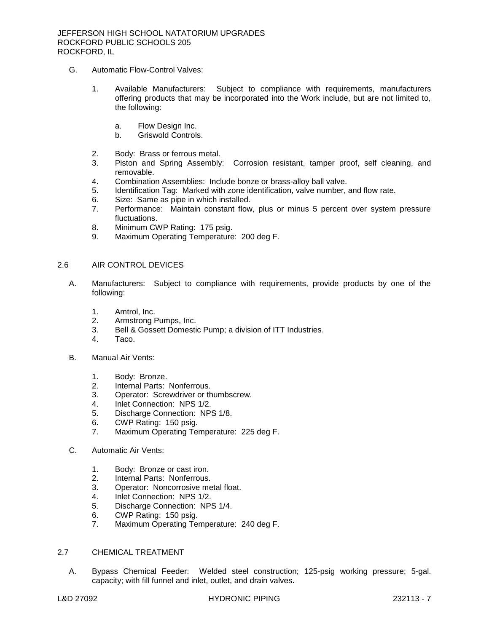- G. Automatic Flow-Control Valves:
	- 1. Available Manufacturers: Subject to compliance with requirements, manufacturers offering products that may be incorporated into the Work include, but are not limited to, the following:
		- a. [Flow Design Inc.](http://www.specagent.com/LookUp/?uid=123456812382&mf=04&src=wd)
		- b. [Griswold Controls.](http://www.specagent.com/LookUp/?uid=123456812383&mf=04&src=wd)
	- 2. Body: Brass or ferrous metal.
	- 3. Piston and Spring Assembly: Corrosion resistant, tamper proof, self cleaning, and removable.
	- 4. Combination Assemblies: Include bonze or brass-alloy ball valve.
	- 5. Identification Tag: Marked with zone identification, valve number, and flow rate.
	- 6. Size: Same as pipe in which installed.
	- 7. Performance: Maintain constant flow, plus or minus 5 percent over system pressure fluctuations.
	- 8. Minimum CWP Rating: 175 psig.
	- 9. Maximum Operating Temperature: 200 deg F.

### 2.6 AIR CONTROL DEVICES

- A. [Manufacturers:](http://www.specagent.com/LookUp/?ulid=3385&mf=04&src=wd) Subject to compliance with requirements, provide products by one of the following:
	- 1. [Amtrol, Inc.](http://www.specagent.com/LookUp/?uid=123456812384&mf=04&src=wd)
	- 2. [Armstrong Pumps, Inc.](http://www.specagent.com/LookUp/?uid=123456812385&mf=04&src=wd)
	- 3. [Bell & Gossett Domestic Pump; a division of ITT Industries.](http://www.specagent.com/LookUp/?uid=123456823741&mf=04&src=wd)
	- 4. [Taco.](http://www.specagent.com/LookUp/?uid=123456812386&mf=04&src=wd)
- B. Manual Air Vents:
	- 1. Body: Bronze.
	- 2. Internal Parts: Nonferrous.
	- 3. Operator: Screwdriver or thumbscrew.
	- 4. Inlet Connection: NPS 1/2.
	- 5. Discharge Connection: NPS 1/8.
	- 6. CWP Rating: 150 psig.
	- 7. Maximum Operating Temperature: 225 deg F.
- C. Automatic Air Vents:
	- 1. Body: Bronze or cast iron.
	- 2. Internal Parts: Nonferrous.
	- 3. Operator: Noncorrosive metal float.
	- 4. Inlet Connection: NPS 1/2.
	- 5. Discharge Connection: NPS 1/4.
	- 6. CWP Rating: 150 psig.
	- 7. Maximum Operating Temperature: 240 deg F.

## 2.7 CHEMICAL TREATMENT

A. Bypass Chemical Feeder: Welded steel construction; 125-psig working pressure; 5-gal. capacity; with fill funnel and inlet, outlet, and drain valves.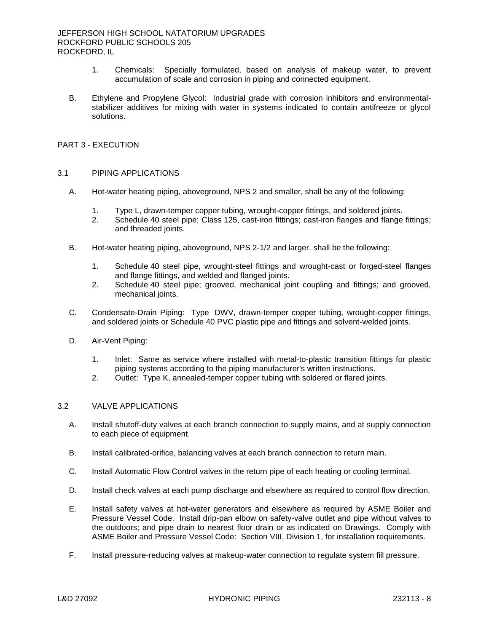#### JEFFERSON HIGH SCHOOL NATATORIUM UPGRADES ROCKFORD PUBLIC SCHOOLS 205 ROCKFORD, IL

- 1. Chemicals: Specially formulated, based on analysis of makeup water, to prevent accumulation of scale and corrosion in piping and connected equipment.
- B. Ethylene and Propylene Glycol: Industrial grade with corrosion inhibitors and environmentalstabilizer additives for mixing with water in systems indicated to contain antifreeze or glycol solutions.

# PART 3 - EXECUTION

### 3.1 PIPING APPLICATIONS

- A. Hot-water heating piping, aboveground, NPS 2 and smaller, shall be any of the following:
	- 1. Type L, drawn-temper copper tubing, wrought-copper fittings, and soldered joints.
	- 2. Schedule 40 steel pipe; Class 125, cast-iron fittings; cast-iron flanges and flange fittings; and threaded joints.
- B. Hot-water heating piping, aboveground, NPS 2-1/2 and larger, shall be the following:
	- 1. Schedule 40 steel pipe, wrought-steel fittings and wrought-cast or forged-steel flanges and flange fittings, and welded and flanged joints.
	- 2. Schedule 40 steel pipe; grooved, mechanical joint coupling and fittings; and grooved, mechanical joints.
- C. Condensate-Drain Piping: Type DWV, drawn-temper copper tubing, wrought-copper fittings, and soldered joints or Schedule 40 PVC plastic pipe and fittings and solvent-welded joints.
- D. Air-Vent Piping:
	- 1. Inlet: Same as service where installed with metal-to-plastic transition fittings for plastic piping systems according to the piping manufacturer's written instructions.
	- 2. Outlet: Type K, annealed-temper copper tubing with soldered or flared joints.

# 3.2 VALVE APPLICATIONS

- A. Install shutoff-duty valves at each branch connection to supply mains, and at supply connection to each piece of equipment.
- B. Install calibrated-orifice, balancing valves at each branch connection to return main.
- C. Install Automatic Flow Control valves in the return pipe of each heating or cooling terminal.
- D. Install check valves at each pump discharge and elsewhere as required to control flow direction.
- E. Install safety valves at hot-water generators and elsewhere as required by ASME Boiler and Pressure Vessel Code. Install drip-pan elbow on safety-valve outlet and pipe without valves to the outdoors; and pipe drain to nearest floor drain or as indicated on Drawings. Comply with ASME Boiler and Pressure Vessel Code: Section VIII, Division 1, for installation requirements.
- F. Install pressure-reducing valves at makeup-water connection to regulate system fill pressure.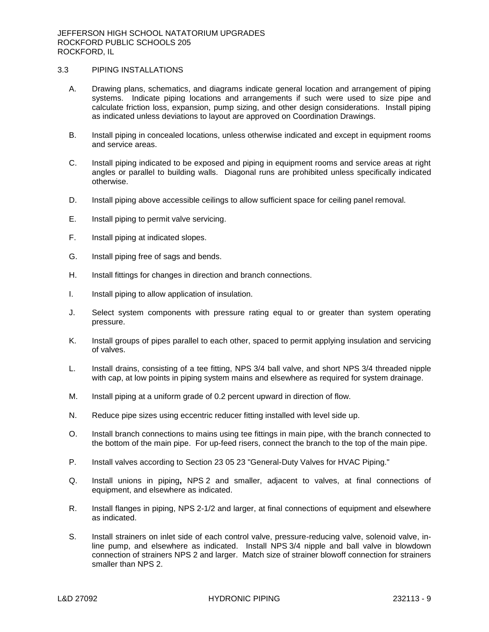## 3.3 PIPING INSTALLATIONS

- A. Drawing plans, schematics, and diagrams indicate general location and arrangement of piping systems. Indicate piping locations and arrangements if such were used to size pipe and calculate friction loss, expansion, pump sizing, and other design considerations. Install piping as indicated unless deviations to layout are approved on Coordination Drawings.
- B. Install piping in concealed locations, unless otherwise indicated and except in equipment rooms and service areas.
- C. Install piping indicated to be exposed and piping in equipment rooms and service areas at right angles or parallel to building walls. Diagonal runs are prohibited unless specifically indicated otherwise.
- D. Install piping above accessible ceilings to allow sufficient space for ceiling panel removal.
- E. Install piping to permit valve servicing.
- F. Install piping at indicated slopes.
- G. Install piping free of sags and bends.
- H. Install fittings for changes in direction and branch connections.
- I. Install piping to allow application of insulation.
- J. Select system components with pressure rating equal to or greater than system operating pressure.
- K. Install groups of pipes parallel to each other, spaced to permit applying insulation and servicing of valves.
- L. Install drains, consisting of a tee fitting, NPS 3/4 ball valve, and short NPS 3/4 threaded nipple with cap, at low points in piping system mains and elsewhere as required for system drainage.
- M. Install piping at a uniform grade of 0.2 percent upward in direction of flow.
- N. Reduce pipe sizes using eccentric reducer fitting installed with level side up.
- O. Install branch connections to mains using tee fittings in main pipe, with the branch connected to the bottom of the main pipe. For up-feed risers, connect the branch to the top of the main pipe.
- P. Install valves according to Section 23 05 23 "General-Duty Valves for HVAC Piping."
- Q. Install unions in piping**,** NPS 2 and smaller, adjacent to valves, at final connections of equipment, and elsewhere as indicated.
- R. Install flanges in piping, NPS 2-1/2 and larger, at final connections of equipment and elsewhere as indicated.
- S. Install strainers on inlet side of each control valve, pressure-reducing valve, solenoid valve, inline pump, and elsewhere as indicated. Install NPS 3/4 nipple and ball valve in blowdown connection of strainers NPS 2 and larger. Match size of strainer blowoff connection for strainers smaller than NPS 2.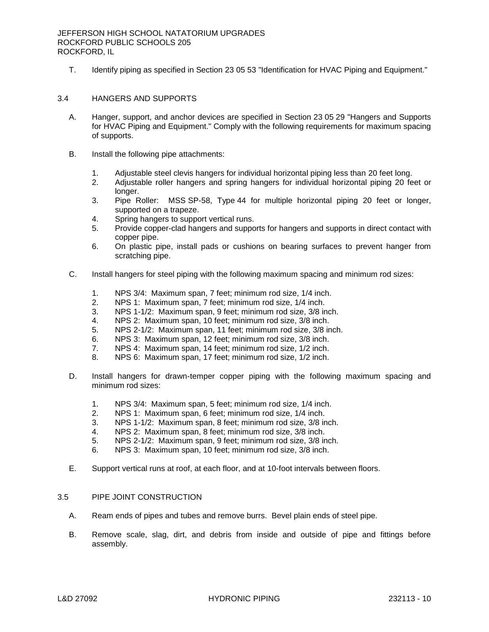T. Identify piping as specified in Section 23 05 53 "Identification for HVAC Piping and Equipment."

### 3.4 HANGERS AND SUPPORTS

- A. Hanger, support, and anchor devices are specified in Section 23 05 29 "Hangers and Supports for HVAC Piping and Equipment." Comply with the following requirements for maximum spacing of supports.
- B. Install the following pipe attachments:
	- 1. Adjustable steel clevis hangers for individual horizontal piping less than 20 feet long.
	- 2. Adjustable roller hangers and spring hangers for individual horizontal piping 20 feet or longer.
	- 3. Pipe Roller: MSS SP-58, Type 44 for multiple horizontal piping 20 feet or longer, supported on a trapeze.
	- 4. Spring hangers to support vertical runs.
	- 5. Provide copper-clad hangers and supports for hangers and supports in direct contact with copper pipe.
	- 6. On plastic pipe, install pads or cushions on bearing surfaces to prevent hanger from scratching pipe.
- C. Install hangers for steel piping with the following maximum spacing and minimum rod sizes:
	- 1. NPS 3/4: Maximum span, 7 feet; minimum rod size, 1/4 inch.
	- 2. NPS 1: Maximum span, 7 feet; minimum rod size, 1/4 inch.
	- 3. NPS 1-1/2: Maximum span, 9 feet; minimum rod size, 3/8 inch.
	- 4. NPS 2: Maximum span, 10 feet; minimum rod size, 3/8 inch.
	- 5. NPS 2-1/2: Maximum span, 11 feet; minimum rod size, 3/8 inch.
	- 6. NPS 3: Maximum span, 12 feet; minimum rod size, 3/8 inch.
	- 7. NPS 4: Maximum span, 14 feet; minimum rod size, 1/2 inch.
	- 8. NPS 6: Maximum span, 17 feet; minimum rod size, 1/2 inch.
- D. Install hangers for drawn-temper copper piping with the following maximum spacing and minimum rod sizes:
	- 1. NPS 3/4: Maximum span, 5 feet; minimum rod size, 1/4 inch.
	- 2. NPS 1: Maximum span, 6 feet; minimum rod size, 1/4 inch.
	- 3. NPS 1-1/2: Maximum span, 8 feet; minimum rod size, 3/8 inch.
	- 4. NPS 2: Maximum span, 8 feet; minimum rod size, 3/8 inch.
	- 5. NPS 2-1/2: Maximum span, 9 feet; minimum rod size, 3/8 inch.
	- 6. NPS 3: Maximum span, 10 feet; minimum rod size, 3/8 inch.
- E. Support vertical runs at roof, at each floor, and at 10-foot intervals between floors.

### 3.5 PIPE JOINT CONSTRUCTION

- A. Ream ends of pipes and tubes and remove burrs. Bevel plain ends of steel pipe.
- B. Remove scale, slag, dirt, and debris from inside and outside of pipe and fittings before assembly.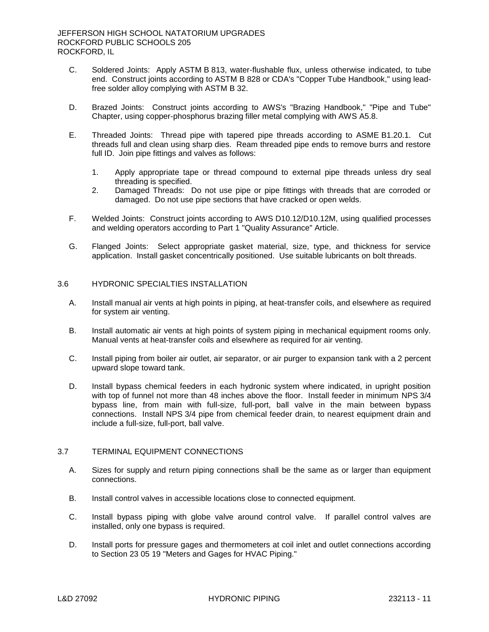- C. Soldered Joints: Apply ASTM B 813, water-flushable flux, unless otherwise indicated, to tube end. Construct joints according to ASTM B 828 or CDA's "Copper Tube Handbook," using leadfree solder alloy complying with ASTM B 32.
- D. Brazed Joints: Construct joints according to AWS's "Brazing Handbook," "Pipe and Tube" Chapter, using copper-phosphorus brazing filler metal complying with AWS A5.8.
- E. Threaded Joints: Thread pipe with tapered pipe threads according to ASME B1.20.1. Cut threads full and clean using sharp dies. Ream threaded pipe ends to remove burrs and restore full ID. Join pipe fittings and valves as follows:
	- 1. Apply appropriate tape or thread compound to external pipe threads unless dry seal threading is specified.
	- 2. Damaged Threads: Do not use pipe or pipe fittings with threads that are corroded or damaged. Do not use pipe sections that have cracked or open welds.
- F. Welded Joints: Construct joints according to AWS D10.12/D10.12M, using qualified processes and welding operators according to Part 1 "Quality Assurance" Article.
- G. Flanged Joints: Select appropriate gasket material, size, type, and thickness for service application. Install gasket concentrically positioned. Use suitable lubricants on bolt threads.

### 3.6 HYDRONIC SPECIALTIES INSTALLATION

- A. Install manual air vents at high points in piping, at heat-transfer coils, and elsewhere as required for system air venting.
- B. Install automatic air vents at high points of system piping in mechanical equipment rooms only. Manual vents at heat-transfer coils and elsewhere as required for air venting.
- C. Install piping from boiler air outlet, air separator, or air purger to expansion tank with a 2 percent upward slope toward tank.
- D. Install bypass chemical feeders in each hydronic system where indicated, in upright position with top of funnel not more than 48 inches above the floor. Install feeder in minimum NPS 3/4 bypass line, from main with full-size, full-port, ball valve in the main between bypass connections. Install NPS 3/4 pipe from chemical feeder drain, to nearest equipment drain and include a full-size, full-port, ball valve.

### 3.7 TERMINAL EQUIPMENT CONNECTIONS

- A. Sizes for supply and return piping connections shall be the same as or larger than equipment connections.
- B. Install control valves in accessible locations close to connected equipment.
- C. Install bypass piping with globe valve around control valve. If parallel control valves are installed, only one bypass is required.
- D. Install ports for pressure gages and thermometers at coil inlet and outlet connections according to Section 23 05 19 "Meters and Gages for HVAC Piping."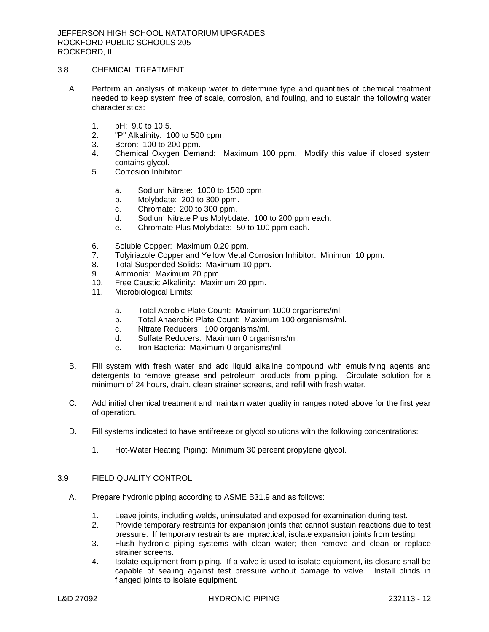# 3.8 CHEMICAL TREATMENT

- A. Perform an analysis of makeup water to determine type and quantities of chemical treatment needed to keep system free of scale, corrosion, and fouling, and to sustain the following water characteristics:
	- 1. pH: 9.0 to 10.5.
	- 2. "P" Alkalinity: 100 to 500 ppm.
	- 3. Boron: 100 to 200 ppm.
	- 4. Chemical Oxygen Demand: Maximum 100 ppm. Modify this value if closed system contains glycol.
	- 5. Corrosion Inhibitor:
		- a. Sodium Nitrate: 1000 to 1500 ppm.
		- b. Molybdate: 200 to 300 ppm.
		- c. Chromate: 200 to 300 ppm.
		- d. Sodium Nitrate Plus Molybdate: 100 to 200 ppm each.
		- e. Chromate Plus Molybdate: 50 to 100 ppm each.
	- 6. Soluble Copper: Maximum 0.20 ppm.
	- 7. Tolyiriazole Copper and Yellow Metal Corrosion Inhibitor: Minimum 10 ppm.
	- 8. Total Suspended Solids: Maximum 10 ppm.
	- 9. Ammonia: Maximum 20 ppm.
	- 10. Free Caustic Alkalinity: Maximum 20 ppm.
	- 11. Microbiological Limits:
		- a. Total Aerobic Plate Count: Maximum 1000 organisms/ml.
		- b. Total Anaerobic Plate Count: Maximum 100 organisms/ml.
		- c. Nitrate Reducers: 100 organisms/ml.
		- d. Sulfate Reducers: Maximum 0 organisms/ml.
		- e. Iron Bacteria: Maximum 0 organisms/ml.
- B. Fill system with fresh water and add liquid alkaline compound with emulsifying agents and detergents to remove grease and petroleum products from piping. Circulate solution for a minimum of 24 hours, drain, clean strainer screens, and refill with fresh water.
- C. Add initial chemical treatment and maintain water quality in ranges noted above for the first year of operation.
- D. Fill systems indicated to have antifreeze or glycol solutions with the following concentrations:
	- 1. Hot-Water Heating Piping: Minimum 30 percent propylene glycol.

# 3.9 FIELD QUALITY CONTROL

- A. Prepare hydronic piping according to ASME B31.9 and as follows:
	- 1. Leave joints, including welds, uninsulated and exposed for examination during test.
	- 2. Provide temporary restraints for expansion joints that cannot sustain reactions due to test pressure. If temporary restraints are impractical, isolate expansion joints from testing.
	- 3. Flush hydronic piping systems with clean water; then remove and clean or replace strainer screens.
	- 4. Isolate equipment from piping. If a valve is used to isolate equipment, its closure shall be capable of sealing against test pressure without damage to valve. Install blinds in flanged joints to isolate equipment.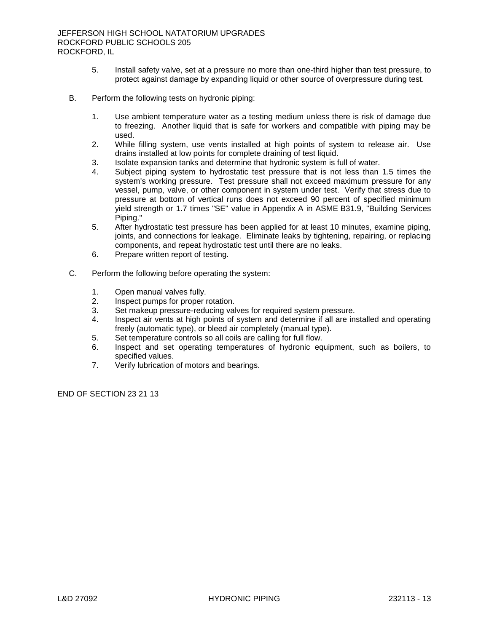- 5. Install safety valve, set at a pressure no more than one-third higher than test pressure, to protect against damage by expanding liquid or other source of overpressure during test.
- B. Perform the following tests on hydronic piping:
	- 1. Use ambient temperature water as a testing medium unless there is risk of damage due to freezing. Another liquid that is safe for workers and compatible with piping may be used.
	- 2. While filling system, use vents installed at high points of system to release air. Use drains installed at low points for complete draining of test liquid.
	- 3. Isolate expansion tanks and determine that hydronic system is full of water.
	- 4. Subject piping system to hydrostatic test pressure that is not less than 1.5 times the system's working pressure. Test pressure shall not exceed maximum pressure for any vessel, pump, valve, or other component in system under test. Verify that stress due to pressure at bottom of vertical runs does not exceed 90 percent of specified minimum yield strength or 1.7 times "SE" value in Appendix A in ASME B31.9, "Building Services Piping."
	- 5. After hydrostatic test pressure has been applied for at least 10 minutes, examine piping, joints, and connections for leakage. Eliminate leaks by tightening, repairing, or replacing components, and repeat hydrostatic test until there are no leaks.
	- 6. Prepare written report of testing.
- C. Perform the following before operating the system:
	- 1. Open manual valves fully.
	- 2. Inspect pumps for proper rotation.
	- 3. Set makeup pressure-reducing valves for required system pressure.
	- 4. Inspect air vents at high points of system and determine if all are installed and operating freely (automatic type), or bleed air completely (manual type).
	- 5. Set temperature controls so all coils are calling for full flow.
	- 6. Inspect and set operating temperatures of hydronic equipment, such as boilers, to specified values.
	- 7. Verify lubrication of motors and bearings.

END OF SECTION 23 21 13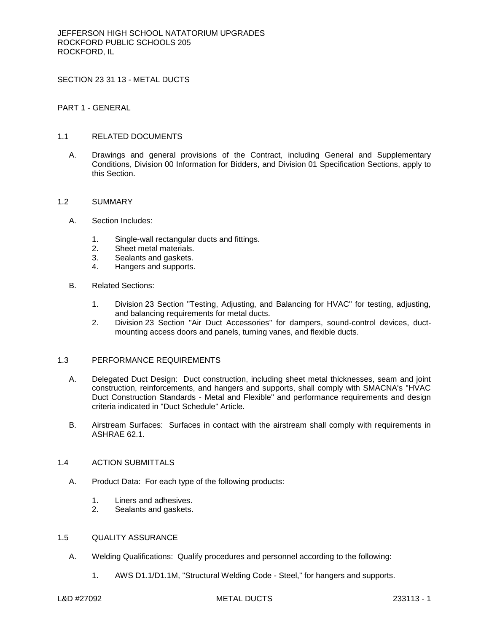SECTION 23 31 13 - METAL DUCTS

PART 1 - GENERAL

## 1.1 RELATED DOCUMENTS

A. Drawings and general provisions of the Contract, including General and Supplementary Conditions, Division 00 Information for Bidders, and Division 01 Specification Sections, apply to this Section.

#### 1.2 SUMMARY

- A. Section Includes:
	- 1. Single-wall rectangular ducts and fittings.
	- 2. Sheet metal materials.
	- 3. Sealants and gaskets.
	- 4. Hangers and supports.
- B. Related Sections:
	- 1. Division 23 Section "Testing, Adjusting, and Balancing for HVAC" for testing, adjusting, and balancing requirements for metal ducts.
	- 2. Division 23 Section "Air Duct Accessories" for dampers, sound-control devices, ductmounting access doors and panels, turning vanes, and flexible ducts.

# 1.3 PERFORMANCE REQUIREMENTS

- A. Delegated Duct Design: Duct construction, including sheet metal thicknesses, seam and joint construction, reinforcements, and hangers and supports, shall comply with SMACNA's "HVAC Duct Construction Standards - Metal and Flexible" and performance requirements and design criteria indicated in "Duct Schedule" Article.
- B. Airstream Surfaces: Surfaces in contact with the airstream shall comply with requirements in ASHRAE 62.1.

## 1.4 ACTION SUBMITTALS

- A. Product Data: For each type of the following products:
	- 1. Liners and adhesives.
	- 2. Sealants and gaskets.

#### 1.5 QUALITY ASSURANCE

- A. Welding Qualifications: Qualify procedures and personnel according to the following:
	- 1. AWS D1.1/D1.1M, "Structural Welding Code Steel," for hangers and supports.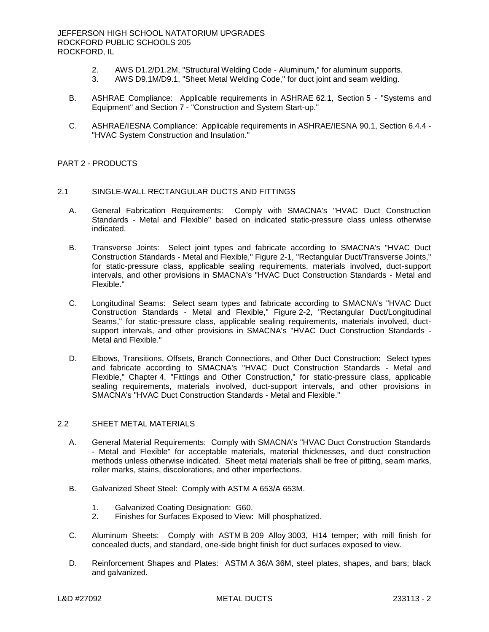- 2. AWS D1.2/D1.2M, "Structural Welding Code Aluminum," for aluminum supports.<br>3. AWS D9.1M/D9.1. "Sheet Metal Welding Code." for duct joint and seam welding.
- AWS D9.1M/D9.1, "Sheet Metal Welding Code," for duct joint and seam welding.
- B. ASHRAE Compliance: Applicable requirements in ASHRAE 62.1, Section 5 "Systems and Equipment" and Section 7 - "Construction and System Start-up."
- C. ASHRAE/IESNA Compliance: Applicable requirements in ASHRAE/IESNA 90.1, Section 6.4.4 "HVAC System Construction and Insulation."

#### PART 2 - PRODUCTS

#### 2.1 SINGLE-WALL RECTANGULAR DUCTS AND FITTINGS

- A. General Fabrication Requirements: Comply with SMACNA's "HVAC Duct Construction Standards - Metal and Flexible" based on indicated static-pressure class unless otherwise indicated.
- B. Transverse Joints: Select joint types and fabricate according to SMACNA's "HVAC Duct Construction Standards - Metal and Flexible," Figure 2-1, "Rectangular Duct/Transverse Joints," for static-pressure class, applicable sealing requirements, materials involved, duct-support intervals, and other provisions in SMACNA's "HVAC Duct Construction Standards - Metal and Flexible."
- C. Longitudinal Seams: Select seam types and fabricate according to SMACNA's "HVAC Duct Construction Standards - Metal and Flexible," Figure 2-2, "Rectangular Duct/Longitudinal Seams," for static-pressure class, applicable sealing requirements, materials involved, ductsupport intervals, and other provisions in SMACNA's "HVAC Duct Construction Standards - Metal and Flexible."
- D. Elbows, Transitions, Offsets, Branch Connections, and Other Duct Construction: Select types and fabricate according to SMACNA's "HVAC Duct Construction Standards - Metal and Flexible," Chapter 4, "Fittings and Other Construction," for static-pressure class, applicable sealing requirements, materials involved, duct-support intervals, and other provisions in SMACNA's "HVAC Duct Construction Standards - Metal and Flexible."

#### 2.2 SHEET METAL MATERIALS

- A. General Material Requirements: Comply with SMACNA's "HVAC Duct Construction Standards - Metal and Flexible" for acceptable materials, material thicknesses, and duct construction methods unless otherwise indicated. Sheet metal materials shall be free of pitting, seam marks, roller marks, stains, discolorations, and other imperfections.
- B. Galvanized Sheet Steel: Comply with ASTM A 653/A 653M.
	- 1. Galvanized Coating Designation: G60.
	- 2. Finishes for Surfaces Exposed to View: Mill phosphatized.
- C. Aluminum Sheets: Comply with ASTM B 209 Alloy 3003, H14 temper; with mill finish for concealed ducts, and standard, one-side bright finish for duct surfaces exposed to view.
- D. Reinforcement Shapes and Plates: ASTM A 36/A 36M, steel plates, shapes, and bars; black and galvanized.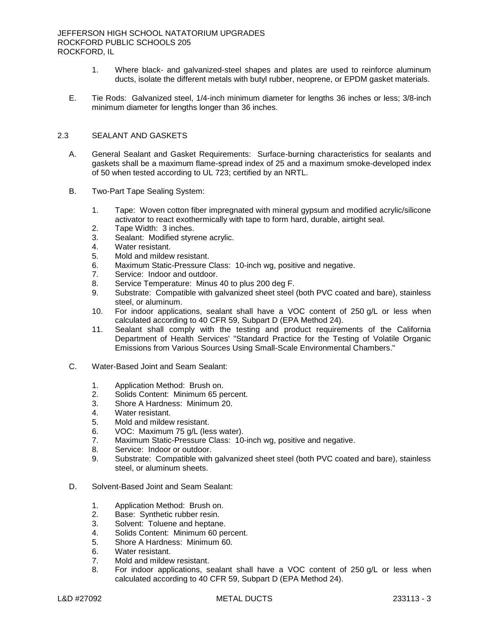- 1. Where black- and galvanized-steel shapes and plates are used to reinforce aluminum ducts, isolate the different metals with butyl rubber, neoprene, or EPDM gasket materials.
- E. Tie Rods: Galvanized steel, 1/4-inch minimum diameter for lengths 36 inches or less; 3/8-inch minimum diameter for lengths longer than 36 inches.

## 2.3 SEALANT AND GASKETS

- A. General Sealant and Gasket Requirements: Surface-burning characteristics for sealants and gaskets shall be a maximum flame-spread index of 25 and a maximum smoke-developed index of 50 when tested according to UL 723; certified by an NRTL.
- B. Two-Part Tape Sealing System:
	- 1. Tape: Woven cotton fiber impregnated with mineral gypsum and modified acrylic/silicone activator to react exothermically with tape to form hard, durable, airtight seal.
	- 2. Tape Width: 3 inches.
	- 3. Sealant: Modified styrene acrylic.
	- 4. Water resistant.
	- 5. Mold and mildew resistant.
	- 6. Maximum Static-Pressure Class: 10-inch wg, positive and negative.
	- 7. Service: Indoor and outdoor.
	- 8. Service Temperature: Minus 40 to plus 200 deg F.
	- 9. Substrate: Compatible with galvanized sheet steel (both PVC coated and bare), stainless steel, or aluminum.
	- 10. For indoor applications, sealant shall have a VOC content of 250 g/L or less when calculated according to 40 CFR 59, Subpart D (EPA Method 24).
	- 11. Sealant shall comply with the testing and product requirements of the California Department of Health Services' "Standard Practice for the Testing of Volatile Organic Emissions from Various Sources Using Small-Scale Environmental Chambers."
- C. Water-Based Joint and Seam Sealant:
	- 1. Application Method: Brush on.
	- 2. Solids Content: Minimum 65 percent.
	- 3. Shore A Hardness: Minimum 20.
	- 4. Water resistant.
	- 5. Mold and mildew resistant.
	- 6. VOC: Maximum 75 g/L (less water).
	- 7. Maximum Static-Pressure Class: 10-inch wg, positive and negative.
	- 8. Service: Indoor or outdoor.
	- 9. Substrate: Compatible with galvanized sheet steel (both PVC coated and bare), stainless steel, or aluminum sheets.
- D. Solvent-Based Joint and Seam Sealant:
	- 1. Application Method: Brush on.
	- 2. Base: Synthetic rubber resin.
	- 3. Solvent: Toluene and heptane.
	- 4. Solids Content: Minimum 60 percent.
	- 5. Shore A Hardness: Minimum 60.
	- 6. Water resistant.
	- 7. Mold and mildew resistant.
	- 8. For indoor applications, sealant shall have a VOC content of 250 g/L or less when calculated according to 40 CFR 59, Subpart D (EPA Method 24).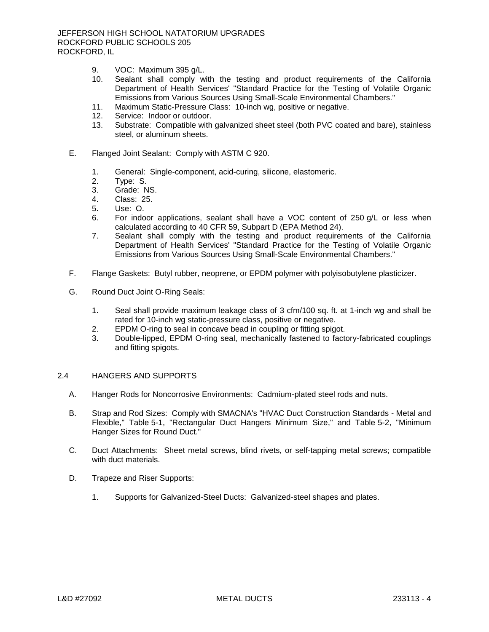- 9. VOC: Maximum 395 g/L.
- 10. Sealant shall comply with the testing and product requirements of the California Department of Health Services' "Standard Practice for the Testing of Volatile Organic Emissions from Various Sources Using Small-Scale Environmental Chambers."
- 11. Maximum Static-Pressure Class: 10-inch wg, positive or negative.
- 12. Service: Indoor or outdoor.
- 13. Substrate: Compatible with galvanized sheet steel (both PVC coated and bare), stainless steel, or aluminum sheets.
- E. Flanged Joint Sealant: Comply with ASTM C 920.
	- 1. General: Single-component, acid-curing, silicone, elastomeric.
	- 2. Type: S.
	- 3. Grade: NS.
	- 4. Class: 25.
	- 5. Use: O.
	- 6. For indoor applications, sealant shall have a VOC content of 250 g/L or less when calculated according to 40 CFR 59, Subpart D (EPA Method 24).
	- 7. Sealant shall comply with the testing and product requirements of the California Department of Health Services' "Standard Practice for the Testing of Volatile Organic Emissions from Various Sources Using Small-Scale Environmental Chambers."
- F. Flange Gaskets: Butyl rubber, neoprene, or EPDM polymer with polyisobutylene plasticizer.
- G. Round Duct Joint O-Ring Seals:
	- 1. Seal shall provide maximum leakage class of 3 cfm/100 sq. ft. at 1-inch wg and shall be rated for 10-inch wg static-pressure class, positive or negative.
	- 2. EPDM O-ring to seal in concave bead in coupling or fitting spigot.
	- 3. Double-lipped, EPDM O-ring seal, mechanically fastened to factory-fabricated couplings and fitting spigots.

#### 2.4 HANGERS AND SUPPORTS

- A. Hanger Rods for Noncorrosive Environments: Cadmium-plated steel rods and nuts.
- B. Strap and Rod Sizes: Comply with SMACNA's "HVAC Duct Construction Standards Metal and Flexible," Table 5-1, "Rectangular Duct Hangers Minimum Size," and Table 5-2, "Minimum Hanger Sizes for Round Duct."
- C. Duct Attachments: Sheet metal screws, blind rivets, or self-tapping metal screws; compatible with duct materials.
- D. Trapeze and Riser Supports:
	- 1. Supports for Galvanized-Steel Ducts: Galvanized-steel shapes and plates.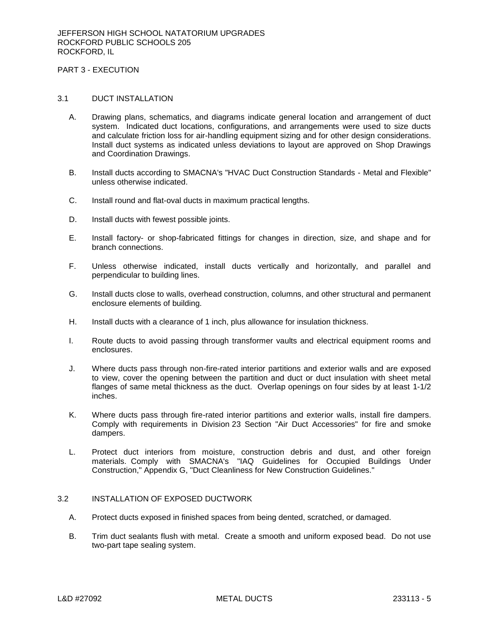# PART 3 - EXECUTION

### 3.1 DUCT INSTALLATION

- A. Drawing plans, schematics, and diagrams indicate general location and arrangement of duct system. Indicated duct locations, configurations, and arrangements were used to size ducts and calculate friction loss for air-handling equipment sizing and for other design considerations. Install duct systems as indicated unless deviations to layout are approved on Shop Drawings and Coordination Drawings.
- B. Install ducts according to SMACNA's "HVAC Duct Construction Standards Metal and Flexible" unless otherwise indicated.
- C. Install round and flat-oval ducts in maximum practical lengths.
- D. Install ducts with fewest possible joints.
- E. Install factory- or shop-fabricated fittings for changes in direction, size, and shape and for branch connections.
- F. Unless otherwise indicated, install ducts vertically and horizontally, and parallel and perpendicular to building lines.
- G. Install ducts close to walls, overhead construction, columns, and other structural and permanent enclosure elements of building.
- H. Install ducts with a clearance of 1 inch, plus allowance for insulation thickness.
- I. Route ducts to avoid passing through transformer vaults and electrical equipment rooms and enclosures.
- J. Where ducts pass through non-fire-rated interior partitions and exterior walls and are exposed to view, cover the opening between the partition and duct or duct insulation with sheet metal flanges of same metal thickness as the duct. Overlap openings on four sides by at least 1-1/2 inches.
- K. Where ducts pass through fire-rated interior partitions and exterior walls, install fire dampers. Comply with requirements in Division 23 Section "Air Duct Accessories" for fire and smoke dampers.
- L. Protect duct interiors from moisture, construction debris and dust, and other foreign materials. Comply with SMACNA's "IAQ Guidelines for Occupied Buildings Under Construction," Appendix G, "Duct Cleanliness for New Construction Guidelines."

### 3.2 INSTALLATION OF EXPOSED DUCTWORK

- A. Protect ducts exposed in finished spaces from being dented, scratched, or damaged.
- B. Trim duct sealants flush with metal. Create a smooth and uniform exposed bead. Do not use two-part tape sealing system.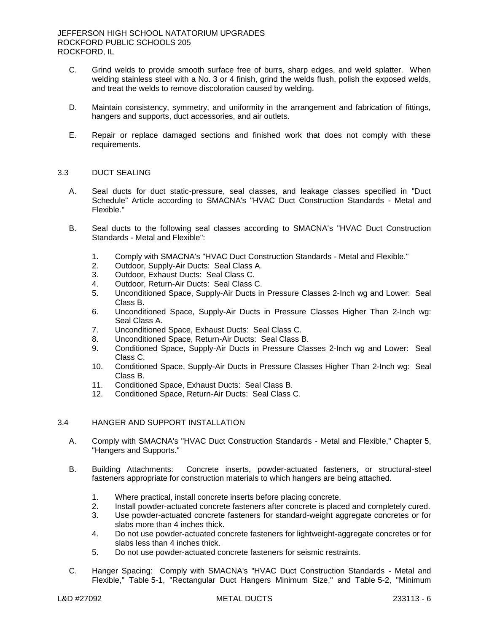- C. Grind welds to provide smooth surface free of burrs, sharp edges, and weld splatter. When welding stainless steel with a No. 3 or 4 finish, grind the welds flush, polish the exposed welds, and treat the welds to remove discoloration caused by welding.
- D. Maintain consistency, symmetry, and uniformity in the arrangement and fabrication of fittings, hangers and supports, duct accessories, and air outlets.
- E. Repair or replace damaged sections and finished work that does not comply with these requirements.

#### 3.3 DUCT SEALING

- A. Seal ducts for duct static-pressure, seal classes, and leakage classes specified in "Duct Schedule" Article according to SMACNA's "HVAC Duct Construction Standards - Metal and Flexible."
- B. Seal ducts to the following seal classes according to SMACNA's "HVAC Duct Construction Standards - Metal and Flexible":
	- 1. Comply with SMACNA's "HVAC Duct Construction Standards Metal and Flexible."
	- 2. Outdoor, Supply-Air Ducts: Seal Class A.
	- 3. Outdoor, Exhaust Ducts: Seal Class C.
	- 4. Outdoor, Return-Air Ducts: Seal Class C.
	- 5. Unconditioned Space, Supply-Air Ducts in Pressure Classes 2-Inch wg and Lower: Seal Class B.
	- 6. Unconditioned Space, Supply-Air Ducts in Pressure Classes Higher Than 2-Inch wg: Seal Class A.
	- 7. Unconditioned Space, Exhaust Ducts: Seal Class C.
	- 8. Unconditioned Space, Return-Air Ducts: Seal Class B.
	- 9. Conditioned Space, Supply-Air Ducts in Pressure Classes 2-Inch wg and Lower: Seal Class C.
	- 10. Conditioned Space, Supply-Air Ducts in Pressure Classes Higher Than 2-Inch wg: Seal Class B.
	- 11. Conditioned Space, Exhaust Ducts: Seal Class B.
	- 12. Conditioned Space, Return-Air Ducts: Seal Class C.

# 3.4 HANGER AND SUPPORT INSTALLATION

- A. Comply with SMACNA's "HVAC Duct Construction Standards Metal and Flexible," Chapter 5, "Hangers and Supports."
- B. Building Attachments: Concrete inserts, powder-actuated fasteners, or structural-steel fasteners appropriate for construction materials to which hangers are being attached.
	- 1. Where practical, install concrete inserts before placing concrete.
	- 2. Install powder-actuated concrete fasteners after concrete is placed and completely cured.
	- 3. Use powder-actuated concrete fasteners for standard-weight aggregate concretes or for slabs more than 4 inches thick.
	- 4. Do not use powder-actuated concrete fasteners for lightweight-aggregate concretes or for slabs less than 4 inches thick.
	- 5. Do not use powder-actuated concrete fasteners for seismic restraints.
- C. Hanger Spacing: Comply with SMACNA's "HVAC Duct Construction Standards Metal and Flexible," Table 5-1, "Rectangular Duct Hangers Minimum Size," and Table 5-2, "Minimum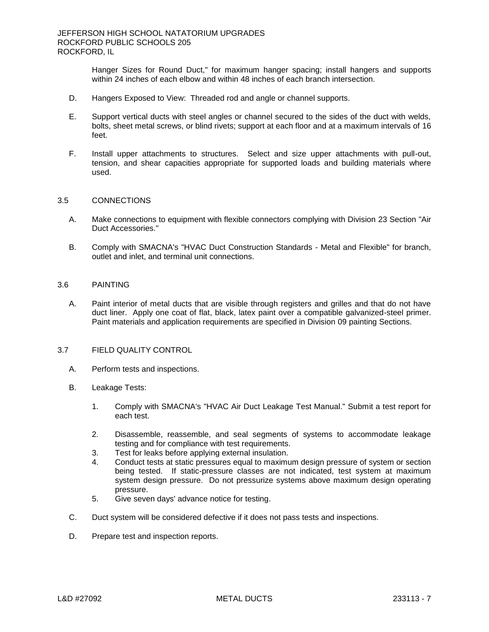Hanger Sizes for Round Duct," for maximum hanger spacing; install hangers and supports within 24 inches of each elbow and within 48 inches of each branch intersection.

- D. Hangers Exposed to View: Threaded rod and angle or channel supports.
- E. Support vertical ducts with steel angles or channel secured to the sides of the duct with welds, bolts, sheet metal screws, or blind rivets; support at each floor and at a maximum intervals of 16 feet.
- F. Install upper attachments to structures. Select and size upper attachments with pull-out, tension, and shear capacities appropriate for supported loads and building materials where used.

#### 3.5 CONNECTIONS

- A. Make connections to equipment with flexible connectors complying with Division 23 Section "Air Duct Accessories."
- B. Comply with SMACNA's "HVAC Duct Construction Standards Metal and Flexible" for branch, outlet and inlet, and terminal unit connections.

### 3.6 PAINTING

A. Paint interior of metal ducts that are visible through registers and grilles and that do not have duct liner. Apply one coat of flat, black, latex paint over a compatible galvanized-steel primer. Paint materials and application requirements are specified in Division 09 painting Sections.

#### 3.7 FIELD QUALITY CONTROL

- A. Perform tests and inspections.
- B. Leakage Tests:
	- 1. Comply with SMACNA's "HVAC Air Duct Leakage Test Manual." Submit a test report for each test.
	- 2. Disassemble, reassemble, and seal segments of systems to accommodate leakage testing and for compliance with test requirements.
	- 3. Test for leaks before applying external insulation.
	- 4. Conduct tests at static pressures equal to maximum design pressure of system or section being tested. If static-pressure classes are not indicated, test system at maximum system design pressure. Do not pressurize systems above maximum design operating pressure.
	- 5. Give seven days' advance notice for testing.
- C. Duct system will be considered defective if it does not pass tests and inspections.
- D. Prepare test and inspection reports.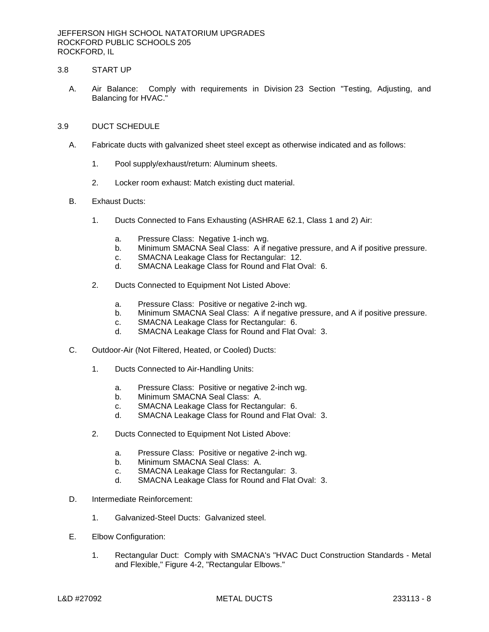## 3.8 START UP

A. Air Balance: Comply with requirements in Division 23 Section "Testing, Adjusting, and Balancing for HVAC."

#### 3.9 DUCT SCHEDULE

- A. Fabricate ducts with galvanized sheet steel except as otherwise indicated and as follows:
	- 1. Pool supply/exhaust/return: Aluminum sheets.
	- 2. Locker room exhaust: Match existing duct material.
- B. Exhaust Ducts:
	- 1. Ducts Connected to Fans Exhausting (ASHRAE 62.1, Class 1 and 2) Air:
		- a. Pressure Class: Negative 1-inch wg.
		- b. Minimum SMACNA Seal Class: A if negative pressure, and A if positive pressure.
		- c. SMACNA Leakage Class for Rectangular: 12.
		- d. SMACNA Leakage Class for Round and Flat Oval: 6.
	- 2. Ducts Connected to Equipment Not Listed Above:
		- a. Pressure Class: Positive or negative 2-inch wg.
		- b. Minimum SMACNA Seal Class: A if negative pressure, and A if positive pressure.
		- c. SMACNA Leakage Class for Rectangular: 6.
		- d. SMACNA Leakage Class for Round and Flat Oval: 3.
- C. Outdoor-Air (Not Filtered, Heated, or Cooled) Ducts:
	- 1. Ducts Connected to Air-Handling Units:
		- a. Pressure Class: Positive or negative 2-inch wg.
		- b. Minimum SMACNA Seal Class: A.
		- c. SMACNA Leakage Class for Rectangular: 6.
		- d. SMACNA Leakage Class for Round and Flat Oval: 3.
	- 2. Ducts Connected to Equipment Not Listed Above:
		- a. Pressure Class: Positive or negative 2-inch wg.
		- b. Minimum SMACNA Seal Class: A.
		- c. SMACNA Leakage Class for Rectangular: 3.
		- d. SMACNA Leakage Class for Round and Flat Oval: 3.
- D. Intermediate Reinforcement:
	- 1. Galvanized-Steel Ducts: Galvanized steel.
- E. Elbow Configuration:
	- 1. Rectangular Duct: Comply with SMACNA's "HVAC Duct Construction Standards Metal and Flexible," Figure 4-2, "Rectangular Elbows."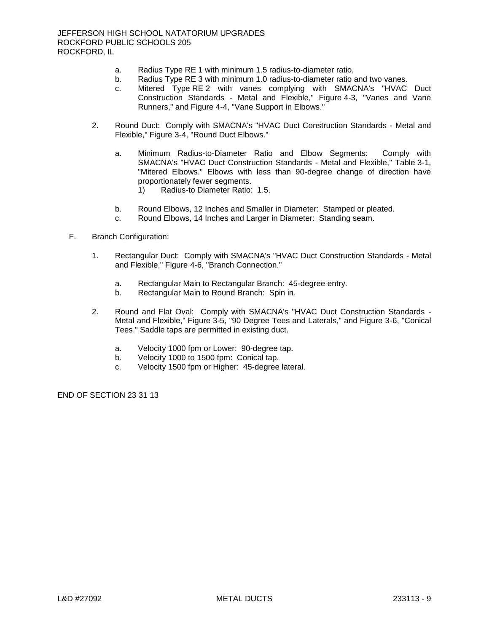- a. Radius Type RE 1 with minimum 1.5 radius-to-diameter ratio.
- b. Radius Type RE 3 with minimum 1.0 radius-to-diameter ratio and two vanes.
- c. Mitered Type RE 2 with vanes complying with SMACNA's "HVAC Duct Construction Standards - Metal and Flexible," Figure 4-3, "Vanes and Vane Runners," and Figure 4-4, "Vane Support in Elbows."
- 2. Round Duct: Comply with SMACNA's "HVAC Duct Construction Standards Metal and Flexible," Figure 3-4, "Round Duct Elbows."
	- a. Minimum Radius-to-Diameter Ratio and Elbow Segments: Comply with SMACNA's "HVAC Duct Construction Standards - Metal and Flexible," Table 3-1, "Mitered Elbows." Elbows with less than 90-degree change of direction have proportionately fewer segments.
		- 1) Radius-to Diameter Ratio: 1.5.
	- b. Round Elbows, 12 Inches and Smaller in Diameter: Stamped or pleated.
	- c. Round Elbows, 14 Inches and Larger in Diameter: Standing seam.

### F. Branch Configuration:

- 1. Rectangular Duct: Comply with SMACNA's "HVAC Duct Construction Standards Metal and Flexible," Figure 4-6, "Branch Connection."
	- a. Rectangular Main to Rectangular Branch: 45-degree entry.
	- b. Rectangular Main to Round Branch: Spin in.
- 2. Round and Flat Oval: Comply with SMACNA's "HVAC Duct Construction Standards Metal and Flexible," Figure 3-5, "90 Degree Tees and Laterals," and Figure 3-6, "Conical Tees." Saddle taps are permitted in existing duct.
	- a. Velocity 1000 fpm or Lower: 90-degree tap.
	- b. Velocity 1000 to 1500 fpm: Conical tap.
	- c. Velocity 1500 fpm or Higher: 45-degree lateral.

END OF SECTION 23 31 13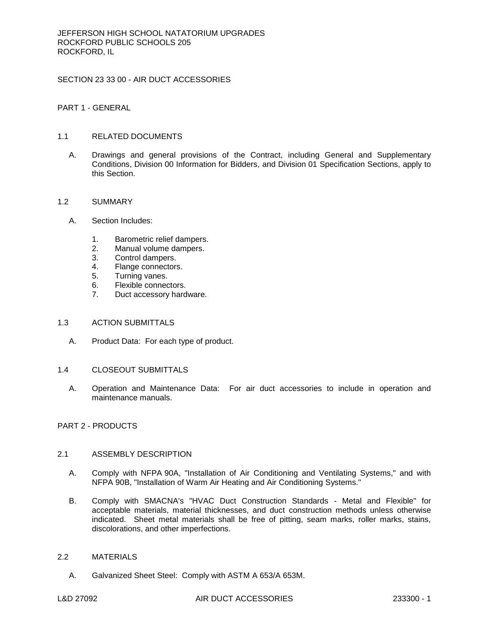SECTION 23 33 00 - AIR DUCT ACCESSORIES

PART 1 - GENERAL

# 1.1 RELATED DOCUMENTS

A. Drawings and general provisions of the Contract, including General and Supplementary Conditions, Division 00 Information for Bidders, and Division 01 Specification Sections, apply to this Section.

## 1.2 SUMMARY

- A. Section Includes:
	- 1. Barometric relief dampers.
	- 2. Manual volume dampers.
	- 3. Control dampers.
	- 4. Flange connectors.
	- 5. Turning vanes.
	- 6. Flexible connectors.
	- 7. Duct accessory hardware.

#### 1.3 ACTION SUBMITTALS

- A. Product Data: For each type of product.
- 1.4 CLOSEOUT SUBMITTALS
	- A. Operation and Maintenance Data: For air duct accessories to include in operation and maintenance manuals.

# PART 2 - PRODUCTS

#### 2.1 ASSEMBLY DESCRIPTION

- A. Comply with NFPA 90A, "Installation of Air Conditioning and Ventilating Systems," and with NFPA 90B, "Installation of Warm Air Heating and Air Conditioning Systems."
- B. Comply with SMACNA's "HVAC Duct Construction Standards Metal and Flexible" for acceptable materials, material thicknesses, and duct construction methods unless otherwise indicated. Sheet metal materials shall be free of pitting, seam marks, roller marks, stains, discolorations, and other imperfections.

# 2.2 MATERIALS

A. Galvanized Sheet Steel: Comply with ASTM A 653/A 653M.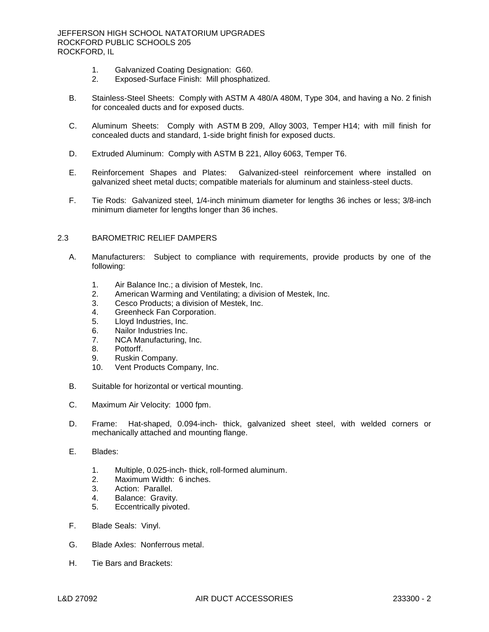JEFFERSON HIGH SCHOOL NATATORIUM UPGRADES ROCKFORD PUBLIC SCHOOLS 205 ROCKFORD, IL

- 1. Galvanized Coating Designation: G60.<br>2. Exposed-Surface Finish: Mill phosphati
- 2. Exposed-Surface Finish: Mill phosphatized.
- B. Stainless-Steel Sheets: Comply with ASTM A 480/A 480M, Type 304, and having a No. 2 finish for concealed ducts and for exposed ducts.
- C. Aluminum Sheets: Comply with ASTM B 209, Alloy 3003, Temper H14; with mill finish for concealed ducts and standard, 1-side bright finish for exposed ducts.
- D. Extruded Aluminum: Comply with ASTM B 221, Alloy 6063, Temper T6.
- E. Reinforcement Shapes and Plates: Galvanized-steel reinforcement where installed on galvanized sheet metal ducts; compatible materials for aluminum and stainless-steel ducts.
- F. Tie Rods: Galvanized steel, 1/4-inch minimum diameter for lengths 36 inches or less; 3/8-inch minimum diameter for lengths longer than 36 inches.

# 2.3 BAROMETRIC RELIEF DAMPERS

- A. Manufacturers: Subject to compliance with requirements, provide products by one of the following:
	- 1. [Air Balance Inc.; a division of Mestek, Inc.](http://www.specagent.com/LookUp/?uid=123456821233&mf=04&src=wd)
	- 2. [American Warming and Ventilating; a division of Mestek, Inc.](http://www.specagent.com/LookUp/?uid=123456821237&mf=04&src=wd)
	- 3. [Cesco Products; a division of Mestek, Inc.](http://www.specagent.com/LookUp/?uid=123456821239&mf=04&src=wd)
	- 4. [Greenheck Fan Corporation.](http://www.specagent.com/LookUp/?uid=123456812700&mf=04&src=wd)
	- 5. [Lloyd Industries, Inc.](http://www.specagent.com/LookUp/?uid=123456812701&mf=04&src=wd)
	- 6. [Nailor Industries Inc.](http://www.specagent.com/LookUp/?uid=123456812702&mf=04&src=wd)
	- 7. [NCA Manufacturing, Inc.](http://www.specagent.com/LookUp/?uid=123456812703&mf=04&src=wd)
	- 8. [Pottorff.](http://www.specagent.com/LookUp/?uid=123456812704&mf=04&src=wd)
	- 9. [Ruskin Company.](http://www.specagent.com/LookUp/?uid=123456812705&mf=04&src=wd)
	- 10. [Vent Products Company, Inc.](http://www.specagent.com/LookUp/?uid=123456812706&mf=04&src=wd)
- B. Suitable for horizontal or vertical mounting.
- C. Maximum Air Velocity: 1000 fpm.
- D. Frame: Hat-shaped, 0.094-inch- thick, galvanized sheet steel, with welded corners or mechanically attached and mounting flange.
- E. Blades:
	- 1. Multiple, 0.025-inch- thick, roll-formed aluminum.
	- 2. Maximum Width: 6 inches.
	- 3. Action: Parallel.
	- 4. Balance: Gravity.
	- 5. Eccentrically pivoted.
- F. Blade Seals: Vinyl.
- G. Blade Axles: Nonferrous metal.
- H. Tie Bars and Brackets: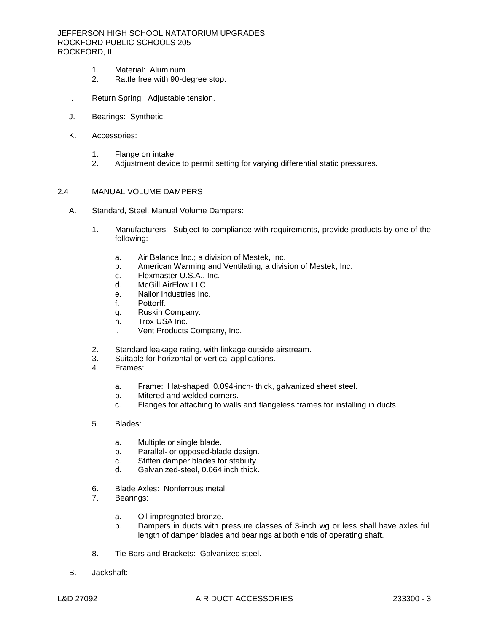JEFFERSON HIGH SCHOOL NATATORIUM UPGRADES ROCKFORD PUBLIC SCHOOLS 205 ROCKFORD, IL

- 1. Material: Aluminum.<br>2. Rattle free with 90-de
- Rattle free with 90-degree stop.
- I. Return Spring: Adjustable tension.
- J. Bearings: Synthetic.
- K. Accessories:
	- 1. Flange on intake.
	- 2. Adjustment device to permit setting for varying differential static pressures.

#### 2.4 MANUAL VOLUME DAMPERS

- A. Standard, Steel, Manual Volume Dampers:
	- 1. Manufacturers: Subject to compliance with requirements, provide products by one of the following:
		- a. [Air Balance Inc.; a division of Mestek, Inc.](http://www.specagent.com/LookUp/?uid=123456821240&mf=04&src=wd)
		- b. [American Warming and Ventilating; a division of Mestek, Inc.](http://www.specagent.com/LookUp/?uid=123456821244&mf=04&src=wd)
		- c. [Flexmaster U.S.A., Inc.](http://www.specagent.com/LookUp/?uid=123456812707&mf=04&src=wd)
		- d. [McGill AirFlow LLC.](http://www.specagent.com/LookUp/?uid=123456812708&mf=04&src=wd)
		- e. [Nailor Industries Inc.](http://www.specagent.com/LookUp/?uid=123456812709&mf=04&src=wd)
		- f. [Pottorff.](http://www.specagent.com/LookUp/?uid=123456812710&mf=04&src=wd)
		- g. [Ruskin Company.](http://www.specagent.com/LookUp/?uid=123456812711&mf=04&src=wd)
		- h. [Trox USA Inc.](http://www.specagent.com/LookUp/?uid=123456812712&mf=04&src=wd)
		- i. [Vent Products Company, Inc.](http://www.specagent.com/LookUp/?uid=123456812713&mf=04&src=wd)
	- 2. Standard leakage rating, with linkage outside airstream.
	- 3. Suitable for horizontal or vertical applications.
	- 4. Frames:
		- a. Frame: Hat-shaped, 0.094-inch- thick, galvanized sheet steel.
		- b. Mitered and welded corners.
		- c. Flanges for attaching to walls and flangeless frames for installing in ducts.
	- 5. Blades:
		- a. Multiple or single blade.
		- b. Parallel- or opposed-blade design.
		- c. Stiffen damper blades for stability.
		- d. Galvanized-steel, 0.064 inch thick.
	- 6. Blade Axles: Nonferrous metal.
	- 7. Bearings:
		- a. Oil-impregnated bronze.
		- b. Dampers in ducts with pressure classes of 3-inch wg or less shall have axles full length of damper blades and bearings at both ends of operating shaft.
	- 8. Tie Bars and Brackets: Galvanized steel.
- B. Jackshaft: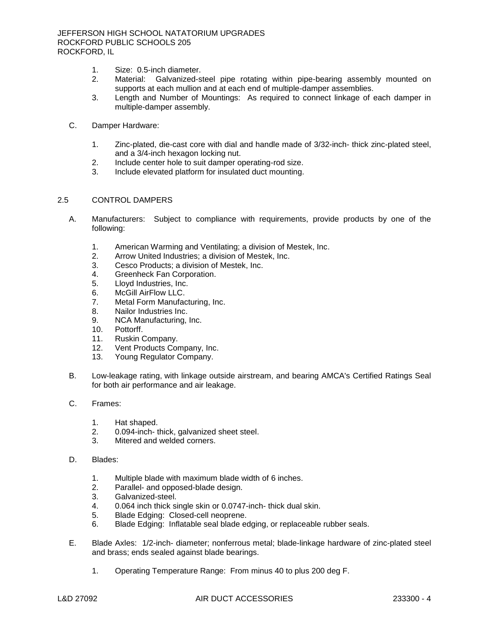- 1. Size: 0.5-inch diameter.
- 2. Material: Galvanized-steel pipe rotating within pipe-bearing assembly mounted on supports at each mullion and at each end of multiple-damper assemblies.
- 3. Length and Number of Mountings: As required to connect linkage of each damper in multiple-damper assembly.
- C. Damper Hardware:
	- 1. Zinc-plated, die-cast core with dial and handle made of 3/32-inch- thick zinc-plated steel, and a 3/4-inch hexagon locking nut.
	- 2. Include center hole to suit damper operating-rod size.
	- 3. Include elevated platform for insulated duct mounting.

### 2.5 CONTROL DAMPERS

- A. Manufacturers: Subject to compliance with requirements, provide products by one of the following:
	- 1. [American Warming and Ventilating; a division of Mestek, Inc.](http://www.specagent.com/LookUp/?uid=123456821259&mf=04&src=wd)
	- 2. [Arrow United Industries; a division of Mestek, Inc.](http://www.specagent.com/LookUp/?uid=123456821262&mf=04&src=wd)
	- 3. [Cesco Products; a division of Mestek, Inc.](http://www.specagent.com/LookUp/?uid=123456821264&mf=04&src=wd)
	- 4. [Greenheck Fan Corporation.](http://www.specagent.com/LookUp/?uid=123456812733&mf=04&src=wd)
	- 5. [Lloyd Industries, Inc.](http://www.specagent.com/LookUp/?uid=123456812734&mf=04&src=wd)
	- 6. [McGill AirFlow LLC.](http://www.specagent.com/LookUp/?uid=123456812735&mf=04&src=wd)
	- 7. [Metal Form Manufacturing, Inc.](http://www.specagent.com/LookUp/?uid=123456812736&mf=04&src=wd)
	- 8. [Nailor Industries Inc.](http://www.specagent.com/LookUp/?uid=123456812737&mf=04&src=wd)
	- 9. [NCA Manufacturing, Inc.](http://www.specagent.com/LookUp/?uid=123456812738&mf=04&src=wd)
	- 10. [Pottorff.](http://www.specagent.com/LookUp/?uid=123456812739&mf=04&src=wd)
	- 11. [Ruskin Company.](http://www.specagent.com/LookUp/?uid=123456812740&mf=04&src=wd)
	- 12. [Vent Products Company, Inc.](http://www.specagent.com/LookUp/?uid=123456812741&mf=04&src=wd)
	- 13. [Young Regulator Company.](http://www.specagent.com/LookUp/?uid=123456812742&mf=04&src=wd)
- B. Low-leakage rating, with linkage outside airstream, and bearing AMCA's Certified Ratings Seal for both air performance and air leakage.
- C. Frames:
	- 1. Hat shaped.
	- 2. 0.094-inch- thick, galvanized sheet steel.
	- 3. Mitered and welded corners.
- D. Blades:
	- 1. Multiple blade with maximum blade width of 6 inches.
	- 2. Parallel- and opposed-blade design.
	- 3. Galvanized-steel.
	- 4. 0.064 inch thick single skin or 0.0747-inch- thick dual skin.
	- 5. Blade Edging: Closed-cell neoprene.
	- 6. Blade Edging: Inflatable seal blade edging, or replaceable rubber seals.
- E. Blade Axles: 1/2-inch- diameter; nonferrous metal; blade-linkage hardware of zinc-plated steel and brass; ends sealed against blade bearings.
	- 1. Operating Temperature Range: From minus 40 to plus 200 deg F.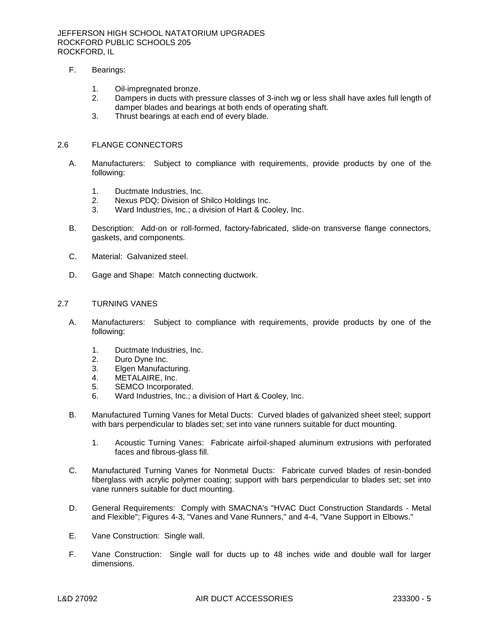- F. Bearings:
	- 1. Oil-impregnated bronze.
	- 2. Dampers in ducts with pressure classes of 3-inch wg or less shall have axles full length of damper blades and bearings at both ends of operating shaft.
	- 3. Thrust bearings at each end of every blade.

#### 2.6 FLANGE CONNECTORS

- A. Manufacturers: Subject to compliance with requirements, provide products by one of the following:
	- 1. [Ductmate Industries, Inc.](http://www.specagent.com/LookUp/?uid=123456812763&mf=04&src=wd)
	- 2. [Nexus PDQ; Division of Shilco Holdings Inc.](http://www.specagent.com/LookUp/?uid=123456821309&mf=04&src=wd)
	- 3. [Ward Industries, Inc.; a division of Hart & Cooley, Inc.](http://www.specagent.com/LookUp/?uid=123456821313&mf=04&src=wd)
- B. Description: Add-on or roll-formed, factory-fabricated, slide-on transverse flange connectors, gaskets, and components.
- C. Material: Galvanized steel.
- D. Gage and Shape: Match connecting ductwork.

#### 2.7 TURNING VANES

- A. Manufacturers: Subject to compliance with requirements, provide products by one of the following:
	- 1. [Ductmate Industries, Inc.](http://www.specagent.com/LookUp/?uid=123456812764&mf=04&src=wd)
	- 2. [Duro Dyne Inc.](http://www.specagent.com/LookUp/?uid=123456812765&mf=04&src=wd)
	- 3. [Elgen Manufacturing.](http://www.specagent.com/LookUp/?uid=123456826009&mf=04&src=wd)
	- 4. [METALAIRE, Inc.](http://www.specagent.com/LookUp/?uid=123456812766&mf=04&src=wd)
	- 5. [SEMCO Incorporated.](http://www.specagent.com/LookUp/?uid=123456812767&mf=04&src=wd)
	- 6. [Ward Industries, Inc.; a division of Hart & Cooley, Inc.](http://www.specagent.com/LookUp/?uid=123456821331&mf=04&src=wd)
- B. Manufactured Turning Vanes for Metal Ducts: Curved blades of galvanized sheet steel; support with bars perpendicular to blades set; set into vane runners suitable for duct mounting.
	- 1. Acoustic Turning Vanes: Fabricate airfoil-shaped aluminum extrusions with perforated faces and fibrous-glass fill.
- C. Manufactured Turning Vanes for Nonmetal Ducts: Fabricate curved blades of resin-bonded fiberglass with acrylic polymer coating; support with bars perpendicular to blades set; set into vane runners suitable for duct mounting.
- D. General Requirements: Comply with SMACNA's "HVAC Duct Construction Standards Metal and Flexible"; Figures 4-3, "Vanes and Vane Runners," and 4-4, "Vane Support in Elbows."
- E. Vane Construction: Single wall.
- F. Vane Construction: Single wall for ducts up to 48 inches wide and double wall for larger dimensions.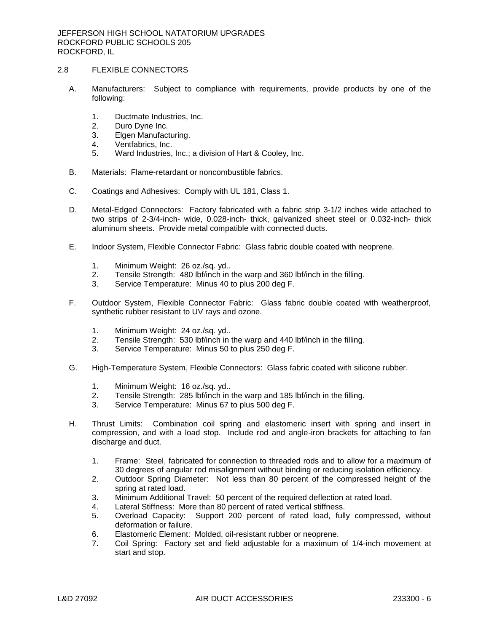### 2.8 FLEXIBLE CONNECTORS

- A. Manufacturers: Subject to compliance with requirements, provide products by one of the following:
	- 1. [Ductmate Industries, Inc.](http://www.specagent.com/LookUp/?uid=123456812781&mf=04&src=wd)
	- 2. [Duro Dyne Inc.](http://www.specagent.com/LookUp/?uid=123456812782&mf=04&src=wd)
	- 3. [Elgen Manufacturing.](http://www.specagent.com/LookUp/?uid=123456826011&mf=04&src=wd)
	- 4. [Ventfabrics, Inc.](http://www.specagent.com/LookUp/?uid=123456812783&mf=04&src=wd)
	- 5. [Ward Industries, Inc.; a division of Hart & Cooley, Inc.](http://www.specagent.com/LookUp/?uid=123456821343&mf=04&src=wd)
- B. Materials: Flame-retardant or noncombustible fabrics.
- C. Coatings and Adhesives: Comply with UL 181, Class 1.
- D. Metal-Edged Connectors: Factory fabricated with a fabric strip 3-1/2 inches wide attached to two strips of 2-3/4-inch- wide, 0.028-inch- thick, galvanized sheet steel or 0.032-inch- thick aluminum sheets. Provide metal compatible with connected ducts.
- E. Indoor System, Flexible Connector Fabric: Glass fabric double coated with neoprene.
	- 1. Minimum Weight: 26 oz./sq. yd..
	- 2. Tensile Strength: 480 lbf/inch in the warp and 360 lbf/inch in the filling.
	- 3. Service Temperature: Minus 40 to plus 200 deg F.
- F. Outdoor System, Flexible Connector Fabric: Glass fabric double coated with weatherproof, synthetic rubber resistant to UV rays and ozone.
	- 1. Minimum Weight: 24 oz./sq. yd..
	- 2. Tensile Strength: 530 lbf/inch in the warp and 440 lbf/inch in the filling.
	- 3. Service Temperature: Minus 50 to plus 250 deg F.
- G. High-Temperature System, Flexible Connectors: Glass fabric coated with silicone rubber.
	- 1. Minimum Weight: 16 oz./sq. yd..
	- 2. Tensile Strength: 285 lbf/inch in the warp and 185 lbf/inch in the filling.
	- 3. Service Temperature: Minus 67 to plus 500 deg F.
- H. Thrust Limits: Combination coil spring and elastomeric insert with spring and insert in compression, and with a load stop. Include rod and angle-iron brackets for attaching to fan discharge and duct.
	- 1. Frame: Steel, fabricated for connection to threaded rods and to allow for a maximum of 30 degrees of angular rod misalignment without binding or reducing isolation efficiency.
	- 2. Outdoor Spring Diameter: Not less than 80 percent of the compressed height of the spring at rated load.
	- 3. Minimum Additional Travel: 50 percent of the required deflection at rated load.
	- 4. Lateral Stiffness: More than 80 percent of rated vertical stiffness.
	- 5. Overload Capacity: Support 200 percent of rated load, fully compressed, without deformation or failure.
	- 6. Elastomeric Element: Molded, oil-resistant rubber or neoprene.
	- 7. Coil Spring: Factory set and field adjustable for a maximum of 1/4-inch movement at start and stop.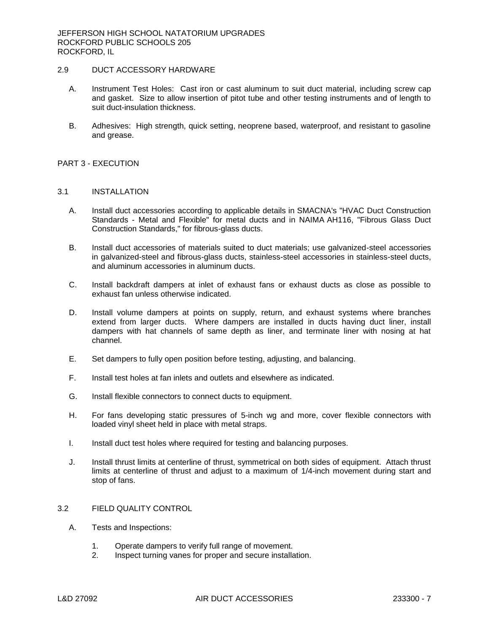# 2.9 DUCT ACCESSORY HARDWARE

- A. Instrument Test Holes: Cast iron or cast aluminum to suit duct material, including screw cap and gasket. Size to allow insertion of pitot tube and other testing instruments and of length to suit duct-insulation thickness.
- B. Adhesives: High strength, quick setting, neoprene based, waterproof, and resistant to gasoline and grease.

### PART 3 - EXECUTION

#### 3.1 INSTALLATION

- A. Install duct accessories according to applicable details in SMACNA's "HVAC Duct Construction Standards - Metal and Flexible" for metal ducts and in NAIMA AH116, "Fibrous Glass Duct Construction Standards," for fibrous-glass ducts.
- B. Install duct accessories of materials suited to duct materials; use galvanized-steel accessories in galvanized-steel and fibrous-glass ducts, stainless-steel accessories in stainless-steel ducts, and aluminum accessories in aluminum ducts.
- C. Install backdraft dampers at inlet of exhaust fans or exhaust ducts as close as possible to exhaust fan unless otherwise indicated.
- D. Install volume dampers at points on supply, return, and exhaust systems where branches extend from larger ducts. Where dampers are installed in ducts having duct liner, install dampers with hat channels of same depth as liner, and terminate liner with nosing at hat channel.
- E. Set dampers to fully open position before testing, adjusting, and balancing.
- F. Install test holes at fan inlets and outlets and elsewhere as indicated.
- G. Install flexible connectors to connect ducts to equipment.
- H. For fans developing static pressures of 5-inch wg and more, cover flexible connectors with loaded vinyl sheet held in place with metal straps.
- I. Install duct test holes where required for testing and balancing purposes.
- J. Install thrust limits at centerline of thrust, symmetrical on both sides of equipment. Attach thrust limits at centerline of thrust and adjust to a maximum of 1/4-inch movement during start and stop of fans.

### 3.2 FIELD QUALITY CONTROL

- A. Tests and Inspections:
	- 1. Operate dampers to verify full range of movement.
	- 2. Inspect turning vanes for proper and secure installation.